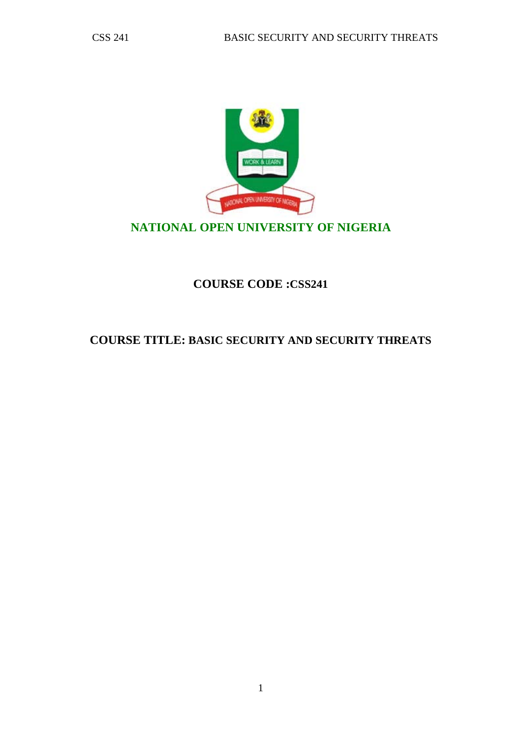

# **NATIONAL OPEN UNIVERSITY OF NIGERIA**

# **COURSE CODE :CSS241**

# **COURSE TITLE: BASIC SECURITY AND SECURITY THREATS**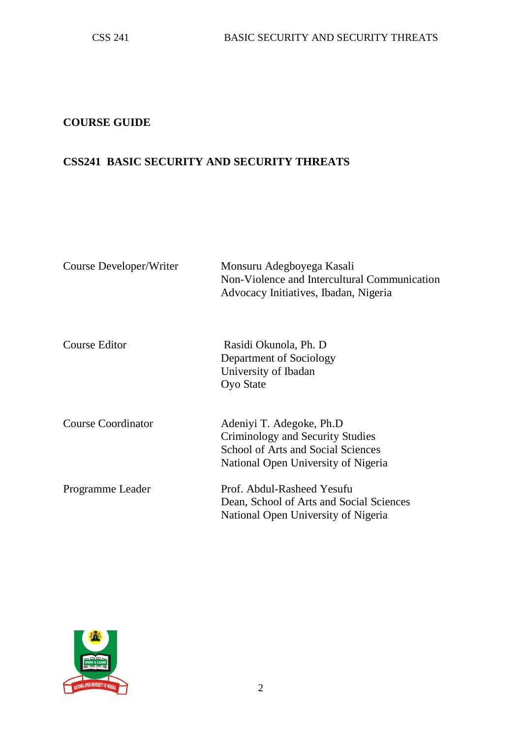# **COURSE GUIDE**

## **CSS241 BASIC SECURITY AND SECURITY THREATS**

| Course Developer/Writer   | Monsuru Adegboyega Kasali<br>Non-Violence and Intercultural Communication<br>Advocacy Initiatives, Ibadan, Nigeria                        |
|---------------------------|-------------------------------------------------------------------------------------------------------------------------------------------|
| Course Editor             | Rasidi Okunola, Ph. D<br>Department of Sociology<br>University of Ibadan<br><b>Oyo State</b>                                              |
| <b>Course Coordinator</b> | Adeniyi T. Adegoke, Ph.D<br>Criminology and Security Studies<br>School of Arts and Social Sciences<br>National Open University of Nigeria |
| Programme Leader          | Prof. Abdul-Rasheed Yesufu<br>Dean, School of Arts and Social Sciences<br>National Open University of Nigeria                             |

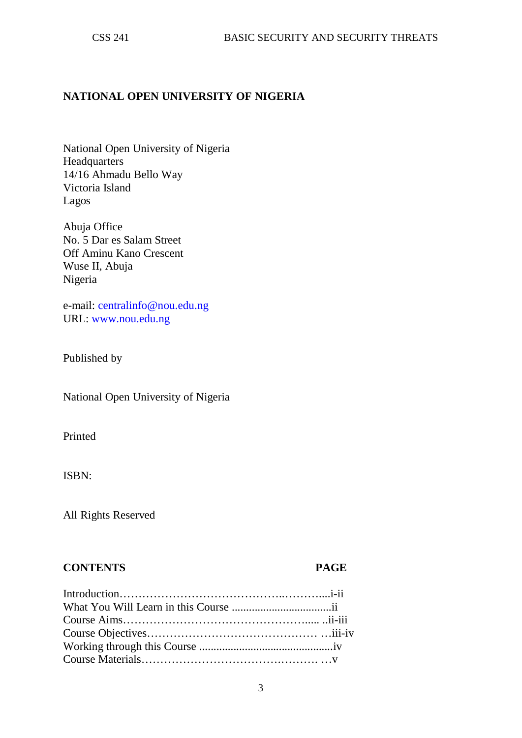#### **NATIONAL OPEN UNIVERSITY OF NIGERIA**

National Open University of Nigeria **Headquarters** 14/16 Ahmadu Bello Way Victoria Island Lagos

Abuja Office No. 5 Dar es Salam Street Off Aminu Kano Crescent Wuse II, Abuja Nigeria

e-mail: centralinfo@nou.edu.ng URL: www.nou.edu.ng

Published by

National Open University of Nigeria

Printed

ISBN:

All Rights Reserved

#### **CONTENTS PAGE**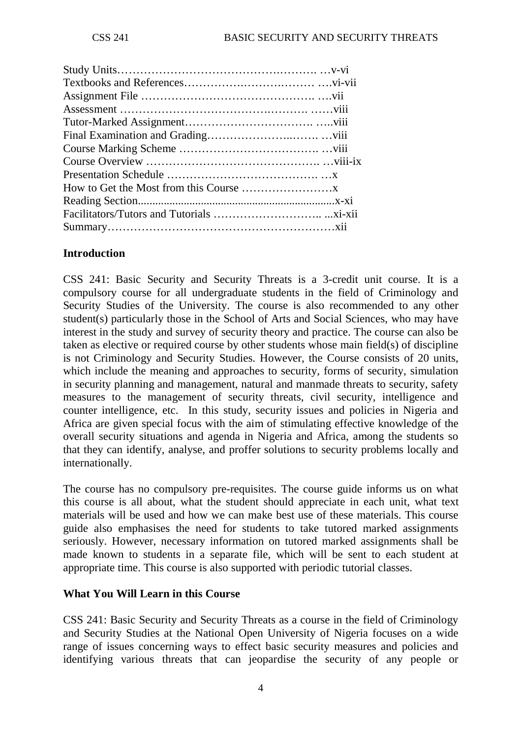## **Introduction**

CSS 241: Basic Security and Security Threats is a 3-credit unit course. It is a compulsory course for all undergraduate students in the field of Criminology and Security Studies of the University. The course is also recommended to any other student(s) particularly those in the School of Arts and Social Sciences, who may have interest in the study and survey of security theory and practice. The course can also be taken as elective or required course by other students whose main field(s) of discipline is not Criminology and Security Studies. However, the Course consists of 20 units, which include the meaning and approaches to security, forms of security, simulation in security planning and management, natural and manmade threats to security, safety measures to the management of security threats, civil security, intelligence and counter intelligence, etc. In this study, security issues and policies in Nigeria and Africa are given special focus with the aim of stimulating effective knowledge of the overall security situations and agenda in Nigeria and Africa, among the students so that they can identify, analyse, and proffer solutions to security problems locally and internationally.

The course has no compulsory pre-requisites. The course guide informs us on what this course is all about, what the student should appreciate in each unit, what text materials will be used and how we can make best use of these materials. This course guide also emphasises the need for students to take tutored marked assignments seriously. However, necessary information on tutored marked assignments shall be made known to students in a separate file, which will be sent to each student at appropriate time. This course is also supported with periodic tutorial classes.

## **What You Will Learn in this Course**

CSS 241: Basic Security and Security Threats as a course in the field of Criminology and Security Studies at the National Open University of Nigeria focuses on a wide range of issues concerning ways to effect basic security measures and policies and identifying various threats that can jeopardise the security of any people or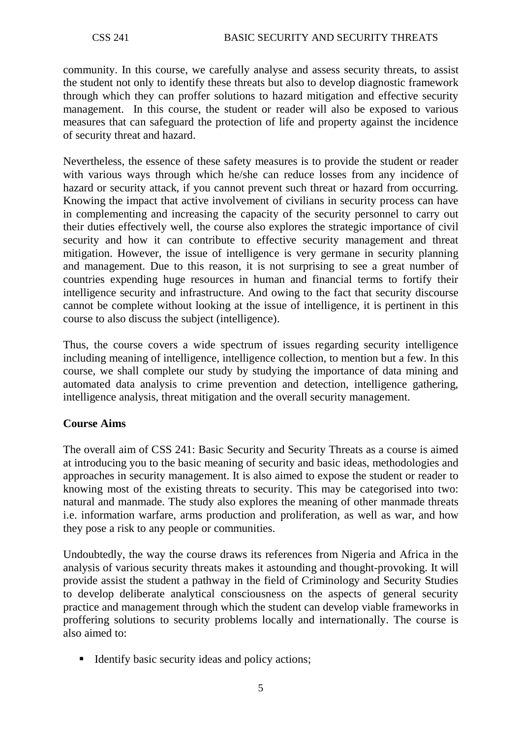community. In this course, we carefully analyse and assess security threats, to assist the student not only to identify these threats but also to develop diagnostic framework through which they can proffer solutions to hazard mitigation and effective security management. In this course, the student or reader will also be exposed to various measures that can safeguard the protection of life and property against the incidence of security threat and hazard.

Nevertheless, the essence of these safety measures is to provide the student or reader with various ways through which he/she can reduce losses from any incidence of hazard or security attack, if you cannot prevent such threat or hazard from occurring. Knowing the impact that active involvement of civilians in security process can have in complementing and increasing the capacity of the security personnel to carry out their duties effectively well, the course also explores the strategic importance of civil security and how it can contribute to effective security management and threat mitigation. However, the issue of intelligence is very germane in security planning and management. Due to this reason, it is not surprising to see a great number of countries expending huge resources in human and financial terms to fortify their intelligence security and infrastructure. And owing to the fact that security discourse cannot be complete without looking at the issue of intelligence, it is pertinent in this course to also discuss the subject (intelligence).

Thus, the course covers a wide spectrum of issues regarding security intelligence including meaning of intelligence, intelligence collection, to mention but a few. In this course, we shall complete our study by studying the importance of data mining and automated data analysis to crime prevention and detection, intelligence gathering, intelligence analysis, threat mitigation and the overall security management.

## **Course Aims**

The overall aim of CSS 241: Basic Security and Security Threats as a course is aimed at introducing you to the basic meaning of security and basic ideas, methodologies and approaches in security management. It is also aimed to expose the student or reader to knowing most of the existing threats to security. This may be categorised into two: natural and manmade. The study also explores the meaning of other manmade threats i.e. information warfare, arms production and proliferation, as well as war, and how they pose a risk to any people or communities.

Undoubtedly, the way the course draws its references from Nigeria and Africa in the analysis of various security threats makes it astounding and thought-provoking. It will provide assist the student a pathway in the field of Criminology and Security Studies to develop deliberate analytical consciousness on the aspects of general security practice and management through which the student can develop viable frameworks in proffering solutions to security problems locally and internationally. The course is also aimed to:

■ Identify basic security ideas and policy actions;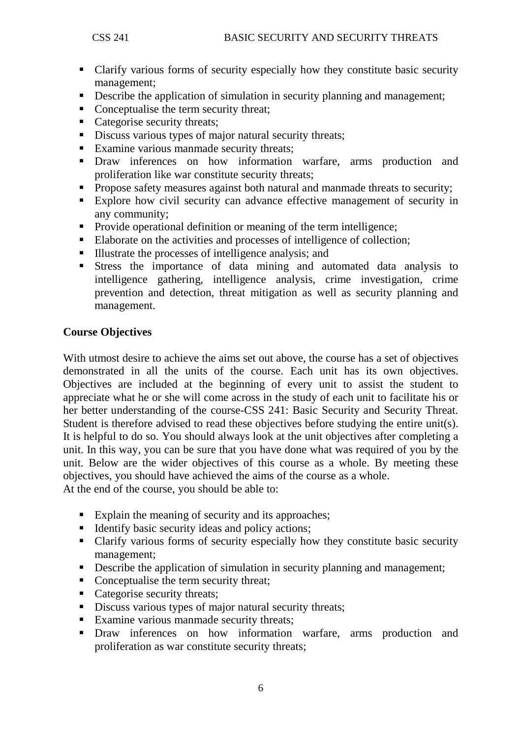- Clarify various forms of security especially how they constitute basic security management;
- **•** Describe the application of simulation in security planning and management;
- Conceptualise the term security threat;
- Categorise security threats;
- Discuss various types of major natural security threats;
- Examine various manmade security threats;
- **•** Draw inferences on how information warfare, arms production and proliferation like war constitute security threats;
- Propose safety measures against both natural and manmade threats to security;
- Explore how civil security can advance effective management of security in any community;
- Provide operational definition or meaning of the term intelligence;
- Elaborate on the activities and processes of intelligence of collection;
- Illustrate the processes of intelligence analysis; and
- Stress the importance of data mining and automated data analysis to intelligence gathering, intelligence analysis, crime investigation, crime prevention and detection, threat mitigation as well as security planning and management.

#### **Course Objectives**

With utmost desire to achieve the aims set out above, the course has a set of objectives demonstrated in all the units of the course. Each unit has its own objectives. Objectives are included at the beginning of every unit to assist the student to appreciate what he or she will come across in the study of each unit to facilitate his or her better understanding of the course-CSS 241: Basic Security and Security Threat. Student is therefore advised to read these objectives before studying the entire unit(s). It is helpful to do so. You should always look at the unit objectives after completing a unit. In this way, you can be sure that you have done what was required of you by the unit. Below are the wider objectives of this course as a whole. By meeting these objectives, you should have achieved the aims of the course as a whole. At the end of the course, you should be able to:

- Explain the meaning of security and its approaches;
- $\blacksquare$  Identify basic security ideas and policy actions;
- Clarify various forms of security especially how they constitute basic security management;
- Describe the application of simulation in security planning and management;
- Conceptualise the term security threat:
- Categorise security threats;
- Discuss various types of major natural security threats;
- Examine various manmade security threats:
- Draw inferences on how information warfare, arms production and proliferation as war constitute security threats;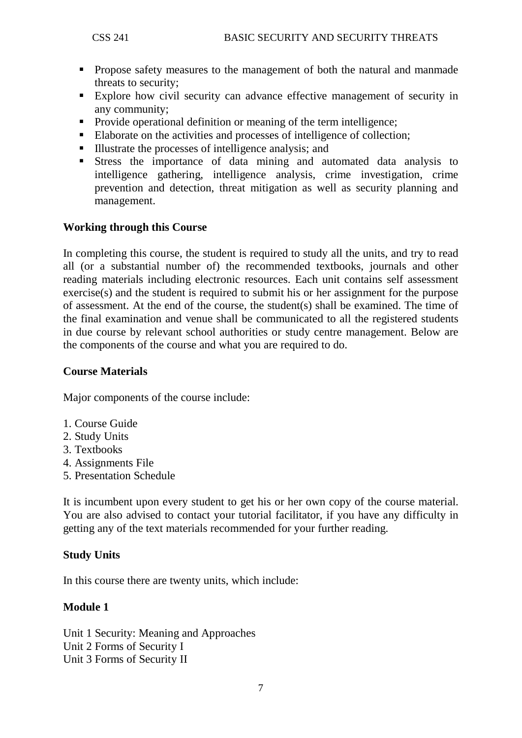- **Propose safety measures to the management of both the natural and manmade** threats to security;
- Explore how civil security can advance effective management of security in any community;
- Provide operational definition or meaning of the term intelligence:
- Elaborate on the activities and processes of intelligence of collection;
- Illustrate the processes of intelligence analysis; and
- Stress the importance of data mining and automated data analysis to intelligence gathering, intelligence analysis, crime investigation, crime prevention and detection, threat mitigation as well as security planning and management.

## **Working through this Course**

In completing this course, the student is required to study all the units, and try to read all (or a substantial number of) the recommended textbooks, journals and other reading materials including electronic resources. Each unit contains self assessment exercise(s) and the student is required to submit his or her assignment for the purpose of assessment. At the end of the course, the student(s) shall be examined. The time of the final examination and venue shall be communicated to all the registered students in due course by relevant school authorities or study centre management. Below are the components of the course and what you are required to do.

### **Course Materials**

Major components of the course include:

- 1. Course Guide
- 2. Study Units
- 3. Textbooks
- 4. Assignments File
- 5. Presentation Schedule

It is incumbent upon every student to get his or her own copy of the course material. You are also advised to contact your tutorial facilitator, if you have any difficulty in getting any of the text materials recommended for your further reading.

#### **Study Units**

In this course there are twenty units, which include:

#### **Module 1**

Unit 1 Security: Meaning and Approaches Unit 2 Forms of Security I Unit 3 Forms of Security II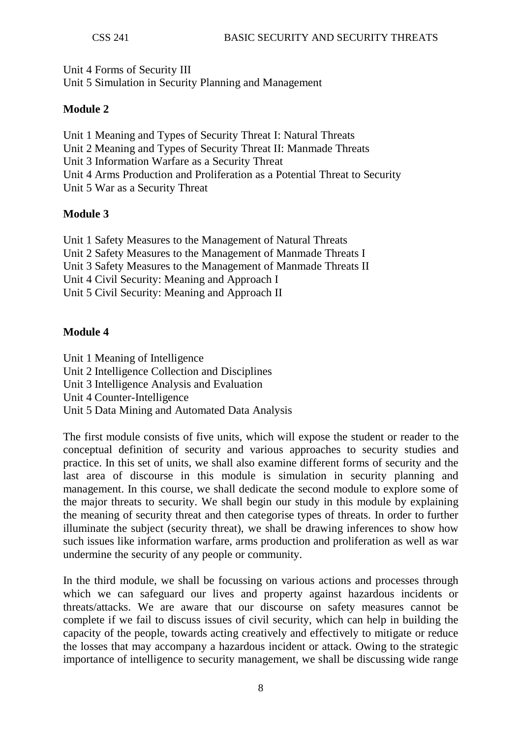Unit 4 Forms of Security III Unit 5 Simulation in Security Planning and Management

## **Module 2**

Unit 1 Meaning and Types of Security Threat I: Natural Threats Unit 2 Meaning and Types of Security Threat II: Manmade Threats Unit 3 Information Warfare as a Security Threat Unit 4 Arms Production and Proliferation as a Potential Threat to Security Unit 5 War as a Security Threat

## **Module 3**

Unit 1 Safety Measures to the Management of Natural Threats Unit 2 Safety Measures to the Management of Manmade Threats I Unit 3 Safety Measures to the Management of Manmade Threats II Unit 4 Civil Security: Meaning and Approach I Unit 5 Civil Security: Meaning and Approach II

## **Module 4**

Unit 1 Meaning of Intelligence Unit 2 Intelligence Collection and Disciplines Unit 3 Intelligence Analysis and Evaluation Unit 4 Counter-Intelligence Unit 5 Data Mining and Automated Data Analysis

The first module consists of five units, which will expose the student or reader to the conceptual definition of security and various approaches to security studies and practice. In this set of units, we shall also examine different forms of security and the last area of discourse in this module is simulation in security planning and management. In this course, we shall dedicate the second module to explore some of the major threats to security. We shall begin our study in this module by explaining the meaning of security threat and then categorise types of threats. In order to further illuminate the subject (security threat), we shall be drawing inferences to show how such issues like information warfare, arms production and proliferation as well as war undermine the security of any people or community.

In the third module, we shall be focussing on various actions and processes through which we can safeguard our lives and property against hazardous incidents or threats/attacks. We are aware that our discourse on safety measures cannot be complete if we fail to discuss issues of civil security, which can help in building the capacity of the people, towards acting creatively and effectively to mitigate or reduce the losses that may accompany a hazardous incident or attack. Owing to the strategic importance of intelligence to security management, we shall be discussing wide range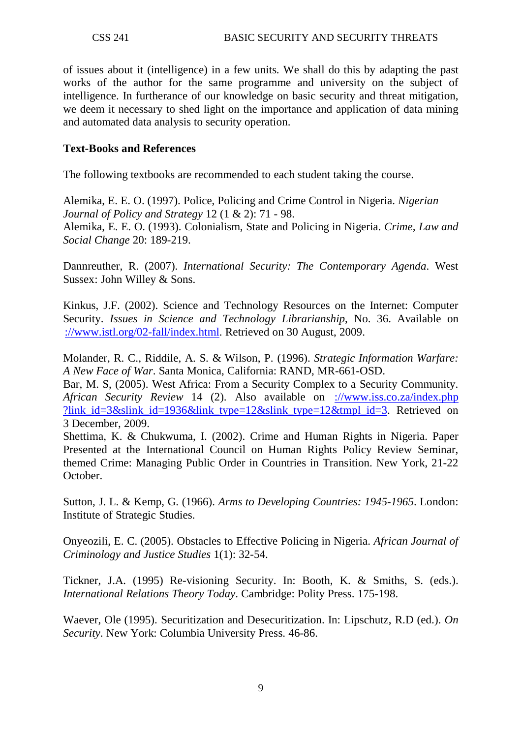of issues about it (intelligence) in a few units. We shall do this by adapting the past works of the author for the same programme and university on the subject of intelligence. In furtherance of our knowledge on basic security and threat mitigation, we deem it necessary to shed light on the importance and application of data mining and automated data analysis to security operation.

### **Text-Books and References**

The following textbooks are recommended to each student taking the course.

Alemika, E. E. O. (1997). Police, Policing and Crime Control in Nigeria. *Nigerian Journal of Policy and Strategy* 12 (1 & 2): 71 - 98. Alemika, E. E. O. (1993). Colonialism, State and Policing in Nigeria. *Crime, Law and Social Change* 20: 189-219.

Dannreuther, R. (2007). *International Security: The Contemporary Agenda*. West Sussex: John Willey & Sons.

Kinkus, J.F. (2002). Science and Technology Resources on the Internet: Computer Security. *Issues in Science and Technology Librarianship*, No. 36. Available on [://www.istl.org/02-fall/index.html.](http://www.istl.org/02-fall/index.html) Retrieved on 30 August, 2009.

Molander, R. C., Riddile, A. S. & Wilson, P. (1996). *Strategic Information Warfare: A New Face of War*. Santa Monica, California: RAND, MR-661-OSD.

Bar, M. S, (2005). West Africa: From a Security Complex to a Security Community. *African Security Review* 14 (2). Also available on [://www.iss.co.za/index.php](http://www.iss.co.za/index.php%20?link_id=3&slink_id=1936&link_type=12&slink_type=12&tmpl_id=3)  ?link id=3&slink id=1936&link type=12&slink type=12&tmpl id=3. Retrieved on 3 December, 2009.

Shettima, K. & Chukwuma, I. (2002). Crime and Human Rights in Nigeria. Paper Presented at the International Council on Human Rights Policy Review Seminar, themed Crime: Managing Public Order in Countries in Transition. New York, 21-22 October.

Sutton, J. L. & Kemp, G. (1966). *Arms to Developing Countries: 1945-1965*. London: Institute of Strategic Studies.

Onyeozili, E. C. (2005). Obstacles to Effective Policing in Nigeria. *African Journal of Criminology and Justice Studies* 1(1): 32-54.

Tickner, J.A. (1995) Re-visioning Security. In: Booth, K. & Smiths, S. (eds.). *International Relations Theory Today*. Cambridge: Polity Press. 175-198.

Waever, Ole (1995). Securitization and Desecuritization. In: Lipschutz, R.D (ed.). *On Security*. New York: Columbia University Press. 46-86.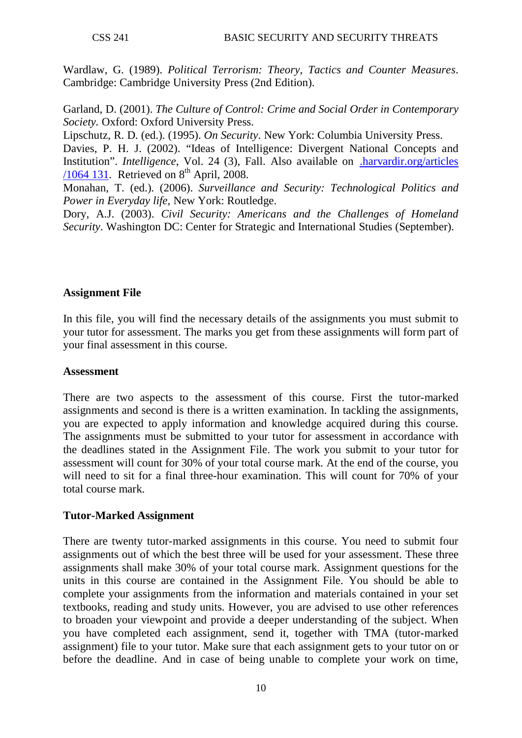Wardlaw, G. (1989). *Political Terrorism: Theory, Tactics and Counter Measures*. Cambridge: Cambridge University Press (2nd Edition).

Garland, D. (2001). *The Culture of Control: Crime and Social Order in Contemporary Society.* Oxford: Oxford University Press.

Lipschutz, R. D. (ed.). (1995). *On Security*. New York: Columbia University Press. Davies, P. H. J. (2002). "Ideas of Intelligence: Divergent National Concepts and Institution". *Intelligence*, Vol. 24 (3), Fall. Also available on [.harvardir.org/articles](http://www.harvardir.org/articles%20/1064%20131)  [/1064 131.](http://www.harvardir.org/articles%20/1064%20131) Retrieved on  $8<sup>th</sup>$  April, 2008.

Monahan, T. (ed.). (2006). *Surveillance and Security: Technological Politics and Power in Everyday life*, New York: Routledge.

Dory, A.J. (2003). *Civil Security: Americans and the Challenges of Homeland Security*. Washington DC: Center for Strategic and International Studies (September).

## **Assignment File**

In this file, you will find the necessary details of the assignments you must submit to your tutor for assessment. The marks you get from these assignments will form part of your final assessment in this course.

#### **Assessment**

There are two aspects to the assessment of this course. First the tutor-marked assignments and second is there is a written examination. In tackling the assignments, you are expected to apply information and knowledge acquired during this course. The assignments must be submitted to your tutor for assessment in accordance with the deadlines stated in the Assignment File. The work you submit to your tutor for assessment will count for 30% of your total course mark. At the end of the course, you will need to sit for a final three-hour examination. This will count for 70% of your total course mark.

#### **Tutor-Marked Assignment**

There are twenty tutor-marked assignments in this course. You need to submit four assignments out of which the best three will be used for your assessment. These three assignments shall make 30% of your total course mark. Assignment questions for the units in this course are contained in the Assignment File. You should be able to complete your assignments from the information and materials contained in your set textbooks, reading and study units. However, you are advised to use other references to broaden your viewpoint and provide a deeper understanding of the subject. When you have completed each assignment, send it, together with TMA (tutor-marked assignment) file to your tutor. Make sure that each assignment gets to your tutor on or before the deadline. And in case of being unable to complete your work on time,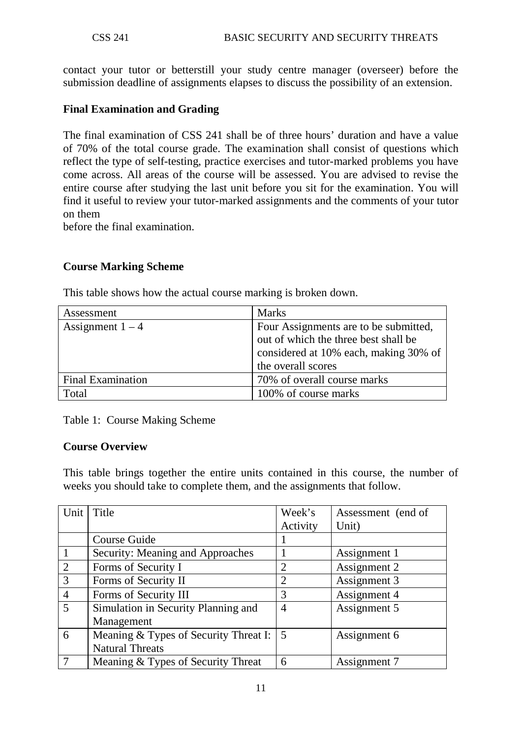contact your tutor or betterstill your study centre manager (overseer) before the submission deadline of assignments elapses to discuss the possibility of an extension.

## **Final Examination and Grading**

The final examination of CSS 241 shall be of three hours' duration and have a value of 70% of the total course grade. The examination shall consist of questions which reflect the type of self-testing, practice exercises and tutor-marked problems you have come across. All areas of the course will be assessed. You are advised to revise the entire course after studying the last unit before you sit for the examination. You will find it useful to review your tutor-marked assignments and the comments of your tutor on them

before the final examination.

#### **Course Marking Scheme**

| Assessment               | <b>Marks</b>                                                                                                                                 |
|--------------------------|----------------------------------------------------------------------------------------------------------------------------------------------|
| Assignment $1 - 4$       | Four Assignments are to be submitted,<br>out of which the three best shall be<br>considered at 10% each, making 30% of<br>the overall scores |
| <b>Final Examination</b> | 70% of overall course marks                                                                                                                  |
| Total                    | 100% of course marks                                                                                                                         |

This table shows how the actual course marking is broken down.

Table 1: Course Making Scheme

#### **Course Overview**

This table brings together the entire units contained in this course, the number of weeks you should take to complete them, and the assignments that follow.

| Unit           | Title                                 | Week's         | Assessment (end of |
|----------------|---------------------------------------|----------------|--------------------|
|                |                                       | Activity       | Unit)              |
|                | Course Guide                          |                |                    |
|                | Security: Meaning and Approaches      |                | Assignment 1       |
| 2              | Forms of Security I                   | 2              | Assignment 2       |
| 3              | Forms of Security II                  | $\overline{2}$ | Assignment 3       |
| $\overline{4}$ | Forms of Security III                 | 3              | Assignment 4       |
| $\overline{5}$ | Simulation in Security Planning and   | $\overline{4}$ | Assignment 5       |
|                | Management                            |                |                    |
| 6              | Meaning & Types of Security Threat I: | .5             | Assignment 6       |
|                | <b>Natural Threats</b>                |                |                    |
| 7              | Meaning & Types of Security Threat    | 6              | Assignment 7       |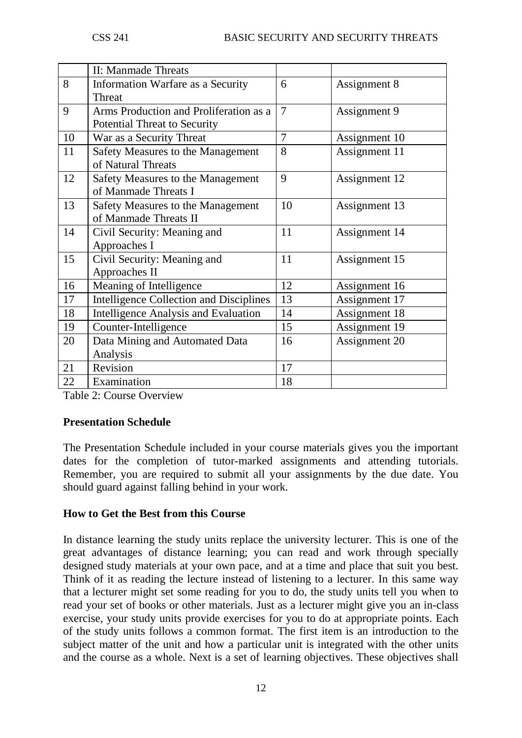|    | II: Manmade Threats                            |                |               |
|----|------------------------------------------------|----------------|---------------|
| 8  | Information Warfare as a Security              | 6              | Assignment 8  |
|    | <b>Threat</b>                                  |                |               |
| 9  | Arms Production and Proliferation as a         | 7              | Assignment 9  |
|    | <b>Potential Threat to Security</b>            |                |               |
| 10 | War as a Security Threat                       | $\overline{7}$ | Assignment 10 |
| 11 | Safety Measures to the Management              | 8              | Assignment 11 |
|    | of Natural Threats                             |                |               |
| 12 | Safety Measures to the Management              | 9              | Assignment 12 |
|    | of Manmade Threats I                           |                |               |
| 13 | Safety Measures to the Management              | 10             | Assignment 13 |
|    | of Manmade Threats II                          |                |               |
| 14 | Civil Security: Meaning and                    | 11             | Assignment 14 |
|    | Approaches I                                   |                |               |
| 15 | Civil Security: Meaning and                    | 11             | Assignment 15 |
|    | Approaches II                                  |                |               |
| 16 | Meaning of Intelligence                        | 12             | Assignment 16 |
| 17 | <b>Intelligence Collection and Disciplines</b> | 13             | Assignment 17 |
| 18 | <b>Intelligence Analysis and Evaluation</b>    | 14             | Assignment 18 |
| 19 | Counter-Intelligence                           | 15             | Assignment 19 |
| 20 | Data Mining and Automated Data                 | 16             | Assignment 20 |
|    | Analysis                                       |                |               |
| 21 | Revision                                       | 17             |               |
| 22 | Examination                                    | 18             |               |

Table 2: Course Overview

#### **Presentation Schedule**

The Presentation Schedule included in your course materials gives you the important dates for the completion of tutor-marked assignments and attending tutorials. Remember, you are required to submit all your assignments by the due date. You should guard against falling behind in your work.

#### **How to Get the Best from this Course**

In distance learning the study units replace the university lecturer. This is one of the great advantages of distance learning; you can read and work through specially designed study materials at your own pace, and at a time and place that suit you best. Think of it as reading the lecture instead of listening to a lecturer. In this same way that a lecturer might set some reading for you to do, the study units tell you when to read your set of books or other materials. Just as a lecturer might give you an in-class exercise, your study units provide exercises for you to do at appropriate points. Each of the study units follows a common format. The first item is an introduction to the subject matter of the unit and how a particular unit is integrated with the other units and the course as a whole. Next is a set of learning objectives. These objectives shall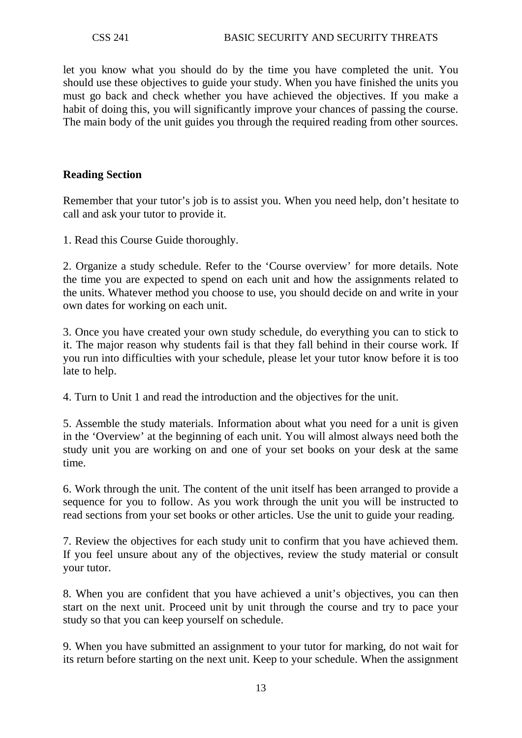let you know what you should do by the time you have completed the unit. You should use these objectives to guide your study. When you have finished the units you must go back and check whether you have achieved the objectives. If you make a habit of doing this, you will significantly improve your chances of passing the course. The main body of the unit guides you through the required reading from other sources.

#### **Reading Section**

Remember that your tutor's job is to assist you. When you need help, don't hesitate to call and ask your tutor to provide it.

1. Read this Course Guide thoroughly.

2. Organize a study schedule. Refer to the 'Course overview' for more details. Note the time you are expected to spend on each unit and how the assignments related to the units. Whatever method you choose to use, you should decide on and write in your own dates for working on each unit.

3. Once you have created your own study schedule, do everything you can to stick to it. The major reason why students fail is that they fall behind in their course work. If you run into difficulties with your schedule, please let your tutor know before it is too late to help.

4. Turn to Unit 1 and read the introduction and the objectives for the unit.

5. Assemble the study materials. Information about what you need for a unit is given in the 'Overview' at the beginning of each unit. You will almost always need both the study unit you are working on and one of your set books on your desk at the same time.

6. Work through the unit. The content of the unit itself has been arranged to provide a sequence for you to follow. As you work through the unit you will be instructed to read sections from your set books or other articles. Use the unit to guide your reading.

7. Review the objectives for each study unit to confirm that you have achieved them. If you feel unsure about any of the objectives, review the study material or consult your tutor.

8. When you are confident that you have achieved a unit's objectives, you can then start on the next unit. Proceed unit by unit through the course and try to pace your study so that you can keep yourself on schedule.

9. When you have submitted an assignment to your tutor for marking, do not wait for its return before starting on the next unit. Keep to your schedule. When the assignment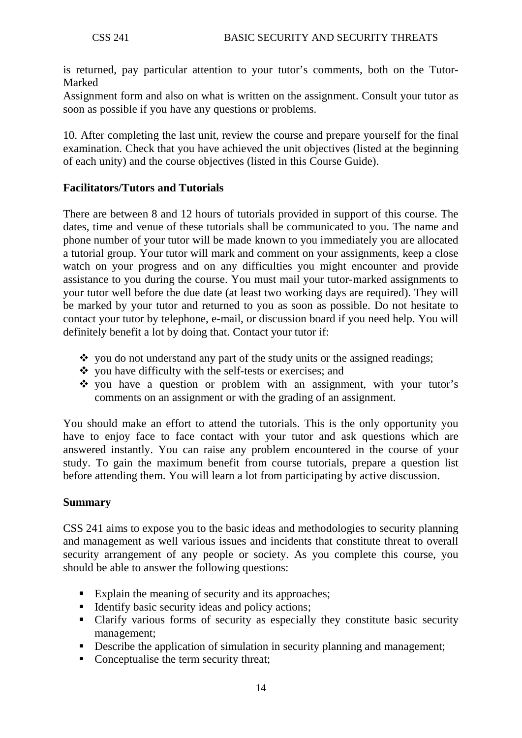is returned, pay particular attention to your tutor's comments, both on the Tutor-Marked

Assignment form and also on what is written on the assignment. Consult your tutor as soon as possible if you have any questions or problems.

10. After completing the last unit, review the course and prepare yourself for the final examination. Check that you have achieved the unit objectives (listed at the beginning of each unity) and the course objectives (listed in this Course Guide).

## **Facilitators/Tutors and Tutorials**

There are between 8 and 12 hours of tutorials provided in support of this course. The dates, time and venue of these tutorials shall be communicated to you. The name and phone number of your tutor will be made known to you immediately you are allocated a tutorial group. Your tutor will mark and comment on your assignments, keep a close watch on your progress and on any difficulties you might encounter and provide assistance to you during the course. You must mail your tutor-marked assignments to your tutor well before the due date (at least two working days are required). They will be marked by your tutor and returned to you as soon as possible. Do not hesitate to contact your tutor by telephone, e-mail, or discussion board if you need help. You will definitely benefit a lot by doing that. Contact your tutor if:

- $\cdot$  you do not understand any part of the study units or the assigned readings;
- $\bullet$  vou have difficulty with the self-tests or exercises; and
- $\cdot$  you have a question or problem with an assignment, with your tutor's comments on an assignment or with the grading of an assignment.

You should make an effort to attend the tutorials. This is the only opportunity you have to enjoy face to face contact with your tutor and ask questions which are answered instantly. You can raise any problem encountered in the course of your study. To gain the maximum benefit from course tutorials, prepare a question list before attending them. You will learn a lot from participating by active discussion.

#### **Summary**

CSS 241 aims to expose you to the basic ideas and methodologies to security planning and management as well various issues and incidents that constitute threat to overall security arrangement of any people or society. As you complete this course, you should be able to answer the following questions:

- Explain the meaning of security and its approaches;
- $\blacksquare$  Identify basic security ideas and policy actions;
- Clarify various forms of security as especially they constitute basic security management;
- Describe the application of simulation in security planning and management;
- Conceptualise the term security threat;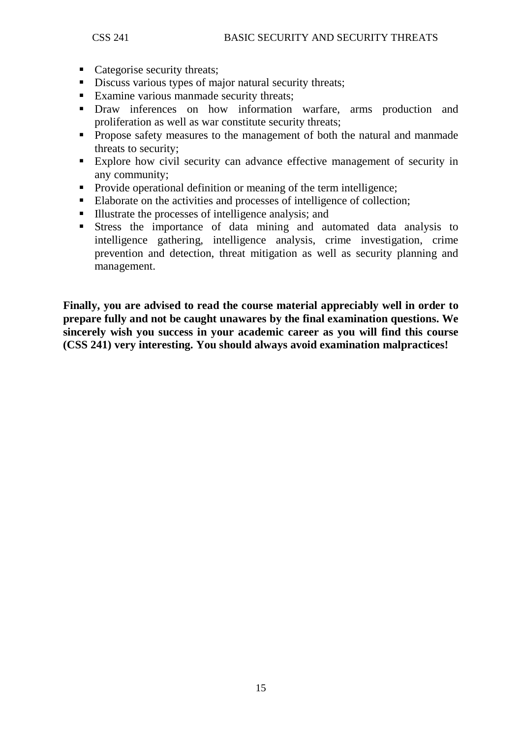- Categorise security threats;
- Discuss various types of major natural security threats;
- Examine various manmade security threats;
- Draw inferences on how information warfare, arms production and proliferation as well as war constitute security threats;
- **Propose safety measures to the management of both the natural and manmade** threats to security;
- Explore how civil security can advance effective management of security in any community;
- Provide operational definition or meaning of the term intelligence;
- Elaborate on the activities and processes of intelligence of collection;
- Illustrate the processes of intelligence analysis; and
- Stress the importance of data mining and automated data analysis to intelligence gathering, intelligence analysis, crime investigation, crime prevention and detection, threat mitigation as well as security planning and management.

**Finally, you are advised to read the course material appreciably well in order to prepare fully and not be caught unawares by the final examination questions. We sincerely wish you success in your academic career as you will find this course (CSS 241) very interesting. You should always avoid examination malpractices!**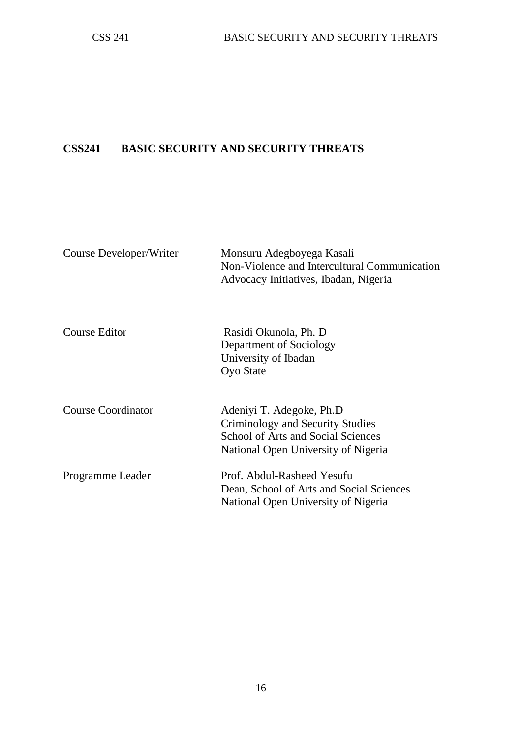## **CSS241 BASIC SECURITY AND SECURITY THREATS**

| Course Developer/Writer | Monsuru Adegboyega Kasali<br>Non-Violence and Intercultural Communication<br>Advocacy Initiatives, Ibadan, Nigeria                        |
|-------------------------|-------------------------------------------------------------------------------------------------------------------------------------------|
| Course Editor           | Rasidi Okunola, Ph. D<br>Department of Sociology<br>University of Ibadan<br>Oyo State                                                     |
| Course Coordinator      | Adeniyi T. Adegoke, Ph.D<br>Criminology and Security Studies<br>School of Arts and Social Sciences<br>National Open University of Nigeria |
| Programme Leader        | Prof. Abdul-Rasheed Yesufu<br>Dean, School of Arts and Social Sciences<br>National Open University of Nigeria                             |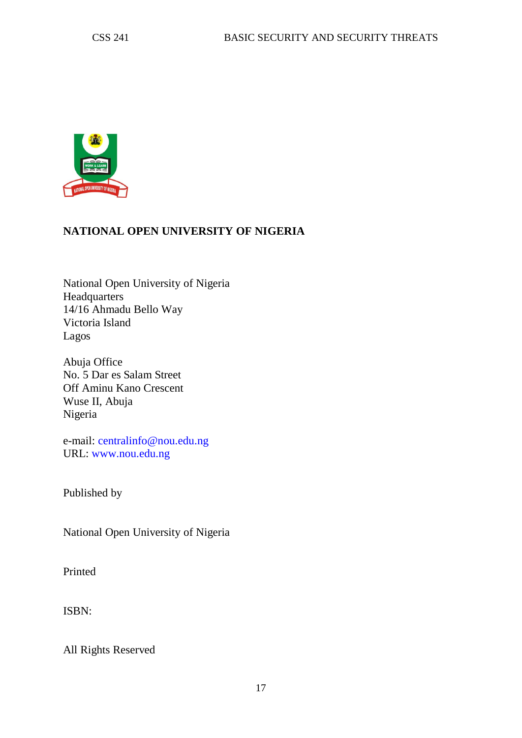

## **NATIONAL OPEN UNIVERSITY OF NIGERIA**

National Open University of Nigeria Headquarters 14/16 Ahmadu Bello Way Victoria Island Lagos

Abuja Office No. 5 Dar es Salam Street Off Aminu Kano Crescent Wuse II, Abuja Nigeria

e-mail: centralinfo@nou.edu.ng URL: www.nou.edu.ng

Published by

National Open University of Nigeria

Printed

ISBN:

All Rights Reserved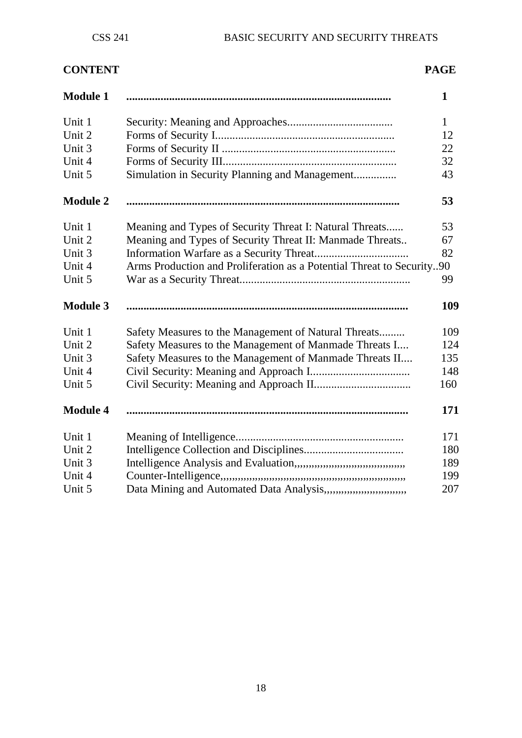# **CONTENT PAGE**

| <b>Module 1</b> |                                                                         | 1            |
|-----------------|-------------------------------------------------------------------------|--------------|
| Unit 1          |                                                                         | $\mathbf{1}$ |
| Unit 2          |                                                                         | 12           |
| Unit 3          |                                                                         | 22           |
| Unit 4          |                                                                         | 32           |
| Unit 5          | Simulation in Security Planning and Management                          | 43           |
| <b>Module 2</b> |                                                                         | 53           |
| Unit 1          | Meaning and Types of Security Threat I: Natural Threats                 | 53           |
| Unit 2          | Meaning and Types of Security Threat II: Manmade Threats                | 67           |
| Unit 3          |                                                                         | 82           |
| Unit 4          | Arms Production and Proliferation as a Potential Threat to Security90   |              |
| Unit 5          |                                                                         | 99           |
| <b>Module 3</b> |                                                                         | 109          |
| Unit 1          | Safety Measures to the Management of Natural Threats                    | 109          |
| Unit 2          | Safety Measures to the Management of Manmade Threats I                  | 124          |
| Unit 3          | Safety Measures to the Management of Manmade Threats II                 | 135          |
| Unit 4          |                                                                         | 148          |
| Unit 5          |                                                                         | 160          |
| <b>Module 4</b> |                                                                         | 171          |
| Unit 1          |                                                                         | 171          |
| Unit 2          |                                                                         | 180          |
| Unit 3          |                                                                         | 189          |
| Unit 4          |                                                                         | 199          |
| Unit 5          | Data Mining and Automated Data Analysis,,,,,,,,,,,,,,,,,,,,,,,,,,,,,,,, | 207          |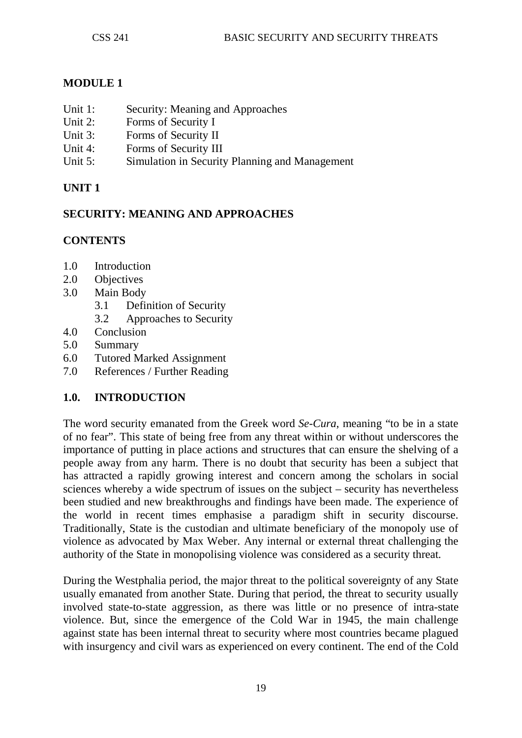## **MODULE 1**

- Unit 1: Security: Meaning and Approaches<br>
Unit 2: Forms of Security I
- Forms of Security I
- Unit 3: Forms of Security II
- Unit 4: Forms of Security III
- Unit 5: Simulation in Security Planning and Management

## **UNIT 1**

## **SECURITY: MEANING AND APPROACHES**

## **CONTENTS**

- 1.0 Introduction
- 2.0 Objectives
- 3.0 Main Body
	- 3.1 Definition of Security
	- 3.2 Approaches to Security
- 4.0 Conclusion
- 5.0 Summary
- 6.0 Tutored Marked Assignment
- 7.0 References / Further Reading

## **1.0. INTRODUCTION**

The word security emanated from the Greek word *Se-Cura*, meaning "to be in a state of no fear". This state of being free from any threat within or without underscores the importance of putting in place actions and structures that can ensure the shelving of a people away from any harm. There is no doubt that security has been a subject that has attracted a rapidly growing interest and concern among the scholars in social sciences whereby a wide spectrum of issues on the subject – security has nevertheless been studied and new breakthroughs and findings have been made. The experience of the world in recent times emphasise a paradigm shift in security discourse. Traditionally, State is the custodian and ultimate beneficiary of the monopoly use of violence as advocated by Max Weber. Any internal or external threat challenging the authority of the State in monopolising violence was considered as a security threat.

During the Westphalia period, the major threat to the political sovereignty of any State usually emanated from another State. During that period, the threat to security usually involved state-to-state aggression, as there was little or no presence of intra-state violence. But, since the emergence of the Cold War in 1945, the main challenge against state has been internal threat to security where most countries became plagued with insurgency and civil wars as experienced on every continent. The end of the Cold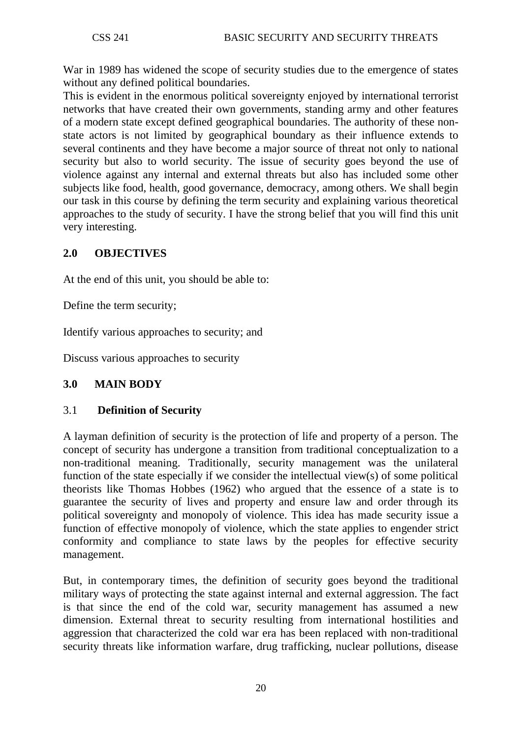War in 1989 has widened the scope of security studies due to the emergence of states without any defined political boundaries.

This is evident in the enormous political sovereignty enjoyed by international terrorist networks that have created their own governments, standing army and other features of a modern state except defined geographical boundaries. The authority of these nonstate actors is not limited by geographical boundary as their influence extends to several continents and they have become a major source of threat not only to national security but also to world security. The issue of security goes beyond the use of violence against any internal and external threats but also has included some other subjects like food, health, good governance, democracy, among others. We shall begin our task in this course by defining the term security and explaining various theoretical approaches to the study of security. I have the strong belief that you will find this unit very interesting.

## **2.0 OBJECTIVES**

At the end of this unit, you should be able to:

Define the term security;

Identify various approaches to security; and

Discuss various approaches to security

#### **3.0 MAIN BODY**

#### 3.1 **Definition of Security**

A layman definition of security is the protection of life and property of a person. The concept of security has undergone a transition from traditional conceptualization to a non-traditional meaning. Traditionally, security management was the unilateral function of the state especially if we consider the intellectual view(s) of some political theorists like Thomas Hobbes (1962) who argued that the essence of a state is to guarantee the security of lives and property and ensure law and order through its political sovereignty and monopoly of violence. This idea has made security issue a function of effective monopoly of violence, which the state applies to engender strict conformity and compliance to state laws by the peoples for effective security management.

But, in contemporary times, the definition of security goes beyond the traditional military ways of protecting the state against internal and external aggression. The fact is that since the end of the cold war, security management has assumed a new dimension. External threat to security resulting from international hostilities and aggression that characterized the cold war era has been replaced with non-traditional security threats like information warfare, drug trafficking, nuclear pollutions, disease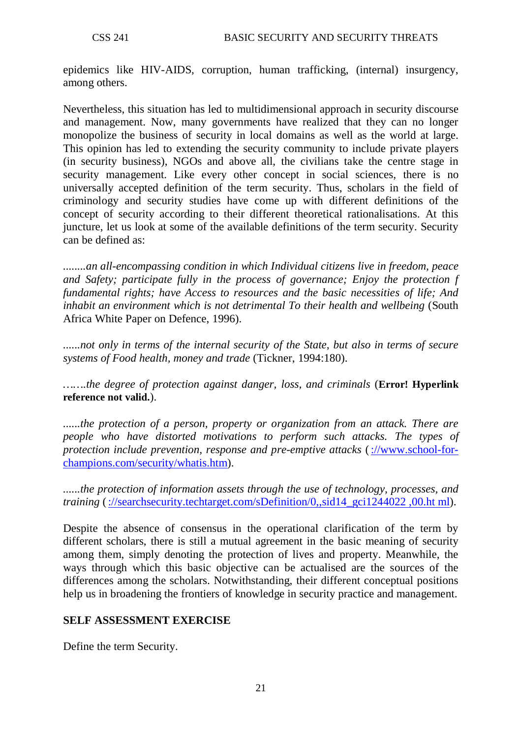epidemics like HIV-AIDS, corruption, human trafficking, (internal) insurgency, among others.

Nevertheless, this situation has led to multidimensional approach in security discourse and management. Now, many governments have realized that they can no longer monopolize the business of security in local domains as well as the world at large. This opinion has led to extending the security community to include private players (in security business), NGOs and above all, the civilians take the centre stage in security management. Like every other concept in social sciences, there is no universally accepted definition of the term security. Thus, scholars in the field of criminology and security studies have come up with different definitions of the concept of security according to their different theoretical rationalisations. At this juncture, let us look at some of the available definitions of the term security. Security can be defined as:

*........an all-encompassing condition in which Individual citizens live in freedom, peace and Safety; participate fully in the process of governance; Enjoy the protection f fundamental rights; have Access to resources and the basic necessities of life; And inhabit an environment which is not detrimental To their health and wellbeing* (South Africa White Paper on Defence, 1996).

*......not only in terms of the internal security of the State, but also in terms of secure systems of Food health, money and trade* (Tickner, 1994:180).

*…….the degree of protection against danger, loss, and criminals* (**Error! Hyperlink reference not valid.**).

*......the protection of a person, property or organization from an attack. There are people who have distorted motivations to perform such attacks. The types of protection include prevention, response and pre-emptive attacks* [\(://www.school-for](http://www.school-for-champions.com/security/whatis.htm)[champions.com/security/whatis.htm\)](http://www.school-for-champions.com/security/whatis.htm).

*......the protection of information assets through the use of technology, processes, and training* [\(://searchsecurity.techtarget.com/sDefinition/0,,sid14\\_gci1244022 ,00.ht ml\)](http://searchsecurity.techtarget.com/sDefinition/0,,sid14_gci1244022%20,00.ht%20ml).

Despite the absence of consensus in the operational clarification of the term by different scholars, there is still a mutual agreement in the basic meaning of security among them, simply denoting the protection of lives and property. Meanwhile, the ways through which this basic objective can be actualised are the sources of the differences among the scholars. Notwithstanding, their different conceptual positions help us in broadening the frontiers of knowledge in security practice and management.

## **SELF ASSESSMENT EXERCISE**

Define the term Security.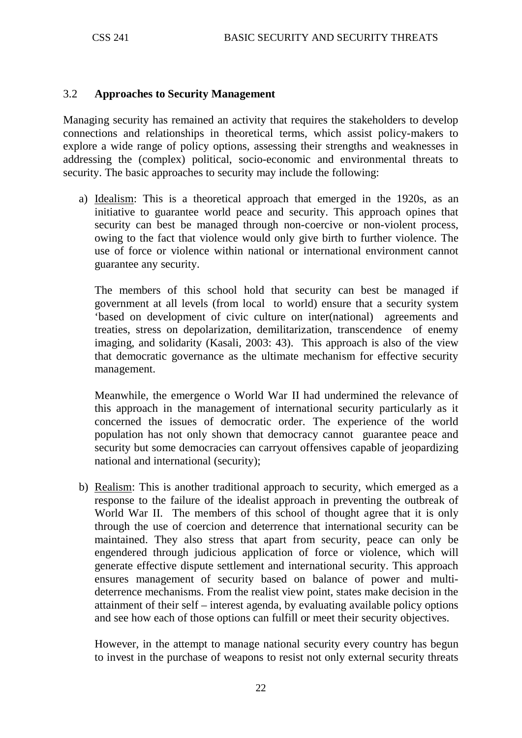#### 3.2 **Approaches to Security Management**

Managing security has remained an activity that requires the stakeholders to develop connections and relationships in theoretical terms, which assist policy-makers to explore a wide range of policy options, assessing their strengths and weaknesses in addressing the (complex) political, socio-economic and environmental threats to security. The basic approaches to security may include the following:

a) Idealism: This is a theoretical approach that emerged in the 1920s, as an initiative to guarantee world peace and security. This approach opines that security can best be managed through non-coercive or non-violent process, owing to the fact that violence would only give birth to further violence. The use of force or violence within national or international environment cannot guarantee any security.

The members of this school hold that security can best be managed if government at all levels (from local to world) ensure that a security system 'based on development of civic culture on inter(national) agreements and treaties, stress on depolarization, demilitarization, transcendence of enemy imaging, and solidarity (Kasali, 2003: 43). This approach is also of the view that democratic governance as the ultimate mechanism for effective security management.

Meanwhile, the emergence o World War II had undermined the relevance of this approach in the management of international security particularly as it concerned the issues of democratic order. The experience of the world population has not only shown that democracy cannot guarantee peace and security but some democracies can carryout offensives capable of jeopardizing national and international (security);

b) Realism: This is another traditional approach to security, which emerged as a response to the failure of the idealist approach in preventing the outbreak of World War II. The members of this school of thought agree that it is only through the use of coercion and deterrence that international security can be maintained. They also stress that apart from security, peace can only be engendered through judicious application of force or violence, which will generate effective dispute settlement and international security. This approach ensures management of security based on balance of power and multideterrence mechanisms. From the realist view point, states make decision in the attainment of their self – interest agenda, by evaluating available policy options and see how each of those options can fulfill or meet their security objectives.

However, in the attempt to manage national security every country has begun to invest in the purchase of weapons to resist not only external security threats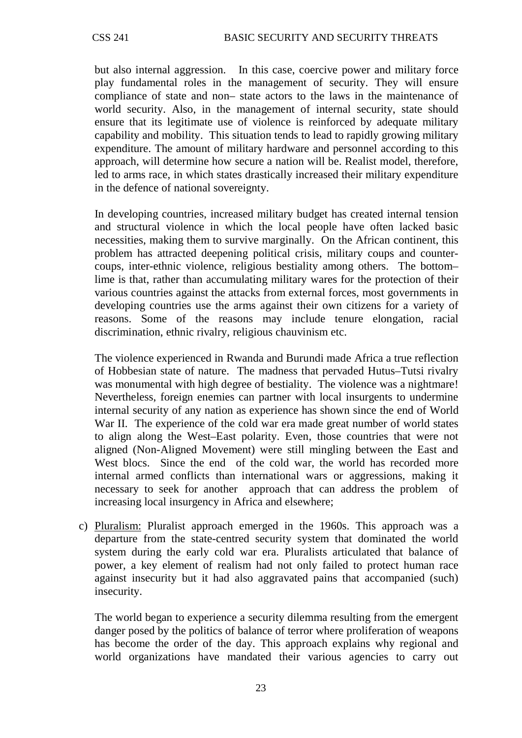but also internal aggression. In this case, coercive power and military force play fundamental roles in the management of security. They will ensure compliance of state and non– state actors to the laws in the maintenance of world security. Also, in the management of internal security, state should ensure that its legitimate use of violence is reinforced by adequate military capability and mobility. This situation tends to lead to rapidly growing military expenditure. The amount of military hardware and personnel according to this approach, will determine how secure a nation will be. Realist model, therefore, led to arms race, in which states drastically increased their military expenditure in the defence of national sovereignty.

In developing countries, increased military budget has created internal tension and structural violence in which the local people have often lacked basic necessities, making them to survive marginally. On the African continent, this problem has attracted deepening political crisis, military coups and countercoups, inter-ethnic violence, religious bestiality among others. The bottom– lime is that, rather than accumulating military wares for the protection of their various countries against the attacks from external forces, most governments in developing countries use the arms against their own citizens for a variety of reasons. Some of the reasons may include tenure elongation, racial discrimination, ethnic rivalry, religious chauvinism etc.

The violence experienced in Rwanda and Burundi made Africa a true reflection of Hobbesian state of nature. The madness that pervaded Hutus–Tutsi rivalry was monumental with high degree of bestiality. The violence was a nightmare! Nevertheless, foreign enemies can partner with local insurgents to undermine internal security of any nation as experience has shown since the end of World War II. The experience of the cold war era made great number of world states to align along the West–East polarity. Even, those countries that were not aligned (Non-Aligned Movement) were still mingling between the East and West blocs. Since the end of the cold war, the world has recorded more internal armed conflicts than international wars or aggressions, making it necessary to seek for another approach that can address the problem of increasing local insurgency in Africa and elsewhere;

c) Pluralism: Pluralist approach emerged in the 1960s. This approach was a departure from the state-centred security system that dominated the world system during the early cold war era. Pluralists articulated that balance of power, a key element of realism had not only failed to protect human race against insecurity but it had also aggravated pains that accompanied (such) insecurity.

The world began to experience a security dilemma resulting from the emergent danger posed by the politics of balance of terror where proliferation of weapons has become the order of the day. This approach explains why regional and world organizations have mandated their various agencies to carry out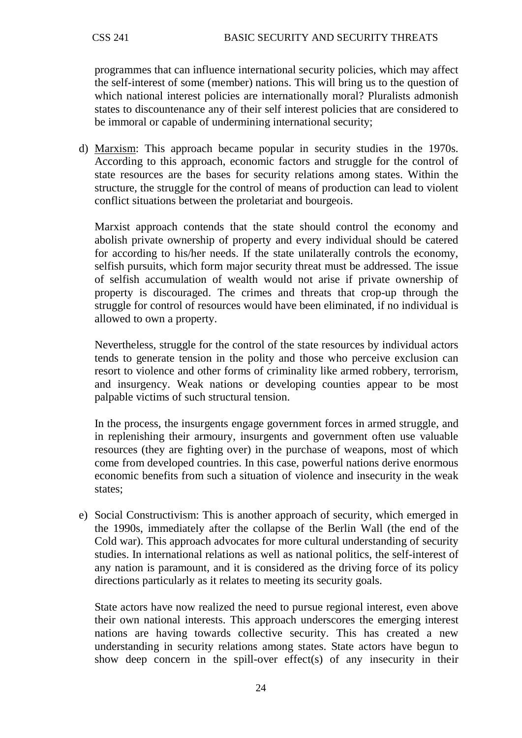programmes that can influence international security policies, which may affect the self-interest of some (member) nations. This will bring us to the question of which national interest policies are internationally moral? Pluralists admonish states to discountenance any of their self interest policies that are considered to be immoral or capable of undermining international security;

d) Marxism : This approach became popular in security studies in the 1970s. According to this approach, economic factors and struggle for the control of state resources are the bases for security relations among states. Within the structure, the struggle for the control of means of production can lead to violent conflict situations between the proletariat and bourgeois.

Marxist approach contends that the state should control the economy and abolish private ownership of property and every individual should be catered for according to his/her needs. If the state unilaterally controls the economy, selfish pursuits, which form major security threat must be addressed. The issue of selfish accumulation of wealth would not arise if private ownership of property is discouraged. The crimes and threats that crop-up through the struggle for control of resources would have been eliminated, if no individual is allowed to own a property.

Nevertheless, struggle for the control of the state resources by individual actors tends to generate tension in the polity and those who perceive exclusion can resort to violence and other forms of criminality like armed robbery, terrorism, and insurgency. Weak nations or developing counties appear to be most palpable victims of such structural tension.

In the process, the insurgents engage government forces in armed struggle, and in replenishing their armoury, insurgents and government often use valuable resources (they are fighting over) in the purchase of weapons, most of which come from developed countries. In this case, powerful nations derive enormous economic benefits from such a situation of violence and insecurity in the weak states;

e) Social Constructivism: This is another approach of security, which emerged in the 1990s, immediately after the collapse of the Berlin Wall (the end of the Cold war). This approach advocates for more cultural understanding of security studies. In international relations as well as national politics, the self-interest of any nation is paramount, and it is considered as the driving force of its policy directions particularly as it relates to meeting its security goals.

State actors have now realized the need to pursue regional interest, even above their own national interests. This approach underscores the emerging interest nations are having towards collective security. This has created a new understanding in security relations among states. State actors have begun to show deep concern in the spill-over effect(s) of any insecurity in their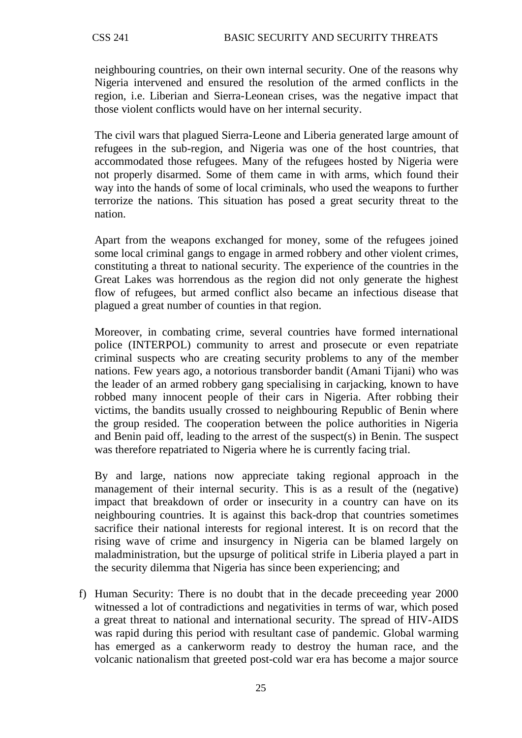neighbouring countries, on their own internal security. One of the reasons why Nigeria intervened and ensured the resolution of the armed conflicts in the region, i.e. Liberian and Sierra-Leonean crises, was the negative impact that those violent conflicts would have on her internal security.

The civil wars that plagued Sierra-Leone and Liberia generated large amount of refugees in the sub-region, and Nigeria was one of the host countries, that accommodated those refugees. Many of the refugees hosted by Nigeria were not properly disarmed. Some of them came in with arms, which found their way into the hands of some of local criminals, who used the weapons to further terrorize the nations. This situation has posed a great security threat to the nation.

Apart from the weapons exchanged for money, some of the refugees joined some local criminal gangs to engage in armed robbery and other violent crimes, constituting a threat to national security. The experience of the countries in the Great Lakes was horrendous as the region did not only generate the highest flow of refugees, but armed conflict also became an infectious disease that plagued a great number of counties in that region.

Moreover, in combating crime, several countries have formed international police (INTERPOL) community to arrest and prosecute or even repatriate criminal suspects who are creating security problems to any of the member nations. Few years ago, a notorious transborder bandit (Amani Tijani) who was the leader of an armed robbery gang specialising in carjacking, known to have robbed many innocent people of their cars in Nigeria. After robbing their victims, the bandits usually crossed to neighbouring Republic of Benin where the group resided. The cooperation between the police authorities in Nigeria and Benin paid off, leading to the arrest of the suspect(s) in Benin. The suspect was therefore repatriated to Nigeria where he is currently facing trial.

By and large, nations now appreciate taking regional approach in the management of their internal security. This is as a result of the (negative) impact that breakdown of order or insecurity in a country can have on its neighbouring countries. It is against this back-drop that countries sometimes sacrifice their national interests for regional interest. It is on record that the rising wave of crime and insurgency in Nigeria can be blamed largely on maladministration, but the upsurge of political strife in Liberia played a part in the security dilemma that Nigeria has since been experiencing; and

f) Human Security: There is no doubt that in the decade preceeding year 2000 witnessed a lot of contradictions and negativities in terms of war, which posed a great threat to national and international security. The spread of HIV-AIDS was rapid during this period with resultant case of pandemic. Global warming has emerged as a cankerworm ready to destroy the human race, and the volcanic nationalism that greeted post-cold war era has become a major source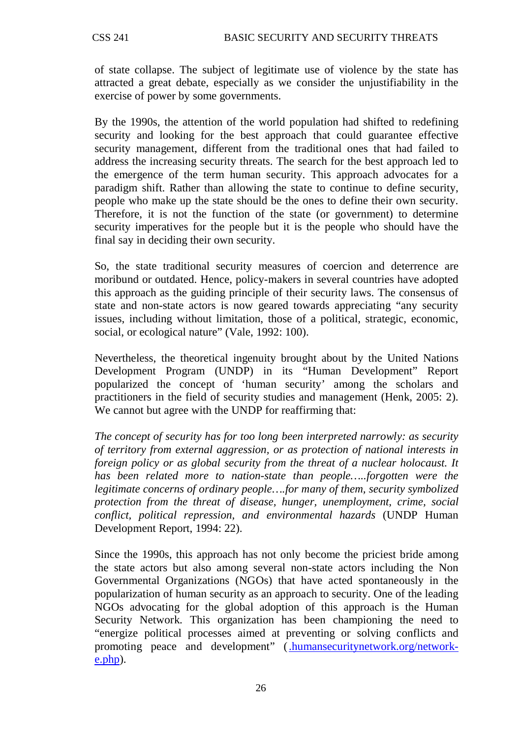of state collapse. The subject of legitimate use of violence by the state has attracted a great debate, especially as we consider the unjustifiability in the exercise of power by some governments.

By the 1990s, the attention of the world population had shifted to redefining security and looking for the best approach that could guarantee effective security management, different from the traditional ones that had failed to address the increasing security threats. The search for the best approach led to the emergence of the term human security. This approach advocates for a paradigm shift. Rather than allowing the state to continue to define security, people who make up the state should be the ones to define their own security. Therefore, it is not the function of the state (or government) to determine security imperatives for the people but it is the people who should have the final say in deciding their own security.

So, the state traditional security measures of coercion and deterrence are moribund or outdated. Hence, policy-makers in several countries have adopted this approach as the guiding principle of their security laws. The consensus of state and non-state actors is now geared towards appreciating "any security issues, including without limitation, those of a political, strategic, economic, social, or ecological nature" (Vale, 1992: 100).

Nevertheless, the theoretical ingenuity brought about by the United Nations Development Program (UNDP) in its "Human Development" Report popularized the concept of 'human security' among the scholars and practitioners in the field of security studies and management (Henk, 2005: 2). We cannot but agree with the UNDP for reaffirming that:

*The concept of security has for too long been interpreted narrowly: as security of territory from external aggression, or as protection of national interests in foreign policy or as global security from the threat of a nuclear holocaust. It has been related more to nation-state than people…..forgotten were the legitimate concerns of ordinary people….for many of them, security symbolized protection from the threat of disease, hunger, unemployment, crime, social conflict, political repression, and environmental hazards* (UNDP Human Development Report, 1994: 22).

Since the 1990s, this approach has not only become the priciest bride among the state actors but also among several non-state actors including the Non Governmental Organizations (NGOs) that have acted spontaneously in the popularization of human security as an approach to security. One of the leading NGOs advocating for the global adoption of this approach is the Human Security Network. This organization has been championing the need to "energize political processes aimed at preventing or solving conflicts and promoting peace and development" [\(.humansecuritynetwork.org/network](http://www.humansecuritynetwork.org/network-e.php)[e.php\)](http://www.humansecuritynetwork.org/network-e.php).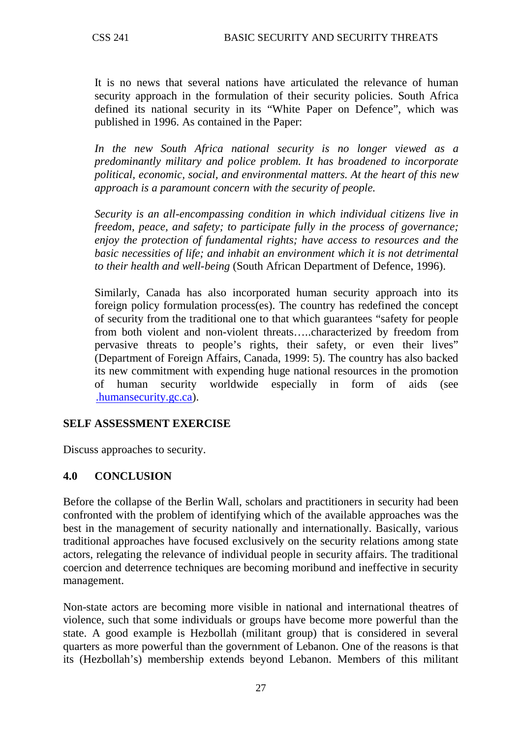It is no news that several nations have articulated the relevance of human security approach in the formulation of their security policies. South Africa defined its national security in its "White Paper on Defence", which was published in 1996. As contained in the Paper:

*In the new South Africa national security is no longer viewed as a predominantly military and police problem. It has broadened to incorporate political, economic, social, and environmental matters. At the heart of this new approach is a paramount concern with the security of people.* 

*Security is an all-encompassing condition in which individual citizens live in freedom, peace, and safety; to participate fully in the process of governance; enjoy the protection of fundamental rights; have access to resources and the basic necessities of life; and inhabit an environment which it is not detrimental to their health and well-being* (South African Department of Defence, 1996).

Similarly, Canada has also incorporated human security approach into its foreign policy formulation process(es). The country has redefined the concept of security from the traditional one to that which guarantees "safety for people from both violent and non-violent threats…..characterized by freedom from pervasive threats to people's rights, their safety, or even their lives" (Department of Foreign Affairs, Canada, 1999: 5). The country has also backed its new commitment with expending huge national resources in the promotion of human security worldwide especially in form of aids (see [.humansecurity.gc.ca\)](http://www.humansecurity.gc.ca/).

## **SELF ASSESSMENT EXERCISE**

Discuss approaches to security.

#### **4.0 CONCLUSION**

Before the collapse of the Berlin Wall, scholars and practitioners in security had been confronted with the problem of identifying which of the available approaches was the best in the management of security nationally and internationally. Basically, various traditional approaches have focused exclusively on the security relations among state actors, relegating the relevance of individual people in security affairs. The traditional coercion and deterrence techniques are becoming moribund and ineffective in security management.

Non-state actors are becoming more visible in national and international theatres of violence, such that some individuals or groups have become more powerful than the state. A good example is Hezbollah (militant group) that is considered in several quarters as more powerful than the government of Lebanon. One of the reasons is that its (Hezbollah's) membership extends beyond Lebanon. Members of this militant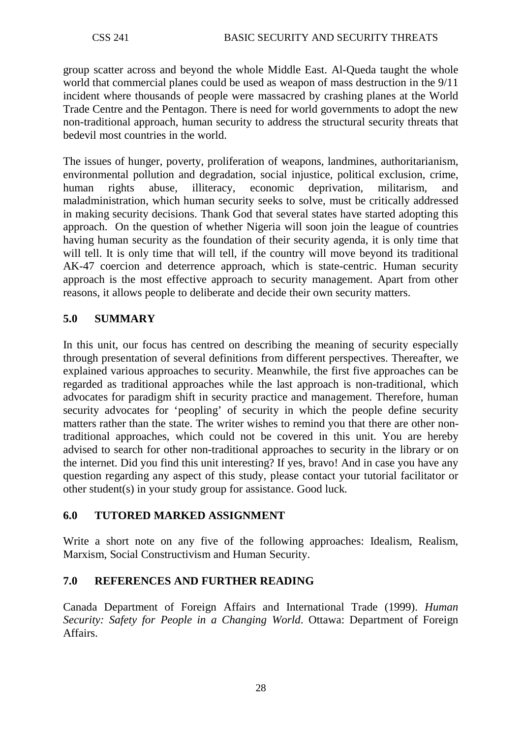group scatter across and beyond the whole Middle East. Al-Queda taught the whole world that commercial planes could be used as weapon of mass destruction in the 9/11 incident where thousands of people were massacred by crashing planes at the World Trade Centre and the Pentagon. There is need for world governments to adopt the new non-traditional approach, human security to address the structural security threats that bedevil most countries in the world.

The issues of hunger, poverty, proliferation of weapons, landmines, authoritarianism, environmental pollution and degradation, social injustice, political exclusion, crime, human rights abuse, illiteracy, economic deprivation, militarism, and maladministration, which human security seeks to solve, must be critically addressed in making security decisions. Thank God that several states have started adopting this approach. On the question of whether Nigeria will soon join the league of countries having human security as the foundation of their security agenda, it is only time that will tell. It is only time that will tell, if the country will move beyond its traditional AK-47 coercion and deterrence approach, which is state-centric. Human security approach is the most effective approach to security management. Apart from other reasons, it allows people to deliberate and decide their own security matters.

## **5.0 SUMMARY**

In this unit, our focus has centred on describing the meaning of security especially through presentation of several definitions from different perspectives. Thereafter, we explained various approaches to security. Meanwhile, the first five approaches can be regarded as traditional approaches while the last approach is non-traditional, which advocates for paradigm shift in security practice and management. Therefore, human security advocates for 'peopling' of security in which the people define security matters rather than the state. The writer wishes to remind you that there are other nontraditional approaches, which could not be covered in this unit. You are hereby advised to search for other non-traditional approaches to security in the library or on the internet. Did you find this unit interesting? If yes, bravo! And in case you have any question regarding any aspect of this study, please contact your tutorial facilitator or other student(s) in your study group for assistance. Good luck.

#### **6.0 TUTORED MARKED ASSIGNMENT**

Write a short note on any five of the following approaches: Idealism, Realism, Marxism, Social Constructivism and Human Security.

## **7.0 REFERENCES AND FURTHER READING**

Canada Department of Foreign Affairs and International Trade (1999). *Human Security: Safety for People in a Changing World*. Ottawa: Department of Foreign Affairs.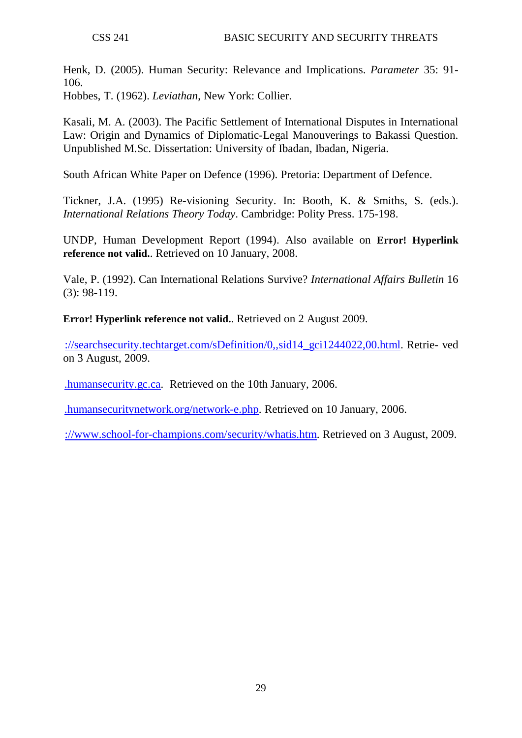Henk, D. (2005). Human Security: Relevance and Implications. *Parameter* 35: 91- 106.

Hobbes, T. (1962). *Leviathan*, New York: Collier.

Kasali, M. A. (2003). The Pacific Settlement of International Disputes in International Law: Origin and Dynamics of Diplomatic-Legal Manouverings to Bakassi Question. Unpublished M.Sc. Dissertation: University of Ibadan, Ibadan, Nigeria.

South African White Paper on Defence (1996). Pretoria: Department of Defence.

Tickner, J.A. (1995) Re-visioning Security. In: Booth, K. & Smiths, S. (eds.). *International Relations Theory Today*. Cambridge: Polity Press. 175-198.

UNDP, Human Development Report (1994). Also available on **Error! Hyperlink reference not valid.**. Retrieved on 10 January, 2008.

Vale, P. (1992). Can International Relations Survive? *International Affairs Bulletin* 16 (3): 98-119.

**Error! Hyperlink reference not valid.**. Retrieved on 2 August 2009.

[://searchsecurity.techtarget.com/sDefinition/0,,sid14\\_gci1244022,00.html.](http://searchsecurity.techtarget.com/sDefinition/0,,sid14_gci1244022,00.html) Retrie- ved on 3 August, 2009.

[.humansecurity.gc.ca.](http://www.humansecurity.gc.ca/) Retrieved on the 10th January, 2006.

[.humansecuritynetwork.org/network-e.php.](http://www.humansecuritynetwork.org/network-e.php) Retrieved on 10 January, 2006.

[://www.school-for-champions.com/security/whatis.htm.](http://www.school-for-champions.com/security/whatis.htm) Retrieved on 3 August, 2009.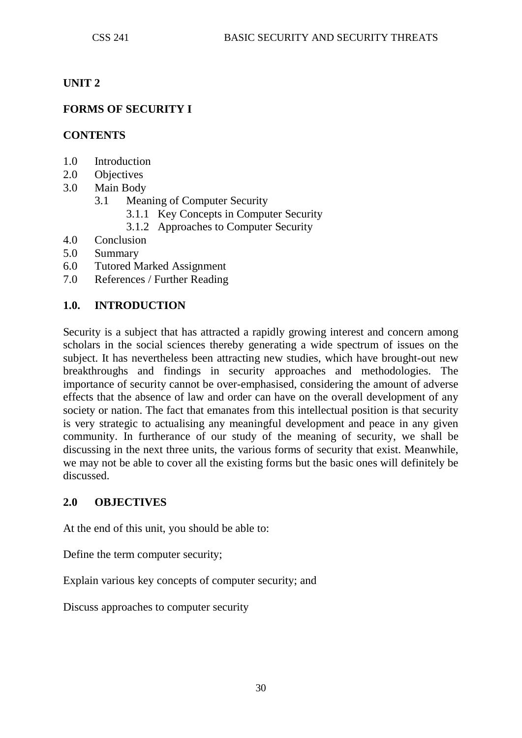## **UNIT 2**

## **FORMS OF SECURITY I**

#### **CONTENTS**

- 1.0 Introduction
- 2.0 Objectives
- 3.0 Main Body
	- 3.1 Meaning of Computer Security
		- 3.1.1 Key Concepts in Computer Security
		- 3.1.2 Approaches to Computer Security
- 4.0 Conclusion
- 5.0 Summary
- 6.0 Tutored Marked Assignment
- 7.0 References / Further Reading

#### **1.0. INTRODUCTION**

Security is a subject that has attracted a rapidly growing interest and concern among scholars in the social sciences thereby generating a wide spectrum of issues on the subject. It has nevertheless been attracting new studies, which have brought-out new breakthroughs and findings in security approaches and methodologies. The importance of security cannot be over-emphasised, considering the amount of adverse effects that the absence of law and order can have on the overall development of any society or nation. The fact that emanates from this intellectual position is that security is very strategic to actualising any meaningful development and peace in any given community. In furtherance of our study of the meaning of security, we shall be discussing in the next three units, the various forms of security that exist. Meanwhile, we may not be able to cover all the existing forms but the basic ones will definitely be discussed.

#### **2.0 OBJECTIVES**

At the end of this unit, you should be able to:

Define the term computer security;

Explain various key concepts of computer security; and

Discuss approaches to computer security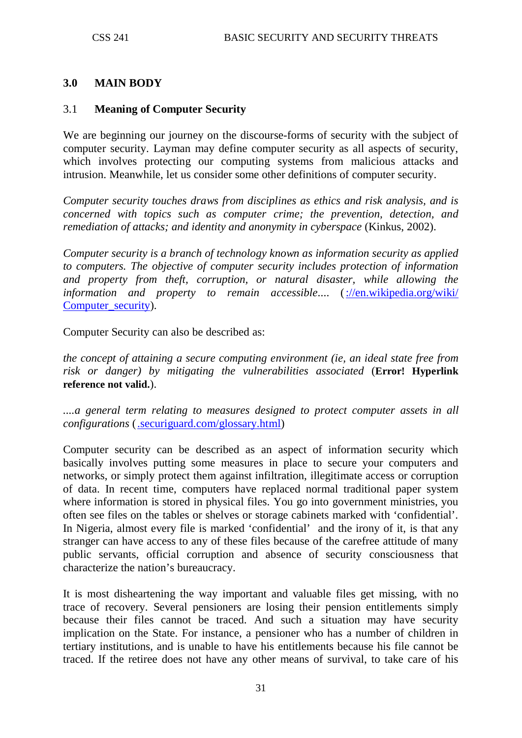### **3.0 MAIN BODY**

#### 3.1 **Meaning of Computer Security**

We are beginning our journey on the discourse-forms of security with the subject of computer security. Layman may define computer security as all aspects of security, which involves protecting our computing systems from malicious attacks and intrusion. Meanwhile, let us consider some other definitions of computer security.

*Computer security touches draws from disciplines as ethics and risk analysis, and is concerned with topics such as computer crime; the prevention, detection, and remediation of attacks; and identity and anonymity in cyberspace (Kinkus, 2002).* 

*Computer security is a branch of technology known as information security as applied to computers. The objective of computer security includes protection of information and property from theft, corruption, or natural disaster, while allowing the information and property to remain accessible*.... [\(://en.wikipedia.org/wiki/](http://en.wikipedia.org/wiki/%20Computer_security)  [Computer\\_security\)](http://en.wikipedia.org/wiki/%20Computer_security).

Computer Security can also be described as:

*the concept of attaining a secure computing environment (ie, an ideal state free from risk or danger) by mitigating the vulnerabilities associated* (**Error! Hyperlink reference not valid.**).

....a general term relating to measures designed to protect computer assets in all *configurations* [\(.securiguard.com/glossary.html\)](http://www.securiguard.com/glossary.html)

Computer security can be described as an aspect of information security which basically involves putting some measures in place to secure your computers and networks, or simply protect them against infiltration, illegitimate access or corruption of data. In recent time, computers have replaced normal traditional paper system where information is stored in physical files. You go into government ministries, you often see files on the tables or shelves or storage cabinets marked with 'confidential'. In Nigeria, almost every file is marked 'confidential' and the irony of it, is that any stranger can have access to any of these files because of the carefree attitude of many public servants, official corruption and absence of security consciousness that characterize the nation's bureaucracy.

It is most disheartening the way important and valuable files get missing, with no trace of recovery. Several pensioners are losing their pension entitlements simply because their files cannot be traced. And such a situation may have security implication on the State. For instance, a pensioner who has a number of children in tertiary institutions, and is unable to have his entitlements because his file cannot be traced. If the retiree does not have any other means of survival, to take care of his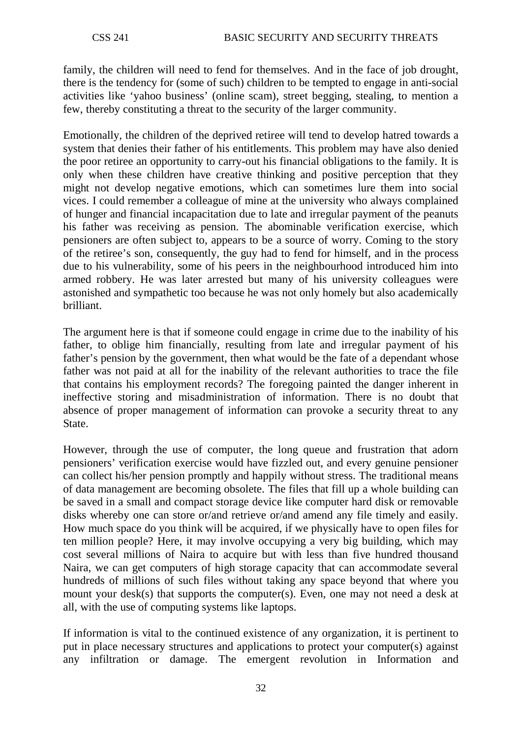family, the children will need to fend for themselves. And in the face of job drought, there is the tendency for (some of such) children to be tempted to engage in anti-social activities like 'yahoo business' (online scam), street begging, stealing, to mention a few, thereby constituting a threat to the security of the larger community.

Emotionally, the children of the deprived retiree will tend to develop hatred towards a system that denies their father of his entitlements. This problem may have also denied the poor retiree an opportunity to carry-out his financial obligations to the family. It is only when these children have creative thinking and positive perception that they might not develop negative emotions, which can sometimes lure them into social vices. I could remember a colleague of mine at the university who always complained of hunger and financial incapacitation due to late and irregular payment of the peanuts his father was receiving as pension. The abominable verification exercise, which pensioners are often subject to, appears to be a source of worry. Coming to the story of the retiree's son, consequently, the guy had to fend for himself, and in the process due to his vulnerability, some of his peers in the neighbourhood introduced him into armed robbery. He was later arrested but many of his university colleagues were astonished and sympathetic too because he was not only homely but also academically brilliant.

The argument here is that if someone could engage in crime due to the inability of his father, to oblige him financially, resulting from late and irregular payment of his father's pension by the government, then what would be the fate of a dependant whose father was not paid at all for the inability of the relevant authorities to trace the file that contains his employment records? The foregoing painted the danger inherent in ineffective storing and misadministration of information. There is no doubt that absence of proper management of information can provoke a security threat to any State.

However, through the use of computer, the long queue and frustration that adorn pensioners' verification exercise would have fizzled out, and every genuine pensioner can collect his/her pension promptly and happily without stress. The traditional means of data management are becoming obsolete. The files that fill up a whole building can be saved in a small and compact storage device like computer hard disk or removable disks whereby one can store or/and retrieve or/and amend any file timely and easily. How much space do you think will be acquired, if we physically have to open files for ten million people? Here, it may involve occupying a very big building, which may cost several millions of Naira to acquire but with less than five hundred thousand Naira, we can get computers of high storage capacity that can accommodate several hundreds of millions of such files without taking any space beyond that where you mount your desk(s) that supports the computer(s). Even, one may not need a desk at all, with the use of computing systems like laptops.

If information is vital to the continued existence of any organization, it is pertinent to put in place necessary structures and applications to protect your computer(s) against any infiltration or damage. The emergent revolution in Information and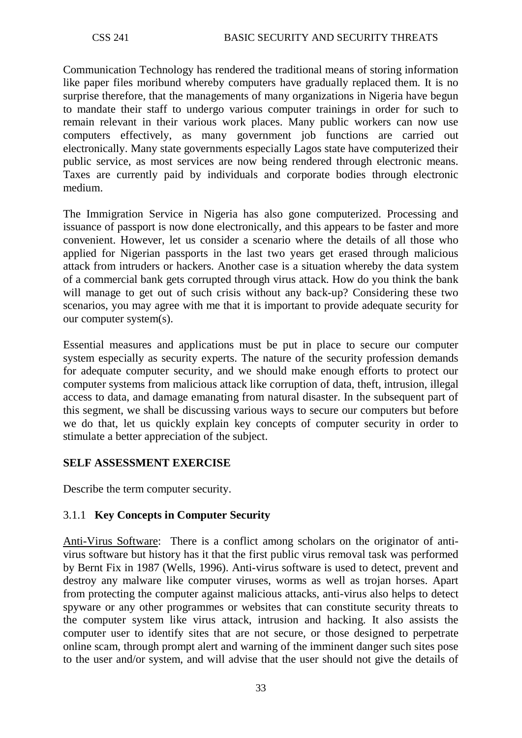Communication Technology has rendered the traditional means of storing information like paper files moribund whereby computers have gradually replaced them. It is no surprise therefore, that the managements of many organizations in Nigeria have begun to mandate their staff to undergo various computer trainings in order for such to remain relevant in their various work places. Many public workers can now use computers effectively, as many government job functions are carried out electronically. Many state governments especially Lagos state have computerized their public service, as most services are now being rendered through electronic means. Taxes are currently paid by individuals and corporate bodies through electronic medium.

The Immigration Service in Nigeria has also gone computerized. Processing and issuance of passport is now done electronically, and this appears to be faster and more convenient. However, let us consider a scenario where the details of all those who applied for Nigerian passports in the last two years get erased through malicious attack from intruders or hackers. Another case is a situation whereby the data system of a commercial bank gets corrupted through virus attack. How do you think the bank will manage to get out of such crisis without any back-up? Considering these two scenarios, you may agree with me that it is important to provide adequate security for our computer system(s).

Essential measures and applications must be put in place to secure our computer system especially as security experts. The nature of the security profession demands for adequate computer security, and we should make enough efforts to protect our computer systems from malicious attack like corruption of data, theft, intrusion, illegal access to data, and damage emanating from natural disaster. In the subsequent part of this segment, we shall be discussing various ways to secure our computers but before we do that, let us quickly explain key concepts of computer security in order to stimulate a better appreciation of the subject.

## **SELF ASSESSMENT EXERCISE**

Describe the term computer security.

## 3.1.1 **Key Concepts in Computer Security**

Anti-Virus Software: There is a conflict among scholars on the originator of antivirus software but history has it that the first public virus removal task was performed by Bernt Fix in 1987 (Wells, 1996). Anti-virus software is used to detect, prevent and destroy any malware like computer viruses, worms as well as trojan horses. Apart from protecting the computer against malicious attacks, anti-virus also helps to detect spyware or any other programmes or websites that can constitute security threats to the computer system like virus attack, intrusion and hacking. It also assists the computer user to identify sites that are not secure, or those designed to perpetrate online scam, through prompt alert and warning of the imminent danger such sites pose to the user and/or system, and will advise that the user should not give the details of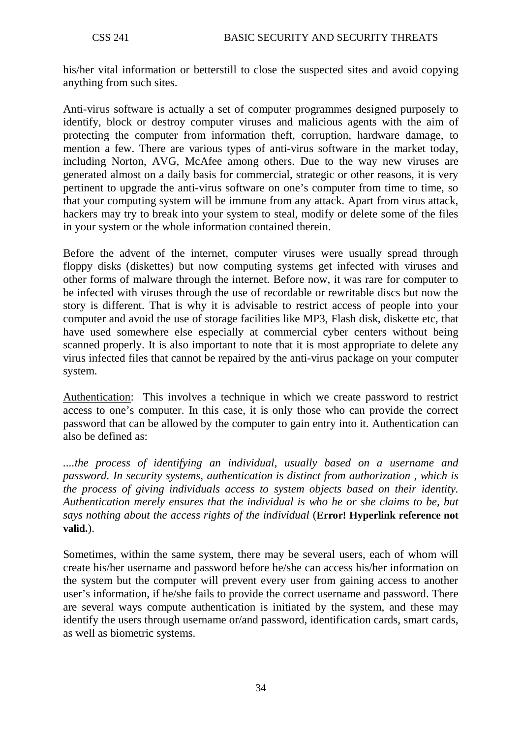his/her vital information or betterstill to close the suspected sites and avoid copying anything from such sites.

Anti-virus software is actually a set of computer programmes designed purposely to identify, block or destroy computer viruses and malicious agents with the aim of protecting the computer from information theft, corruption, hardware damage, to mention a few. There are various types of anti-virus software in the market today, including Norton, AVG, McAfee among others. Due to the way new viruses are generated almost on a daily basis for commercial, strategic or other reasons, it is very pertinent to upgrade the anti-virus software on one's computer from time to time, so that your computing system will be immune from any attack. Apart from virus attack, hackers may try to break into your system to steal, modify or delete some of the files in your system or the whole information contained therein.

Before the advent of the internet, computer viruses were usually spread through floppy disks (diskettes) but now computing systems get infected with viruses and other forms of malware through the internet. Before now, it was rare for computer to be infected with viruses through the use of recordable or rewritable discs but now the story is different. That is why it is advisable to restrict access of people into your computer and avoid the use of storage facilities like MP3, Flash disk, diskette etc, that have used somewhere else especially at commercial cyber centers without being scanned properly. It is also important to note that it is most appropriate to delete any virus infected files that cannot be repaired by the anti-virus package on your computer system.

Authentication: This involves a technique in which we create password to restrict access to one's computer. In this case, it is only those who can provide the correct password that can be allowed by the computer to gain entry into it. Authentication can also be defined as:

*....the process of identifying an individual, usually based on a [username](http://www.webopedia.com/TERM/a/username.html) and [password.](http://www.webopedia.com/TERM/a/password.html) In [security systems,](http://www.webopedia.com/TERM/a/security.html) authentication is distinct from [authorization](http://www.webopedia.com/TERM/a/authorization.html) , which is the process of giving individuals [access](http://www.webopedia.com/TERM/a/access.html) to system objects based on their [identity.](http://www.webopedia.com/TERM/a/identity.html) Authentication merely ensures that the individual is who he or she claims to be, but says nothing about the access rights of the individual* (**Error! Hyperlink reference not valid.**).

Sometimes, within the same system, there may be several users, each of whom will create his/her username and password before he/she can access his/her information on the system but the computer will prevent every user from gaining access to another user's information, if he/she fails to provide the correct username and password. There are several ways compute authentication is initiated by the system, and these may identify the users through username or/and password, identification cards, smart cards, as well as biometric systems.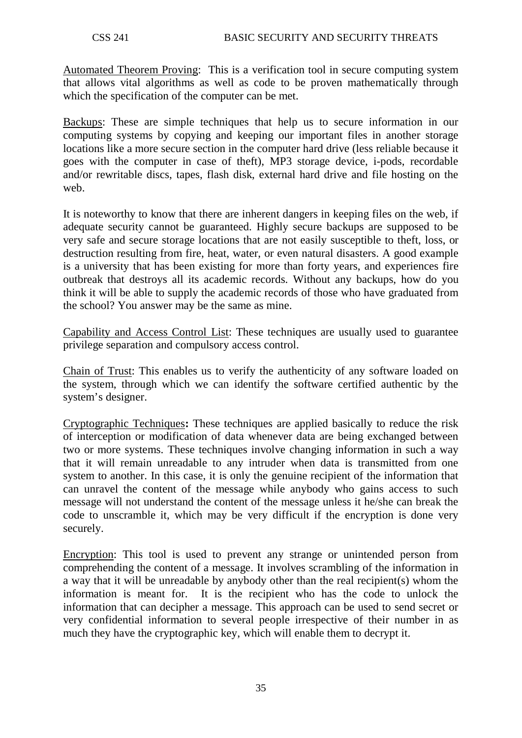Automated Theorem Proving: This is a verification tool in secure computing system that allows vital algorithms as well as code to be proven mathematically through which the specification of the computer can be met.

Backups: These are simple techniques that help us to secure information in our computing systems by copying and keeping our important files in another storage locations like a more secure section in the computer hard drive (less reliable because it goes with the computer in case of theft), MP3 storage device, i-pods, recordable and/or rewritable discs, tapes, flash disk, external hard drive and file hosting on the web.

It is noteworthy to know that there are inherent dangers in keeping files on the web, if adequate security cannot be guaranteed. Highly secure backups are supposed to be very safe and secure storage locations that are not easily susceptible to theft, loss, or destruction resulting from fire, heat, water, or even natural disasters. A good example is a university that has been existing for more than forty years, and experiences fire outbreak that destroys all its academic records. Without any backups, how do you think it will be able to supply the academic records of those who have graduated from the school? You answer may be the same as mine.

Capability and Access Control List: These techniques are usually used to guarantee privilege separation and compulsory access control.

Chain of Trust: This enables us to verify the authenticity of any software loaded on the system, through which we can identify the software certified authentic by the system's designer.

Cryptographic Techniques**:** These techniques are applied basically to reduce the risk of interception or modification of data whenever data are being exchanged between two or more systems. These techniques involve changing information in such a way that it will remain unreadable to any intruder when data is transmitted from one system to another. In this case, it is only the genuine recipient of the information that can unravel the content of the message while anybody who gains access to such message will not understand the content of the message unless it he/she can break the code to unscramble it, which may be very difficult if the encryption is done very securely.

Encryption: This tool is used to prevent any strange or unintended person from comprehending the content of a message. It involves scrambling of the information in a way that it will be unreadable by anybody other than the real recipient(s) whom the information is meant for. It is the recipient who has the code to unlock the information that can decipher a message. This approach can be used to send secret or very confidential information to several people irrespective of their number in as much they have the cryptographic key, which will enable them to decrypt it.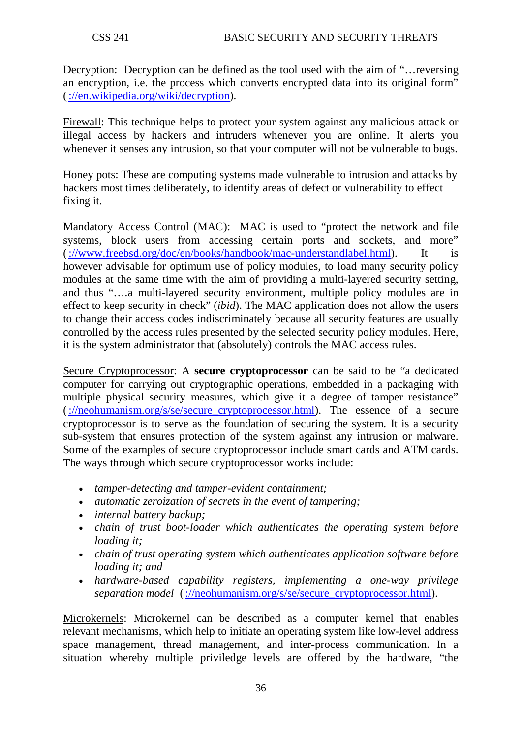Decryption: Decryption can be defined as the tool used with the aim of "…reversing an encryption, i.e. the process which converts encrypted data into its original form" [\(://en.wikipedia.org/wiki/decryption\)](http://en.wikipedia.org/wiki/decryption).

Firewall: This technique helps to protect your system against any malicious attack or illegal access by hackers and intruders whenever you are online. It alerts you whenever it senses any intrusion, so that your computer will not be vulnerable to bugs.

Honey pots: These are computing systems made vulnerable to intrusion and attacks by hackers most times deliberately, to identify areas of defect or vulnerability to effect fixing it.

Mandatory Access Control (MAC): MAC is used to "protect the network and file systems, block users from accessing certain ports and sockets, and more" [\(://www.freebsd.org/doc/en/books/handbook/mac-understandlabel.html\)](http://www.freebsd.org/doc/en/books/handbook/mac-understandlabel.html). It however advisable for optimum use of policy modules, to load many security policy modules at the same time with the aim of providing a multi-layered security setting, and thus "….a multi-layered security environment, multiple policy modules are in effect to keep security in check" (*ibid*). The MAC application does not allow the users to change their access codes indiscriminately because all security features are usually controlled by the access rules presented by the selected security policy modules. Here, it is the system administrator that (absolutely) controls the MAC access rules.

Secure Cryptoprocessor : A **secure cryptoprocessor** can be said to be "a dedicated [computer](http://neohumanism.org/c/co/computer.html) for carrying out [cryptographic](http://neohumanism.org/c/cr/cryptography_1.html) operations, embedded in a packaging with multiple [physical security](http://neohumanism.org/p/ph/physical_security_1.html) measures, which give it a degree of [tamper resistance"](http://neohumanism.org/t/ta/tamper_resistance.html) [\(://neohumanism.org/s/se/secure\\_cryptoprocessor.html\)](http://neohumanism.org/s/se/secure_cryptoprocessor.html). The essence of a secure cryptoprocessor is to serve as the foundation of securing the system. It is a security sub-system that ensures protection of the system against any intrusion or malware. Some of the examples of secure cryptoprocessor include smart cards and ATM cards. The ways through which secure cryptoprocessor works include:

- *tamper-detecting and tamper-evident containment;*
- *automatic zeroization of secrets in the event of tampering;*
- *internal battery backup;*
- *chain of trust boot-loader which authenticates the operating system before loading it;*
- *chain of trust operating system which authenticates application software before loading it; and*
- *hardware-based capability registers, implementing a one-way privilege separation model* [\(://neohumanism.org/s/se/secure\\_cryptoprocessor.html\)](http://neohumanism.org/s/se/secure_cryptoprocessor.html).

Microkernels: Microkernel can be described as a computer kernel that enables relevant mechanisms, which help to initiate an operating system like low-level address [space](http://en.wikipedia.org/wiki/Address_space) management, [thread](http://en.wikipedia.org/wiki/Thread_(computer_science)) management, and [inter-process communication.](http://en.wikipedia.org/wiki/Inter-process_communication) In a situation whereby multiple priviledge levels are offered by the hardware, "the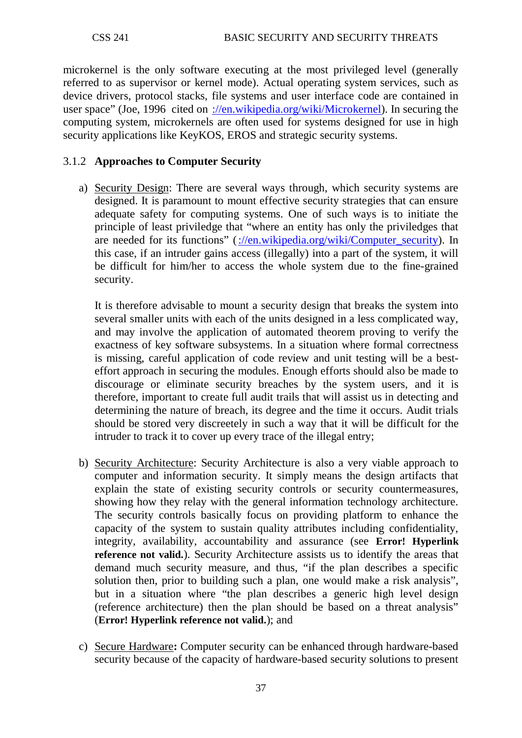microkernel is the only software executing at the most privileged level (generally referred to as [supervisor or kernel mode\)](http://en.wikipedia.org/wiki/Kernel_mode). Actual operating system services, such as [device drivers,](http://en.wikipedia.org/wiki/Device_driver) [protocol stacks,](http://en.wikipedia.org/wiki/Protocol_stack) [file systems](http://en.wikipedia.org/wiki/File_system) and [user interface](http://en.wikipedia.org/wiki/User_interface) code are contained in [user space"](http://en.wikipedia.org/wiki/User_space) (Joe, 1996 cited on [://en.wikipedia.org/wiki/Microkernel\)](http://en.wikipedia.org/wiki/Microkernel). In securing the computing system, microkernels are often used for systems designed for use in high security applications like KeyKOS, EROS and strategic security systems.

### 3.1.2 **Approaches to Computer Security**

a) Security Design: There are several ways through, which security systems are designed. It is paramount to mount effective security strategies that can ensure adequate safety for computing systems. One of such ways is to initiate the principle of least priviledge that "where an entity has only the priviledges that are needed for its functions" [\(://en.wikipedia.org/wiki/Computer\\_security\)](http://en.wikipedia.org/wiki/Computer_security). In this case, if an intruder gains access (illegally) into a part of the system, it will be difficult for him/her to access the whole system due to the fine-grained security.

It is therefore advisable to mount a security design that breaks the system into several smaller units with each of the units designed in a less complicated way, and may involve the application of automated theorem proving to verify the exactness of key software subsystems. In a situation where formal correctness is missing, careful application of code review and unit testing will be a besteffort approach in securing the modules. Enough efforts should also be made to discourage or eliminate security breaches by the system users, and it is therefore, important to create full audit trails that will assist us in detecting and determining the nature of breach, its degree and the time it occurs. Audit trials should be stored very discreetely in such a way that it will be difficult for the intruder to track it to cover up every trace of the illegal entry;

- b) Security Architecture: Security Architecture is also a very viable approach to computer and information security. It simply means the design artifacts that explain the state of existing security controls or security countermeasures, showing how they relay with the general information technology architecture. The security controls basically focus on providing platform to enhance the capacity of the system to sustain quality attributes including confidentiality, integrity, availability, accountability and assurance (see **Error! Hyperlink reference not valid.**). Security Architecture assists us to identify the areas that demand much security measure, and thus, "if the plan describes a specific solution then, prior to building such a plan, one would make a risk analysis", but in a situation where "the plan describes a generic high level design (reference architecture) then the plan should be based on a threat analysis" (**Error! Hyperlink reference not valid.**); and
- c) Secure Hardware**:** Computer security can be enhanced through hardware-based security because of the capacity of hardware-based security solutions to present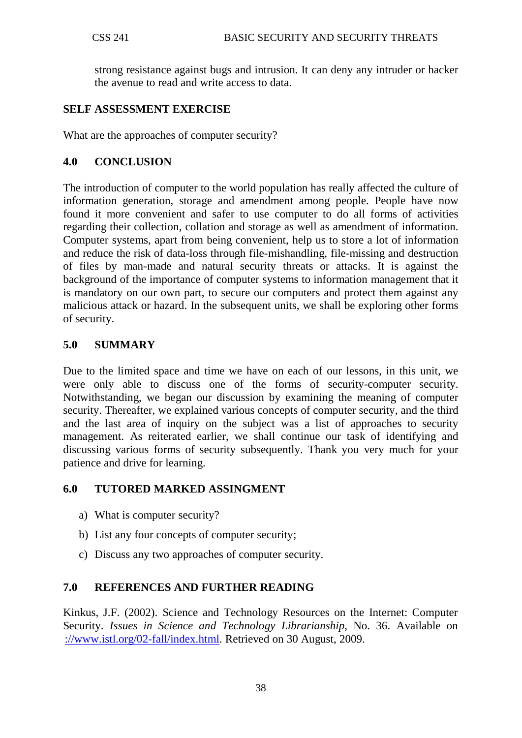strong resistance against bugs and intrusion. It can deny any intruder or hacker the avenue to read and write access to data.

### **SELF ASSESSMENT EXERCISE**

What are the approaches of computer security?

### **4.0 CONCLUSION**

The introduction of computer to the world population has really affected the culture of information generation, storage and amendment among people. People have now found it more convenient and safer to use computer to do all forms of activities regarding their collection, collation and storage as well as amendment of information. Computer systems, apart from being convenient, help us to store a lot of information and reduce the risk of data-loss through file-mishandling, file-missing and destruction of files by man-made and natural security threats or attacks. It is against the background of the importance of computer systems to information management that it is mandatory on our own part, to secure our computers and protect them against any malicious attack or hazard. In the subsequent units, we shall be exploring other forms of security.

### **5.0 SUMMARY**

Due to the limited space and time we have on each of our lessons, in this unit, we were only able to discuss one of the forms of security-computer security. Notwithstanding, we began our discussion by examining the meaning of computer security. Thereafter, we explained various concepts of computer security, and the third and the last area of inquiry on the subject was a list of approaches to security management. As reiterated earlier, we shall continue our task of identifying and discussing various forms of security subsequently. Thank you very much for your patience and drive for learning.

### **6.0 TUTORED MARKED ASSINGMENT**

- a) What is computer security?
- b) List any four concepts of computer security;
- c) Discuss any two approaches of computer security.

### **7.0 REFERENCES AND FURTHER READING**

Kinkus, J.F. (2002). Science and Technology Resources on the Internet: Computer Security. *Issues in Science and Technology Librarianship*, No. 36. Available on [://www.istl.org/02-fall/index.html.](http://www.istl.org/02-fall/index.html) Retrieved on 30 August, 2009.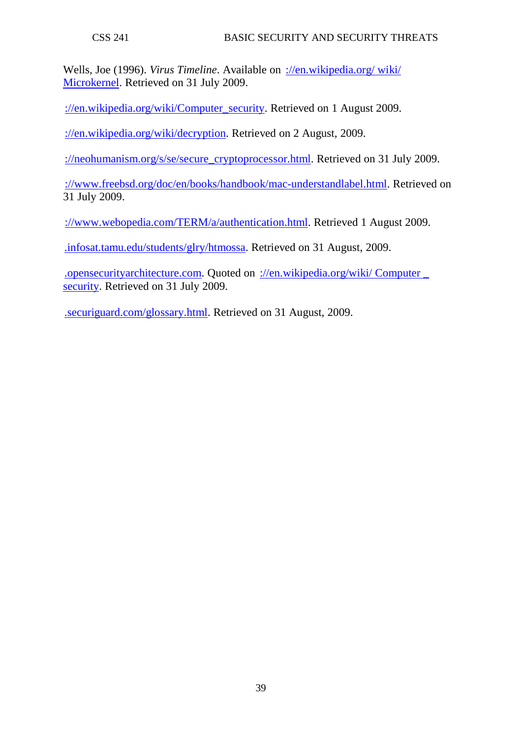Wells, Joe (1996). *Virus Timeline*. Available on [://en.wikipedia.org/ wiki/](http://en.wikipedia.org/%20wiki/%20Microkernel)  [Microkernel.](http://en.wikipedia.org/%20wiki/%20Microkernel) Retrieved on 31 July 2009.

[://en.wikipedia.org/wiki/Computer\\_security.](http://en.wikipedia.org/wiki/Computer_security) Retrieved on 1 August 2009.

[://en.wikipedia.org/wiki/decryption.](http://en.wikipedia.org/wiki/decryption) Retrieved on 2 August, 2009.

[://neohumanism.org/s/se/secure\\_cryptoprocessor.html.](http://neohumanism.org/s/se/secure_cryptoprocessor.html) Retrieved on 31 July 2009.

[://www.freebsd.org/doc/en/books/handbook/mac-understandlabel.html.](http://www.freebsd.org/doc/en/books/handbook/mac-understandlabel.html) Retrieved on 31 July 2009.

[://www.webopedia.com/TERM/a/authentication.html.](http://www.webopedia.com/TERM/a/authentication.html) Retrieved 1 August 2009.

[.infosat.tamu.edu/students/glry/htmossa.](http://www.infosat.tamu.edu/students/glry/htmossa) Retrieved on 31 August, 2009.

[.opensecurityarchitecture.com.](http://www.opensecurityarchitecture.com/) Quoted on [://en.wikipedia.org/wiki/ Computer \\_](http://en.wikipedia.org/wiki/%20Computer%20_%20security)  [security.](http://en.wikipedia.org/wiki/%20Computer%20_%20security) Retrieved on 31 July 2009.

[.securiguard.com/glossary.html.](http://www.securiguard.com/glossary.html) Retrieved on 31 August, 2009.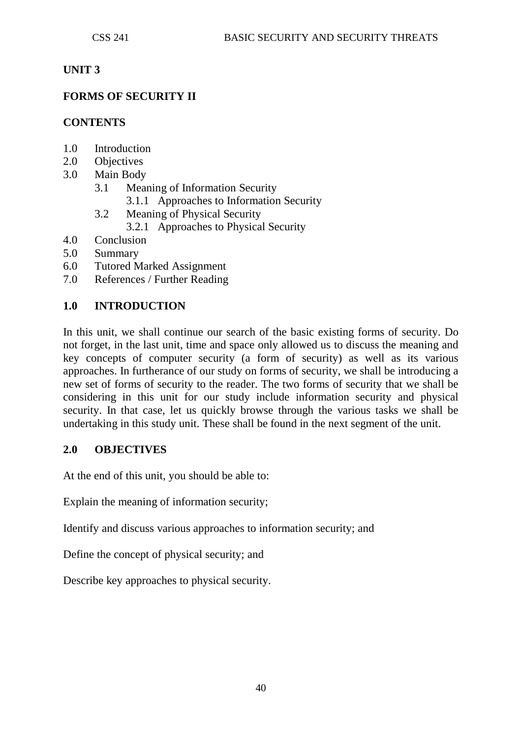### **UNIT 3**

## **FORMS OF SECURITY II**

### **CONTENTS**

- 1.0 Introduction
- 2.0 Objectives
- 3.0 Main Body
	- 3.1 Meaning of Information Security
		- 3.1.1 Approaches to Information Security
	- 3.2 Meaning of Physical Security
		- 3.2.1 Approaches to Physical Security
- 4.0 Conclusion
- 5.0 Summary
- 6.0 Tutored Marked Assignment
- 7.0 References / Further Reading

### **1.0 INTRODUCTION**

In this unit, we shall continue our search of the basic existing forms of security. Do not forget, in the last unit, time and space only allowed us to discuss the meaning and key concepts of computer security (a form of security) as well as its various approaches. In furtherance of our study on forms of security, we shall be introducing a new set of forms of security to the reader. The two forms of security that we shall be considering in this unit for our study include information security and physical security. In that case, let us quickly browse through the various tasks we shall be undertaking in this study unit. These shall be found in the next segment of the unit.

### **2.0 OBJECTIVES**

At the end of this unit, you should be able to:

Explain the meaning of information security;

Identify and discuss various approaches to information security; and

Define the concept of physical security; and

Describe key approaches to physical security.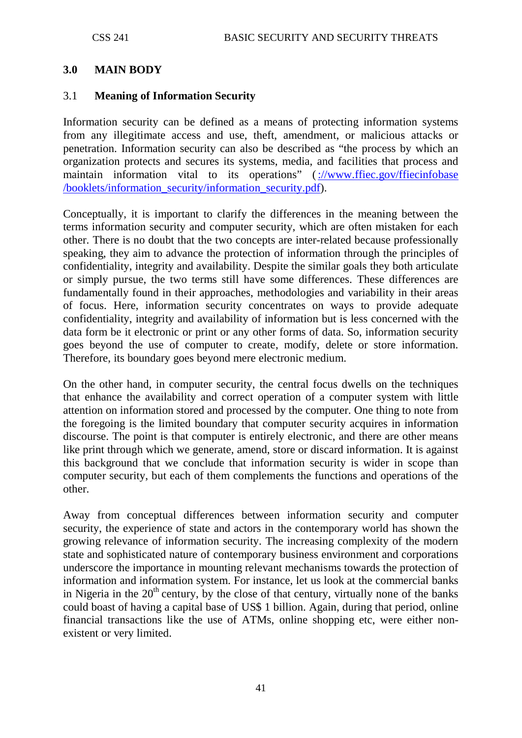### **3.0 MAIN BODY**

### 3.1 **Meaning of Information Security**

Information security can be defined as a means of protecting information systems from any illegitimate access and use, theft, amendment, or malicious attacks or penetration. Information security can also be described as "the process by which an organization protects and secures its systems, media, and facilities that process and maintain information vital to its operations" [\(://www.ffiec.gov/ffiecinfobase](http://www.ffiec.gov/ffiecinfobase%20/booklets/information_security/information_security.pdf)  [/booklets/information\\_security/information\\_security.pdf\)](http://www.ffiec.gov/ffiecinfobase%20/booklets/information_security/information_security.pdf).

Conceptually, it is important to clarify the differences in the meaning between the terms information security and computer security, which are often mistaken for each other. There is no doubt that the two concepts are inter-related because professionally speaking, they aim to advance the protection of information through the principles of confidentiality, integrity and availability. Despite the similar goals they both articulate or simply pursue, the two terms still have some differences. These differences are fundamentally found in their approaches, methodologies and variability in their areas of focus. Here, information security concentrates on ways to provide adequate confidentiality, integrity and availability of information but is less concerned with the data form be it electronic or print or any other forms of data. So, information security goes beyond the use of computer to create, modify, delete or store information. Therefore, its boundary goes beyond mere electronic medium.

On the other hand, in computer security, the central focus dwells on the techniques that enhance the availability and correct operation of a computer system with little attention on information stored and processed by the computer. One thing to note from the foregoing is the limited boundary that computer security acquires in information discourse. The point is that computer is entirely electronic, and there are other means like print through which we generate, amend, store or discard information. It is against this background that we conclude that information security is wider in scope than computer security, but each of them complements the functions and operations of the other.

Away from conceptual differences between information security and computer security, the experience of state and actors in the contemporary world has shown the growing relevance of information security. The increasing complexity of the modern state and sophisticated nature of contemporary business environment and corporations underscore the importance in mounting relevant mechanisms towards the protection of information and information system. For instance, let us look at the commercial banks in Nigeria in the  $20<sup>th</sup>$  century, by the close of that century, virtually none of the banks could boast of having a capital base of US\$ 1 billion. Again, during that period, online financial transactions like the use of ATMs, online shopping etc, were either nonexistent or very limited.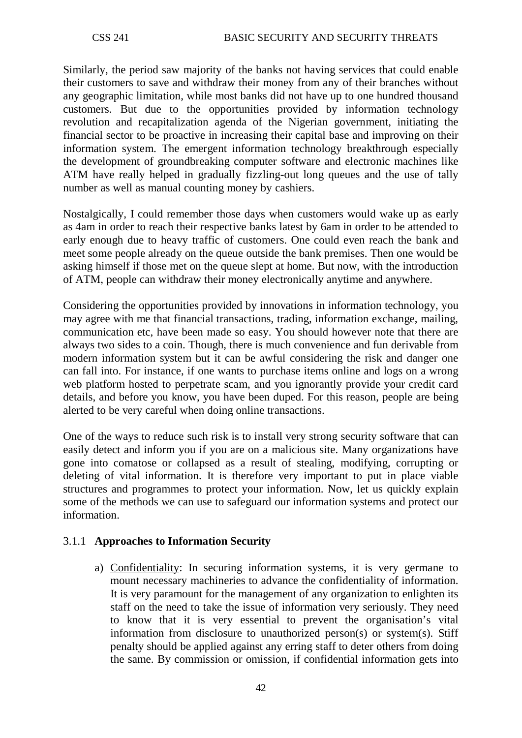Similarly, the period saw majority of the banks not having services that could enable their customers to save and withdraw their money from any of their branches without any geographic limitation, while most banks did not have up to one hundred thousand customers. But due to the opportunities provided by information technology revolution and recapitalization agenda of the Nigerian government, initiating the financial sector to be proactive in increasing their capital base and improving on their information system. The emergent information technology breakthrough especially the development of groundbreaking computer software and electronic machines like ATM have really helped in gradually fizzling-out long queues and the use of tally number as well as manual counting money by cashiers.

Nostalgically, I could remember those days when customers would wake up as early as 4am in order to reach their respective banks latest by 6am in order to be attended to early enough due to heavy traffic of customers. One could even reach the bank and meet some people already on the queue outside the bank premises. Then one would be asking himself if those met on the queue slept at home. But now, with the introduction of ATM, people can withdraw their money electronically anytime and anywhere.

Considering the opportunities provided by innovations in information technology, you may agree with me that financial transactions, trading, information exchange, mailing, communication etc, have been made so easy. You should however note that there are always two sides to a coin. Though, there is much convenience and fun derivable from modern information system but it can be awful considering the risk and danger one can fall into. For instance, if one wants to purchase items online and logs on a wrong web platform hosted to perpetrate scam, and you ignorantly provide your credit card details, and before you know, you have been duped. For this reason, people are being alerted to be very careful when doing online transactions.

One of the ways to reduce such risk is to install very strong security software that can easily detect and inform you if you are on a malicious site. Many organizations have gone into comatose or collapsed as a result of stealing, modifying, corrupting or deleting of vital information. It is therefore very important to put in place viable structures and programmes to protect your information. Now, let us quickly explain some of the methods we can use to safeguard our information systems and protect our information.

### 3.1.1 **Approaches to Information Security**

a) Confidentiality: In securing information systems, it is very germane to mount necessary machineries to advance the confidentiality of information. It is very paramount for the management of any organization to enlighten its staff on the need to take the issue of information very seriously. They need to know that it is very essential to prevent the organisation's vital information from disclosure to unauthorized person(s) or system(s). Stiff penalty should be applied against any erring staff to deter others from doing the same. By commission or omission, if confidential information gets into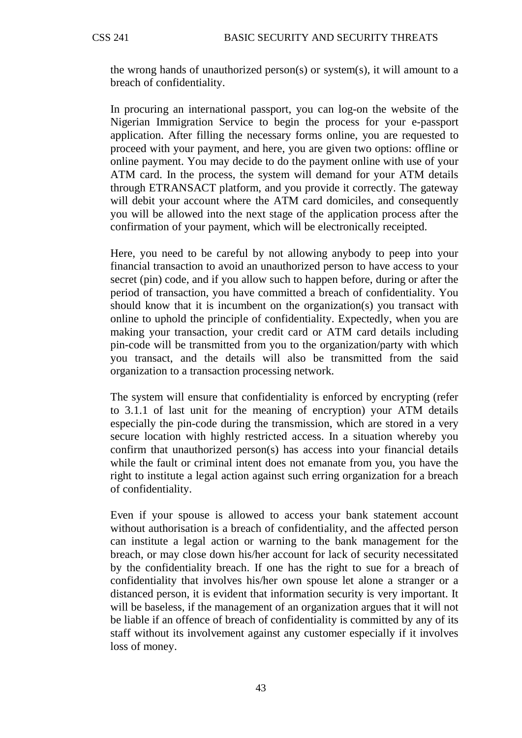the wrong hands of unauthorized person(s) or system(s), it will amount to a breach of confidentiality.

In procuring an international passport, you can log-on the website of the Nigerian Immigration Service to begin the process for your e-passport application. After filling the necessary forms online, you are requested to proceed with your payment, and here, you are given two options: offline or online payment. You may decide to do the payment online with use of your ATM card. In the process, the system will demand for your ATM details through ETRANSACT platform, and you provide it correctly. The gateway will debit your account where the ATM card domiciles, and consequently you will be allowed into the next stage of the application process after the confirmation of your payment, which will be electronically receipted.

Here, you need to be careful by not allowing anybody to peep into your financial transaction to avoid an unauthorized person to have access to your secret (pin) code, and if you allow such to happen before, during or after the period of transaction, you have committed a breach of confidentiality. You should know that it is incumbent on the organization(s) you transact with online to uphold the principle of confidentiality. Expectedly, when you are making your transaction, your credit card or ATM card details including pin-code will be transmitted from you to the organization/party with which you transact, and the details will also be transmitted from the said organization to a transaction processing network.

The system will ensure that confidentiality is enforced by encrypting (refer to 3.1.1 of last unit for the meaning of encryption) your ATM details especially the pin-code during the transmission, which are stored in a very secure location with highly restricted access. In a situation whereby you confirm that unauthorized person(s) has access into your financial details while the fault or criminal intent does not emanate from you, you have the right to institute a legal action against such erring organization for a breach of confidentiality.

Even if your spouse is allowed to access your bank statement account without authorisation is a breach of confidentiality, and the affected person can institute a legal action or warning to the bank management for the breach, or may close down his/her account for lack of security necessitated by the confidentiality breach. If one has the right to sue for a breach of confidentiality that involves his/her own spouse let alone a stranger or a distanced person, it is evident that information security is very important. It will be baseless, if the management of an organization argues that it will not be liable if an offence of breach of confidentiality is committed by any of its staff without its involvement against any customer especially if it involves loss of money.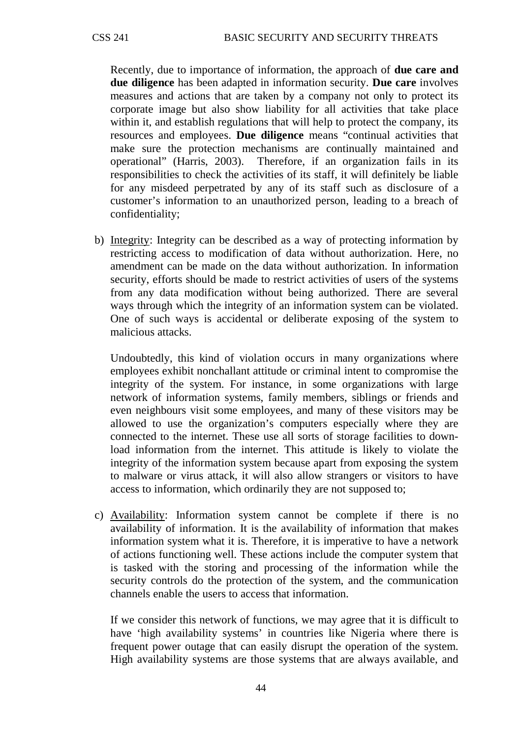Recently, due to importance of information, the approach of **due care and due diligence** has been adapted in information security. **Due care** involves measures and actions that are taken by a company not only to protect its corporate image but also show liability for all activities that take place within it, and establish regulations that will help to protect the company, its resources and employees. **Due diligence** means "continual activities that make sure the protection mechanisms are continually maintained and operational" (Harris, 2003). Therefore, if an organization fails in its responsibilities to check the activities of its staff, it will definitely be liable for any misdeed perpetrated by any of its staff such as disclosure of a customer's information to an unauthorized person, leading to a breach of confidentiality;

b) Integrity: Integrity can be described as a way of protecting information by restricting access to modification of data without authorization. Here, no amendment can be made on the data without authorization. In information security, efforts should be made to restrict activities of users of the systems from any data modification without being authorized. There are several ways through which the integrity of an information system can be violated. One of such ways is accidental or deliberate exposing of the system to malicious attacks.

Undoubtedly, this kind of violation occurs in many organizations where employees exhibit nonchallant attitude or criminal intent to compromise the integrity of the system. For instance, in some organizations with large network of information systems, family members, siblings or friends and even neighbours visit some employees, and many of these visitors may be allowed to use the organization's computers especially where they are connected to the internet. These use all sorts of storage facilities to download information from the internet. This attitude is likely to violate the integrity of the information system because apart from exposing the system to malware or virus attack, it will also allow strangers or visitors to have access to information, which ordinarily they are not supposed to;

c) Availability: Information system cannot be complete if there is no availability of information. It is the availability of information that makes information system what it is. Therefore, it is imperative to have a network of actions functioning well. These actions include the computer system that is tasked with the storing and processing of the information while the security controls do the protection of the system, and the communication channels enable the users to access that information.

If we consider this network of functions, we may agree that it is difficult to have 'high availability systems' in countries like Nigeria where there is frequent power outage that can easily disrupt the operation of the system. High availability systems are those systems that are always available, and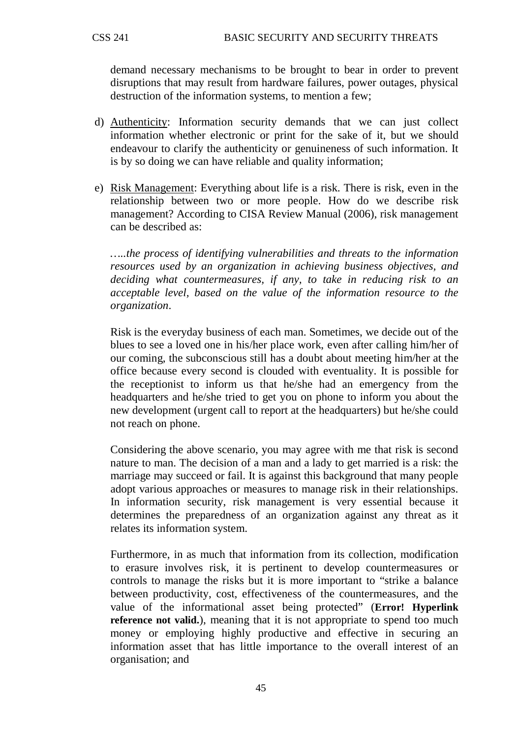demand necessary mechanisms to be brought to bear in order to prevent disruptions that may result from hardware failures, power outages, physical destruction of the information systems, to mention a few;

- d) Authenticity: Information security demands that we can just collect information whether electronic or print for the sake of it, but we should endeavour to clarify the authenticity or genuineness of such information. It is by so doing we can have reliable and quality information;
- e) Risk Management: Everything about life is a risk. There is risk, even in the relationship between two or more people. How do we describe risk management? According to CISA Review Manual (2006), risk management can be described as:

*…..the process of identifying vulnerabilities and threats to the information resources used by an organization in achieving business objectives, and deciding what countermeasures, if any, to take in reducing risk to an acceptable level, based on the value of the information resource to the organization*.

Risk is the everyday business of each man. Sometimes, we decide out of the blues to see a loved one in his/her place work, even after calling him/her of our coming, the subconscious still has a doubt about meeting him/her at the office because every second is clouded with eventuality. It is possible for the receptionist to inform us that he/she had an emergency from the headquarters and he/she tried to get you on phone to inform you about the new development (urgent call to report at the headquarters) but he/she could not reach on phone.

Considering the above scenario, you may agree with me that risk is second nature to man. The decision of a man and a lady to get married is a risk: the marriage may succeed or fail. It is against this background that many people adopt various approaches or measures to manage risk in their relationships. In information security, risk management is very essential because it determines the preparedness of an organization against any threat as it relates its information system.

Furthermore, in as much that information from its collection, modification to erasure involves risk, it is pertinent to develop countermeasures or controls to manage the risks but it is more important to "strike a balance between productivity, cost, effectiveness of the countermeasures, and the value of the informational asset being protected" (**Error! Hyperlink reference not valid.**), meaning that it is not appropriate to spend too much money or employing highly productive and effective in securing an information asset that has little importance to the overall interest of an organisation; and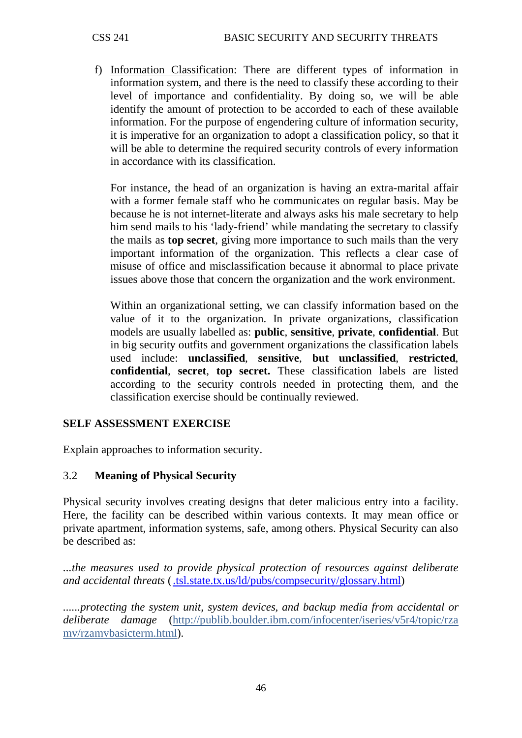f) Information Classification : There are different types of information in information system, and there is the need to classify these according to their level of importance and confidentiality. By doing so, we will be able identify the amount of protection to be accorded to each of these available information. For the purpose of engendering culture of information security, it is imperative for an organization to adopt a classification policy, so that it will be able to determine the required security controls of every information in accordance with its classification.

For instance, the head of an organization is having an extra-marital affair with a former female staff who he communicates on regular basis. May be because he is not internet-literate and always asks his male secretary to help him send mails to his 'lady-friend' while mandating the secretary to classify the mails as **top secret**, giving more importance to such mails than the very important information of the organization. This reflects a clear case of misuse of office and misclassification because it abnormal to place private issues above those that concern the organization and the work environment.

Within an organizational setting, we can classify information based on the value of it to the organization. In private organizations, classification models are usually labelled as: **public**, **sensitive**, **private**, **confidential**. But in big security outfits and government organizations the classification labels used include: **unclassified**, **sensitive**, **but unclassified**, **restricted**, **confidential**, **secret**, **top secret.** These classification labels are listed according to the security controls needed in protecting them, and the classification exercise should be continually reviewed.

# **SELF ASSESSMENT EXERCISE**

Explain approaches to information security.

### 3.2 **Meaning of Physical Security**

Physical security involves creating designs that deter malicious entry into a facility. Here, the facility can be described within various contexts. It may mean office or private apartment, information systems, safe, among others. Physical Security can also be described as:

*...the measures used to provide physical protection of resources against deliberate and accidental threats* [\(.tsl.state.tx.us/ld/pubs/compsecurity/glossary.html\)](http://www.tsl.state.tx.us/ld/pubs/compsecurity/glossary.html)

*......protecting the system unit, system devices, and backup media from accidental or deliberate damage* (http:/[/publib.boulder.ibm.com/infocenter/iseries/v5r4/topic/rza](http://www.google.com.ng/url?&q=http://publib.boulder.ibm.com/infocenter/iseries/v5r4/topic/rzamv/rzamvbasicterm.htm&ei=XPqYSpiUDMvr-QbyoeSPBA&sa=X&oi=define&ct=&cd=1&usg=AFQjCNGKe3evsc6vrY6TemhvE74uj3sWkA)  [mv/rzamvbasicterm.html](http://www.google.com.ng/url?&q=http://publib.boulder.ibm.com/infocenter/iseries/v5r4/topic/rzamv/rzamvbasicterm.htm&ei=XPqYSpiUDMvr-QbyoeSPBA&sa=X&oi=define&ct=&cd=1&usg=AFQjCNGKe3evsc6vrY6TemhvE74uj3sWkA)).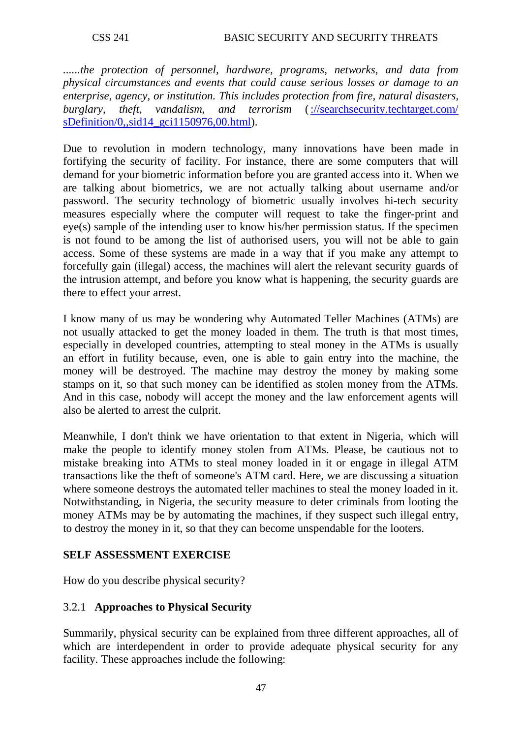*......the protection of personnel, hardware, programs, networks, and data from physical circumstances and events that could cause serious losses or damage to an enterprise, agency, or institution. This includes protection from fire, natural disasters, burglary, theft, vandalism, and terrorism* [\(://searchsecurity.techtarget.com/](http://searchsecurity.techtarget.com/%20sDefinition/0,,sid14_gci1150976,00.html)  [sDefinition/0,,sid14\\_gci1150976,00.html\)](http://searchsecurity.techtarget.com/%20sDefinition/0,,sid14_gci1150976,00.html).

Due to revolution in modern technology, many innovations have been made in fortifying the security of facility. For instance, there are some computers that will demand for your biometric information before you are granted access into it. When we are talking about biometrics, we are not actually talking about username and/or password. The security technology of biometric usually involves hi-tech security measures especially where the computer will request to take the finger-print and eye(s) sample of the intending user to know his/her permission status. If the specimen is not found to be among the list of authorised users, you will not be able to gain access. Some of these systems are made in a way that if you make any attempt to forcefully gain (illegal) access, the machines will alert the relevant security guards of the intrusion attempt, and before you know what is happening, the security guards are there to effect your arrest.

I know many of us may be wondering why Automated Teller Machines (ATMs) are not usually attacked to get the money loaded in them. The truth is that most times, especially in developed countries, attempting to steal money in the ATMs is usually an effort in futility because, even, one is able to gain entry into the machine, the money will be destroyed. The machine may destroy the money by making some stamps on it, so that such money can be identified as stolen money from the ATMs. And in this case, nobody will accept the money and the law enforcement agents will also be alerted to arrest the culprit.

Meanwhile, I don't think we have orientation to that extent in Nigeria, which will make the people to identify money stolen from ATMs. Please, be cautious not to mistake breaking into ATMs to steal money loaded in it or engage in illegal ATM transactions like the theft of someone's ATM card. Here, we are discussing a situation where someone destroys the automated teller machines to steal the money loaded in it. Notwithstanding, in Nigeria, the security measure to deter criminals from looting the money ATMs may be by automating the machines, if they suspect such illegal entry, to destroy the money in it, so that they can become unspendable for the looters.

### **SELF ASSESSMENT EXERCISE**

How do you describe physical security?

# 3.2.1 **Approaches to Physical Security**

Summarily, physical security can be explained from three different approaches, all of which are interdependent in order to provide adequate physical security for any facility. These approaches include the following: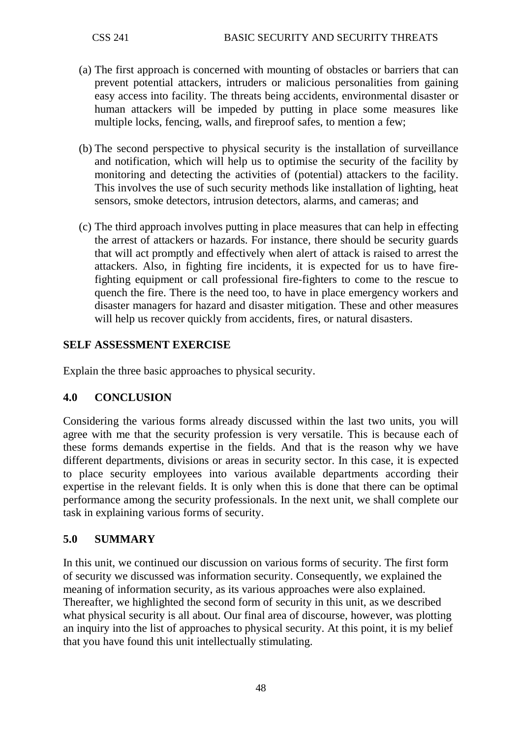- (a) The first approach is concerned with mounting of obstacles or barriers that can prevent potential attackers, intruders or malicious personalities from gaining easy access into facility. The threats being accidents, environmental disaster or human attackers will be impeded by putting in place some measures like multiple locks, fencing, walls, and fireproof safes, to mention a few;
- (b) The second perspective to physical security is the installation of surveillance and notification, which will help us to optimise the security of the facility by monitoring and detecting the activities of (potential) attackers to the facility. This involves the use of such security methods like installation of lighting, heat sensors, smoke detectors, intrusion detectors, alarms, and cameras; and
- (c) The third approach involves putting in place measures that can help in effecting the arrest of attackers or hazards. For instance, there should be security guards that will act promptly and effectively when alert of attack is raised to arrest the attackers. Also, in fighting fire incidents, it is expected for us to have firefighting equipment or call professional fire-fighters to come to the rescue to quench the fire. There is the need too, to have in place emergency workers and disaster managers for hazard and disaster mitigation. These and other measures will help us recover quickly from accidents, fires, or natural disasters.

# **SELF ASSESSMENT EXERCISE**

Explain the three basic approaches to physical security.

### **4.0 CONCLUSION**

Considering the various forms already discussed within the last two units, you will agree with me that the security profession is very versatile. This is because each of these forms demands expertise in the fields. And that is the reason why we have different departments, divisions or areas in security sector. In this case, it is expected to place security employees into various available departments according their expertise in the relevant fields. It is only when this is done that there can be optimal performance among the security professionals. In the next unit, we shall complete our task in explaining various forms of security.

### **5.0 SUMMARY**

In this unit, we continued our discussion on various forms of security. The first form of security we discussed was information security. Consequently, we explained the meaning of information security, as its various approaches were also explained. Thereafter, we highlighted the second form of security in this unit, as we described what physical security is all about. Our final area of discourse, however, was plotting an inquiry into the list of approaches to physical security. At this point, it is my belief that you have found this unit intellectually stimulating.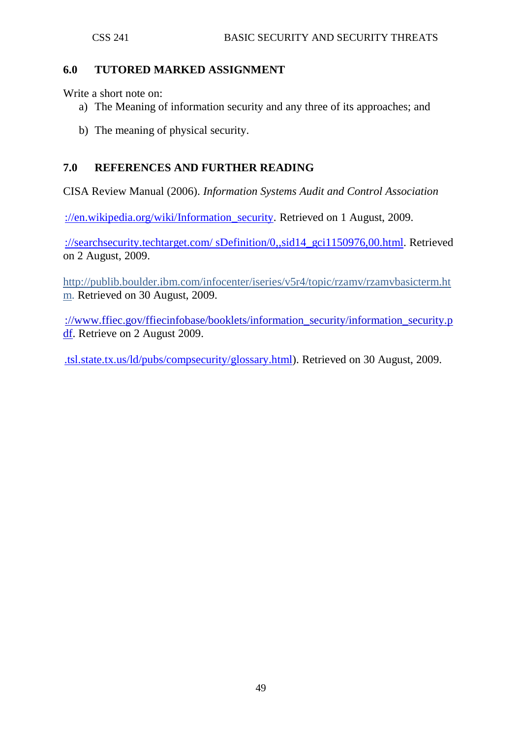### **6.0 TUTORED MARKED ASSIGNMENT**

Write a short note on:

- a) The Meaning of information security and any three of its approaches; and
- b) The meaning of physical security.

# **7.0 REFERENCES AND FURTHER READING**

CISA Review Manual (2006). *[Information Systems Audit and Control Association](http://www.isaca.org/)*

://en.wikipedia.org/wiki/Information security. Retrieved on 1 August, 2009.

[://searchsecurity.techtarget.com/ sDefinition/0,,sid14\\_gci1150976,00.html.](http://searchsecurity.techtarget.com/%20sDefinition/0,,sid14_gci1150976,00.html) Retrieved on 2 August, 2009.

http:/[/publib.boulder.ibm.com/infocenter/iseries/v5r4/topic/rzamv/rzamvbasicterm.ht](http://www.google.com.ng/url?&q=http://publib.boulder.ibm.com/infocenter/iseries/v5r4/topic/rzamv/rzamvbasicterm.htm&ei=XPqYSpiUDMvr-QbyoeSPBA&sa=X&oi=define&ct=&cd=1&usg=AFQjCNGKe3evsc6vrY6TemhvE74uj3sWkA) [m.](http://www.google.com.ng/url?&q=http://publib.boulder.ibm.com/infocenter/iseries/v5r4/topic/rzamv/rzamvbasicterm.htm&ei=XPqYSpiUDMvr-QbyoeSPBA&sa=X&oi=define&ct=&cd=1&usg=AFQjCNGKe3evsc6vrY6TemhvE74uj3sWkA) Retrieved on 30 August, 2009.

[://www.ffiec.gov/ffiecinfobase/booklets/information\\_security/information\\_security.p](http://www.ffiec.gov/ffiecinfobase/booklets/information_security/information_security.pdf) [df.](http://www.ffiec.gov/ffiecinfobase/booklets/information_security/information_security.pdf) Retrieve on 2 August 2009.

[.tsl.state.tx.us/ld/pubs/compsecurity/glossary.html\)](http://www.tsl.state.tx.us/ld/pubs/compsecurity/glossary.html). Retrieved on 30 August, 2009.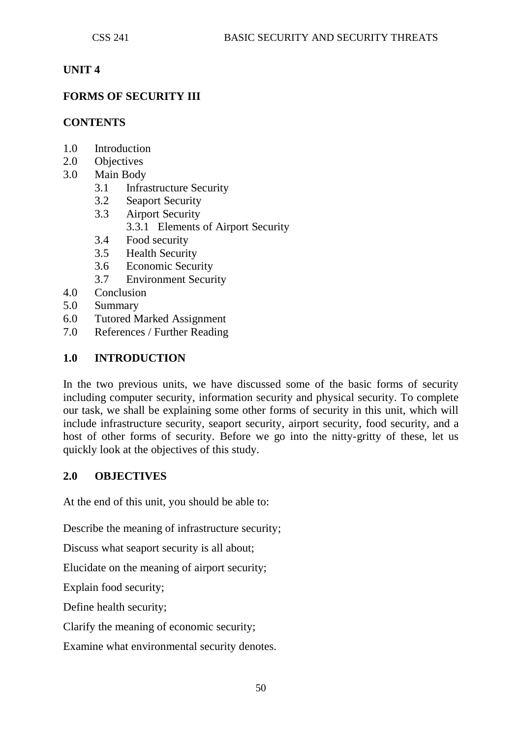### **UNIT 4**

### **FORMS OF SECURITY III**

### **CONTENTS**

- 1.0 Introduction
- 2.0 Objectives
- 3.0 Main Body
	- 3.1 Infrastructure Security
	- 3.2 Seaport Security
	- 3.3 Airport Security
		- 3.3.1 Elements of Airport Security
	- 3.4 Food security
	- 3.5 Health Security
	- 3.6 Economic Security
	- 3.7 Environment Security
- 4.0 Conclusion
- 5.0 Summary
- 6.0 Tutored Marked Assignment
- 7.0 References / Further Reading

### **1.0 INTRODUCTION**

In the two previous units, we have discussed some of the basic forms of security including computer security, information security and physical security. To complete our task, we shall be explaining some other forms of security in this unit, which will include infrastructure security, seaport security, airport security, food security, and a host of other forms of security. Before we go into the nitty-gritty of these, let us quickly look at the objectives of this study.

### **2.0 OBJECTIVES**

At the end of this unit, you should be able to:

Describe the meaning of infrastructure security;

Discuss what seaport security is all about;

Elucidate on the meaning of airport security;

Explain food security;

Define health security;

Clarify the meaning of economic security;

Examine what environmental security denotes.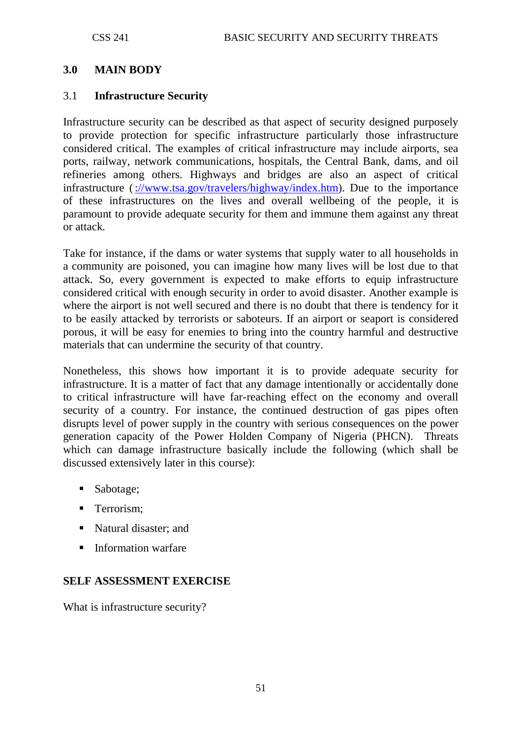#### **3.0 MAIN BODY**

#### 3.1 **Infrastructure Security**

Infrastructure security can be described as that aspect of security designed purposely to provide protection for specific infrastructure particularly those infrastructure considered critical. The examples of critical infrastructure may include airports, sea ports, railway, network communications, hospitals, the Central Bank, dams, and oil refineries among others. Highways and bridges are also an aspect of critical infrastructure [\(://www.tsa.gov/travelers/highway/index.htm\)](http://www.tsa.gov/travelers/highway/index.htm). Due to the importance of these infrastructures on the lives and overall wellbeing of the people, it is paramount to provide adequate security for them and immune them against any threat or attack.

Take for instance, if the dams or water systems that supply water to all households in a community are poisoned, you can imagine how many lives will be lost due to that attack. So, every government is expected to make efforts to equip infrastructure considered critical with enough security in order to avoid disaster. Another example is where the airport is not well secured and there is no doubt that there is tendency for it to be easily attacked by terrorists or saboteurs. If an airport or seaport is considered porous, it will be easy for enemies to bring into the country harmful and destructive materials that can undermine the security of that country.

Nonetheless, this shows how important it is to provide adequate security for infrastructure. It is a matter of fact that any damage intentionally or accidentally done to critical infrastructure will have far-reaching effect on the economy and overall security of a country. For instance, the continued destruction of gas pipes often disrupts level of power supply in the country with serious consequences on the power generation capacity of the Power Holden Company of Nigeria (PHCN). Threats which can damage infrastructure basically include the following (which shall be discussed extensively later in this course):

- Sabotage;
- **Terrorism:**
- Natural disaster; and
- **Information warfare**

### **SELF ASSESSMENT EXERCISE**

What is infrastructure security?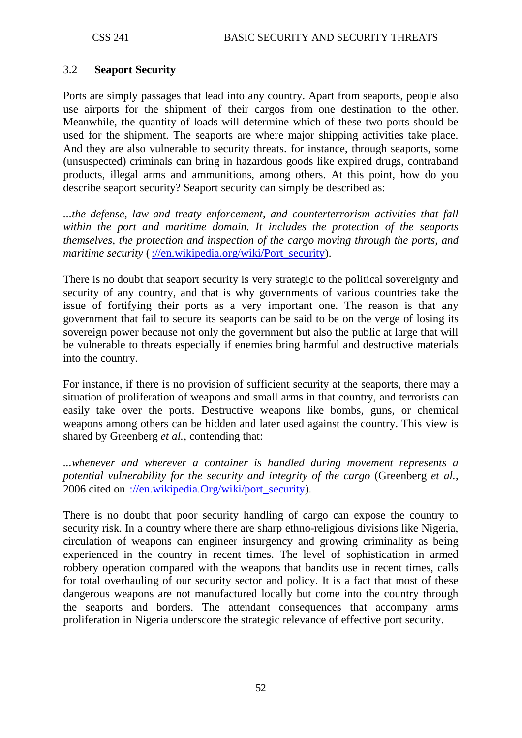### 3.2 **Seaport Security**

Ports are simply passages that lead into any country. Apart from seaports, people also use airports for the shipment of their cargos from one destination to the other. Meanwhile, the quantity of loads will determine which of these two ports should be used for the shipment. The seaports are where major shipping activities take place. And they are also vulnerable to security threats. for instance, through seaports, some (unsuspected) criminals can bring in hazardous goods like expired drugs, contraband products, illegal arms and ammunitions, among others. At this point, how do you describe seaport security? Seaport security can simply be described as:

*...the defense, law and treaty enforcement, and counterterrorism activities that fall within the port and maritime domain. It includes the protection of the seaports themselves, the protection and inspection of the cargo moving through the ports, and maritime security* [\(://en.wikipedia.org/wiki/Port\\_security\)](http://en.wikipedia.org/wiki/Port_security).

There is no doubt that seaport security is very strategic to the political sovereignty and security of any country, and that is why governments of various countries take the issue of fortifying their ports as a very important one. The reason is that any government that fail to secure its seaports can be said to be on the verge of losing its sovereign power because not only the government but also the public at large that will be vulnerable to threats especially if enemies bring harmful and destructive materials into the country.

For instance, if there is no provision of sufficient security at the seaports, there may a situation of proliferation of weapons and small arms in that country, and terrorists can easily take over the ports. Destructive weapons like bombs, guns, or chemical weapons among others can be hidden and later used against the country. This view is shared by Greenberg *et al.*, contending that:

*...whenever and wherever a container is handled during movement represents a potential vulnerability for the security and integrity of the cargo* (Greenberg *et al.*, 2006 cited on [://en.wikipedia.Org/wiki/port\\_security\)](http://en.wikipedia.org/wiki/port_security).

There is no doubt that poor security handling of cargo can expose the country to security risk. In a country where there are sharp ethno-religious divisions like Nigeria, circulation of weapons can engineer insurgency and growing criminality as being experienced in the country in recent times. The level of sophistication in armed robbery operation compared with the weapons that bandits use in recent times, calls for total overhauling of our security sector and policy. It is a fact that most of these dangerous weapons are not manufactured locally but come into the country through the seaports and borders. The attendant consequences that accompany arms proliferation in Nigeria underscore the strategic relevance of effective port security.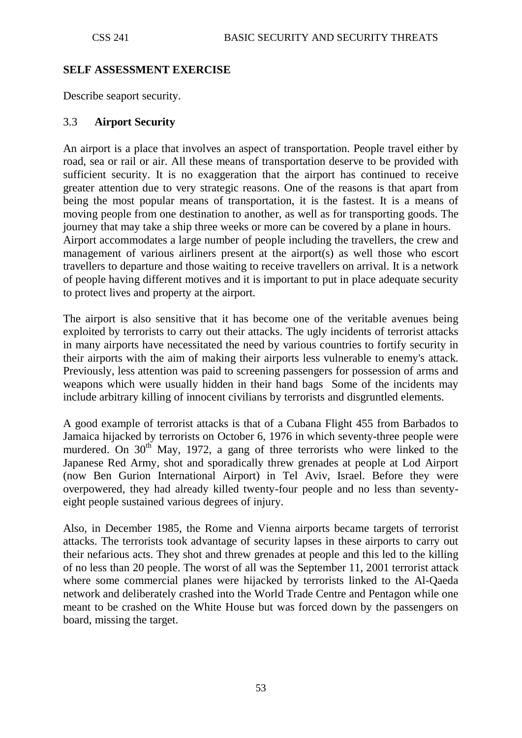### **SELF ASSESSMENT EXERCISE**

Describe seaport security.

#### 3.3 **Airport Security**

An airport is a place that involves an aspect of transportation. People travel either by road, sea or rail or air. All these means of transportation deserve to be provided with sufficient security. It is no exaggeration that the airport has continued to receive greater attention due to very strategic reasons. One of the reasons is that apart from being the most popular means of transportation, it is the fastest. It is a means of moving people from one destination to another, as well as for transporting goods. The journey that may take a ship three weeks or more can be covered by a plane in hours. Airport accommodates a large number of people including the travellers, the crew and management of various airliners present at the airport(s) as well those who escort travellers to departure and those waiting to receive travellers on arrival. It is a network of people having different motives and it is important to put in place adequate security to protect lives and property at the airport.

The airport is also sensitive that it has become one of the veritable avenues being exploited by terrorists to carry out their attacks. The ugly incidents of terrorist attacks in many airports have necessitated the need by various countries to fortify security in their airports with the aim of making their airports less vulnerable to enemy's attack. Previously, less attention was paid to screening passengers for possession of arms and weapons which were usually hidden in their hand bags Some of the incidents may include arbitrary killing of innocent civilians by terrorists and disgruntled elements.

A good example of terrorist attacks is that of a Cubana Flight 455 from Barbados to Jamaica hijacked by terrorists on October 6, 1976 in which seventy-three people were murdered. On  $30<sup>th</sup>$  May, 1972, a gang of three terrorists who were linked to the Japanese Red Army, shot and sporadically threw grenades at people at Lod Airport (now Ben Gurion International Airport) in Tel Aviv, Israel. Before they were overpowered, they had already killed twenty-four people and no less than seventyeight people sustained various degrees of injury.

Also, in December 1985, the Rome and Vienna airports became targets of terrorist attacks. The terrorists took advantage of security lapses in these airports to carry out their nefarious acts. They shot and threw grenades at people and this led to the killing of no less than 20 people. The worst of all was the September 11, 2001 terrorist attack where some commercial planes were hijacked by terrorists linked to the Al-Qaeda network and deliberately crashed into the World Trade Centre and Pentagon while one meant to be crashed on the White House but was forced down by the passengers on board, missing the target.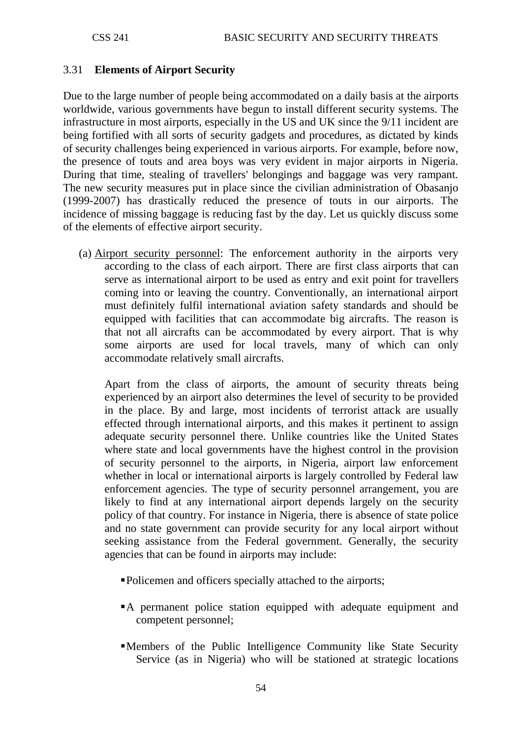#### 3.31 **Elements of Airport Security**

Due to the large number of people being accommodated on a daily basis at the airports worldwide, various governments have begun to install different security systems. The infrastructure in most airports, especially in the US and UK since the 9/11 incident are being fortified with all sorts of security gadgets and procedures, as dictated by kinds of security challenges being experienced in various airports. For example, before now, the presence of touts and area boys was very evident in major airports in Nigeria. During that time, stealing of travellers' belongings and baggage was very rampant. The new security measures put in place since the civilian administration of Obasanjo (1999-2007) has drastically reduced the presence of touts in our airports. The incidence of missing baggage is reducing fast by the day. Let us quickly discuss some of the elements of effective airport security.

(a) Airport security personnel : The enforcement authority in the airports very according to the class of each airport. There are first class airports that can serve as international airport to be used as entry and exit point for travellers coming into or leaving the country. Conventionally, an international airport must definitely fulfil international aviation safety standards and should be equipped with facilities that can accommodate big aircrafts. The reason is that not all aircrafts can be accommodated by every airport. That is why some airports are used for local travels, many of which can only accommodate relatively small aircrafts.

Apart from the class of airports, the amount of security threats being experienced by an airport also determines the level of security to be provided in the place. By and large, most incidents of terrorist attack are usually effected through international airports, and this makes it pertinent to assign adequate security personnel there. Unlike countries like the United States where state and local governments have the highest control in the provision of security personnel to the airports, in Nigeria, airport law enforcement whether in local or international airports is largely controlled by Federal law enforcement agencies. The type of security personnel arrangement, you are likely to find at any international airport depends largely on the security policy of that country. For instance in Nigeria, there is absence of state police and no state government can provide security for any local airport without seeking assistance from the Federal government. Generally, the security agencies that can be found in airports may include:

- Policemen and officers specially attached to the airports;
- A permanent police station equipped with adequate equipment and competent personnel;
- Members of the Public Intelligence Community like State Security Service (as in Nigeria) who will be stationed at strategic locations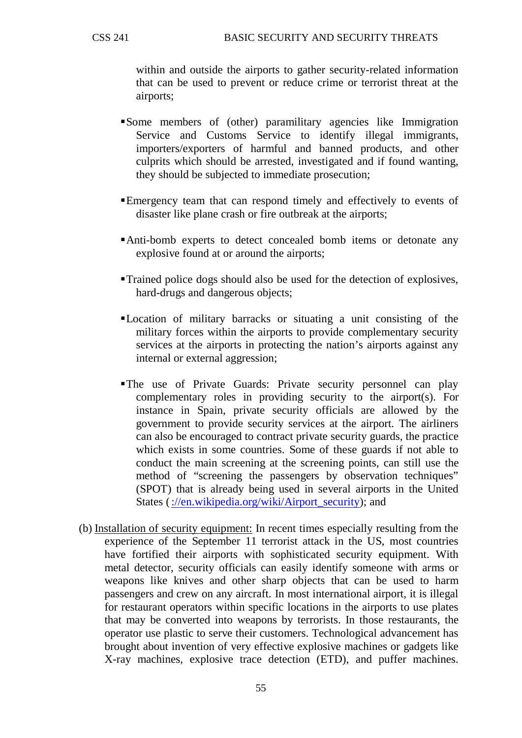within and outside the airports to gather security-related information that can be used to prevent or reduce crime or terrorist threat at the airports;

- Some members of (other) paramilitary agencies like Immigration Service and Customs Service to identify illegal immigrants, importers/exporters of harmful and banned products, and other culprits which should be arrested, investigated and if found wanting, they should be subjected to immediate prosecution;
- Emergency team that can respond timely and effectively to events of disaster like plane crash or fire outbreak at the airports;
- Anti-bomb experts to detect concealed bomb items or detonate any explosive found at or around the airports;
- Trained police dogs should also be used for the detection of explosives, hard-drugs and dangerous objects;
- Location of military barracks or situating a unit consisting of the military forces within the airports to provide complementary security services at the airports in protecting the nation's airports against any internal or external aggression;
- The use of Private Guards: Private security personnel can play complementary roles in providing security to the airport(s). For instance in Spain, private security officials are allowed by the government to provide security services at the airport. The airliners can also be encouraged to contract private security guards, the practice which exists in some countries. Some of these guards if not able to conduct the main screening at the screening points, can still use the method of "screening the passengers by observation techniques" (SPOT) that is already being used in several airports in the United States [\(://en.wikipedia.org/wiki/Airport\\_security\)](http://en.wikipedia.org/wiki/Airport_security); and
- (b) Installation of security equipment: In recent times especially resulting from the experience of the September 11 terrorist attack in the US, most countries have fortified their airports with sophisticated security equipment. With metal detector, security officials can easily identify someone with arms or weapons like knives and other sharp objects that can be used to harm passengers and crew on any aircraft. In most international airport, it is illegal for restaurant operators within specific locations in the airports to use plates that may be converted into weapons by terrorists. In those restaurants, the operator use plastic to serve their customers. Technological advancement has brought about invention of very effective explosive machines or gadgets like X-ray machines, explosive trace detection (ETD), and puffer machines.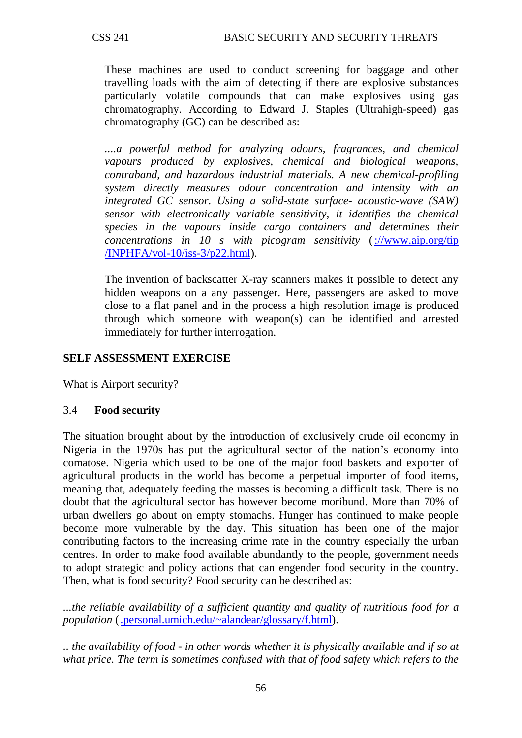These machines are used to conduct screening for baggage and other travelling loads with the aim of detecting if there are explosive substances particularly volatile compounds that can make explosives using gas chromatography. According to Edward J. Staples (Ultrahigh-speed) gas chromatography (GC) can be described as:

*....a powerful method for analyzing odours, fragrances, and chemical vapours produced by explosives, chemical and biological weapons, contraband, and hazardous industrial materials. A new chemical-profiling system directly measures odour concentration and intensity with an integrated GC sensor. Using a solid-state surface- acoustic-wave (SAW) sensor with electronically variable sensitivity, it identifies the chemical species in the vapours inside cargo containers and determines their concentrations in 10 s with picogram sensitivity* [\(://www.aip.org/tip](http://www.aip.org/tip%20/INPHFA/vol-10/iss-3/p22.html)  [/INPHFA/vol-10/iss-3/p22.html\)](http://www.aip.org/tip%20/INPHFA/vol-10/iss-3/p22.html).

The invention of backscatter X-ray scanners makes it possible to detect any hidden weapons on a any passenger. Here, passengers are asked to move close to a flat panel and in the process a high resolution image is produced through which someone with weapon(s) can be identified and arrested immediately for further interrogation.

### **SELF ASSESSMENT EXERCISE**

What is Airport security?

### 3.4 **Food security**

The situation brought about by the introduction of exclusively crude oil economy in Nigeria in the 1970s has put the agricultural sector of the nation's economy into comatose. Nigeria which used to be one of the major food baskets and exporter of agricultural products in the world has become a perpetual importer of food items, meaning that, adequately feeding the masses is becoming a difficult task. There is no doubt that the agricultural sector has however become moribund. More than 70% of urban dwellers go about on empty stomachs. Hunger has continued to make people become more vulnerable by the day. This situation has been one of the major contributing factors to the increasing crime rate in the country especially the urban centres. In order to make food available abundantly to the people, government needs to adopt strategic and policy actions that can engender food security in the country. Then, what is food security? Food security can be described as:

*...the reliable availability of a sufficient quantity and quality of nutritious food for a population* [\(.personal.umich.edu/~alandear/glossary/f.html\)](http://www.personal.umich.edu/~alandear/glossary/f.html).

*.. the availability of food - in other words whether it is physically available and if so at what price. The term is sometimes confused with that of food safety which refers to the*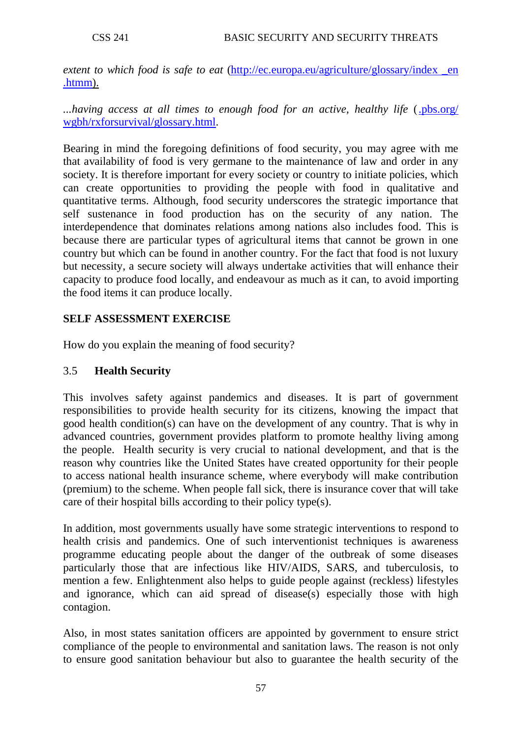extent to which food is safe to eat (http://ec.europa.eu/agriculture/glossary/index en [.htmm\)](http://ec.europa.eu/agriculture/glossary/index%20_en%20.htmm).

*...having access at all times to enough food for an active, healthy life* ( [.pbs.org/](http://www.pbs.org/%20wgbh/rxforsurvival/glossary.html)  [wgbh/rxforsurvival/glossary.html.](http://www.pbs.org/%20wgbh/rxforsurvival/glossary.html)

Bearing in mind the foregoing definitions of food security, you may agree with me that availability of food is very germane to the maintenance of law and order in any society. It is therefore important for every society or country to initiate policies, which can create opportunities to providing the people with food in qualitative and quantitative terms. Although, food security underscores the strategic importance that self sustenance in food production has on the security of any nation. The interdependence that dominates relations among nations also includes food. This is because there are particular types of agricultural items that cannot be grown in one country but which can be found in another country. For the fact that food is not luxury but necessity, a secure society will always undertake activities that will enhance their capacity to produce food locally, and endeavour as much as it can, to avoid importing the food items it can produce locally.

### **SELF ASSESSMENT EXERCISE**

How do you explain the meaning of food security?

### 3.5 **Health Security**

This involves safety against pandemics and diseases. It is part of government responsibilities to provide health security for its citizens, knowing the impact that good health condition(s) can have on the development of any country. That is why in advanced countries, government provides platform to promote healthy living among the people. Health security is very crucial to national development, and that is the reason why countries like the United States have created opportunity for their people to access national health insurance scheme, where everybody will make contribution (premium) to the scheme. When people fall sick, there is insurance cover that will take care of their hospital bills according to their policy type(s).

In addition, most governments usually have some strategic interventions to respond to health crisis and pandemics. One of such interventionist techniques is awareness programme educating people about the danger of the outbreak of some diseases particularly those that are infectious like HIV/AIDS, SARS, and tuberculosis, to mention a few. Enlightenment also helps to guide people against (reckless) lifestyles and ignorance, which can aid spread of disease(s) especially those with high contagion.

Also, in most states sanitation officers are appointed by government to ensure strict compliance of the people to environmental and sanitation laws. The reason is not only to ensure good sanitation behaviour but also to guarantee the health security of the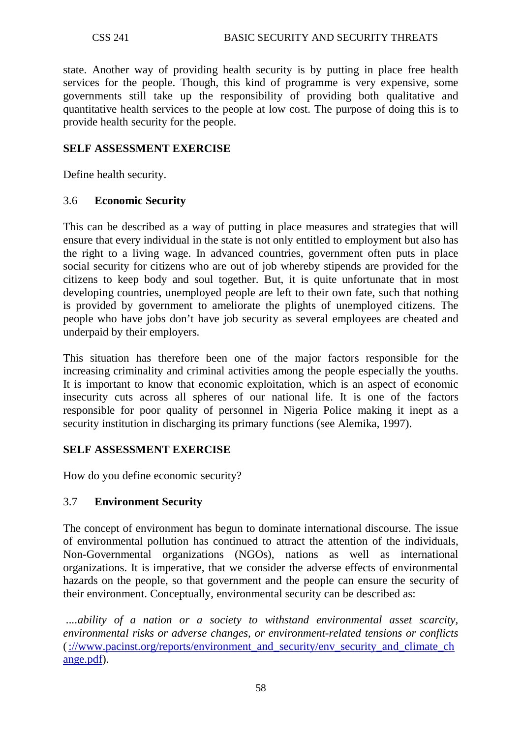state. Another way of providing health security is by putting in place free health services for the people. Though, this kind of programme is very expensive, some governments still take up the responsibility of providing both qualitative and quantitative health services to the people at low cost. The purpose of doing this is to provide health security for the people.

### **SELF ASSESSMENT EXERCISE**

Define health security.

#### 3.6 **Economic Security**

This can be described as a way of putting in place measures and strategies that will ensure that every individual in the state is not only entitled to employment but also has the right to a living wage. In advanced countries, government often puts in place social security for citizens who are out of job whereby stipends are provided for the citizens to keep body and soul together. But, it is quite unfortunate that in most developing countries, unemployed people are left to their own fate, such that nothing is provided by government to ameliorate the plights of unemployed citizens. The people who have jobs don't have job security as several employees are cheated and underpaid by their employers.

This situation has therefore been one of the major factors responsible for the increasing criminality and criminal activities among the people especially the youths. It is important to know that economic exploitation, which is an aspect of economic insecurity cuts across all spheres of our national life. It is one of the factors responsible for poor quality of personnel in Nigeria Police making it inept as a security institution in discharging its primary functions (see Alemika, 1997).

### **SELF ASSESSMENT EXERCISE**

How do you define economic security?

### 3.7 **Environment Security**

The concept of environment has begun to dominate international discourse. The issue of environmental pollution has continued to attract the attention of the individuals, Non-Governmental organizations (NGOs), nations as well as international organizations. It is imperative, that we consider the adverse effects of environmental hazards on the people, so that government and the people can ensure the security of their environment. Conceptually, environmental security can be described as:

*....ability of a nation or a society to withstand environmental asset scarcity, environmental risks or adverse changes, or environment-related tensions or conflicts*  [\(://www.pacinst.org/reports/environment\\_and\\_security/env\\_security\\_and\\_climate\\_ch](http://www.pacinst.org/reports/environment_and_security/env_security_and_climate_change.pdf) [ange.pdf\)](http://www.pacinst.org/reports/environment_and_security/env_security_and_climate_change.pdf).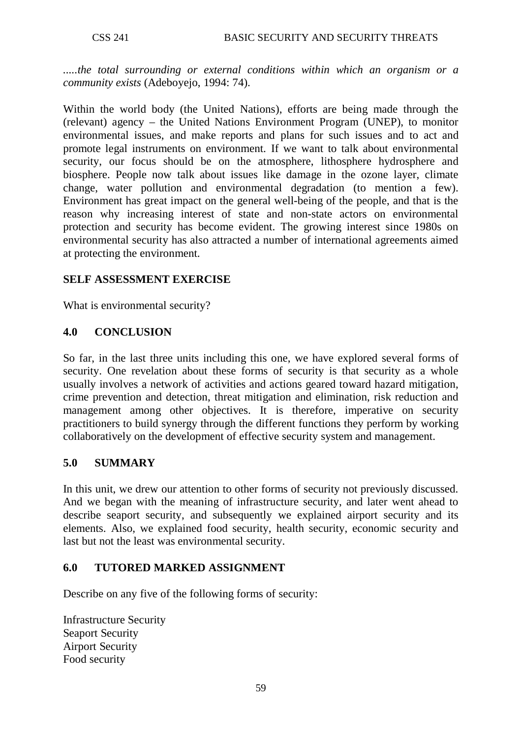*.....the total surrounding or external conditions within which an organism or a community exists* (Adeboyejo, 1994: 74).

Within the world body (the United Nations), efforts are being made through the (relevant) agency – the United Nations Environment Program (UNEP), to monitor environmental issues, and make reports and plans for such issues and to act and promote legal instruments on environment. If we want to talk about environmental security, our focus should be on the atmosphere, lithosphere hydrosphere and biosphere. People now talk about issues like damage in the ozone layer, climate change, water pollution and environmental degradation (to mention a few). Environment has great impact on the general well-being of the people, and that is the reason why increasing interest of state and non-state actors on environmental protection and security has become evident. The growing interest since 1980s on environmental security has also attracted a number of international agreements aimed at protecting the environment.

### **SELF ASSESSMENT EXERCISE**

What is environmental security?

### **4.0 CONCLUSION**

So far, in the last three units including this one, we have explored several forms of security. One revelation about these forms of security is that security as a whole usually involves a network of activities and actions geared toward hazard mitigation, crime prevention and detection, threat mitigation and elimination, risk reduction and management among other objectives. It is therefore, imperative on security practitioners to build synergy through the different functions they perform by working collaboratively on the development of effective security system and management.

### **5.0 SUMMARY**

In this unit, we drew our attention to other forms of security not previously discussed. And we began with the meaning of infrastructure security, and later went ahead to describe seaport security, and subsequently we explained airport security and its elements. Also, we explained food security, health security, economic security and last but not the least was environmental security.

### **6.0 TUTORED MARKED ASSIGNMENT**

Describe on any five of the following forms of security:

Infrastructure Security Seaport Security Airport Security Food security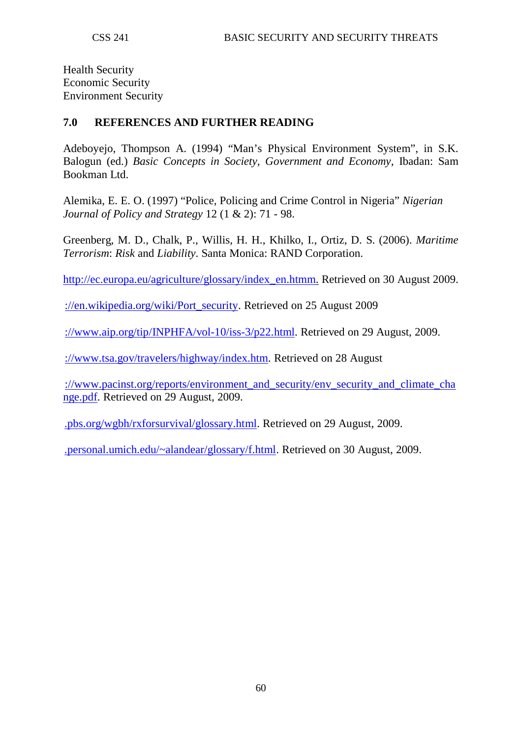Health Security Economic Security Environment Security

### **7.0 REFERENCES AND FURTHER READING**

Adeboyejo, Thompson A. (1994) "Man's Physical Environment System", in S.K. Balogun (ed.) *Basic Concepts in Society, Government and Economy*, Ibadan: Sam Bookman Ltd.

Alemika, E. E. O. (1997) "Police, Policing and Crime Control in Nigeria" *Nigerian Journal of Policy and Strategy* 12 (1 & 2): 71 - 98.

Greenberg, M. D., Chalk, P., Willis, H. H., Khilko, I., Ortiz, D. S. (2006). *Maritime Terrorism*: *Risk* and *Liability*. Santa Monica: RAND Corporation.

[http://ec.europa.eu/agriculture/glossary/index\\_en.htmm.](http://ec.europa.eu/agriculture/glossary/index_en.htmm) Retrieved on 30 August 2009.

[://en.wikipedia.org/wiki/Port\\_security.](http://en.wikipedia.org/wiki/Port_security) Retrieved on 25 August 2009

[://www.aip.org/tip/INPHFA/vol-10/iss-3/p22.html.](http://www.aip.org/tip/INPHFA/vol-10/iss-3/p22.html) Retrieved on 29 August, 2009.

[://www.tsa.gov/travelers/highway/index.htm.](http://www.tsa.gov/travelers/highway/index.htm) Retrieved on 28 August

[://www.pacinst.org/reports/environment\\_and\\_security/env\\_security\\_and\\_climate\\_cha](http://www.pacinst.org/reports/environment_and_security/env_security_and_climate_change.pdf) [nge.pdf.](http://www.pacinst.org/reports/environment_and_security/env_security_and_climate_change.pdf) Retrieved on 29 August, 2009.

[.pbs.org/wgbh/rxforsurvival/glossary.html.](http://www.pbs.org/wgbh/rxforsurvival/glossary.html) Retrieved on 29 August, 2009.

[.personal.umich.edu/~alandear/glossary/f.html.](http://www.personal.umich.edu/~alandear/glossary/f.html) Retrieved on 30 August, 2009.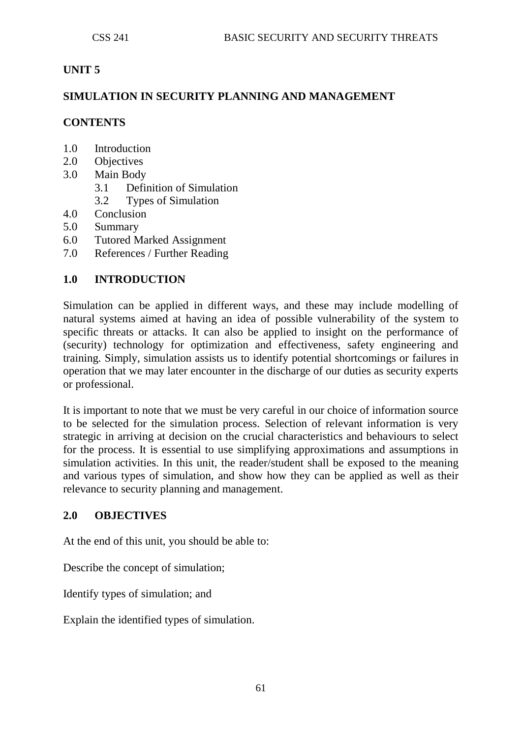# **UNIT 5**

### **SIMULATION IN SECURITY PLANNING AND MANAGEMENT**

# **CONTENTS**

- 1.0 Introduction
- 2.0 Objectives
- 3.0 Main Body
	- 3.1 Definition of Simulation
	- 3.2 Types of Simulation
- 4.0 Conclusion
- 5.0 Summary
- 6.0 Tutored Marked Assignment
- 7.0 References / Further Reading

### **1.0 INTRODUCTION**

Simulation can be applied in different ways, and these may include modelling of natural systems aimed at having an idea of possible vulnerability of the system to specific threats or attacks. It can also be applied to insight on the performance of (security) technology for optimization and effectiveness, safety engineering and training. Simply, simulation assists us to identify potential shortcomings or failures in operation that we may later encounter in the discharge of our duties as security experts or professional.

It is important to note that we must be very careful in our choice of information source to be selected for the simulation process. Selection of relevant information is very strategic in arriving at decision on the crucial characteristics and behaviours to select for the process. It is essential to use simplifying approximations and assumptions in simulation activities. In this unit, the reader/student shall be exposed to the meaning and various types of simulation, and show how they can be applied as well as their relevance to security planning and management.

### **2.0 OBJECTIVES**

At the end of this unit, you should be able to:

Describe the concept of simulation;

Identify types of simulation; and

Explain the identified types of simulation.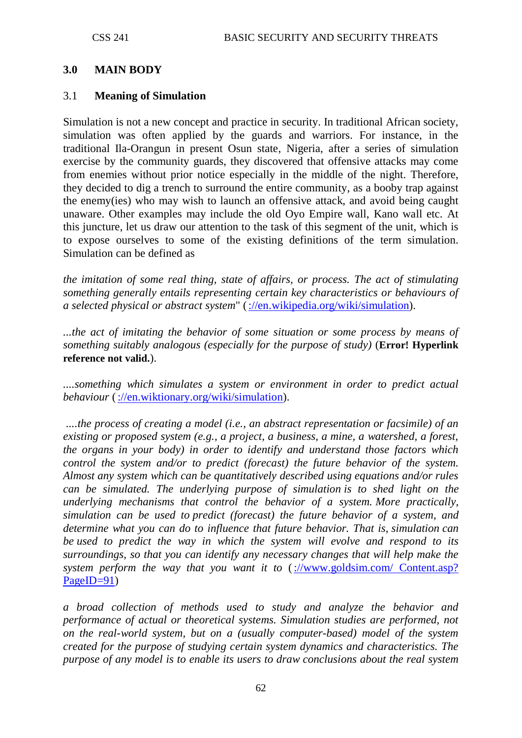#### **3.0 MAIN BODY**

#### 3.1 **Meaning of Simulation**

Simulation is not a new concept and practice in security. In traditional African society, simulation was often applied by the guards and warriors. For instance, in the traditional Ila-Orangun in present Osun state, Nigeria, after a series of simulation exercise by the community guards, they discovered that offensive attacks may come from enemies without prior notice especially in the middle of the night. Therefore, they decided to dig a trench to surround the entire community, as a booby trap against the enemy(ies) who may wish to launch an offensive attack, and avoid being caught unaware. Other examples may include the old Oyo Empire wall, Kano wall etc. At this juncture, let us draw our attention to the task of this segment of the unit, which is to expose ourselves to some of the existing definitions of the term simulation. Simulation can be defined as

*the imitation of some real thing, state of affairs, or process. The act of stimulating something generally entails representing certain key characteristics or behaviours of a selected physical or abstract system*" [\(://en.wikipedia.org/wiki/simulation\)](http://en.wikipedia.org/wiki/simulation).

*...the act of imitating the behavior of some situation or some process by means of something suitably analogous (especially for the purpose of study)* (**Error! Hyperlink reference not valid.**).

*....something which simulates a system or environment in order to predict actual behaviour* [\(://en.wiktionary.org/wiki/simulation\)](http://en.wiktionary.org/wiki/simulation).

*....the process of creating a model (i.e., an abstract representation or facsimile) of an existing or proposed system (e.g., a project, a business, a mine, a watershed, a forest, the organs in your body) in order to identify and understand those factors which control the system and/or to predict (forecast) the future behavior of the system. Almost any system which can be quantitatively described using equations and/or rules can be simulated. The underlying purpose of simulation is to shed light on the underlying mechanisms that control the behavior of a system. More practically, simulation can be used to predict (forecast) the future behavior of a system, and determine what you can do to influence that future behavior. That is, simulation can be used to predict the way in which the system will evolve and respond to its surroundings, so that you can identify any necessary changes that will help make the system perform the way that you want it to* (://www.goldsim.com/ Content.asp? [PageID=91\)](http://www.goldsim.com/%20Content.asp?%20PageID=91)

*a broad collection of methods used to study and analyze the behavior and performance of actual or theoretical systems. Simulation studies are performed, not on the real-world system, but on a (usually computer-based) model of the system created for the purpose of studying certain system dynamics and characteristics. The purpose of any model is to enable its users to draw conclusions about the real system*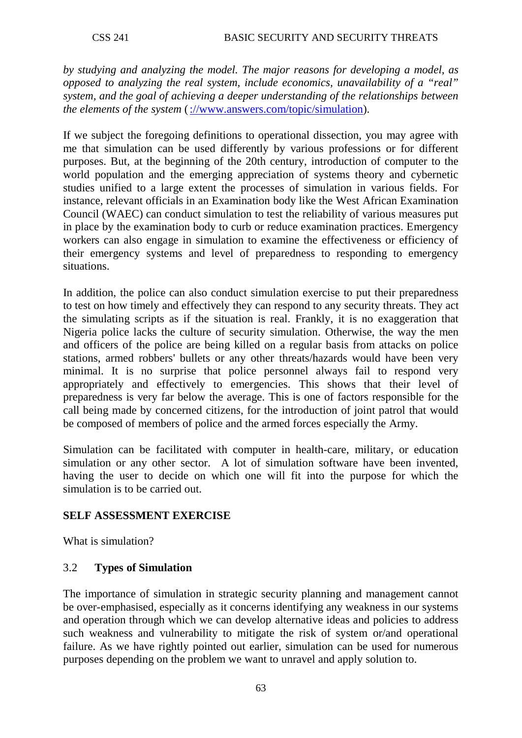*by studying and analyzing the model. The major reasons for developing a model, as opposed to analyzing the real system, include economics, unavailability of a "real" system, and the goal of achieving a deeper understanding of the relationships between the elements of the system* [\(://www.answers.com/topic/simulation\)](http://www.answers.com/topic/simulation).

If we subject the foregoing definitions to operational dissection, you may agree with me that simulation can be used differently by various professions or for different purposes. But, at the beginning of the 20th century, introduction of computer to the world population and the emerging appreciation of systems theory and cybernetic studies unified to a large extent the processes of simulation in various fields. For instance, relevant officials in an Examination body like the West African Examination Council (WAEC) can conduct simulation to test the reliability of various measures put in place by the examination body to curb or reduce examination practices. Emergency workers can also engage in simulation to examine the effectiveness or efficiency of their emergency systems and level of preparedness to responding to emergency situations.

In addition, the police can also conduct simulation exercise to put their preparedness to test on how timely and effectively they can respond to any security threats. They act the simulating scripts as if the situation is real. Frankly, it is no exaggeration that Nigeria police lacks the culture of security simulation. Otherwise, the way the men and officers of the police are being killed on a regular basis from attacks on police stations, armed robbers' bullets or any other threats/hazards would have been very minimal. It is no surprise that police personnel always fail to respond very appropriately and effectively to emergencies. This shows that their level of preparedness is very far below the average. This is one of factors responsible for the call being made by concerned citizens, for the introduction of joint patrol that would be composed of members of police and the armed forces especially the Army.

Simulation can be facilitated with computer in health-care, military, or education simulation or any other sector. A lot of simulation software have been invented, having the user to decide on which one will fit into the purpose for which the simulation is to be carried out.

# **SELF ASSESSMENT EXERCISE**

What is simulation?

### 3.2 **Types of Simulation**

The importance of simulation in strategic security planning and management cannot be over-emphasised, especially as it concerns identifying any weakness in our systems and operation through which we can develop alternative ideas and policies to address such weakness and vulnerability to mitigate the risk of system or/and operational failure. As we have rightly pointed out earlier, simulation can be used for numerous purposes depending on the problem we want to unravel and apply solution to.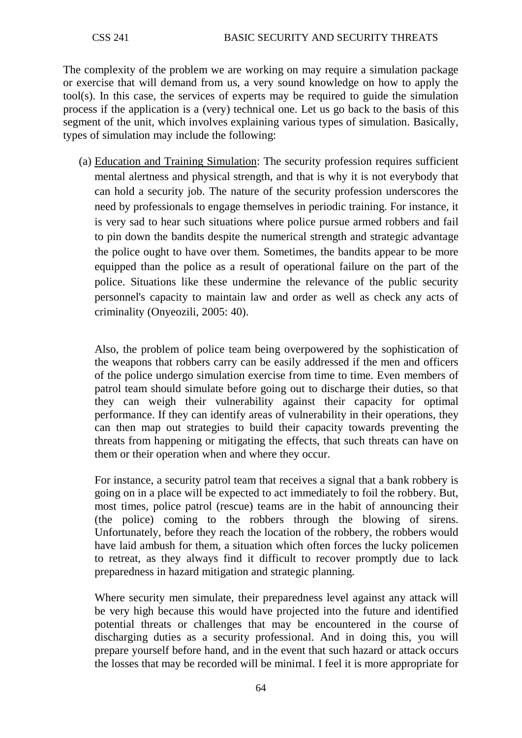The complexity of the problem we are working on may require a simulation package or exercise that will demand from us, a very sound knowledge on how to apply the tool(s). In this case, the services of experts may be required to guide the simulation process if the application is a (very) technical one. Let us go back to the basis of this segment of the unit, which involves explaining various types of simulation. Basically, types of simulation may include the following:

(a) Education and Training Simulation : The security profession requires sufficient mental alertness and physical strength, and that is why it is not everybody that can hold a security job. The nature of the security profession underscores the need by professionals to engage themselves in periodic training. For instance, it is very sad to hear such situations where police pursue armed robbers and fail to pin down the bandits despite the numerical strength and strategic advantage the police ought to have over them. Sometimes, the bandits appear to be more equipped than the police as a result of operational failure on the part of the police. Situations like these undermine the relevance of the public security personnel's capacity to maintain law and order as well as check any acts of criminality (Onyeozili, 2005: 40).

Also, the problem of police team being overpowered by the sophistication of the weapons that robbers carry can be easily addressed if the men and officers of the police undergo simulation exercise from time to time. Even members of patrol team should simulate before going out to discharge their duties, so that they can weigh their vulnerability against their capacity for optimal performance. If they can identify areas of vulnerability in their operations, they can then map out strategies to build their capacity towards preventing the threats from happening or mitigating the effects, that such threats can have on them or their operation when and where they occur.

For instance, a security patrol team that receives a signal that a bank robbery is going on in a place will be expected to act immediately to foil the robbery. But, most times, police patrol (rescue) teams are in the habit of announcing their (the police) coming to the robbers through the blowing of sirens. Unfortunately, before they reach the location of the robbery, the robbers would have laid ambush for them, a situation which often forces the lucky policemen to retreat, as they always find it difficult to recover promptly due to lack preparedness in hazard mitigation and strategic planning.

Where security men simulate, their preparedness level against any attack will be very high because this would have projected into the future and identified potential threats or challenges that may be encountered in the course of discharging duties as a security professional. And in doing this, you will prepare yourself before hand, and in the event that such hazard or attack occurs the losses that may be recorded will be minimal. I feel it is more appropriate for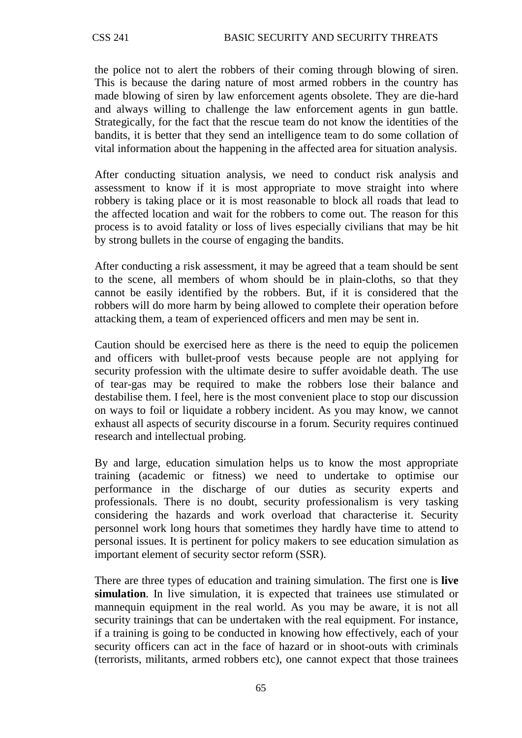the police not to alert the robbers of their coming through blowing of siren. This is because the daring nature of most armed robbers in the country has made blowing of siren by law enforcement agents obsolete. They are die-hard and always willing to challenge the law enforcement agents in gun battle. Strategically, for the fact that the rescue team do not know the identities of the bandits, it is better that they send an intelligence team to do some collation of vital information about the happening in the affected area for situation analysis.

After conducting situation analysis, we need to conduct risk analysis and assessment to know if it is most appropriate to move straight into where robbery is taking place or it is most reasonable to block all roads that lead to the affected location and wait for the robbers to come out. The reason for this process is to avoid fatality or loss of lives especially civilians that may be hit by strong bullets in the course of engaging the bandits.

After conducting a risk assessment, it may be agreed that a team should be sent to the scene, all members of whom should be in plain-cloths, so that they cannot be easily identified by the robbers. But, if it is considered that the robbers will do more harm by being allowed to complete their operation before attacking them, a team of experienced officers and men may be sent in.

Caution should be exercised here as there is the need to equip the policemen and officers with bullet-proof vests because people are not applying for security profession with the ultimate desire to suffer avoidable death. The use of tear-gas may be required to make the robbers lose their balance and destabilise them. I feel, here is the most convenient place to stop our discussion on ways to foil or liquidate a robbery incident. As you may know, we cannot exhaust all aspects of security discourse in a forum. Security requires continued research and intellectual probing.

By and large, education simulation helps us to know the most appropriate training (academic or fitness) we need to undertake to optimise our performance in the discharge of our duties as security experts and professionals. There is no doubt, security professionalism is very tasking considering the hazards and work overload that characterise it. Security personnel work long hours that sometimes they hardly have time to attend to personal issues. It is pertinent for policy makers to see education simulation as important element of security sector reform (SSR).

There are three types of education and training simulation. The first one is **live simulation**. In live simulation, it is expected that trainees use stimulated or mannequin equipment in the real world. As you may be aware, it is not all security trainings that can be undertaken with the real equipment. For instance, if a training is going to be conducted in knowing how effectively, each of your security officers can act in the face of hazard or in shoot-outs with criminals (terrorists, militants, armed robbers etc), one cannot expect that those trainees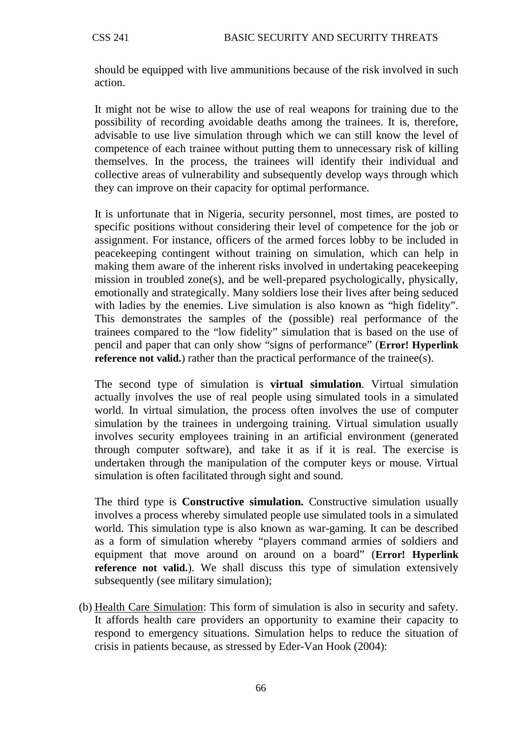should be equipped with live ammunitions because of the risk involved in such action.

It might not be wise to allow the use of real weapons for training due to the possibility of recording avoidable deaths among the trainees. It is, therefore, advisable to use live simulation through which we can still know the level of competence of each trainee without putting them to unnecessary risk of killing themselves. In the process, the trainees will identify their individual and collective areas of vulnerability and subsequently develop ways through which they can improve on their capacity for optimal performance.

It is unfortunate that in Nigeria, security personnel, most times, are posted to specific positions without considering their level of competence for the job or assignment. For instance, officers of the armed forces lobby to be included in peacekeeping contingent without training on simulation, which can help in making them aware of the inherent risks involved in undertaking peacekeeping mission in troubled zone(s), and be well-prepared psychologically, physically, emotionally and strategically. Many soldiers lose their lives after being seduced with ladies by the enemies. Live simulation is also known as "high fidelity". This demonstrates the samples of the (possible) real performance of the trainees compared to the "low fidelity" simulation that is based on the use of pencil and paper that can only show "signs of performance" (**Error! Hyperlink reference not valid.**) rather than the practical performance of the trainee(s).

The second type of simulation is **virtual simulation**. Virtual simulation actually involves the use of real people using simulated tools in a simulated world. In virtual simulation, the process often involves the use of computer simulation by the trainees in undergoing training. Virtual simulation usually involves security employees training in an artificial environment (generated through computer software), and take it as if it is real. The exercise is undertaken through the manipulation of the computer keys or mouse. Virtual simulation is often facilitated through sight and sound.

The third type is **Constructive simulation.** Constructive simulation usually involves a process whereby simulated people use simulated tools in a simulated world. This simulation type is also known as war-gaming. It can be described as a form of simulation whereby "players command armies of soldiers and equipment that move around on around on a board" (**Error! Hyperlink reference not valid.**). We shall discuss this type of simulation extensively subsequently (see military simulation);

(b) Health Care Simulation: This form of simulation is also in security and safety. It affords health care providers an opportunity to examine their capacity to respond to emergency situations. Simulation helps to reduce the situation of crisis in patients because, as stressed by Eder-Van Hook (2004):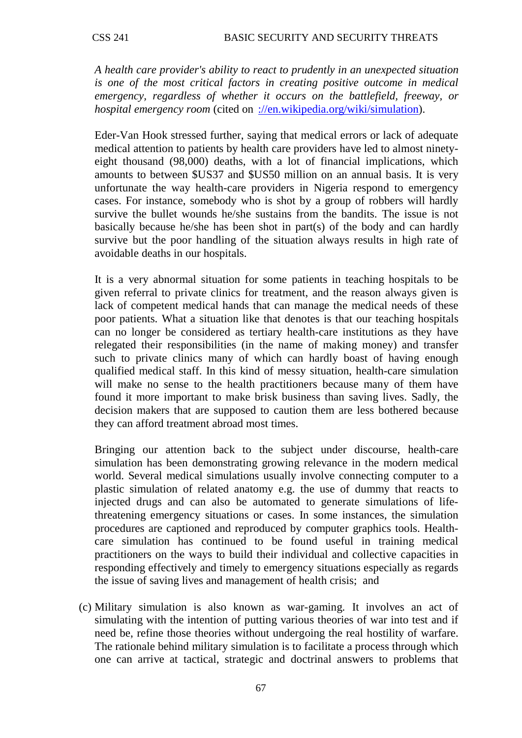*A health care provider's ability to react to prudently in an unexpected situation is one of the most critical factors in creating positive outcome in medical emergency, regardless of whether it occurs on the battlefield, freeway, or hospital emergency room* (cited on [://en.wikipedia.org/wiki/simulation\)](http://en.wikipedia.org/wiki/simulation).

Eder-Van Hook stressed further, saying that medical errors or lack of adequate medical attention to patients by health care providers have led to almost ninetyeight thousand (98,000) deaths, with a lot of financial implications, which amounts to between \$US37 and \$US50 million on an annual basis. It is very unfortunate the way health-care providers in Nigeria respond to emergency cases. For instance, somebody who is shot by a group of robbers will hardly survive the bullet wounds he/she sustains from the bandits. The issue is not basically because he/she has been shot in part(s) of the body and can hardly survive but the poor handling of the situation always results in high rate of avoidable deaths in our hospitals.

It is a very abnormal situation for some patients in teaching hospitals to be given referral to private clinics for treatment, and the reason always given is lack of competent medical hands that can manage the medical needs of these poor patients. What a situation like that denotes is that our teaching hospitals can no longer be considered as tertiary health-care institutions as they have relegated their responsibilities (in the name of making money) and transfer such to private clinics many of which can hardly boast of having enough qualified medical staff. In this kind of messy situation, health-care simulation will make no sense to the health practitioners because many of them have found it more important to make brisk business than saving lives. Sadly, the decision makers that are supposed to caution them are less bothered because they can afford treatment abroad most times.

Bringing our attention back to the subject under discourse, health-care simulation has been demonstrating growing relevance in the modern medical world. Several medical simulations usually involve connecting computer to a plastic simulation of related anatomy e.g. the use of dummy that reacts to injected drugs and can also be automated to generate simulations of lifethreatening emergency situations or cases. In some instances, the simulation procedures are captioned and reproduced by computer graphics tools. Healthcare simulation has continued to be found useful in training medical practitioners on the ways to build their individual and collective capacities in responding effectively and timely to emergency situations especially as regards the issue of saving lives and management of health crisis; and

(c) Military simulation is also known as war-gaming. It involves an act of simulating with the intention of putting various theories of war into test and if need be, refine those theories without undergoing the real hostility of warfare. The rationale behind military simulation is to facilitate a process through which one can arrive at tactical, strategic and doctrinal answers to problems that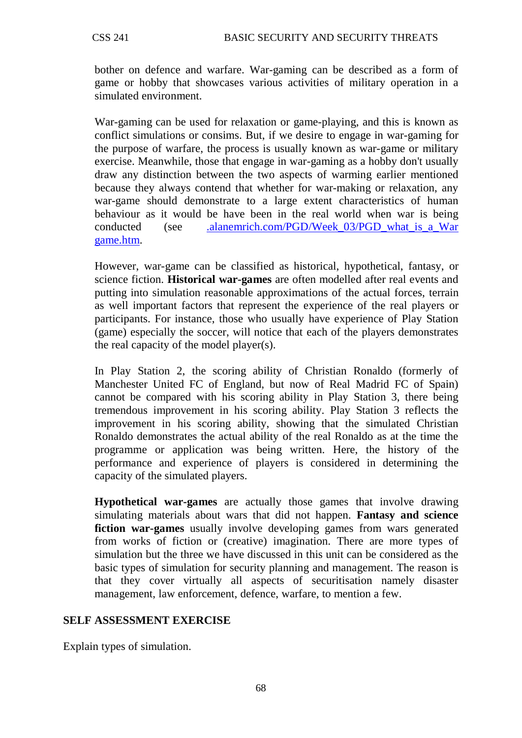bother on defence and warfare. War-gaming can be described as a form of game or hobby that showcases various activities of military operation in a simulated environment.

War-gaming can be used for relaxation or game-playing, and this is known as conflict simulations or consims. But, if we desire to engage in war-gaming for the purpose of warfare, the process is usually known as war-game or military exercise. Meanwhile, those that engage in war-gaming as a hobby don't usually draw any distinction between the two aspects of warming earlier mentioned because they always contend that whether for war-making or relaxation, any war-game should demonstrate to a large extent characteristics of human behaviour as it would be have been in the real world when war is being conducted (see .alanemrich.com/PGD/Week 03/PGD what is a War [game.htm.](http://www.alanemrich.com/PGD/Week_03/PGD_what_is_a_War%20game.htm)

However, war-game can be classified as historical, hypothetical, fantasy, or science fiction. **Historical war-games** are often modelled after real events and putting into simulation reasonable approximations of the actual forces, terrain as well important factors that represent the experience of the real players or participants. For instance, those who usually have experience of Play Station (game) especially the soccer, will notice that each of the players demonstrates the real capacity of the model player(s).

In Play Station 2, the scoring ability of Christian Ronaldo (formerly of Manchester United FC of England, but now of Real Madrid FC of Spain) cannot be compared with his scoring ability in Play Station 3, there being tremendous improvement in his scoring ability. Play Station 3 reflects the improvement in his scoring ability, showing that the simulated Christian Ronaldo demonstrates the actual ability of the real Ronaldo as at the time the programme or application was being written. Here, the history of the performance and experience of players is considered in determining the capacity of the simulated players.

**Hypothetical war-games** are actually those games that involve drawing simulating materials about wars that did not happen. **Fantasy and science fiction war-games** usually involve developing games from wars generated from works of fiction or (creative) imagination. There are more types of simulation but the three we have discussed in this unit can be considered as the basic types of simulation for security planning and management. The reason is that they cover virtually all aspects of securitisation namely disaster management, law enforcement, defence, warfare, to mention a few.

### **SELF ASSESSMENT EXERCISE**

Explain types of simulation.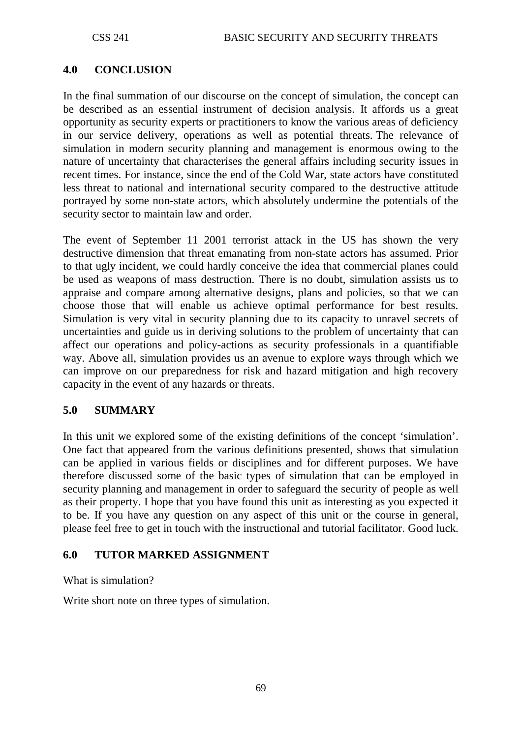# **4.0 CONCLUSION**

In the final summation of our discourse on the concept of simulation, the concept can be described as an essential instrument of decision analysis. It affords us a great opportunity as security experts or practitioners to know the various areas of deficiency in our service delivery, operations as well as potential threats. The relevance of simulation in modern security planning and management is enormous owing to the nature of uncertainty that characterises the general affairs including security issues in recent times. For instance, since the end of the Cold War, state actors have constituted less threat to national and international security compared to the destructive attitude portrayed by some non-state actors, which absolutely undermine the potentials of the security sector to maintain law and order.

The event of September 11 2001 terrorist attack in the US has shown the very destructive dimension that threat emanating from non-state actors has assumed. Prior to that ugly incident, we could hardly conceive the idea that commercial planes could be used as weapons of mass destruction. There is no doubt, simulation assists us to appraise and compare among alternative designs, plans and policies, so that we can choose those that will enable us achieve optimal performance for best results. Simulation is very vital in security planning due to its capacity to unravel secrets of uncertainties and guide us in deriving solutions to the problem of uncertainty that can affect our operations and policy-actions as security professionals in a quantifiable way. Above all, simulation provides us an avenue to explore ways through which we can improve on our preparedness for risk and hazard mitigation and high recovery capacity in the event of any hazards or threats.

### **5.0 SUMMARY**

In this unit we explored some of the existing definitions of the concept 'simulation'. One fact that appeared from the various definitions presented, shows that simulation can be applied in various fields or disciplines and for different purposes. We have therefore discussed some of the basic types of simulation that can be employed in security planning and management in order to safeguard the security of people as well as their property. I hope that you have found this unit as interesting as you expected it to be. If you have any question on any aspect of this unit or the course in general, please feel free to get in touch with the instructional and tutorial facilitator. Good luck.

### **6.0 TUTOR MARKED ASSIGNMENT**

What is simulation?

Write short note on three types of simulation.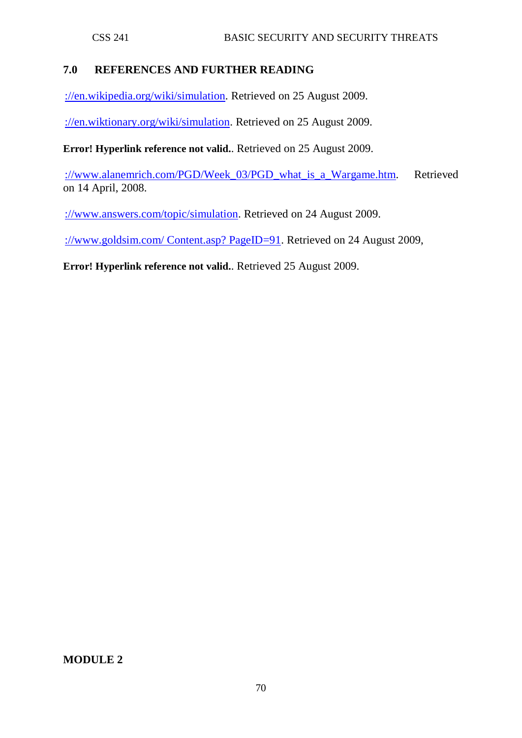# **7.0 REFERENCES AND FURTHER READING**

[://en.wikipedia.org/wiki/simulation.](http://en.wikipedia.org/wiki/simulation) Retrieved on 25 August 2009.

[://en.wiktionary.org/wiki/simulation.](http://en.wiktionary.org/wiki/simulation) Retrieved on 25 August 2009.

**Error! Hyperlink reference not valid.**. Retrieved on 25 August 2009.

[://www.alanemrich.com/PGD/Week\\_03/PGD\\_what\\_is\\_a\\_Wargame.htm.](http://www.alanemrich.com/PGD/Week_03/PGD_what_is_a_Wargame.htm) Retrieved on 14 April, 2008.

[://www.answers.com/topic/simulation.](http://www.answers.com/topic/simulation) Retrieved on 24 August 2009.

[://www.goldsim.com/ Content.asp? PageID=91.](http://www.goldsim.com/%20Content.asp?%20PageID=91) Retrieved on 24 August 2009,

**Error! Hyperlink reference not valid.**. Retrieved 25 August 2009.

**MODULE 2**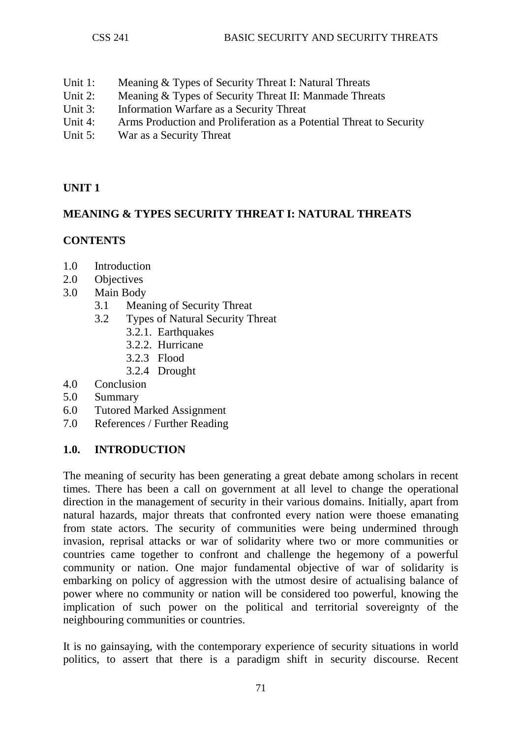- Unit 1: Meaning & Types of Security Threat I: Natural Threats
- Unit 2: Meaning & Types of Security Threat II: Manmade Threats
- Unit 3: Information Warfare as a Security Threat
- Unit 4: Arms Production and Proliferation as a Potential Threat to Security<br>
Unit 5: War as a Security Threat
- War as a Security Threat

# **UNIT 1**

# **MEANING & TYPES SECURITY THREAT I: NATURAL THREATS**

# **CONTENTS**

- 1.0 Introduction
- 2.0 Objectives
- 3.0 Main Body
	- 3.1 Meaning of Security Threat
	- 3.2 Types of Natural Security Threat
		- 3.2.1. Earthquakes
		- 3.2.2. Hurricane
		- 3.2.3 Flood
		- 3.2.4 Drought
- 4.0 Conclusion
- 5.0 Summary
- 6.0 Tutored Marked Assignment
- 7.0 References / Further Reading

# **1.0. INTRODUCTION**

The meaning of security has been generating a great debate among scholars in recent times. There has been a call on government at all level to change the operational direction in the management of security in their various domains. Initially, apart from natural hazards, major threats that confronted every nation were thoese emanating from state actors. The security of communities were being undermined through invasion, reprisal attacks or war of solidarity where two or more communities or countries came together to confront and challenge the hegemony of a powerful community or nation. One major fundamental objective of war of solidarity is embarking on policy of aggression with the utmost desire of actualising balance of power where no community or nation will be considered too powerful, knowing the implication of such power on the political and territorial sovereignty of the neighbouring communities or countries.

It is no gainsaying, with the contemporary experience of security situations in world politics, to assert that there is a paradigm shift in security discourse. Recent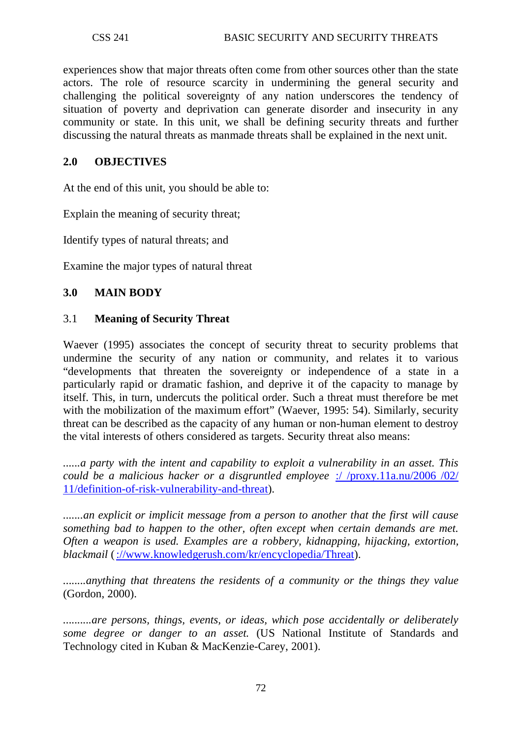experiences show that major threats often come from other sources other than the state actors. The role of resource scarcity in undermining the general security and challenging the political sovereignty of any nation underscores the tendency of situation of poverty and deprivation can generate disorder and insecurity in any community or state. In this unit, we shall be defining security threats and further discussing the natural threats as manmade threats shall be explained in the next unit.

### **2.0 OBJECTIVES**

At the end of this unit, you should be able to:

Explain the meaning of security threat;

Identify types of natural threats; and

Examine the major types of natural threat

### **3.0 MAIN BODY**

#### 3.1 **Meaning of Security Threat**

Waever (1995) associates the concept of security threat to security problems that undermine the security of any nation or community, and relates it to various "developments that threaten the sovereignty or independence of a state in a particularly rapid or dramatic fashion, and deprive it of the capacity to manage by itself. This, in turn, undercuts the political order. Such a threat must therefore be met with the mobilization of the maximum effort" (Waever, 1995: 54). Similarly, security threat can be described as the capacity of any human or non-human element to destroy the vital interests of others considered as targets. Security threat also means:

*......a party with the intent and capability to exploit a vulnerability in an asset. This could be a malicious hacker or a disgruntled employee* [:/ /proxy.11a.nu/2006 /02/](http://proxy.11a.nu/2006/02/11/definition-of-risk-vulnerability-and-threat)  [11/definition-of-risk-vulnerability-and-threat\)](http://proxy.11a.nu/2006/02/11/definition-of-risk-vulnerability-and-threat).

*.......an explicit or implicit message from a person to another that the first will cause something bad to happen to the other, often except when certain demands are met. Often a [weapon](http://www.knowledgerush.com/kr/encyclopedia/Weapon/) is used. Examples are a [robbery,](http://www.knowledgerush.com/kr/encyclopedia/Robbery/) [kidnapping,](http://www.knowledgerush.com/kr/encyclopedia/Kidnapping/) [hijacking,](http://www.knowledgerush.com/kr/encyclopedia/Hijacking/) [extortion,](http://www.knowledgerush.com/kr/encyclopedia/Extortion/) [blackmail](http://www.knowledgerush.com/kr/encyclopedia/Blackmail/)* [\(://www.knowledgerush.com/kr/encyclopedia/Threat\)](http://www.knowledgerush.com/kr/encyclopedia/Threat).

*........anything that threatens the residents of a community or the things they value*  (Gordon, 2000).

*..........are persons, things, events, or ideas, which pose accidentally or deliberately some degree or danger to an asset.* (US National Institute of Standards and Technology cited in Kuban & MacKenzie-Carey, 2001).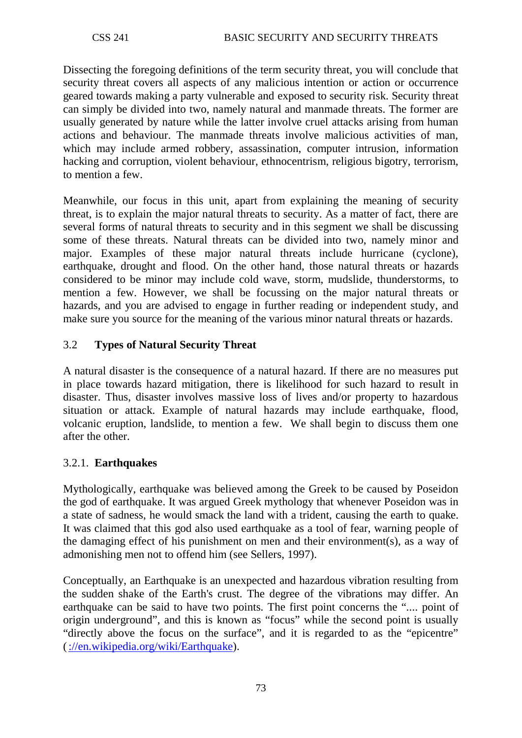Dissecting the foregoing definitions of the term security threat, you will conclude that security threat covers all aspects of any malicious intention or action or occurrence geared towards making a party vulnerable and exposed to security risk. Security threat can simply be divided into two, namely natural and manmade threats. The former are usually generated by nature while the latter involve cruel attacks arising from human actions and behaviour. The manmade threats involve malicious activities of man, which may include armed robbery, assassination, computer intrusion, information hacking and corruption, violent behaviour, ethnocentrism, religious bigotry, terrorism, to mention a few.

Meanwhile, our focus in this unit, apart from explaining the meaning of security threat, is to explain the major natural threats to security. As a matter of fact, there are several forms of natural threats to security and in this segment we shall be discussing some of these threats. Natural threats can be divided into two, namely minor and major. Examples of these major natural threats include hurricane (cyclone), earthquake, drought and flood. On the other hand, those natural threats or hazards considered to be minor may include cold wave, storm, mudslide, thunderstorms, to mention a few. However, we shall be focussing on the major natural threats or hazards, and you are advised to engage in further reading or independent study, and make sure you source for the meaning of the various minor natural threats or hazards.

# 3.2 **Types of Natural Security Threat**

A natural disaster is the consequence of a natural hazard. If there are no measures put in place towards hazard mitigation, there is likelihood for such hazard to result in disaster. Thus, disaster involves massive loss of lives and/or property to hazardous situation or attack. Example of natural hazards may include earthquake, flood, volcanic eruption, landslide, to mention a few. We shall begin to discuss them one after the other.

# 3.2.1. **Earthquakes**

Mythologically, earthquake was believed among the Greek to be caused by Poseidon the god of earthquake. It was argued Greek mythology that whenever Poseidon was in a state of sadness, he would smack the land with a trident, causing the earth to quake. It was claimed that this god also used earthquake as a tool of fear, warning people of the damaging effect of his punishment on men and their environment(s), as a way of admonishing men not to offend him (see Sellers, 1997).

Conceptually, an Earthquake is an unexpected and hazardous vibration resulting from the sudden shake of the Earth's crust. The degree of the vibrations may differ. An earthquake can be said to have two points. The first point concerns the ".... point of origin underground", and this is known as "focus" while the second point is usually "directly above the focus on the surface", and it is regarded to as the "epicentre" [\(://en.wikipedia.org/wiki/Earthquake\)](http://en.wikipedia.org/wiki/Earthquake).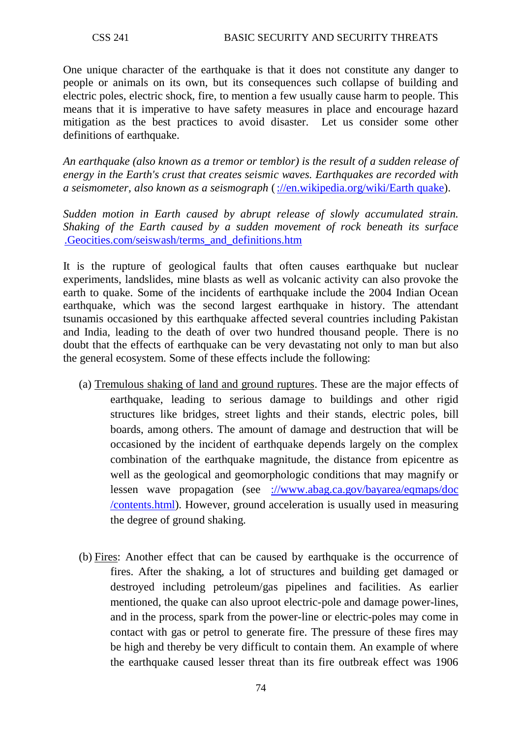One unique character of the earthquake is that it does not constitute any danger to people or animals on its own, but its consequences such collapse of building and electric poles, electric shock, fire, to mention a few usually cause harm to people. This means that it is imperative to have safety measures in place and encourage hazard mitigation as the best practices to avoid disaster. Let us consider some other definitions of earthquake.

*An earthquake (also known as a tremor or temblor) is the result of a sudden release of energy in the Earth's crust that creates seismic waves. Earthquakes are recorded with a seismometer, also known as a seismograph* [\(://en.wikipedia.org/wiki/Earth quake\)](http://en.wikipedia.org/wiki/Earth%20quake).

*Sudden motion in Earth caused by abrupt release of slowly accumulated strain. Shaking of the Earth caused by a sudden movement of rock beneath its surface*  [.Geocities.com/seiswash/terms\\_and\\_definitions.htm](http://www.geocities.com/seiswash/terms_and_definitions.htm)

It is the rupture of geological faults that often causes earthquake but nuclear experiments, landslides, mine blasts as well as volcanic activity can also provoke the earth to quake. Some of the incidents of earthquake include the 2004 Indian Ocean earthquake, which was the second largest earthquake in history. The attendant tsunamis occasioned by this earthquake affected several countries including Pakistan and India, leading to the death of over two hundred thousand people. There is no doubt that the effects of earthquake can be very devastating not only to man but also the general ecosystem. Some of these effects include the following:

- (a) Tremulous shaking of land and ground ruptures. These are the major effects of earthquake, leading to serious damage to buildings and other rigid structures like bridges, street lights and their stands, electric poles, bill boards, among others. The amount of damage and destruction that will be occasioned by the incident of earthquake depends largely on the complex combination of the earthquake magnitude, the distance from epicentre as well as the geological and geomorphologic conditions that may magnify or lessen wave propagation (see [://www.abag.ca.gov/bayarea/eqmaps/doc](http://www.abag.ca.gov/bayarea/eqmaps/doc%20/contents.html)  [/contents.html\)](http://www.abag.ca.gov/bayarea/eqmaps/doc%20/contents.html). However, ground acceleration is usually used in measuring the degree of ground shaking.
- (b) Fires: Another effect that can be caused by earthquake is the occurrence of fires. After the shaking, a lot of structures and building get damaged or destroyed including petroleum/gas pipelines and facilities. As earlier mentioned, the quake can also uproot electric-pole and damage power-lines, and in the process, spark from the power-line or electric-poles may come in contact with gas or petrol to generate fire. The pressure of these fires may be high and thereby be very difficult to contain them. An example of where the earthquake caused lesser threat than its fire outbreak effect was 1906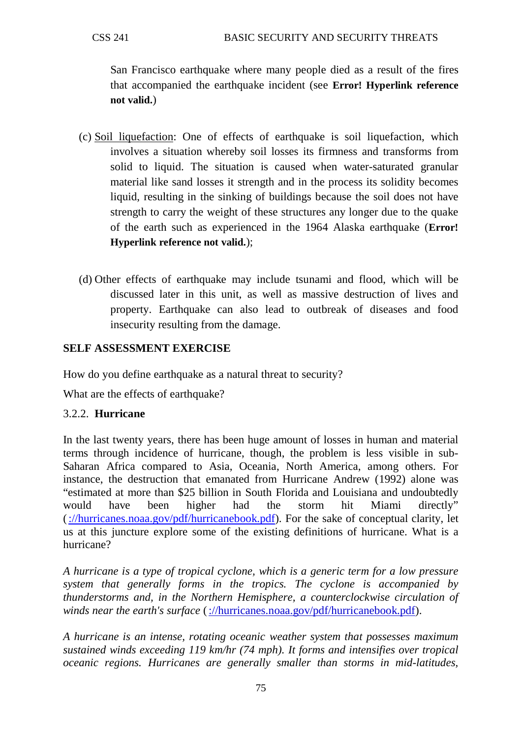San Francisco earthquake where many people died as a result of the fires that accompanied the earthquake incident (see **Error! Hyperlink reference not valid.**)

- (c) Soil liquefaction: One of effects of earthquake is soil liquefaction, which involves a situation whereby soil losses its firmness and transforms from solid to liquid. The situation is caused when water-saturated granular material like sand losses it strength and in the process its solidity becomes liquid, resulting in the sinking of buildings because the soil does not have strength to carry the weight of these structures any longer due to the quake of the earth such as experienced in the 1964 Alaska earthquake (**Error! Hyperlink reference not valid.**);
- (d) Other effects of earthquake may include tsunami and flood, which will be discussed later in this unit, as well as massive destruction of lives and property. Earthquake can also lead to outbreak of diseases and food insecurity resulting from the damage.

# **SELF ASSESSMENT EXERCISE**

How do you define earthquake as a natural threat to security?

What are the effects of earthquake?

### 3.2.2. **Hurricane**

In the last twenty years, there has been huge amount of losses in human and material terms through incidence of hurricane, though, the problem is less visible in sub-Saharan Africa compared to Asia, Oceania, North America, among others. For instance, the destruction that emanated from Hurricane Andrew (1992) alone was "estimated at more than \$25 billion in South Florida and Louisiana and undoubtedly would have been higher had the storm hit Miami directly" [\(://hurricanes.noaa.gov/pdf/hurricanebook.pdf\)](http://hurricanes.noaa.gov/pdf/hurricanebook.pdf). For the sake of conceptual clarity, let us at this juncture explore some of the existing definitions of hurricane. What is a hurricane?

*A hurricane is a type of tropical cyclone, which is a generic term for a low pressure system that generally forms in the tropics. The cyclone is accompanied by thunderstorms and, in the Northern Hemisphere, a counterclockwise circulation of winds near the earth's surface* [\(://hurricanes.noaa.gov/pdf/hurricanebook.pdf\)](http://hurricanes.noaa.gov/pdf/hurricanebook.pdf).

*A hurricane is an intense, rotating oceanic weather system that possesses maximum sustained winds exceeding 119 km/hr (74 mph). It forms and intensifies over tropical oceanic regions. Hurricanes are generally smaller than storms in mid-latitudes,*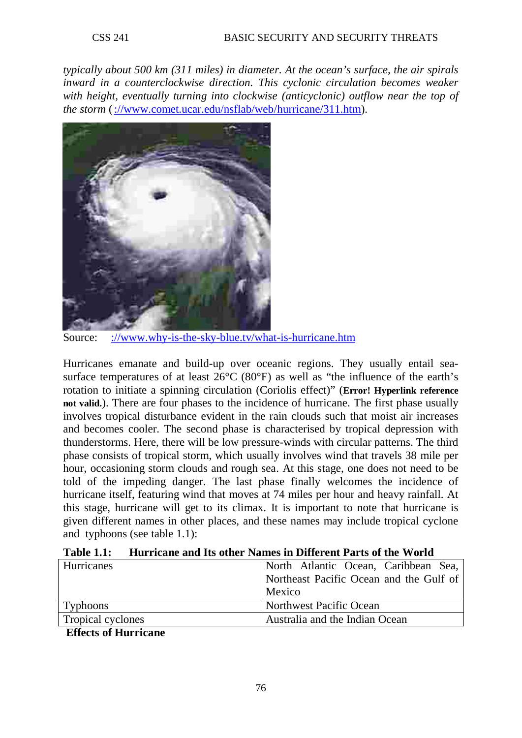*typically about 500 km (311 miles) in diameter. At the ocean's surface, the air spirals inward in a counterclockwise direction. This cyclonic circulation becomes weaker with height, eventually turning into clockwise (anticyclonic) outflow near the top of the storm* [\(://www.comet.ucar.edu/nsflab/web/hurricane/311.htm\)](http://www.comet.ucar.edu/nsflab/web/hurricane/311.htm).



Source: [://www.why-is-the-sky-blue.tv/what-is-hurricane.htm](http://www.why-is-the-sky-blue.tv/what-is-hurricane.htm)

Hurricanes emanate and build-up over oceanic regions. They usually entail seasurface temperatures of at least 26°C (80°F) as well as "the influence of the earth's rotation to initiate a spinning circulation (Coriolis effect)" (**Error! Hyperlink reference not valid.**). There are four phases to the incidence of hurricane. The first phase usually involves tropical disturbance evident in the rain clouds such that moist air increases and becomes cooler. The second phase is characterised by tropical depression with thunderstorms. Here, there will be low pressure-winds with circular patterns. The third phase consists of tropical storm, which usually involves wind that travels 38 mile per hour, occasioning storm clouds and rough sea. At this stage, one does not need to be told of the impeding danger. The last phase finally welcomes the incidence of hurricane itself, featuring wind that moves at 74 miles per hour and heavy rainfall. At this stage, hurricane will get to its climax. It is important to note that hurricane is given different names in other places, and these names may include tropical cyclone and typhoons (see table 1.1):

| Hurricanes        | North Atlantic Ocean, Caribbean Sea,    |  |  |  |
|-------------------|-----------------------------------------|--|--|--|
|                   | Northeast Pacific Ocean and the Gulf of |  |  |  |
|                   | Mexico                                  |  |  |  |
| <b>Typhoons</b>   | Northwest Pacific Ocean                 |  |  |  |
| Tropical cyclones | Australia and the Indian Ocean          |  |  |  |

**Table 1.1: Hurricane and Its other Names in Different Parts of the World** 

**Effects of Hurricane**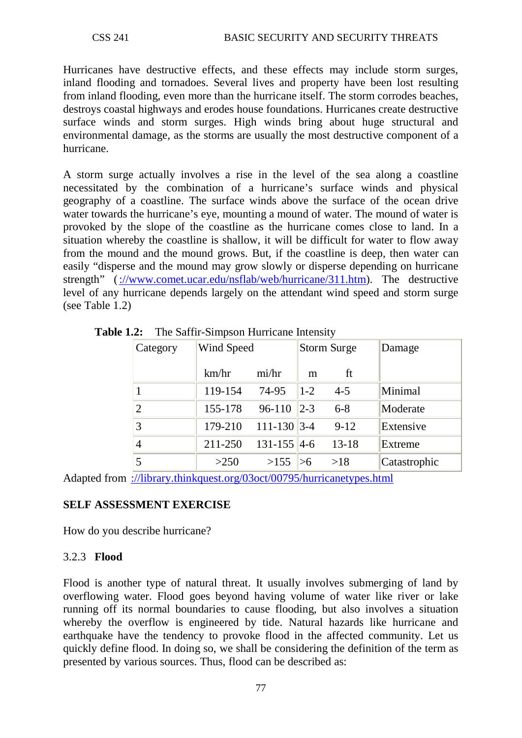Hurricanes have destructive effects, and these effects may include storm surges, inland flooding and tornadoes. Several lives and property have been lost resulting from inland flooding, even more than the hurricane itself. The storm corrodes beaches, destroys coastal highways and erodes house foundations. Hurricanes create destructive surface winds and storm surges. High winds bring about huge structural and environmental damage, as the storms are usually the most destructive component of a hurricane.

A storm surge actually involves a rise in the level of the sea along a coastline necessitated by the combination of a hurricane's surface winds and physical geography of a coastline. The surface winds above the surface of the ocean drive water towards the hurricane's eye, mounting a mound of water. The mound of water is provoked by the slope of the coastline as the hurricane comes close to land. In a situation whereby the coastline is shallow, it will be difficult for water to flow away from the mound and the mound grows. But, if the coastline is deep, then water can easily "disperse and the mound may grow slowly or disperse depending on hurricane strength" [\(://www.comet.ucar.edu/nsflab/web/hurricane/311.htm\)](http://www.comet.ucar.edu/nsflab/web/hurricane/311.htm). The destructive level of any hurricane depends largely on the attendant wind speed and storm surge (see Table 1.2)

| Category       | Wind Speed |                  | Storm Surge |           | Damage       |
|----------------|------------|------------------|-------------|-----------|--------------|
|                | km/hr      | mi/hr            | m           | ft        |              |
|                | 119-154    | 74-95            | $ 1-2 $     | $4 - 5$   | Minimal      |
| $\overline{2}$ | 155-178    | 96-110           | $ 2-3 $     | $6 - 8$   | Moderate     |
| 3              | 179-210    | $111 - 130$ 3-4  |             | $9-12$    | Extensive    |
| 4              | 211-250    | $131 - 155$  4-6 |             | $13 - 18$ | Extreme      |
| 5              | >250       | >155             |             | >18       | Catastrophic |

**Table 1.2:** The Saffir-Simpson Hurricane Intensity

Adapted from [://library.thinkquest.org/03oct/00795/hurricanetypes.html](http://library.thinkquest.org/03oct/00795/hurricanetypes.html)

# **SELF ASSESSMENT EXERCISE**

How do you describe hurricane?

### 3.2.3 **Flood**

Flood is another type of natural threat. It usually involves submerging of land by overflowing water. Flood goes beyond having volume of water like river or lake running off its normal boundaries to cause flooding, but also involves a situation whereby the overflow is engineered by tide. Natural hazards like hurricane and earthquake have the tendency to provoke flood in the affected community. Let us quickly define flood. In doing so, we shall be considering the definition of the term as presented by various sources. Thus, flood can be described as: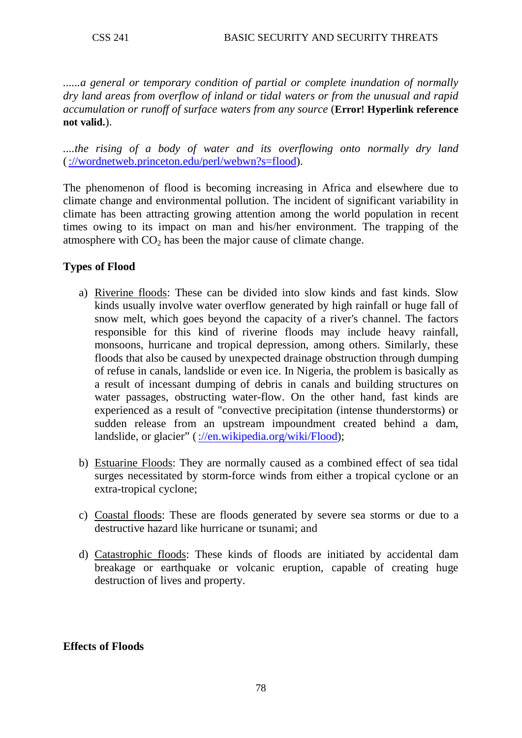*......a general or temporary condition of partial or complete inundation of normally dry land areas from overflow of inland or tidal waters or from the unusual and rapid accumulation or runoff of surface waters from any source* (**Error! Hyperlink reference not valid.**).

*....the rising of a body of water and its overflowing onto normally dry land*  [\(://wordnetweb.princeton.edu/perl/webwn?s=flood\)](http://wordnetweb.princeton.edu/perl/webwn?s=flood).

The phenomenon of flood is becoming increasing in Africa and elsewhere due to climate change and environmental pollution. The incident of significant variability in climate has been attracting growing attention among the world population in recent times owing to its impact on man and his/her environment. The trapping of the atmosphere with  $CO<sub>2</sub>$  has been the major cause of climate change.

### **Types of Flood**

- a) Riverine floods: These can be divided into slow kinds and fast kinds. Slow kinds usually involve water overflow generated by high rainfall or huge fall of snow melt, which goes beyond the capacity of a river's channel. The factors responsible for this kind of riverine floods may include heavy rainfall, monsoons, hurricane and tropical depression, among others. Similarly, these floods that also be caused by unexpected drainage obstruction through dumping of refuse in canals, landslide or even ice. In Nigeria, the problem is basically as a result of incessant dumping of debris in canals and building structures on water passages, obstructing water-flow. On the other hand, fast kinds are experienced as a result of "convective precipitation (intense thunderstorms) or sudden release from an upstream impoundment created behind a dam, landslide, or glacier" [\(://en.wikipedia.org/wiki/Flood\)](http://en.wikipedia.org/wiki/Flood);
- b) Estuarine Floods: They are normally caused as a combined effect of sea tidal surges necessitated by storm-force winds from either a tropical cyclone or an extra-tropical cyclone;
- c) Coastal floods: These are floods generated by severe sea storms or due to a destructive hazard like hurricane or tsunami; and
- d) Catastrophic floods : These kinds of floods are initiated by accidental dam breakage or earthquake or volcanic eruption, capable of creating huge destruction of lives and property.

### **Effects of Floods**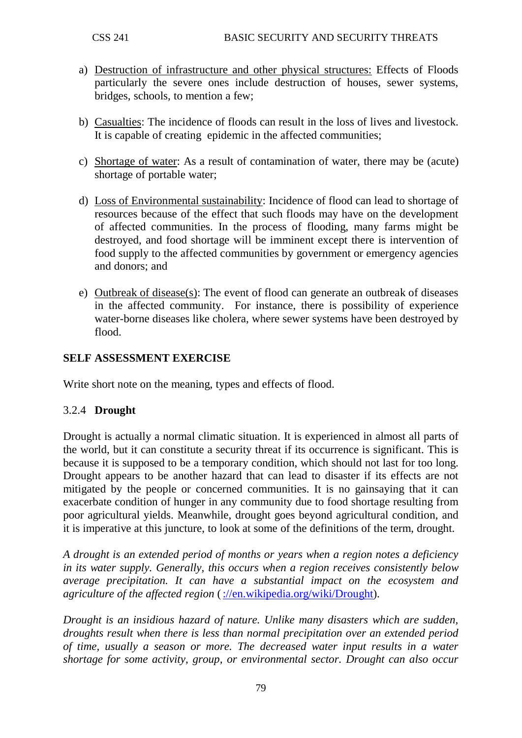- a) Destruction of infrastructure and other physical structures: Effects of Floods particularly the severe ones include destruction of houses, sewer systems, bridges, schools, to mention a few;
- b) Casualties: The incidence of floods can result in the loss of lives and livestock. It is capable of creating epidemic in the affected communities;
- c) Shortage of water: As a result of contamination of water, there may be (acute) shortage of portable water;
- d) Loss of Environmental sustainability: Incidence of flood can lead to shortage of resources because of the effect that such floods may have on the development of affected communities. In the process of flooding, many farms might be destroyed, and food shortage will be imminent except there is intervention of food supply to the affected communities by government or emergency agencies and donors; and
- e) Outbreak of disease(s): The event of flood can generate an outbreak of diseases in the affected community. For instance, there is possibility of experience water-borne diseases like cholera, where sewer systems have been destroyed by flood.

### **SELF ASSESSMENT EXERCISE**

Write short note on the meaning, types and effects of flood.

### 3.2.4 **Drought**

Drought is actually a normal climatic situation. It is experienced in almost all parts of the world, but it can constitute a security threat if its occurrence is significant. This is because it is supposed to be a temporary condition, which should not last for too long. Drought appears to be another hazard that can lead to disaster if its effects are not mitigated by the people or concerned communities. It is no gainsaying that it can exacerbate condition of hunger in any community due to food shortage resulting from poor agricultural yields. Meanwhile, drought goes beyond agricultural condition, and it is imperative at this juncture, to look at some of the definitions of the term, drought.

*A drought is an extended period of months or years when a region notes a deficiency in its water supply. Generally, this occurs when a region receives consistently below average [precipitation.](http://en.wikipedia.org/wiki/Precipitation_%28meteorology%29) It can have a substantial impact on the [ecosystem](http://en.wikipedia.org/wiki/Ecosystem) and [agriculture](http://en.wikipedia.org/wiki/Agriculture) of the affected region* [\(://en.wikipedia.org/wiki/Drought\)](http://en.wikipedia.org/wiki/Drought).

*Drought is an insidious hazard of nature. Unlike many disasters which are sudden, droughts result when there is less than normal precipitation over an extended period of time, usually a season or more. The decreased water input results in a water shortage for some activity, group, or environmental sector. Drought can also occur*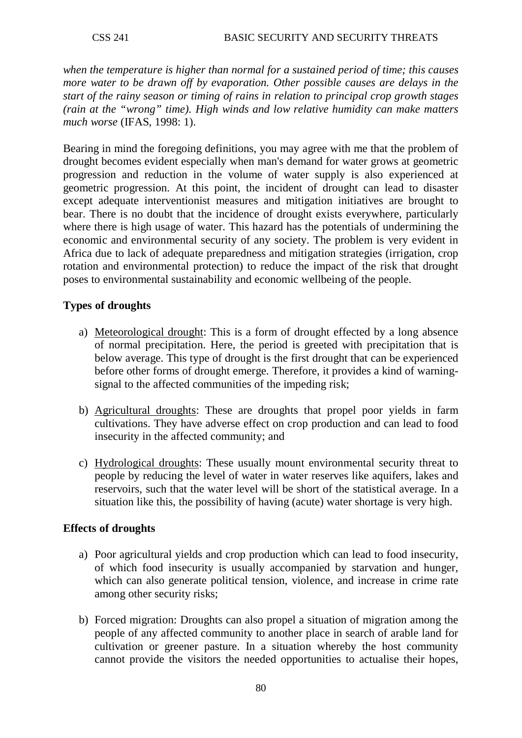*when the temperature is higher than normal for a sustained period of time; this causes more water to be drawn off by evaporation. Other possible causes are delays in the start of the rainy season or timing of rains in relation to principal crop growth stages (rain at the "wrong" time). High winds and low relative humidity can make matters much worse* (IFAS, 1998: 1).

Bearing in mind the foregoing definitions, you may agree with me that the problem of drought becomes evident especially when man's demand for water grows at geometric progression and reduction in the volume of water supply is also experienced at geometric progression. At this point, the incident of drought can lead to disaster except adequate interventionist measures and mitigation initiatives are brought to bear. There is no doubt that the incidence of drought exists everywhere, particularly where there is high usage of water. This hazard has the potentials of undermining the economic and environmental security of any society. The problem is very evident in Africa due to lack of adequate preparedness and mitigation strategies (irrigation, crop rotation and environmental protection) to reduce the impact of the risk that drought poses to environmental sustainability and economic wellbeing of the people.

### **Types of droughts**

- a) Meteorological drought: This is a form of drought effected by a long absence of normal precipitation. Here, the period is greeted with precipitation that is below average. This type of drought is the first drought that can be experienced before other forms of drought emerge. Therefore, it provides a kind of warningsignal to the affected communities of the impeding risk;
- b) Agricultural droughts: These are droughts that propel poor yields in farm cultivations. They have adverse effect on crop production and can lead to food insecurity in the affected community; and
- c) Hydrological droughts: These usually mount environmental security threat to people by reducing the level of water in water reserves like aquifers, lakes and reservoirs, such that the water level will be short of the statistical average. In a situation like this, the possibility of having (acute) water shortage is very high.

### **Effects of droughts**

- a) Poor agricultural yields and crop production which can lead to food insecurity, of which food insecurity is usually accompanied by starvation and hunger, which can also generate political tension, violence, and increase in crime rate among other security risks;
- b) Forced migration: Droughts can also propel a situation of migration among the people of any affected community to another place in search of arable land for cultivation or greener pasture. In a situation whereby the host community cannot provide the visitors the needed opportunities to actualise their hopes,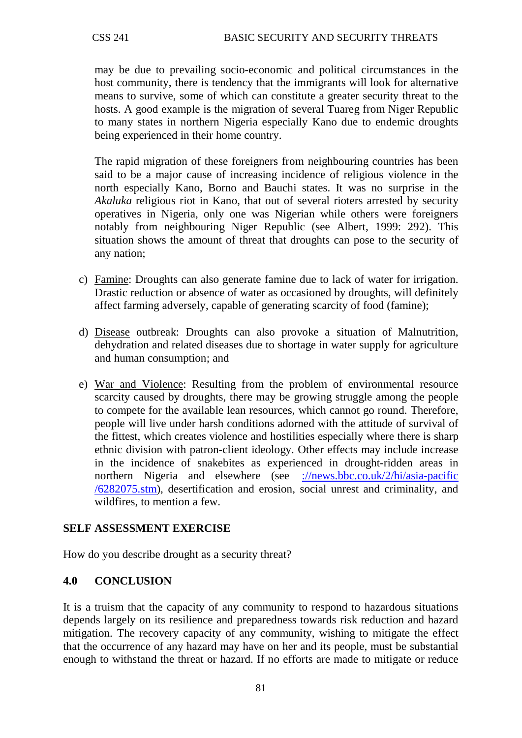may be due to prevailing socio-economic and political circumstances in the host community, there is tendency that the immigrants will look for alternative means to survive, some of which can constitute a greater security threat to the hosts. A good example is the migration of several Tuareg from Niger Republic to many states in northern Nigeria especially Kano due to endemic droughts being experienced in their home country.

The rapid migration of these foreigners from neighbouring countries has been said to be a major cause of increasing incidence of religious violence in the north especially Kano, Borno and Bauchi states. It was no surprise in the *Akaluka* religious riot in Kano, that out of several rioters arrested by security operatives in Nigeria, only one was Nigerian while others were foreigners notably from neighbouring Niger Republic (see Albert, 1999: 292). This situation shows the amount of threat that droughts can pose to the security of any nation;

- c) Famine: Droughts can also generate famine due to lack of water for irrigation. Drastic reduction or absence of water as occasioned by droughts, will definitely affect farming adversely, capable of generating scarcity of food (famine);
- d) Disease outbreak: Droughts can also provoke a situation of Malnutrition, dehydration and related diseases due to shortage in water supply for agriculture and human consumption; and
- e) War and Violence: Resulting from the problem of environmental resource scarcity caused by droughts, there may be growing struggle among the people to compete for the available lean resources, which cannot go round. Therefore, people will live under harsh conditions adorned with the attitude of survival of the fittest, which creates violence and hostilities especially where there is sharp ethnic division with patron-client ideology. Other effects may include increase in the incidence of snakebites as experienced in drought-ridden areas in northern Nigeria and elsewhere (see [://news.bbc.co.uk/2/hi/asia-pacific](http://news.bbc.co.uk/2/hi/asia-pacific%20/6282075.stm)  [/6282075.stm\)](http://news.bbc.co.uk/2/hi/asia-pacific%20/6282075.stm), desertification and erosion, social unrest and criminality, and wildfires, to mention a few.

# **SELF ASSESSMENT EXERCISE**

How do you describe drought as a security threat?

### **4.0 CONCLUSION**

It is a truism that the capacity of any community to respond to hazardous situations depends largely on its resilience and preparedness towards risk reduction and hazard mitigation. The recovery capacity of any community, wishing to mitigate the effect that the occurrence of any hazard may have on her and its people, must be substantial enough to withstand the threat or hazard. If no efforts are made to mitigate or reduce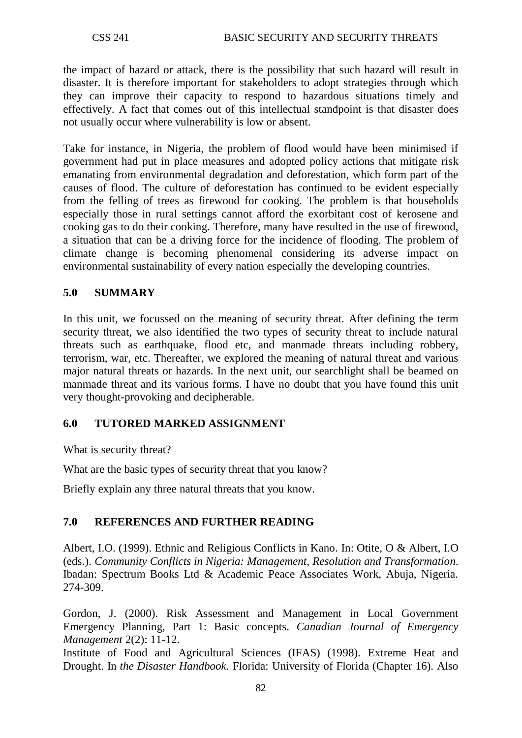the impact of hazard or attack, there is the possibility that such hazard will result in disaster. It is therefore important for stakeholders to adopt strategies through which they can improve their capacity to respond to hazardous situations timely and effectively. A fact that comes out of this intellectual standpoint is that disaster does not usually occur where vulnerability is low or absent.

Take for instance, in Nigeria, the problem of flood would have been minimised if government had put in place measures and adopted policy actions that mitigate risk emanating from environmental degradation and deforestation, which form part of the causes of flood. The culture of deforestation has continued to be evident especially from the felling of trees as firewood for cooking. The problem is that households especially those in rural settings cannot afford the exorbitant cost of kerosene and cooking gas to do their cooking. Therefore, many have resulted in the use of firewood, a situation that can be a driving force for the incidence of flooding. The problem of climate change is becoming phenomenal considering its adverse impact on environmental sustainability of every nation especially the developing countries.

### **5.0 SUMMARY**

In this unit, we focussed on the meaning of security threat. After defining the term security threat, we also identified the two types of security threat to include natural threats such as earthquake, flood etc, and manmade threats including robbery, terrorism, war, etc. Thereafter, we explored the meaning of natural threat and various major natural threats or hazards. In the next unit, our searchlight shall be beamed on manmade threat and its various forms. I have no doubt that you have found this unit very thought-provoking and decipherable.

### **6.0 TUTORED MARKED ASSIGNMENT**

What is security threat?

What are the basic types of security threat that you know?

Briefly explain any three natural threats that you know.

### **7.0 REFERENCES AND FURTHER READING**

Albert, I.O. (1999). Ethnic and Religious Conflicts in Kano. In: Otite, O & Albert, I.O (eds.). *Community Conflicts in Nigeria: Management, Resolution and Transformation*. Ibadan: Spectrum Books Ltd & Academic Peace Associates Work, Abuja, Nigeria. 274-309.

Gordon, J. (2000). Risk Assessment and Management in Local Government Emergency Planning, Part 1: Basic concepts. *Canadian Journal of Emergency Management* 2(2): 11-12.

Institute of Food and Agricultural Sciences (IFAS) (1998). Extreme Heat and Drought. In *the Disaster Handbook*. Florida: University of Florida (Chapter 16). Also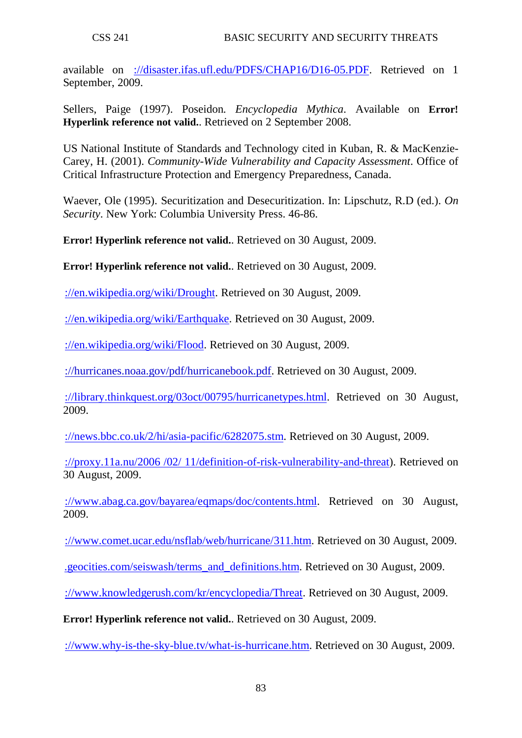available on [://disaster.ifas.ufl.edu/PDFS/CHAP16/D16-05.PDF.](http://disaster.ifas.ufl.edu/PDFS/CHAP16/D16-05.PDF) Retrieved on 1 September, 2009.

Sellers, Paige (1997). [Poseidon](http://www.pantheon.org/articles/p/poseidon.html)*. Encyclopedia Mythica*. Available on **Error! Hyperlink reference not valid.**. Retrieved on 2 September 2008.

US National Institute of Standards and Technology cited in Kuban, R. & MacKenzie-Carey, H. (2001). *Community-Wide Vulnerability and Capacity Assessment*. Office of Critical Infrastructure Protection and Emergency Preparedness, Canada.

Waever, Ole (1995). Securitization and Desecuritization. In: Lipschutz, R.D (ed.). *On Security*. New York: Columbia University Press. 46-86.

**Error! Hyperlink reference not valid.**. Retrieved on 30 August, 2009.

**Error! Hyperlink reference not valid.**. Retrieved on 30 August, 2009.

[://en.wikipedia.org/wiki/Drought.](http://en.wikipedia.org/wiki/Drought) Retrieved on 30 August, 2009.

[://en.wikipedia.org/wiki/Earthquake.](http://en.wikipedia.org/wiki/Earthquake) Retrieved on 30 August, 2009.

[://en.wikipedia.org/wiki/Flood.](http://en.wikipedia.org/wiki/Flood) Retrieved on 30 August, 2009.

[://hurricanes.noaa.gov/pdf/hurricanebook.pdf.](http://hurricanes.noaa.gov/pdf/hurricanebook.pdf) Retrieved on 30 August, 2009.

[://library.thinkquest.org/03oct/00795/hurricanetypes.html.](http://library.thinkquest.org/03oct/00795/hurricanetypes.html) Retrieved on 30 August, 2009.

[://news.bbc.co.uk/2/hi/asia-pacific/6282075.stm.](http://news.bbc.co.uk/2/hi/asia-pacific/6282075.stm) Retrieved on 30 August, 2009.

[://proxy.11a.nu/2006 /02/ 11/definition-of-risk-vulnerability-and-threat\)](http://proxy.11a.nu/2006%20/02/%2011/definition-of-risk-vulnerability-and-threat). Retrieved on 30 August, 2009.

[://www.abag.ca.gov/bayarea/eqmaps/doc/contents.html.](http://www.abag.ca.gov/bayarea/eqmaps/doc/contents.html) Retrieved on 30 August, 2009.

[://www.comet.ucar.edu/nsflab/web/hurricane/311.htm.](http://www.comet.ucar.edu/nsflab/web/hurricane/311.htm) Retrieved on 30 August, 2009.

[.geocities.com/seiswash/terms\\_and\\_definitions.htm.](http://www.geocities.com/seiswash/terms_and_definitions.htm) Retrieved on 30 August, 2009.

[://www.knowledgerush.com/kr/encyclopedia/Threat.](http://www.knowledgerush.com/kr/encyclopedia/Threat) Retrieved on 30 August, 2009.

**Error! Hyperlink reference not valid.**. Retrieved on 30 August, 2009.

[://www.why-is-the-sky-blue.tv/what-is-hurricane.htm.](http://www.why-is-the-sky-blue.tv/what-is-hurricane.htm) Retrieved on 30 August, 2009.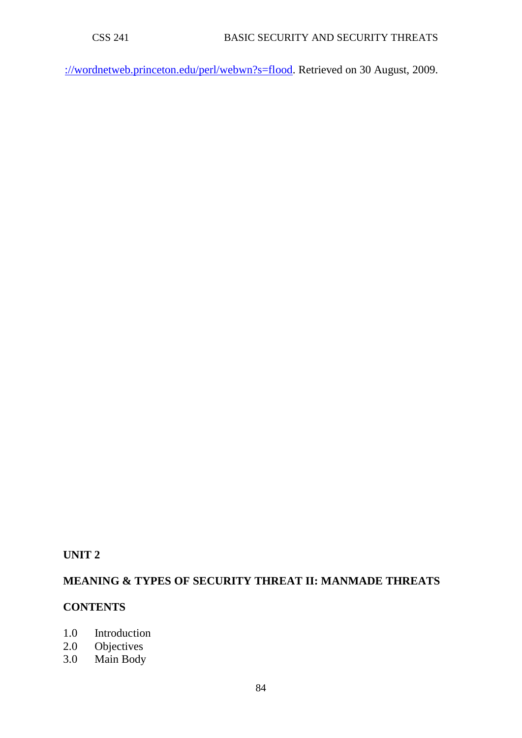[://wordnetweb.princeton.edu/perl/webwn?s=flood.](http://wordnetweb.princeton.edu/perl/webwn?s=flood) Retrieved on 30 August, 2009.

# **UNIT 2**

# **MEANING & TYPES OF SECURITY THREAT II: MANMADE THREATS**

### **CONTENTS**

- 1.0 Introduction
- 2.0 Objectives<br>3.0 Main Body
- Main Body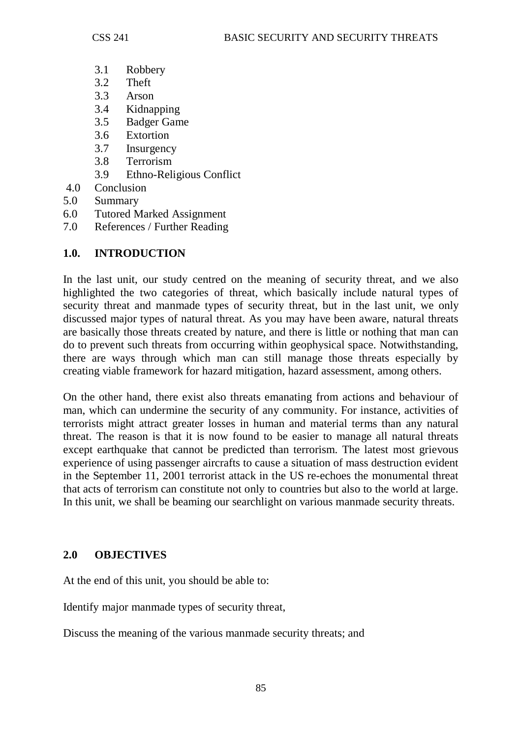- 3.1 Robbery
- 3.2 Theft
- 3.3 Arson
- 3.4 Kidnapping
- 3.5 Badger Game
- 3.6 Extortion
- 3.7 Insurgency
- 3.8 Terrorism
- 3.9 Ethno-Religious Conflict
- 4.0 Conclusion
- 5.0 Summary
- 6.0 Tutored Marked Assignment
- 7.0 References / Further Reading

# **1.0. INTRODUCTION**

In the last unit, our study centred on the meaning of security threat, and we also highlighted the two categories of threat, which basically include natural types of security threat and manmade types of security threat, but in the last unit, we only discussed major types of natural threat. As you may have been aware, natural threats are basically those threats created by nature, and there is little or nothing that man can do to prevent such threats from occurring within geophysical space. Notwithstanding, there are ways through which man can still manage those threats especially by creating viable framework for hazard mitigation, hazard assessment, among others.

On the other hand, there exist also threats emanating from actions and behaviour of man, which can undermine the security of any community. For instance, activities of terrorists might attract greater losses in human and material terms than any natural threat. The reason is that it is now found to be easier to manage all natural threats except earthquake that cannot be predicted than terrorism. The latest most grievous experience of using passenger aircrafts to cause a situation of mass destruction evident in the September 11, 2001 terrorist attack in the US re-echoes the monumental threat that acts of terrorism can constitute not only to countries but also to the world at large. In this unit, we shall be beaming our searchlight on various manmade security threats.

### **2.0 OBJECTIVES**

At the end of this unit, you should be able to:

Identify major manmade types of security threat,

Discuss the meaning of the various manmade security threats; and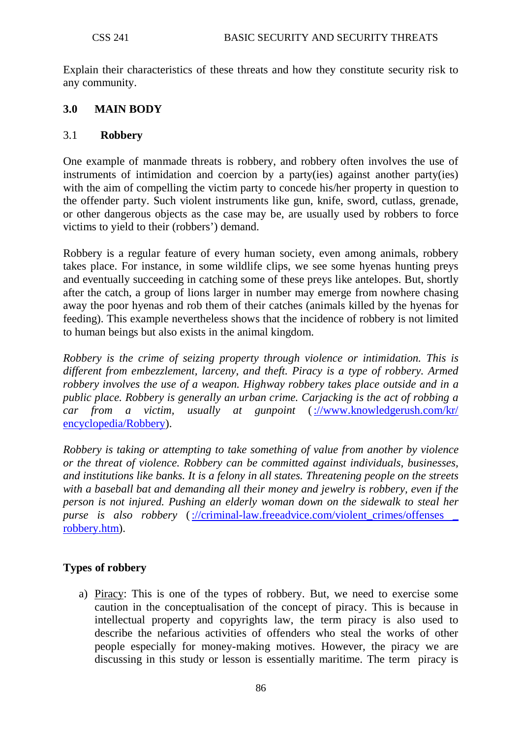Explain their characteristics of these threats and how they constitute security risk to any community.

# **3.0 MAIN BODY**

#### 3.1 **Robbery**

One example of manmade threats is robbery, and robbery often involves the use of instruments of intimidation and coercion by a party(ies) against another party(ies) with the aim of compelling the victim party to concede his/her property in question to the offender party. Such violent instruments like gun, knife, sword, cutlass, grenade, or other dangerous objects as the case may be, are usually used by robbers to force victims to yield to their (robbers') demand.

Robbery is a regular feature of every human society, even among animals, robbery takes place. For instance, in some wildlife clips, we see some hyenas hunting preys and eventually succeeding in catching some of these preys like antelopes. But, shortly after the catch, a group of lions larger in number may emerge from nowhere chasing away the poor hyenas and rob them of their catches (animals killed by the hyenas for feeding). This example nevertheless shows that the incidence of robbery is not limited to human beings but also exists in the animal kingdom.

*Robbery is the [crime](http://www.knowledgerush.com/kr/encyclopedia/Crime/) of seizing [property](http://www.knowledgerush.com/kr/encyclopedia/Property/) through [violence](http://www.knowledgerush.com/kr/encyclopedia/Violence/) or [intimidation.](http://www.knowledgerush.com/kr/encyclopedia/Intimidation/) This is different from [embezzlement,](http://www.knowledgerush.com/kr/encyclopedia/Embezzlement/) [larceny,](http://www.knowledgerush.com/kr/encyclopedia/Larceny/) and [theft.](http://www.knowledgerush.com/kr/encyclopedia/Theft/) [Piracy](http://www.knowledgerush.com/kr/encyclopedia/Piracy/) is a type of robbery. Armed robbery involves the use of a [weapon.](http://www.knowledgerush.com/kr/encyclopedia/Weapon/) Highway robbery takes place outside and in a [public](http://www.knowledgerush.com/kr/encyclopedia/Public/) place. Robbery is generally an [urban](http://www.knowledgerush.com/kr/encyclopedia/Urban/) crime. [Carjacking](http://www.knowledgerush.com/kr/encyclopedia/Carjacking/) is the act of robbing a car from a victim, usually at gunpoint* [\(://www.knowledgerush.com/kr/](http://www.knowledgerush.com/kr/%20encyclopedia/Robbery)  [encyclopedia/Robbery\)](http://www.knowledgerush.com/kr/%20encyclopedia/Robbery).

*Robbery is taking or attempting to take something of value from another by violence or the threat of violence. Robbery can be committed against individuals, businesses, and institutions like banks. It is a felony in all states. Threatening people on the streets with a baseball bat and demanding all their money and jewelry is robbery, even if the person is not injured. Pushing an elderly woman down on the sidewalk to steal her purse is also robbery* (://criminal-law.freeadvice.com/violent\_crimes/offenses [robbery.htm\)](http://criminal-law.freeadvice.com/violent_crimes/offenses%20_%20robbery.htm).

# **Types of robbery**

a) Piracy: This is one of the types of robbery. But, we need to exercise some caution in the conceptualisation of the concept of piracy. This is because in intellectual property and copyrights law, the term piracy is also used to describe the nefarious activities of offenders who steal the works of other people especially for money-making motives. However, the piracy we are discussing in this study or lesson is essentially maritime. The term piracy is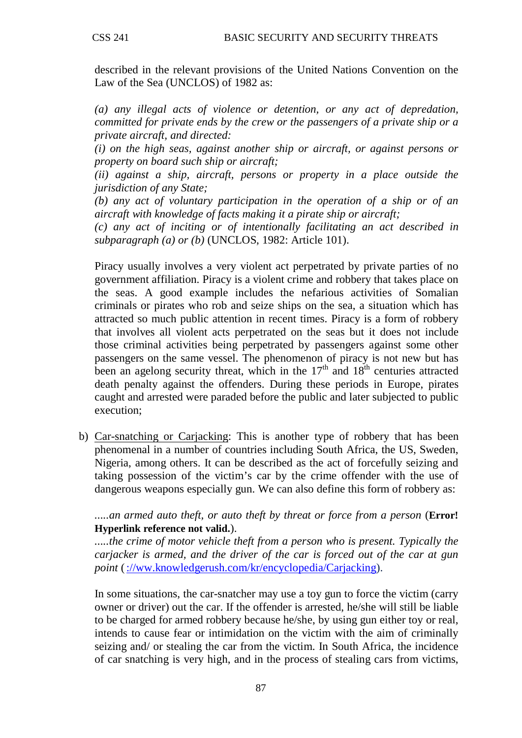described in the relevant provisions of the United Nations Convention on the Law of the Sea (UNCLOS) of 1982 as:

*(a) any illegal acts of violence or detention, or any act of depredation, committed for private ends by the crew or the passengers of a private ship or a private aircraft, and directed:* 

*(i) on the high seas, against another ship or aircraft, or against persons or property on board such ship or aircraft;*

*(ii) against a ship, aircraft, persons or property in a place outside the jurisdiction of any State;*

*(b) any act of voluntary participation in the operation of a ship or of an aircraft with knowledge of facts making it a pirate ship or aircraft;*

*(c) any act of inciting or of intentionally facilitating an act described in subparagraph (a) or (b)* (UNCLOS, 1982: Article 101).

Piracy usually involves a very violent act perpetrated by private parties of no government affiliation. Piracy is a violent crime and robbery that takes place on the seas. A good example includes the nefarious activities of Somalian criminals or pirates who rob and seize ships on the sea, a situation which has attracted so much public attention in recent times. Piracy is a form of robbery that involves all violent acts perpetrated on the seas but it does not include those criminal activities being perpetrated by passengers against some other passengers on the same vessel. The phenomenon of piracy is not new but has been an agelong security threat, which in the  $17<sup>th</sup>$  and  $18<sup>th</sup>$  centuries attracted death penalty against the offenders. During these periods in Europe, pirates caught and arrested were paraded before the public and later subjected to public execution;

b) Car-snatching or Carjacking: This is another type of robbery that has been phenomenal in a number of countries including South Africa, the US, Sweden, Nigeria, among others. It can be described as the act of forcefully seizing and taking possession of the victim's car by the crime offender with the use of dangerous weapons especially gun. We can also define this form of robbery as:

*.....an armed auto theft, or auto theft by threat or force from a person* (**Error! Hyperlink reference not valid.**).

*.....the crime of motor vehicle theft from a person who is present. Typically the carjacker is armed, and the driver of the car is forced out of the car at gun point [\(://ww.knowledgerush.com/kr/encyclopedia/Carjacking\)](http://ww.knowledgerush.com/kr/encyclopedia/Carjacking).* 

In some situations, the car-snatcher may use a toy gun to force the victim (carry owner or driver) out the car. If the offender is arrested, he/she will still be liable to be charged for armed robbery because he/she, by using gun either toy or real, intends to cause fear or intimidation on the victim with the aim of criminally seizing and/ or stealing the car from the victim. In South Africa, the incidence of car snatching is very high, and in the process of stealing cars from victims,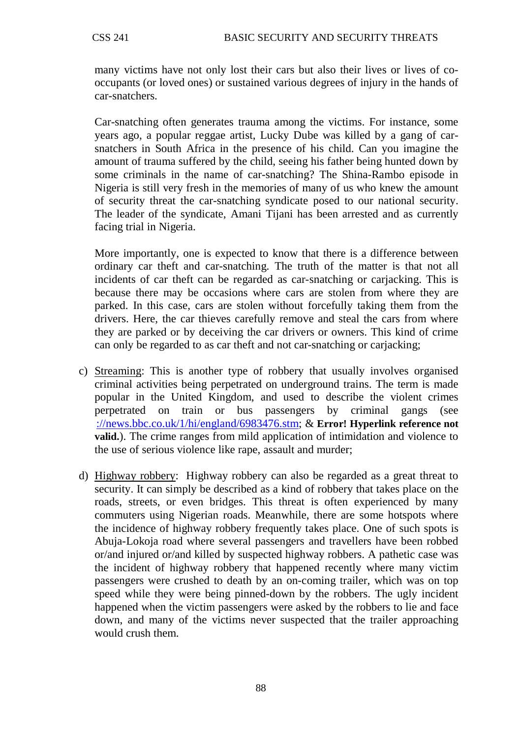many victims have not only lost their cars but also their lives or lives of cooccupants (or loved ones) or sustained various degrees of injury in the hands of car-snatchers.

Car-snatching often generates trauma among the victims. For instance, some years ago, a popular reggae artist, Lucky Dube was killed by a gang of carsnatchers in South Africa in the presence of his child. Can you imagine the amount of trauma suffered by the child, seeing his father being hunted down by some criminals in the name of car-snatching? The Shina-Rambo episode in Nigeria is still very fresh in the memories of many of us who knew the amount of security threat the car-snatching syndicate posed to our national security. The leader of the syndicate, Amani Tijani has been arrested and as currently facing trial in Nigeria.

More importantly, one is expected to know that there is a difference between ordinary car theft and car-snatching. The truth of the matter is that not all incidents of car theft can be regarded as car-snatching or carjacking. This is because there may be occasions where cars are stolen from where they are parked. In this case, cars are stolen without forcefully taking them from the drivers. Here, the car thieves carefully remove and steal the cars from where they are parked or by deceiving the car drivers or owners. This kind of crime can only be regarded to as car theft and not car-snatching or carjacking;

- c) Streaming: This is another type of robbery that usually involves organised criminal activities being perpetrated on underground trains. The term is made popular in the United Kingdom, and used to describe the violent crimes perpetrated on train or bus passengers by criminal gangs (see [://news.bbc.co.uk/1/hi/england/6983476.stm;](http://news.bbc.co.uk/1/hi/england/6983476.stm) & **Error! Hyperlink reference not valid.**). The crime ranges from mild application of intimidation and violence to the use of serious violence like rape, assault and murder;
- d) Highway robbery: Highway robbery can also be regarded as a great threat to security. It can simply be described as a kind of robbery that takes place on the roads, streets, or even bridges. This threat is often experienced by many commuters using Nigerian roads. Meanwhile, there are some hotspots where the incidence of highway robbery frequently takes place. One of such spots is Abuja-Lokoja road where several passengers and travellers have been robbed or/and injured or/and killed by suspected highway robbers. A pathetic case was the incident of highway robbery that happened recently where many victim passengers were crushed to death by an on-coming trailer, which was on top speed while they were being pinned-down by the robbers. The ugly incident happened when the victim passengers were asked by the robbers to lie and face down, and many of the victims never suspected that the trailer approaching would crush them.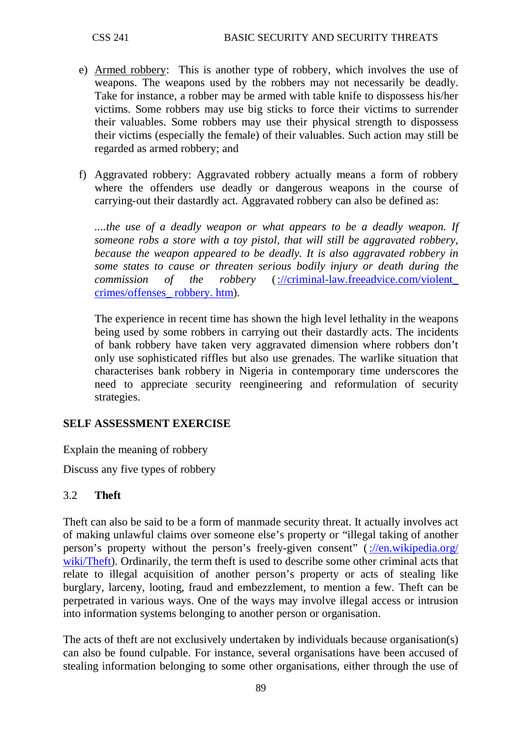- e) Armed robbery: This is another type of robbery, which involves the use of weapons. The weapons used by the robbers may not necessarily be deadly. Take for instance, a robber may be armed with table knife to dispossess his/her victims. Some robbers may use big sticks to force their victims to surrender their valuables. Some robbers may use their physical strength to dispossess their victims (especially the female) of their valuables. Such action may still be regarded as armed robbery; and
- f) Aggravated robbery: Aggravated robbery actually means a form of robbery where the offenders use deadly or dangerous weapons in the course of carrying-out their dastardly act. Aggravated robbery can also be defined as:

*....the use of a deadly weapon or what appears to be a deadly weapon. If someone robs a store with a toy pistol, that will still be aggravated robbery, because the weapon appeared to be deadly. It is also aggravated robbery in some states to cause or threaten serious bodily injury or death during the commission of the robbery* [\(://criminal-law.freeadvice.com/violent\\_](http://criminal-law.freeadvice.com/violent_%20crimes/offenses_%20robbery.%20htm)  [crimes/offenses\\_ robbery. htm\)](http://criminal-law.freeadvice.com/violent_%20crimes/offenses_%20robbery.%20htm).

The experience in recent time has shown the high level lethality in the weapons being used by some robbers in carrying out their dastardly acts. The incidents of bank robbery have taken very aggravated dimension where robbers don't only use sophisticated riffles but also use grenades. The warlike situation that characterises bank robbery in Nigeria in contemporary time underscores the need to appreciate security reengineering and reformulation of security strategies.

### **SELF ASSESSMENT EXERCISE**

Explain the meaning of robbery

Discuss any five types of robbery

### 3.2 **Theft**

Theft can also be said to be a form of manmade security threat. It actually involves act of making unlawful claims over someone else's property or "illegal taking of another person's property without the person's freely-given consent" [\(://en.wikipedia.org/](http://en.wikipedia.org/%20wiki/Theft)  [wiki/Theft\)](http://en.wikipedia.org/%20wiki/Theft). Ordinarily, the term theft is used to describe some other criminal acts that relate to illegal acquisition of another person's property or acts of stealing like burglary, larceny, looting, fraud and embezzlement, to mention a few. Theft can be perpetrated in various ways. One of the ways may involve illegal access or intrusion into information systems belonging to another person or organisation.

The acts of theft are not exclusively undertaken by individuals because organisation(s) can also be found culpable. For instance, several organisations have been accused of stealing information belonging to some other organisations, either through the use of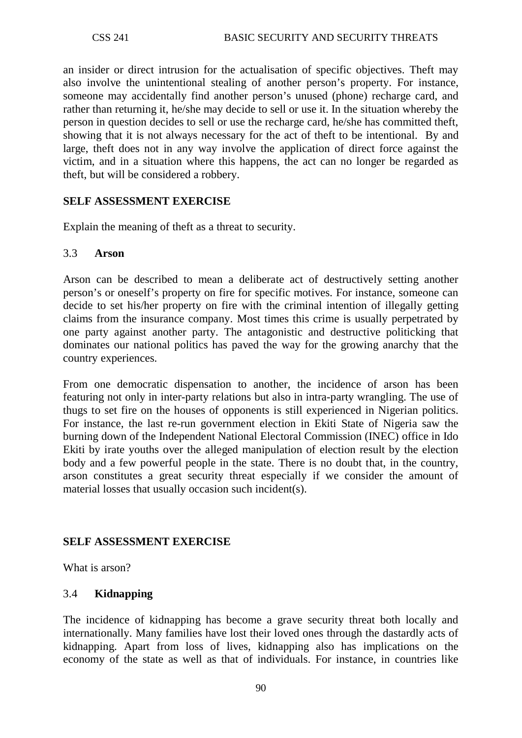an insider or direct intrusion for the actualisation of specific objectives. Theft may also involve the unintentional stealing of another person's property. For instance, someone may accidentally find another person's unused (phone) recharge card, and rather than returning it, he/she may decide to sell or use it. In the situation whereby the person in question decides to sell or use the recharge card, he/she has committed theft, showing that it is not always necessary for the act of theft to be intentional. By and large, theft does not in any way involve the application of direct force against the victim, and in a situation where this happens, the act can no longer be regarded as theft, but will be considered a robbery.

### **SELF ASSESSMENT EXERCISE**

Explain the meaning of theft as a threat to security.

#### 3.3 **Arson**

Arson can be described to mean a deliberate act of destructively setting another person's or oneself's property on fire for specific motives. For instance, someone can decide to set his/her property on fire with the criminal intention of illegally getting claims from the insurance company. Most times this crime is usually perpetrated by one party against another party. The antagonistic and destructive politicking that dominates our national politics has paved the way for the growing anarchy that the country experiences.

From one democratic dispensation to another, the incidence of arson has been featuring not only in inter-party relations but also in intra-party wrangling. The use of thugs to set fire on the houses of opponents is still experienced in Nigerian politics. For instance, the last re-run government election in Ekiti State of Nigeria saw the burning down of the Independent National Electoral Commission (INEC) office in Ido Ekiti by irate youths over the alleged manipulation of election result by the election body and a few powerful people in the state. There is no doubt that, in the country, arson constitutes a great security threat especially if we consider the amount of material losses that usually occasion such incident(s).

### **SELF ASSESSMENT EXERCISE**

What is arson?

### 3.4 **Kidnapping**

The incidence of kidnapping has become a grave security threat both locally and internationally. Many families have lost their loved ones through the dastardly acts of kidnapping. Apart from loss of lives, kidnapping also has implications on the economy of the state as well as that of individuals. For instance, in countries like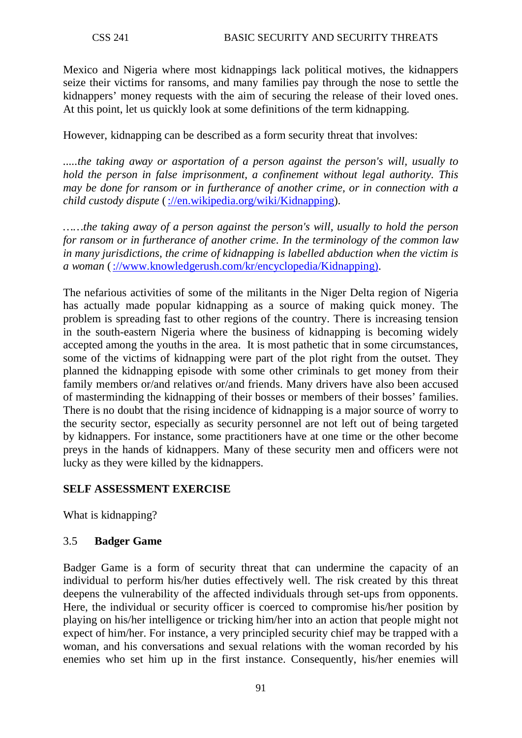Mexico and Nigeria where most kidnappings lack political motives, the kidnappers seize their victims for ransoms, and many families pay through the nose to settle the kidnappers' money requests with the aim of securing the release of their loved ones. At this point, let us quickly look at some definitions of the term kidnapping.

However, kidnapping can be described as a form security threat that involves:

*.....the taking away or [asportation](http://en.wikipedia.org/wiki/Asportation) of a person against the person's will, usually to hold the person in [false imprisonment,](http://en.wikipedia.org/wiki/False_imprisonment) a confinement without legal authority. This may be done for [ransom](http://en.wikipedia.org/wiki/Ransom) or in furtherance of another crime, or in connection with a [child custody](http://en.wikipedia.org/wiki/Child_custody) dispute* [\(://en.wikipedia.org/wiki/Kidnapping\)](http://en.wikipedia.org/wiki/Kidnapping).

*……the taking away of a person against the person's will, usually to hold the person for ransom or in furtherance of another crime. In the terminology of the common law in many jurisdictions, the crime of kidnapping is labelled abduction when the victim is a woman* [\(://www.knowledgerush.com/kr/encyclopedia/Kidnapping\).](http://www.knowledgerush.com/kr/encyclopedia/Kidnapping))

The nefarious activities of some of the militants in the Niger Delta region of Nigeria has actually made popular kidnapping as a source of making quick money. The problem is spreading fast to other regions of the country. There is increasing tension in the south-eastern Nigeria where the business of kidnapping is becoming widely accepted among the youths in the area. It is most pathetic that in some circumstances, some of the victims of kidnapping were part of the plot right from the outset. They planned the kidnapping episode with some other criminals to get money from their family members or/and relatives or/and friends. Many drivers have also been accused of masterminding the kidnapping of their bosses or members of their bosses' families. There is no doubt that the rising incidence of kidnapping is a major source of worry to the security sector, especially as security personnel are not left out of being targeted by kidnappers. For instance, some practitioners have at one time or the other become preys in the hands of kidnappers. Many of these security men and officers were not lucky as they were killed by the kidnappers.

# **SELF ASSESSMENT EXERCISE**

What is kidnapping?

### 3.5 **Badger Game**

Badger Game is a form of security threat that can undermine the capacity of an individual to perform his/her duties effectively well. The risk created by this threat deepens the vulnerability of the affected individuals through set-ups from opponents. Here, the individual or security officer is coerced to compromise his/her position by playing on his/her intelligence or tricking him/her into an action that people might not expect of him/her. For instance, a very principled security chief may be trapped with a woman, and his conversations and sexual relations with the woman recorded by his enemies who set him up in the first instance. Consequently, his/her enemies will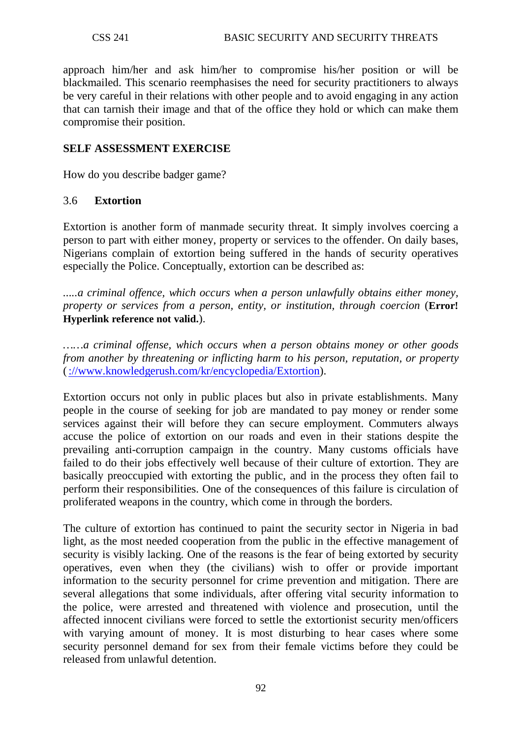approach him/her and ask him/her to compromise his/her position or will be blackmailed. This scenario reemphasises the need for security practitioners to always be very careful in their relations with other people and to avoid engaging in any action that can tarnish their image and that of the office they hold or which can make them compromise their position.

### **SELF ASSESSMENT EXERCISE**

How do you describe badger game?

### 3.6 **Extortion**

Extortion is another form of manmade security threat. It simply involves coercing a person to part with either money, property or services to the offender. On daily bases, Nigerians complain of extortion being suffered in the hands of security operatives especially the Police. Conceptually, extortion can be described as:

*.....a criminal offence, which occurs when a person [unlawfully](http://en.wikipedia.org/wiki/Unlawful) obtains either money, property or services from a person, entity, or institution, through [coercion](http://en.wikipedia.org/wiki/Coercion)* (**Error! Hyperlink reference not valid.**).

*……a [criminal offense,](http://www.knowledgerush.com/kr/encyclopedia/Crime/) which occurs when a person obtains money or other goods from another by threatening or inflicting harm to his person, reputation, or property* [\(://www.knowledgerush.com/kr/encyclopedia/Extortion\)](http://www.knowledgerush.com/kr/encyclopedia/Extortion).

Extortion occurs not only in public places but also in private establishments. Many people in the course of seeking for job are mandated to pay money or render some services against their will before they can secure employment. Commuters always accuse the police of extortion on our roads and even in their stations despite the prevailing anti-corruption campaign in the country. Many customs officials have failed to do their jobs effectively well because of their culture of extortion. They are basically preoccupied with extorting the public, and in the process they often fail to perform their responsibilities. One of the consequences of this failure is circulation of proliferated weapons in the country, which come in through the borders.

The culture of extortion has continued to paint the security sector in Nigeria in bad light, as the most needed cooperation from the public in the effective management of security is visibly lacking. One of the reasons is the fear of being extorted by security operatives, even when they (the civilians) wish to offer or provide important information to the security personnel for crime prevention and mitigation. There are several allegations that some individuals, after offering vital security information to the police, were arrested and threatened with violence and prosecution, until the affected innocent civilians were forced to settle the extortionist security men/officers with varying amount of money. It is most disturbing to hear cases where some security personnel demand for sex from their female victims before they could be released from unlawful detention.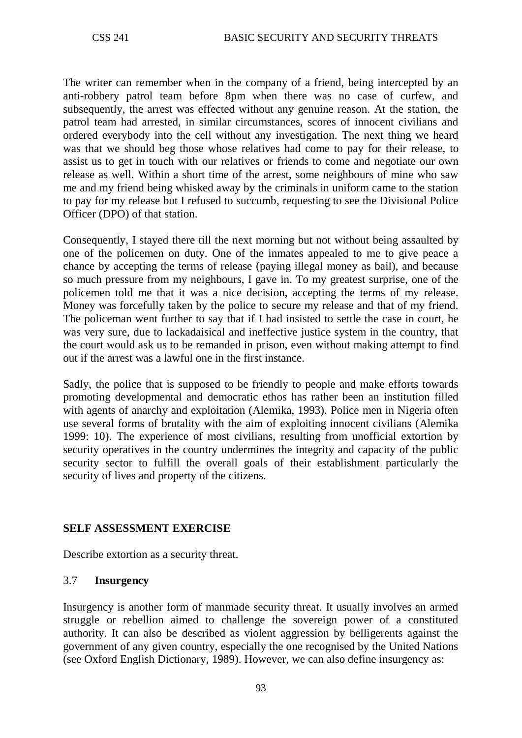The writer can remember when in the company of a friend, being intercepted by an anti-robbery patrol team before 8pm when there was no case of curfew, and subsequently, the arrest was effected without any genuine reason. At the station, the patrol team had arrested, in similar circumstances, scores of innocent civilians and ordered everybody into the cell without any investigation. The next thing we heard was that we should beg those whose relatives had come to pay for their release, to assist us to get in touch with our relatives or friends to come and negotiate our own release as well. Within a short time of the arrest, some neighbours of mine who saw me and my friend being whisked away by the criminals in uniform came to the station to pay for my release but I refused to succumb, requesting to see the Divisional Police Officer (DPO) of that station.

Consequently, I stayed there till the next morning but not without being assaulted by one of the policemen on duty. One of the inmates appealed to me to give peace a chance by accepting the terms of release (paying illegal money as bail), and because so much pressure from my neighbours, I gave in. To my greatest surprise, one of the policemen told me that it was a nice decision, accepting the terms of my release. Money was forcefully taken by the police to secure my release and that of my friend. The policeman went further to say that if I had insisted to settle the case in court, he was very sure, due to lackadaisical and ineffective justice system in the country, that the court would ask us to be remanded in prison, even without making attempt to find out if the arrest was a lawful one in the first instance.

Sadly, the police that is supposed to be friendly to people and make efforts towards promoting developmental and democratic ethos has rather been an institution filled with agents of anarchy and exploitation (Alemika, 1993). Police men in Nigeria often use several forms of brutality with the aim of exploiting innocent civilians (Alemika 1999: 10). The experience of most civilians, resulting from unofficial extortion by security operatives in the country undermines the integrity and capacity of the public security sector to fulfill the overall goals of their establishment particularly the security of lives and property of the citizens.

### **SELF ASSESSMENT EXERCISE**

Describe extortion as a security threat.

### 3.7 **Insurgency**

Insurgency is another form of manmade security threat. It usually involves an armed struggle or rebellion aimed to challenge the sovereign power of a constituted authority. It can also be described as violent aggression by belligerents against the government of any given country, especially the one recognised by the United Nations (see Oxford English Dictionary, 1989). However, we can also define insurgency as: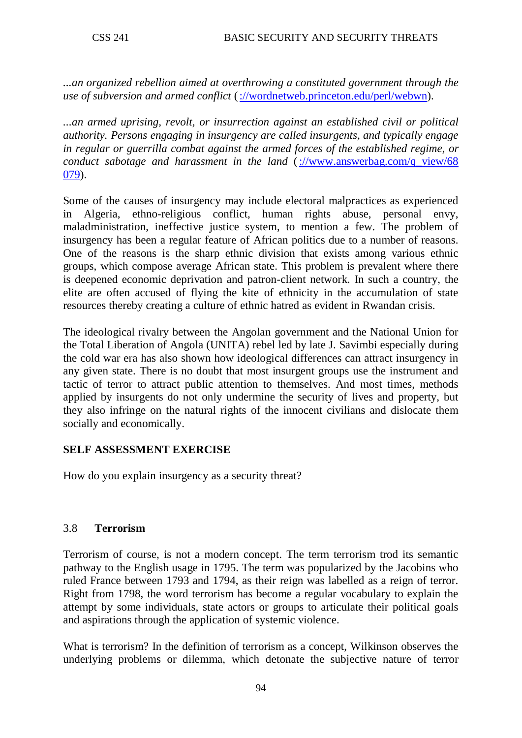*...an organized rebellion aimed at overthrowing a constituted government through the use of subversion and armed conflict* [\(://wordnetweb.princeton.edu/perl/webwn\)](http://wordnetweb.princeton.edu/perl/webwn).

*...an armed uprising, revolt, or insurrection against an established civil or political authority. Persons engaging in insurgency are called insurgents, and typically engage in regular or guerrilla combat against the armed forces of the established regime, or conduct sabotage and harassment in the land* [\(://www.answerbag.com/q\\_view/68](http://www.answerbag.com/q_view/68%20079)  [079\)](http://www.answerbag.com/q_view/68%20079).

Some of the causes of insurgency may include electoral malpractices as experienced in Algeria, ethno-religious conflict, human rights abuse, personal envy, maladministration, ineffective justice system, to mention a few. The problem of insurgency has been a regular feature of African politics due to a number of reasons. One of the reasons is the sharp ethnic division that exists among various ethnic groups, which compose average African state. This problem is prevalent where there is deepened economic deprivation and patron-client network. In such a country, the elite are often accused of flying the kite of ethnicity in the accumulation of state resources thereby creating a culture of ethnic hatred as evident in Rwandan crisis.

The ideological rivalry between the Angolan government and the National Union for the Total Liberation of Angola (UNITA) rebel led by late J. Savimbi especially during the cold war era has also shown how ideological differences can attract insurgency in any given state. There is no doubt that most insurgent groups use the instrument and tactic of terror to attract public attention to themselves. And most times, methods applied by insurgents do not only undermine the security of lives and property, but they also infringe on the natural rights of the innocent civilians and dislocate them socially and economically.

# **SELF ASSESSMENT EXERCISE**

How do you explain insurgency as a security threat?

# 3.8 **Terrorism**

Terrorism of course, is not a modern concept. The term terrorism trod its semantic pathway to the English usage in 1795. The term was popularized by the Jacobins who ruled France between 1793 and 1794, as their reign was labelled as a reign of terror. Right from 1798, the word terrorism has become a regular vocabulary to explain the attempt by some individuals, state actors or groups to articulate their political goals and aspirations through the application of systemic violence.

What is terrorism? In the definition of terrorism as a concept, Wilkinson observes the underlying problems or dilemma, which detonate the subjective nature of terror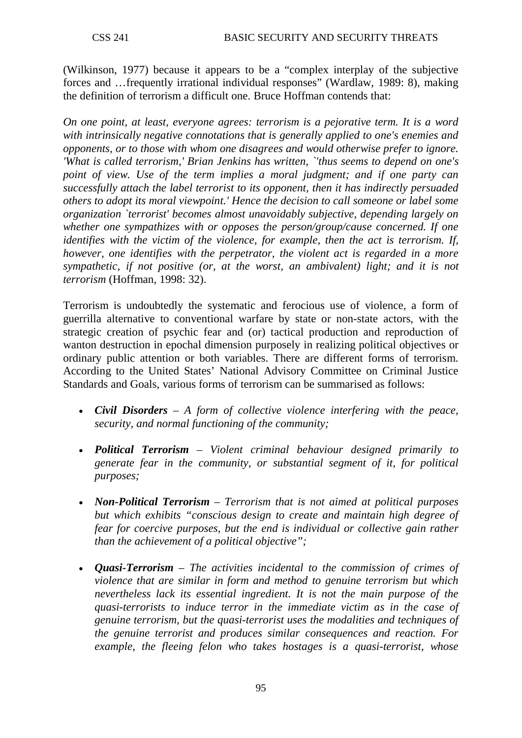(Wilkinson, 1977) because it appears to be a "complex interplay of the subjective forces and …frequently irrational individual responses" (Wardlaw, 1989: 8), making the definition of terrorism a difficult one. Bruce Hoffman contends that:

*On one point, at least, everyone agrees: terrorism is a pejorative term. It is a word with intrinsically negative connotations that is generally applied to one's enemies and opponents, or to those with whom one disagrees and would otherwise prefer to ignore. 'What is called terrorism,' Brian Jenkins has written, `'thus seems to depend on one's point of view. Use of the term implies a moral judgment; and if one party can successfully attach the label terrorist to its opponent, then it has indirectly persuaded others to adopt its moral viewpoint.' Hence the decision to call someone or label some organization `terrorist' becomes almost unavoidably subjective, depending largely on whether one sympathizes with or opposes the person/group/cause concerned. If one identifies with the victim of the violence, for example, then the act is terrorism. If, however, one identifies with the perpetrator, the violent act is regarded in a more sympathetic, if not positive (or, at the worst, an ambivalent) light; and it is not terrorism* (Hoffman, 1998: 32).

Terrorism is undoubtedly the systematic and ferocious use of violence, a form of guerrilla alternative to conventional warfare by state or non-state actors, with the strategic creation of psychic fear and (or) tactical production and reproduction of wanton destruction in epochal dimension purposely in realizing political objectives or ordinary public attention or both variables. There are different forms of terrorism. According to the United States' National Advisory Committee on Criminal Justice Standards and Goals, various forms of terrorism can be summarised as follows:

- *[Civil Disorders](http://en.wikipedia.org/wiki/Civil_disorder) A form of collective violence interfering with the [peace,](http://en.wikipedia.org/wiki/Peace) [security,](http://en.wikipedia.org/wiki/Security) and normal functioning of the community;*
- *Political Terrorism – [Violent](http://en.wikipedia.org/wiki/Violence) criminal behaviour designed primarily to generate [fear](http://en.wikipedia.org/wiki/Fear) in the community, or substantial segment of it, for political purposes;*
- *Non-Political Terrorism Terrorism that is not aimed at [political](http://en.wikipedia.org/wiki/Politics) purposes but which exhibits "conscious design to create and maintain high degree of fear for [coercive](http://en.wikipedia.org/wiki/Coercion) purposes, but the end is individual or collective gain rather than the achievement of a political objective";*
- *Quasi-Terrorism – The activities incidental to the commission of [crimes](http://en.wikipedia.org/wiki/Crime) of [violence](http://en.wikipedia.org/wiki/Violence) that are similar in form and method to genuine terrorism but which nevertheless lack its essential ingredient. It is not the main purpose of the quasi-terrorists to induce terror in the immediate victim as in the case of genuine terrorism, but the quasi-terrorist uses the modalities and techniques of the genuine terrorist and produces similar consequences and reaction. For example, the fleeing [felon](http://en.wikipedia.org/wiki/Felon) who takes [hostages](http://en.wikipedia.org/wiki/Hostage) is a quasi-terrorist, whose*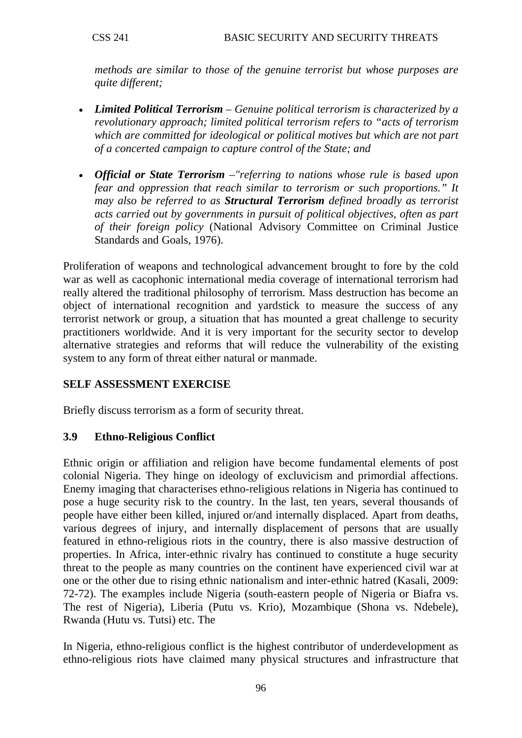*methods are similar to those of the genuine terrorist but whose purposes are quite different;*

- *Limited Political Terrorism – Genuine political terrorism is characterized by a [revolutionary](http://en.wikipedia.org/wiki/Revolutionary) approach; limited political terrorism refers to "acts of terrorism which are committed for [ideological](http://en.wikipedia.org/wiki/Ideology) or [political](http://en.wikipedia.org/wiki/Politics) motives but which are not part of a concerted [campaign](http://en.wikipedia.org/w/index.php?title=Strategic_campaign&action=edit&redlink=1) to capture control of the [State;](http://en.wikipedia.org/wiki/Sovereign_state) and*
- *Official or [State Terrorism](http://en.wikipedia.org/wiki/State_Terrorism) –"referring to nations whose rule is based upon [fear](http://en.wikipedia.org/wiki/Fear) and [oppression](http://en.wikipedia.org/wiki/Oppression) that reach similar to terrorism or such proportions." It may also be referred to as Structural Terrorism defined broadly as terrorist acts carried out by governments in pursuit of political objectives, often as part of their foreign policy* (National Advisory Committee on Criminal Justice Standards and Goals, 1976).

Proliferation of weapons and technological advancement brought to fore by the cold war as well as cacophonic international media coverage of international terrorism had really altered the traditional philosophy of terrorism. Mass destruction has become an object of international recognition and yardstick to measure the success of any terrorist network or group, a situation that has mounted a great challenge to security practitioners worldwide. And it is very important for the security sector to develop alternative strategies and reforms that will reduce the vulnerability of the existing system to any form of threat either natural or manmade.

# **SELF ASSESSMENT EXERCISE**

Briefly discuss terrorism as a form of security threat.

### **3.9 Ethno-Religious Conflict**

Ethnic origin or affiliation and religion have become fundamental elements of post colonial Nigeria. They hinge on ideology of excluvicism and primordial affections. Enemy imaging that characterises ethno-religious relations in Nigeria has continued to pose a huge security risk to the country. In the last, ten years, several thousands of people have either been killed, injured or/and internally displaced. Apart from deaths, various degrees of injury, and internally displacement of persons that are usually featured in ethno-religious riots in the country, there is also massive destruction of properties. In Africa, inter-ethnic rivalry has continued to constitute a huge security threat to the people as many countries on the continent have experienced civil war at one or the other due to rising ethnic nationalism and inter-ethnic hatred (Kasali, 2009: 72-72). The examples include Nigeria (south-eastern people of Nigeria or Biafra vs. The rest of Nigeria), Liberia (Putu vs. Krio), Mozambique (Shona vs. Ndebele), Rwanda (Hutu vs. Tutsi) etc. The

In Nigeria, ethno-religious conflict is the highest contributor of underdevelopment as ethno-religious riots have claimed many physical structures and infrastructure that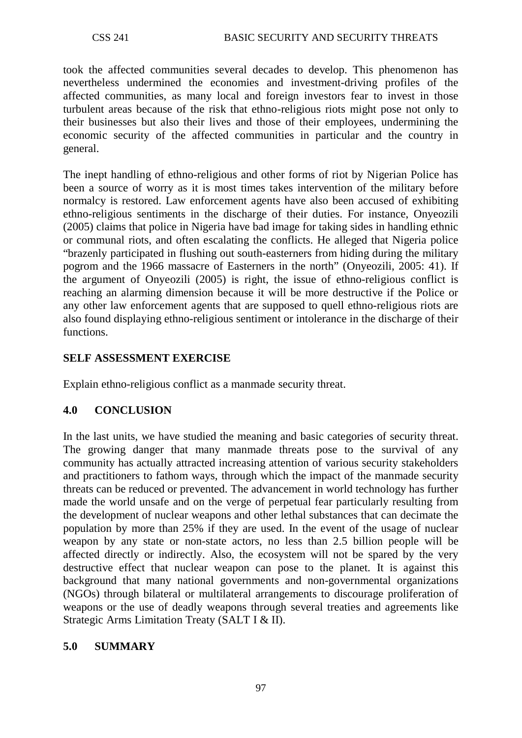took the affected communities several decades to develop. This phenomenon has nevertheless undermined the economies and investment-driving profiles of the affected communities, as many local and foreign investors fear to invest in those turbulent areas because of the risk that ethno-religious riots might pose not only to their businesses but also their lives and those of their employees, undermining the economic security of the affected communities in particular and the country in general.

The inept handling of ethno-religious and other forms of riot by Nigerian Police has been a source of worry as it is most times takes intervention of the military before normalcy is restored. Law enforcement agents have also been accused of exhibiting ethno-religious sentiments in the discharge of their duties. For instance, Onyeozili (2005) claims that police in Nigeria have bad image for taking sides in handling ethnic or communal riots, and often escalating the conflicts. He alleged that Nigeria police "brazenly participated in flushing out south-easterners from hiding during the military pogrom and the 1966 massacre of Easterners in the north" (Onyeozili, 2005: 41). If the argument of Onyeozili (2005) is right, the issue of ethno-religious conflict is reaching an alarming dimension because it will be more destructive if the Police or any other law enforcement agents that are supposed to quell ethno-religious riots are also found displaying ethno-religious sentiment or intolerance in the discharge of their functions.

### **SELF ASSESSMENT EXERCISE**

Explain ethno-religious conflict as a manmade security threat.

### **4.0 CONCLUSION**

In the last units, we have studied the meaning and basic categories of security threat. The growing danger that many manmade threats pose to the survival of any community has actually attracted increasing attention of various security stakeholders and practitioners to fathom ways, through which the impact of the manmade security threats can be reduced or prevented. The advancement in world technology has further made the world unsafe and on the verge of perpetual fear particularly resulting from the development of nuclear weapons and other lethal substances that can decimate the population by more than 25% if they are used. In the event of the usage of nuclear weapon by any state or non-state actors, no less than 2.5 billion people will be affected directly or indirectly. Also, the ecosystem will not be spared by the very destructive effect that nuclear weapon can pose to the planet. It is against this background that many national governments and non-governmental organizations (NGOs) through bilateral or multilateral arrangements to discourage proliferation of weapons or the use of deadly weapons through several treaties and agreements like Strategic Arms Limitation Treaty (SALT I & II).

### **5.0 SUMMARY**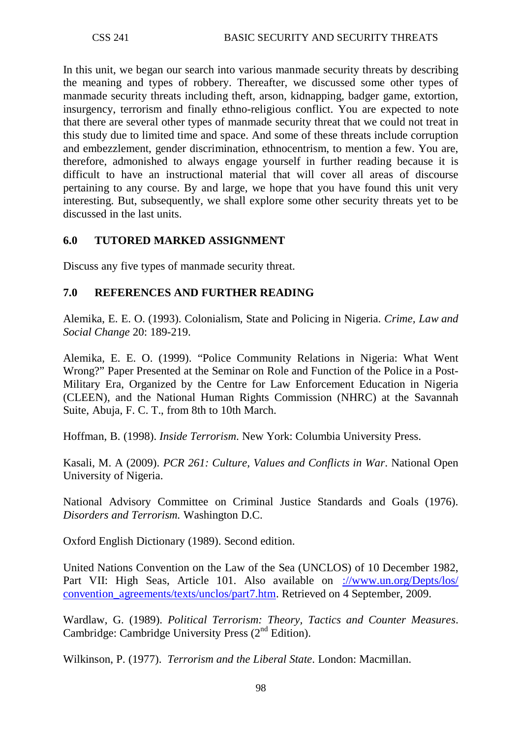In this unit, we began our search into various manmade security threats by describing the meaning and types of robbery. Thereafter, we discussed some other types of manmade security threats including theft, arson, kidnapping, badger game, extortion, insurgency, terrorism and finally ethno-religious conflict. You are expected to note that there are several other types of manmade security threat that we could not treat in this study due to limited time and space. And some of these threats include corruption and embezzlement, gender discrimination, ethnocentrism, to mention a few. You are, therefore, admonished to always engage yourself in further reading because it is difficult to have an instructional material that will cover all areas of discourse pertaining to any course. By and large, we hope that you have found this unit very interesting. But, subsequently, we shall explore some other security threats yet to be discussed in the last units.

### **6.0 TUTORED MARKED ASSIGNMENT**

Discuss any five types of manmade security threat.

### **7.0 REFERENCES AND FURTHER READING**

Alemika, E. E. O. (1993). Colonialism, State and Policing in Nigeria. *Crime, Law and Social Change* 20: 189-219.

Alemika, E. E. O. (1999). "Police Community Relations in Nigeria: What Went Wrong?" Paper Presented at the Seminar on Role and Function of the Police in a Post-Military Era, Organized by the Centre for Law Enforcement Education in Nigeria (CLEEN), and the National Human Rights Commission (NHRC) at the Savannah Suite, Abuja, F. C. T., from 8th to 10th March.

Hoffman, B. (1998). *Inside Terrorism*. New York: Columbia University Press.

Kasali, M. A (2009). *PCR 261: Culture, Values and Conflicts in War*. National Open University of Nigeria.

National Advisory Committee on Criminal Justice Standards and Goals (1976). *Disorders and Terrorism.* Washington D.C.

[Oxford English Dictionary](http://en.wikipedia.org/wiki/Oxford_English_Dictionary) (1989). Second edition.

[United Nations Convention on the Law of the Sea \(UNCLOS\) of 10 December 1982,](http://www.un.org/Depts/los/convention_agreements/texts/unclos/part7.htm)  [Part VII: High Seas, Article 101.](http://www.un.org/Depts/los/convention_agreements/texts/unclos/part7.htm) Also available on [://www.un.org/Depts/los/](http://www.un.org/Depts/los/%20convention_agreements/texts/unclos/part7.htm)  convention agreements/texts/unclos/part7.htm. Retrieved on 4 September, 2009.

Wardlaw, G. (1989). *Political Terrorism: Theory, Tactics and Counter Measures*. Cambridge: Cambridge University Press (2<sup>nd</sup> Edition).

Wilkinson, P. (1977). *Terrorism and the Liberal State*. London: Macmillan.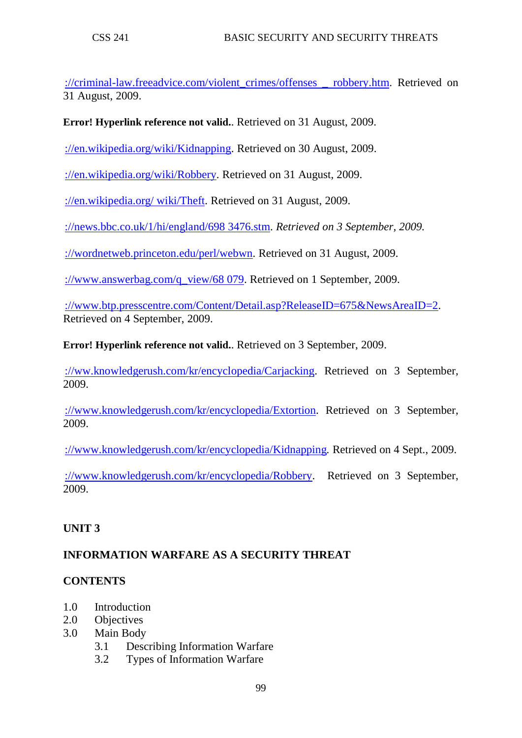[://criminal-law.freeadvice.com/violent\\_crimes/offenses \\_ robbery.htm.](http://criminal-law.freeadvice.com/violent_crimes/offenses%20_%20robbery.htm) Retrieved on 31 August, 2009.

**Error! Hyperlink reference not valid.**. Retrieved on 31 August, 2009.

[://en.wikipedia.org/wiki/Kidnapping.](http://en.wikipedia.org/wiki/Kidnapping) Retrieved on 30 August, 2009.

[://en.wikipedia.org/wiki/Robbery.](http://en.wikipedia.org/wiki/Robbery) Retrieved on 31 August, 2009.

[://en.wikipedia.org/ wiki/Theft.](http://en.wikipedia.org/%20wiki/Theft) Retrieved on 31 August, 2009.

[://news.bbc.co.uk/1/hi/england/698 3476.stm.](http://news.bbc.co.uk/1/hi/england/698%203476.stm) *Retrieved on 3 September, 2009.* 

[://wordnetweb.princeton.edu/perl/webwn.](http://wordnetweb.princeton.edu/perl/webwn) Retrieved on 31 August, 2009.

[://www.answerbag.com/q\\_view/68 079.](http://www.answerbag.com/q_view/68%20079) Retrieved on 1 September, 2009.

[://www.btp.presscentre.com/Content/Detail.asp?ReleaseID=675&NewsAreaID=2.](http://www.btp.presscentre.com/Content/Detail.asp?ReleaseID=675&NewsAreaID=2) Retrieved on 4 September, 2009.

**Error! Hyperlink reference not valid.**. Retrieved on 3 September, 2009.

[://ww.knowledgerush.com/kr/encyclopedia/Carjacking.](http://ww.knowledgerush.com/kr/encyclopedia/Carjacking) Retrieved on 3 September, 2009.

[://www.knowledgerush.com/kr/encyclopedia/Extortion.](http://www.knowledgerush.com/kr/encyclopedia/Extortion) Retrieved on 3 September, 2009.

[://www.knowledgerush.com/kr/encyclopedia/Kidnapping](http://www.knowledgerush.com/kr/encyclopedia/Kidnapping)*.* Retrieved on 4 Sept., 2009.

[://www.knowledgerush.com/kr/encyclopedia/Robbery.](http://www.knowledgerush.com/kr/encyclopedia/Robbery) Retrieved on 3 September, 2009.

# **UNIT 3**

# **INFORMATION WARFARE AS A SECURITY THREAT**

### **CONTENTS**

- 1.0 Introduction
- 2.0 Objectives
- 3.0 Main Body
	- 3.1 Describing Information Warfare
	- 3.2 Types of Information Warfare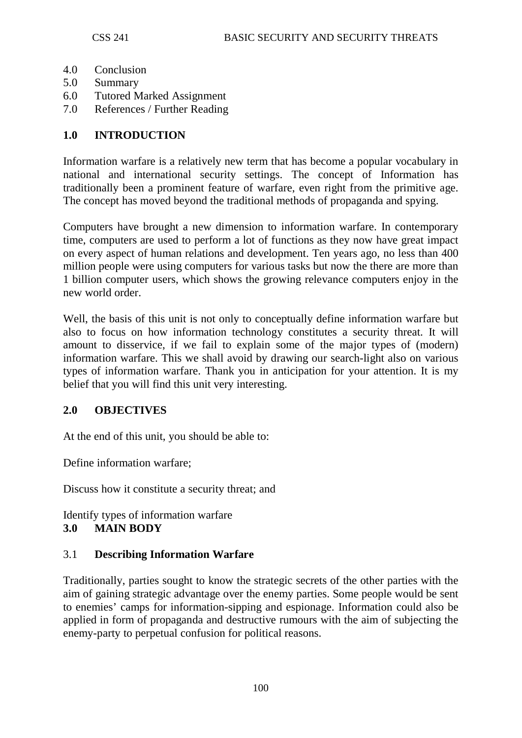- 4.0 Conclusion
- 5.0 Summary
- 6.0 Tutored Marked Assignment
- 7.0 References / Further Reading

### **1.0 INTRODUCTION**

Information warfare is a relatively new term that has become a popular vocabulary in national and international security settings. The concept of Information has traditionally been a prominent feature of warfare, even right from the primitive age. The concept has moved beyond the traditional methods of propaganda and spying.

Computers have brought a new dimension to information warfare. In contemporary time, computers are used to perform a lot of functions as they now have great impact on every aspect of human relations and development. Ten years ago, no less than 400 million people were using computers for various tasks but now the there are more than 1 billion computer users, which shows the growing relevance computers enjoy in the new world order.

Well, the basis of this unit is not only to conceptually define information warfare but also to focus on how information technology constitutes a security threat. It will amount to disservice, if we fail to explain some of the major types of (modern) information warfare. This we shall avoid by drawing our search-light also on various types of information warfare. Thank you in anticipation for your attention. It is my belief that you will find this unit very interesting.

### **2.0 OBJECTIVES**

At the end of this unit, you should be able to:

Define information warfare;

Discuss how it constitute a security threat; and

Identify types of information warfare

### **3.0 MAIN BODY**

### 3.1 **Describing Information Warfare**

Traditionally, parties sought to know the strategic secrets of the other parties with the aim of gaining strategic advantage over the enemy parties. Some people would be sent to enemies' camps for information-sipping and espionage. Information could also be applied in form of propaganda and destructive rumours with the aim of subjecting the enemy-party to perpetual confusion for political reasons.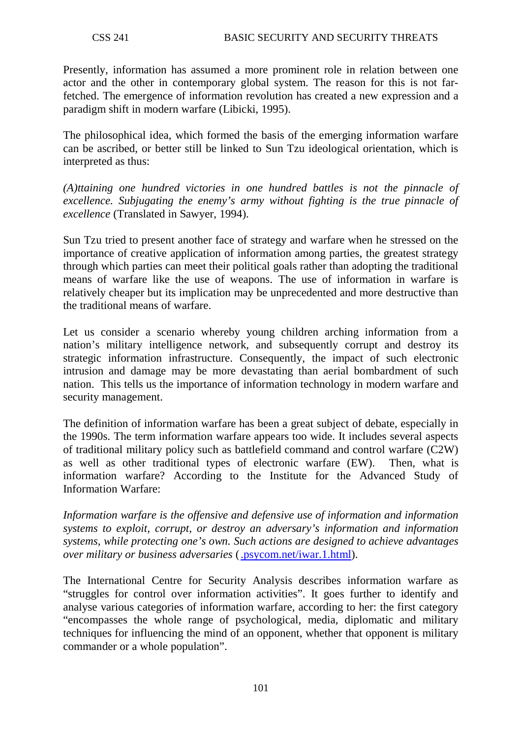Presently, information has assumed a more prominent role in relation between one actor and the other in contemporary global system. The reason for this is not farfetched. The emergence of information revolution has created a new expression and a paradigm shift in modern warfare (Libicki, 1995).

The philosophical idea, which formed the basis of the emerging information warfare can be ascribed, or better still be linked to Sun Tzu ideological orientation, which is interpreted as thus:

*(A)ttaining one hundred victories in one hundred battles is not the pinnacle of excellence. Subjugating the enemy's army without fighting is the true pinnacle of excellence* (Translated in Sawyer, 1994).

Sun Tzu tried to present another face of strategy and warfare when he stressed on the importance of creative application of information among parties, the greatest strategy through which parties can meet their political goals rather than adopting the traditional means of warfare like the use of weapons. The use of information in warfare is relatively cheaper but its implication may be unprecedented and more destructive than the traditional means of warfare.

Let us consider a scenario whereby young children arching information from a nation's military intelligence network, and subsequently corrupt and destroy its strategic information infrastructure. Consequently, the impact of such electronic intrusion and damage may be more devastating than aerial bombardment of such nation. This tells us the importance of information technology in modern warfare and security management.

The definition of information warfare has been a great subject of debate, especially in the 1990s. The term information warfare appears too wide. It includes several aspects of traditional military policy such as battlefield command and control warfare (C2W) as well as other traditional types of electronic warfare (EW). Then, what is information warfare? According to the Institute for the Advanced Study of Information Warfare:

*Information warfare is the offensive and defensive use of information and information systems to exploit, corrupt, or destroy an adversary's information and information systems, while protecting one's own. Such actions are designed to achieve advantages over military or business adversaries* [\(.psycom.net/iwar.1.html\)](http://www.psycom.net/iwar.1.html).

The International Centre for Security Analysis describes information warfare as "struggles for control over information activities". It goes further to identify and analyse various categories of information warfare, according to her: the first category "encompasses the whole range of psychological, media, diplomatic and military techniques for influencing the mind of an opponent, whether that opponent is military commander or a whole population".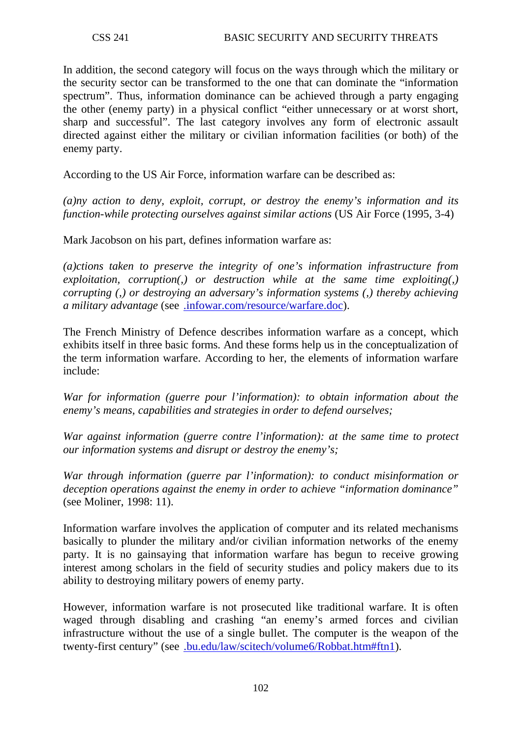In addition, the second category will focus on the ways through which the military or the security sector can be transformed to the one that can dominate the "information spectrum". Thus, information dominance can be achieved through a party engaging the other (enemy party) in a physical conflict "either unnecessary or at worst short, sharp and successful". The last category involves any form of electronic assault directed against either the military or civilian information facilities (or both) of the enemy party.

According to the US Air Force, information warfare can be described as:

*(a)ny action to deny, exploit, corrupt, or destroy the enemy's information and its function-while protecting ourselves against similar actions* (US Air Force (1995, 3-4)

Mark Jacobson on his part, defines information warfare as:

*(a)ctions taken to preserve the integrity of one's information infrastructure from exploitation, corruption(,) or destruction while at the same time exploiting(,) corrupting (,) or destroying an adversary's information systems (,) thereby achieving a military advantage* (see [.infowar.com/resource/warfare.doc\)](http://www.infowar.com/resource/warfare.doc).

The French Ministry of Defence describes information warfare as a concept, which exhibits itself in three basic forms. And these forms help us in the conceptualization of the term information warfare. According to her, the elements of information warfare include:

*War for information (guerre pour l'information): to obtain information about the enemy's means, capabilities and strategies in order to defend ourselves;* 

*War against information (guerre contre l'information): at the same time to protect our information systems and disrupt or destroy the enemy's;* 

*War through information (guerre par l'information): to conduct misinformation or deception operations against the enemy in order to achieve "information dominance"* (see Moliner, 1998: 11).

Information warfare involves the application of computer and its related mechanisms basically to plunder the military and/or civilian information networks of the enemy party. It is no gainsaying that information warfare has begun to receive growing interest among scholars in the field of security studies and policy makers due to its ability to destroying military powers of enemy party.

However, information warfare is not prosecuted like traditional warfare. It is often waged through disabling and crashing "an enemy's armed forces and civilian infrastructure without the use of a single bullet. The computer is the weapon of the twenty-first century" (see [.bu.edu/law/scitech/volume6/Robbat.htm#ftn1\)](http://www.bu.edu/law/scitech/volume6/Robbat.htm#ftn1).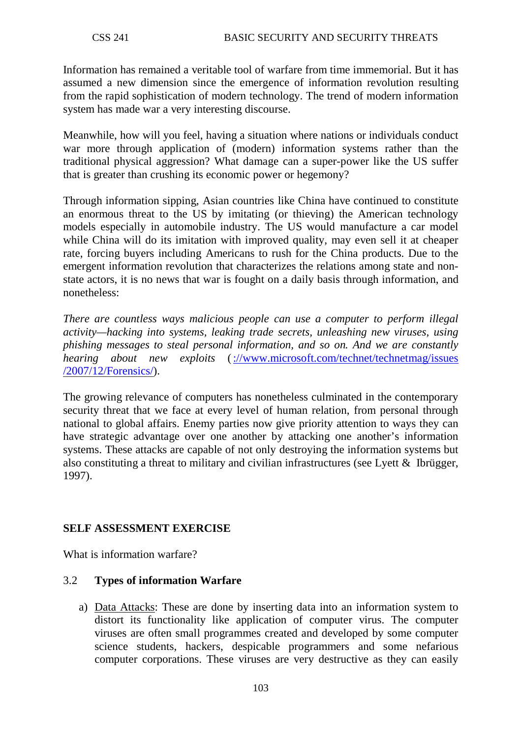Information has remained a veritable tool of warfare from time immemorial. But it has assumed a new dimension since the emergence of information revolution resulting from the rapid sophistication of modern technology. The trend of modern information system has made war a very interesting discourse.

Meanwhile, how will you feel, having a situation where nations or individuals conduct war more through application of (modern) information systems rather than the traditional physical aggression? What damage can a super-power like the US suffer that is greater than crushing its economic power or hegemony?

Through information sipping, Asian countries like China have continued to constitute an enormous threat to the US by imitating (or thieving) the American technology models especially in automobile industry. The US would manufacture a car model while China will do its imitation with improved quality, may even sell it at cheaper rate, forcing buyers including Americans to rush for the China products. Due to the emergent information revolution that characterizes the relations among state and nonstate actors, it is no news that war is fought on a daily basis through information, and nonetheless:

*There are countless ways malicious people can use a computer to perform illegal activity—hacking into systems, leaking trade secrets, unleashing new viruses, using phishing messages to steal personal information, and so on. And we are constantly hearing about new exploits* (://www.microsoft.com/technet/technetmag/issues [/2007/12/Forensics/\)](http://www.microsoft.com/technet/technetmag/issues%20/2007/12/Forensics/).

The growing relevance of computers has nonetheless culminated in the contemporary security threat that we face at every level of human relation, from personal through national to global affairs. Enemy parties now give priority attention to ways they can have strategic advantage over one another by attacking one another's information systems. These attacks are capable of not only destroying the information systems but also constituting a threat to military and civilian infrastructures (see Lyett & Ibrügger, 1997).

# **SELF ASSESSMENT EXERCISE**

What is information warfare?

### 3.2 **Types of information Warfare**

a) Data Attacks: These are done by inserting data into an information system to distort its functionality like application of computer virus. The computer viruses are often small programmes created and developed by some computer science students, hackers, despicable programmers and some nefarious computer corporations. These viruses are very destructive as they can easily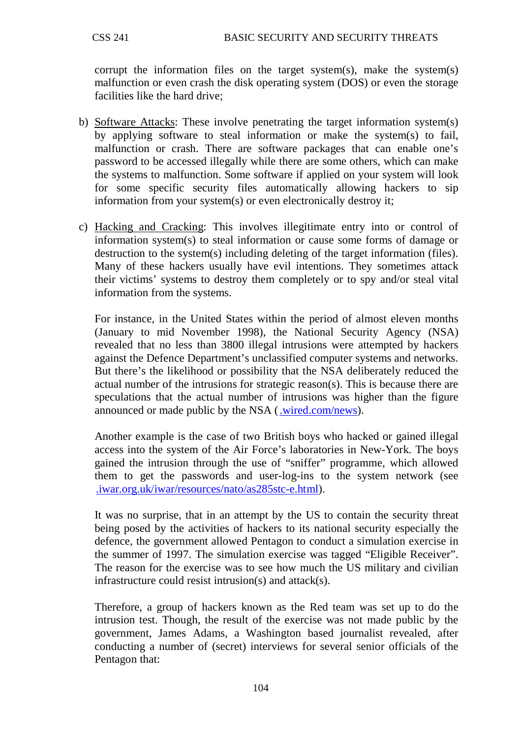corrupt the information files on the target system(s), make the system(s) malfunction or even crash the disk operating system (DOS) or even the storage facilities like the hard drive;

- b) Software Attacks: These involve penetrating the target information system(s) by applying software to steal information or make the system(s) to fail, malfunction or crash. There are software packages that can enable one's password to be accessed illegally while there are some others, which can make the systems to malfunction. Some software if applied on your system will look for some specific security files automatically allowing hackers to sip information from your system(s) or even electronically destroy it;
- c) Hacking and Cracking: This involves illegitimate entry into or control of information system(s) to steal information or cause some forms of damage or destruction to the system(s) including deleting of the target information (files). Many of these hackers usually have evil intentions. They sometimes attack their victims' systems to destroy them completely or to spy and/or steal vital information from the systems.

For instance, in the United States within the period of almost eleven months (January to mid November 1998), the National Security Agency (NSA) revealed that no less than 3800 illegal intrusions were attempted by hackers against the Defence Department's unclassified computer systems and networks. But there's the likelihood or possibility that the NSA deliberately reduced the actual number of the intrusions for strategic reason(s). This is because there are speculations that the actual number of intrusions was higher than the figure announced or made public by the NSA [\(.wired.com/news\)](http://www.wired.com/news).

Another example is the case of two British boys who hacked or gained illegal access into the system of the Air Force's laboratories in New-York. The boys gained the intrusion through the use of "sniffer" programme, which allowed them to get the passwords and user-log-ins to the system network (see [.iwar.org.uk/iwar/resources/nato/as285stc-e.html\)](http://www.iwar.org.uk/iwar/resources/nato/as285stc-e.html).

It was no surprise, that in an attempt by the US to contain the security threat being posed by the activities of hackers to its national security especially the defence, the government allowed Pentagon to conduct a simulation exercise in the summer of 1997. The simulation exercise was tagged "Eligible Receiver". The reason for the exercise was to see how much the US military and civilian infrastructure could resist intrusion(s) and attack(s).

Therefore, a group of hackers known as the Red team was set up to do the intrusion test. Though, the result of the exercise was not made public by the government, James Adams, a Washington based journalist revealed, after conducting a number of (secret) interviews for several senior officials of the Pentagon that: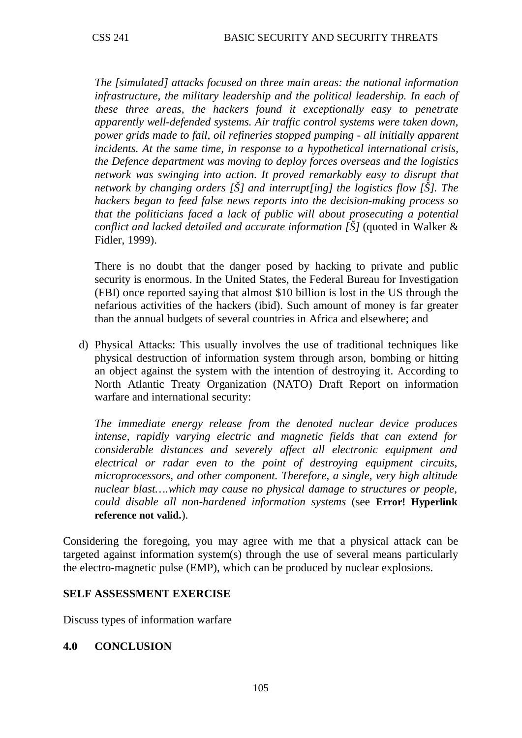*The [simulated] attacks focused on three main areas: the national information*  infrastructure, the military leadership and the political leadership. In each of *these three areas, the hackers found it exceptionally easy to penetrate apparently well-defended systems. Air traffic control systems were taken down, power grids made to fail, oil refineries stopped pumping - all initially apparent incidents. At the same time, in response to a hypothetical international crisis, the Defence department was moving to deploy forces overseas and the logistics network was swinging into action. It proved remarkably easy to disrupt that network by changing orders [Š] and interrupt[ing] the logistics flow [Š]. The hackers began to feed false news reports into the decision-making process so that the politicians faced a lack of public will about prosecuting a potential conflict and lacked detailed and accurate information [Š]* (quoted in Walker & Fidler, 1999).

There is no doubt that the danger posed by hacking to private and public security is enormous. In the United States, the Federal Bureau for Investigation (FBI) once reported saying that almost \$10 billion is lost in the US through the nefarious activities of the hackers (ibid). Such amount of money is far greater than the annual budgets of several countries in Africa and elsewhere; and

d) Physical Attacks: This usually involves the use of traditional techniques like physical destruction of information system through arson, bombing or hitting an object against the system with the intention of destroying it. According to North Atlantic Treaty Organization (NATO) Draft Report on information warfare and international security:

*The immediate energy release from the denoted nuclear device produces intense, rapidly varying electric and magnetic fields that can extend for considerable distances and severely affect all electronic equipment and electrical or radar even to the point of destroying equipment circuits, microprocessors, and other component. Therefore, a single, very high altitude nuclear blast….which may cause no physical damage to structures or people, could disable all non-hardened information systems* (see **Error! Hyperlink reference not valid.**).

Considering the foregoing, you may agree with me that a physical attack can be targeted against information system(s) through the use of several means particularly the electro-magnetic pulse (EMP), which can be produced by nuclear explosions.

#### **SELF ASSESSMENT EXERCISE**

Discuss types of information warfare

#### **4.0 CONCLUSION**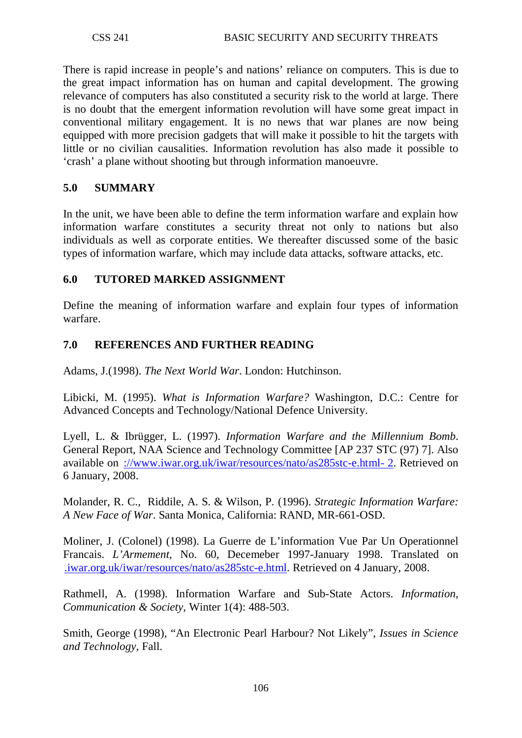There is rapid increase in people's and nations' reliance on computers. This is due to the great impact information has on human and capital development. The growing relevance of computers has also constituted a security risk to the world at large. There is no doubt that the emergent information revolution will have some great impact in conventional military engagement. It is no news that war planes are now being equipped with more precision gadgets that will make it possible to hit the targets with little or no civilian causalities. Information revolution has also made it possible to 'crash' a plane without shooting but through information manoeuvre.

### **5.0 SUMMARY**

In the unit, we have been able to define the term information warfare and explain how information warfare constitutes a security threat not only to nations but also individuals as well as corporate entities. We thereafter discussed some of the basic types of information warfare, which may include data attacks, software attacks, etc.

### **6.0 TUTORED MARKED ASSIGNMENT**

Define the meaning of information warfare and explain four types of information warfare.

### **7.0 REFERENCES AND FURTHER READING**

Adams, J.(1998). *The Next World War*. London: Hutchinson.

Libicki, M. (1995). *What is Information Warfare?* Washington, D.C.: Centre for Advanced Concepts and Technology/National Defence University.

Lyell, L. & Ibrügger, L. (1997). *Information Warfare and the Millennium Bomb*. General Report, NAA Science and Technology Committee [AP 237 STC (97) 7]. Also available on [://www.iwar.org.uk/iwar/resources/nato/as285stc-e.html-](http://www.iwar.org.uk/iwar/resources/nato/as285stc-e.html-%202) 2. Retrieved on 6 January, 2008.

Molander, R. C., Riddile, A. S. & Wilson, P. (1996). *Strategic Information Warfare: A New Face of War*. Santa Monica, California: RAND, MR-661-OSD.

Moliner, J. (Colonel) (1998). La Guerre de L'information Vue Par Un Operationnel Francais. *L'Armement*, No. 60, Decemeber 1997-January 1998. Translated on [.iwar.org.uk/iwar/resources/nato/as285stc-e.html.](http://www.iwar.org.uk/iwar/resources/nato/as285stc-e.html) Retrieved on 4 January, 2008.

Rathmell, A. (1998). Information Warfare and Sub-State Actors. *Information, Communication & Society*, Winter 1(4): 488-503.

Smith, George (1998), "An Electronic Pearl Harbour? Not Likely", *Issues in Science and Technology*, Fall.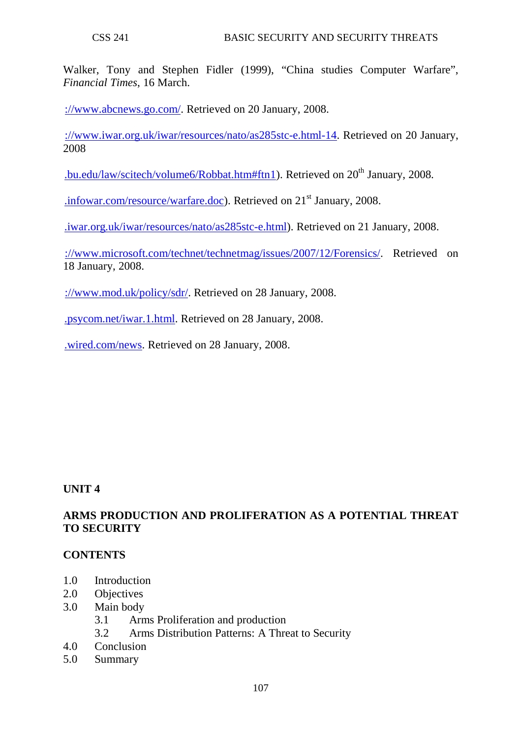Walker, Tony and Stephen Fidler (1999), "China studies Computer Warfare", *Financial Times*, 16 March.

[://www.abcnews.go.com/.](http://www.abcnews.go.com/) Retrieved on 20 January, 2008.

[://www.iwar.org.uk/iwar/resources/nato/as285stc-e.html-14.](http://www.iwar.org.uk/iwar/resources/nato/as285stc-e.html-14) Retrieved on 20 January, 2008

[.bu.edu/law/scitech/volume6/Robbat.htm#ftn1\)](http://www.bu.edu/law/scitech/volume6/Robbat.htm#ftn1). Retrieved on  $20<sup>th</sup>$  January, 2008.

[.infowar.com/resource/warfare.doc\)](http://www.infowar.com/resource/warfare.doc). Retrieved on 21<sup>st</sup> January, 2008.

[.iwar.org.uk/iwar/resources/nato/as285stc-e.html\)](http://www.iwar.org.uk/iwar/resources/nato/as285stc-e.html). Retrieved on 21 January, 2008.

://www.microsoft.com/technet/technetmag/issues/2007/12/Forensics/. Retrieved on 18 January, 2008.

[://www.mod.uk/policy/sdr/.](http://www.mod.uk/policy/sdr/) Retrieved on 28 January, 2008.

[.psycom.net/iwar.1.html.](http://www.psycom.net/iwar.1.html) Retrieved on 28 January, 2008.

[.wired.com/news.](http://www.wired.com/news) Retrieved on 28 January, 2008.

#### **UNIT 4**

### **ARMS PRODUCTION AND PROLIFERATION AS A POTENTIAL THREAT TO SECURITY**

#### **CONTENTS**

- 1.0 Introduction
- 2.0 Objectives
- 3.0 Main body
	- 3.1 Arms Proliferation and production
	- 3.2 Arms Distribution Patterns: A Threat to Security
- 4.0 Conclusion
- 5.0 Summary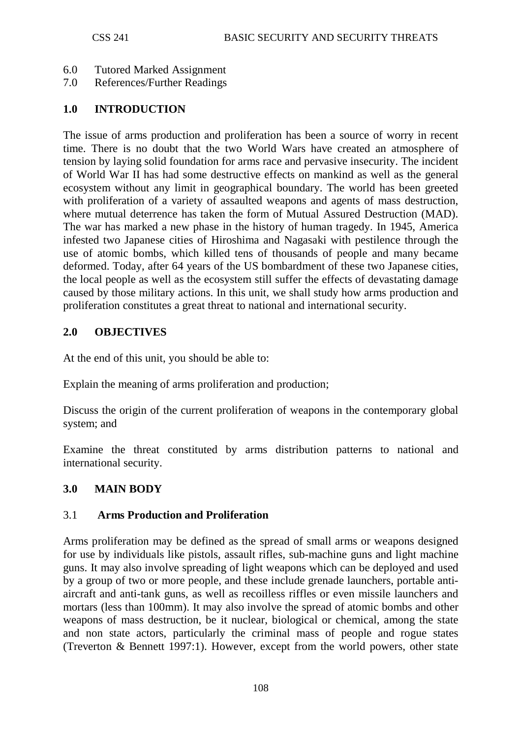- 6.0 Tutored Marked Assignment
- 7.0 References/Further Readings

### **1.0 INTRODUCTION**

The issue of arms production and proliferation has been a source of worry in recent time. There is no doubt that the two World Wars have created an atmosphere of tension by laying solid foundation for arms race and pervasive insecurity. The incident of World War II has had some destructive effects on mankind as well as the general ecosystem without any limit in geographical boundary. The world has been greeted with proliferation of a variety of assaulted weapons and agents of mass destruction, where mutual deterrence has taken the form of Mutual Assured Destruction (MAD). The war has marked a new phase in the history of human tragedy. In 1945, America infested two Japanese cities of Hiroshima and Nagasaki with pestilence through the use of atomic bombs, which killed tens of thousands of people and many became deformed. Today, after 64 years of the US bombardment of these two Japanese cities, the local people as well as the ecosystem still suffer the effects of devastating damage caused by those military actions. In this unit, we shall study how arms production and proliferation constitutes a great threat to national and international security.

### **2.0 OBJECTIVES**

At the end of this unit, you should be able to:

Explain the meaning of arms proliferation and production;

Discuss the origin of the current proliferation of weapons in the contemporary global system; and

Examine the threat constituted by arms distribution patterns to national and international security.

### **3.0 MAIN BODY**

### 3.1 **Arms Production and Proliferation**

Arms proliferation may be defined as the spread of small arms or weapons designed for use by individuals like pistols, assault rifles, sub-machine guns and light machine guns. It may also involve spreading of light weapons which can be deployed and used by a group of two or more people, and these include grenade launchers, portable antiaircraft and anti-tank guns, as well as recoilless riffles or even missile launchers and mortars (less than 100mm). It may also involve the spread of atomic bombs and other weapons of mass destruction, be it nuclear, biological or chemical, among the state and non state actors, particularly the criminal mass of people and rogue states (Treverton & Bennett 1997:1). However, except from the world powers, other state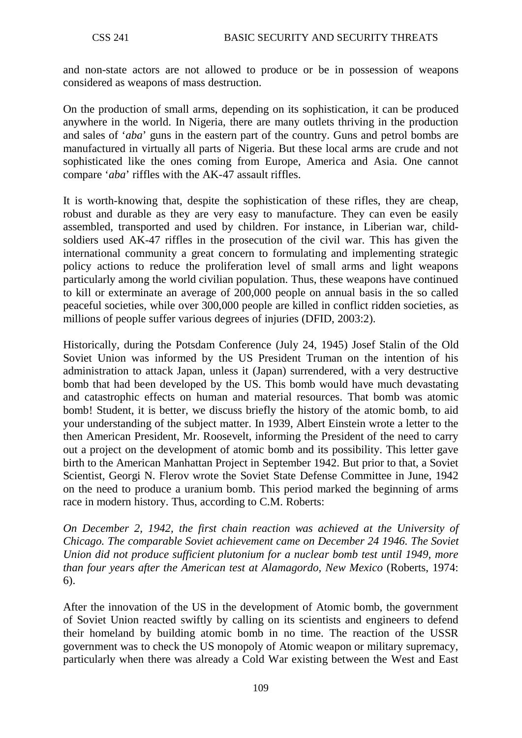and non-state actors are not allowed to produce or be in possession of weapons considered as weapons of mass destruction.

On the production of small arms, depending on its sophistication, it can be produced anywhere in the world. In Nigeria, there are many outlets thriving in the production and sales of '*aba*' guns in the eastern part of the country. Guns and petrol bombs are manufactured in virtually all parts of Nigeria. But these local arms are crude and not sophisticated like the ones coming from Europe, America and Asia. One cannot compare '*aba*' riffles with the AK-47 assault riffles.

It is worth-knowing that, despite the sophistication of these rifles, they are cheap, robust and durable as they are very easy to manufacture. They can even be easily assembled, transported and used by children. For instance, in Liberian war, childsoldiers used AK-47 riffles in the prosecution of the civil war. This has given the international community a great concern to formulating and implementing strategic policy actions to reduce the proliferation level of small arms and light weapons particularly among the world civilian population. Thus, these weapons have continued to kill or exterminate an average of 200,000 people on annual basis in the so called peaceful societies, while over 300,000 people are killed in conflict ridden societies, as millions of people suffer various degrees of injuries (DFID, 2003:2).

Historically, during the Potsdam Conference (July 24, 1945) Josef Stalin of the Old Soviet Union was informed by the US President Truman on the intention of his administration to attack Japan, unless it (Japan) surrendered, with a very destructive bomb that had been developed by the US. This bomb would have much devastating and catastrophic effects on human and material resources. That bomb was atomic bomb! Student, it is better, we discuss briefly the history of the atomic bomb, to aid your understanding of the subject matter. In 1939, Albert Einstein wrote a letter to the then American President, Mr. Roosevelt, informing the President of the need to carry out a project on the development of atomic bomb and its possibility. This letter gave birth to the American Manhattan Project in September 1942. But prior to that, a Soviet Scientist, Georgi N. Flerov wrote the Soviet State Defense Committee in June, 1942 on the need to produce a uranium bomb. This period marked the beginning of arms race in modern history. Thus, according to C.M. Roberts:

*On December 2, 1942, the first chain reaction was achieved at the University of Chicago. The comparable Soviet achievement came on December 24 1946. The Soviet Union did not produce sufficient plutonium for a nuclear bomb test until 1949, more than four years after the American test at Alamagordo, New Mexico* (Roberts, 1974: 6).

After the innovation of the US in the development of Atomic bomb, the government of Soviet Union reacted swiftly by calling on its scientists and engineers to defend their homeland by building atomic bomb in no time. The reaction of the USSR government was to check the US monopoly of Atomic weapon or military supremacy, particularly when there was already a Cold War existing between the West and East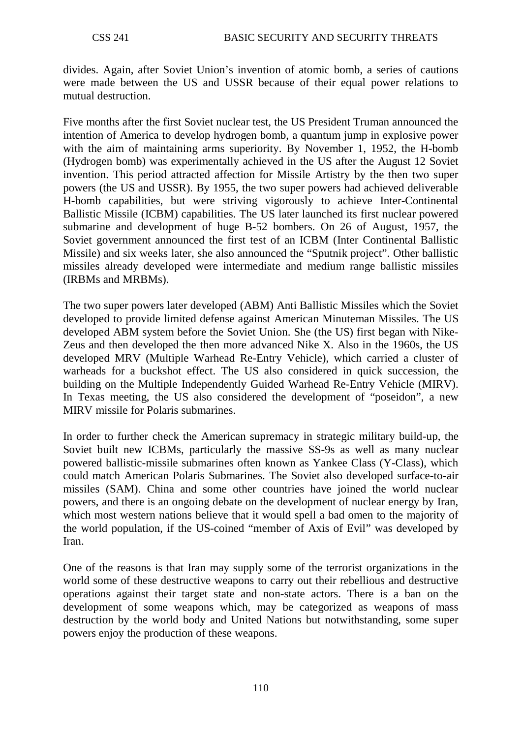divides. Again, after Soviet Union's invention of atomic bomb, a series of cautions were made between the US and USSR because of their equal power relations to mutual destruction.

Five months after the first Soviet nuclear test, the US President Truman announced the intention of America to develop hydrogen bomb, a quantum jump in explosive power with the aim of maintaining arms superiority. By November 1, 1952, the H-bomb (Hydrogen bomb) was experimentally achieved in the US after the August 12 Soviet invention. This period attracted affection for Missile Artistry by the then two super powers (the US and USSR). By 1955, the two super powers had achieved deliverable H-bomb capabilities, but were striving vigorously to achieve Inter-Continental Ballistic Missile (ICBM) capabilities. The US later launched its first nuclear powered submarine and development of huge B-52 bombers. On 26 of August, 1957, the Soviet government announced the first test of an ICBM (Inter Continental Ballistic Missile) and six weeks later, she also announced the "Sputnik project". Other ballistic missiles already developed were intermediate and medium range ballistic missiles (IRBMs and MRBMs).

The two super powers later developed (ABM) Anti Ballistic Missiles which the Soviet developed to provide limited defense against American Minuteman Missiles. The US developed ABM system before the Soviet Union. She (the US) first began with Nike-Zeus and then developed the then more advanced Nike X. Also in the 1960s, the US developed MRV (Multiple Warhead Re-Entry Vehicle), which carried a cluster of warheads for a buckshot effect. The US also considered in quick succession, the building on the Multiple Independently Guided Warhead Re-Entry Vehicle (MIRV). In Texas meeting, the US also considered the development of "poseidon", a new MIRV missile for Polaris submarines.

In order to further check the American supremacy in strategic military build-up, the Soviet built new ICBMs, particularly the massive SS-9s as well as many nuclear powered ballistic-missile submarines often known as Yankee Class (Y-Class), which could match American Polaris Submarines. The Soviet also developed surface-to-air missiles (SAM). China and some other countries have joined the world nuclear powers, and there is an ongoing debate on the development of nuclear energy by Iran, which most western nations believe that it would spell a bad omen to the majority of the world population, if the US-coined "member of Axis of Evil" was developed by Iran.

One of the reasons is that Iran may supply some of the terrorist organizations in the world some of these destructive weapons to carry out their rebellious and destructive operations against their target state and non-state actors. There is a ban on the development of some weapons which, may be categorized as weapons of mass destruction by the world body and United Nations but notwithstanding, some super powers enjoy the production of these weapons.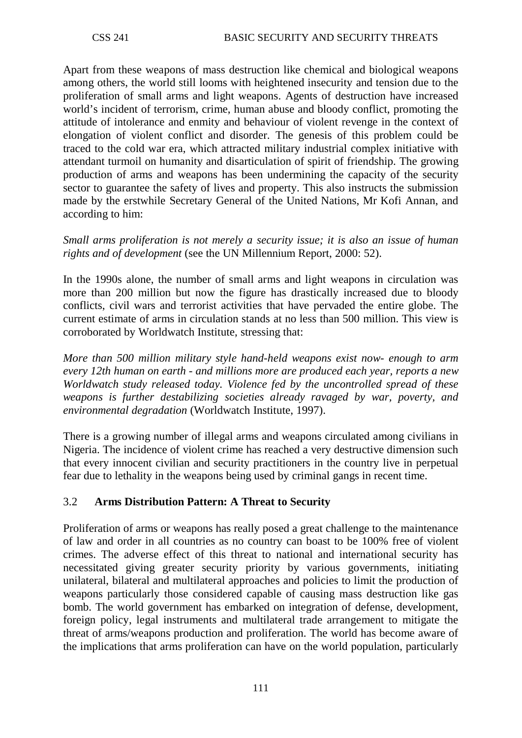Apart from these weapons of mass destruction like chemical and biological weapons among others, the world still looms with heightened insecurity and tension due to the proliferation of small arms and light weapons. Agents of destruction have increased world's incident of terrorism, crime, human abuse and bloody conflict, promoting the attitude of intolerance and enmity and behaviour of violent revenge in the context of elongation of violent conflict and disorder. The genesis of this problem could be traced to the cold war era, which attracted military industrial complex initiative with attendant turmoil on humanity and disarticulation of spirit of friendship. The growing production of arms and weapons has been undermining the capacity of the security sector to guarantee the safety of lives and property. This also instructs the submission made by the erstwhile Secretary General of the United Nations, Mr Kofi Annan, and according to him:

*Small arms proliferation is not merely a security issue; it is also an issue of human rights and of development* (see the UN Millennium Report, 2000: 52).

In the 1990s alone, the number of small arms and light weapons in circulation was more than 200 million but now the figure has drastically increased due to bloody conflicts, civil wars and terrorist activities that have pervaded the entire globe. The current estimate of arms in circulation stands at no less than 500 million. This view is corroborated by Worldwatch Institute, stressing that:

*More than 500 million military style hand-held weapons exist now- enough to arm every 12th human on earth - and millions more are produced each year, reports a new Worldwatch study released today. Violence fed by the uncontrolled spread of these weapons is further destabilizing societies already ravaged by war, poverty, and environmental degradation* (Worldwatch Institute, 1997).

There is a growing number of illegal arms and weapons circulated among civilians in Nigeria. The incidence of violent crime has reached a very destructive dimension such that every innocent civilian and security practitioners in the country live in perpetual fear due to lethality in the weapons being used by criminal gangs in recent time.

# 3.2 **Arms Distribution Pattern: A Threat to Security**

Proliferation of arms or weapons has really posed a great challenge to the maintenance of law and order in all countries as no country can boast to be 100% free of violent crimes. The adverse effect of this threat to national and international security has necessitated giving greater security priority by various governments, initiating unilateral, bilateral and multilateral approaches and policies to limit the production of weapons particularly those considered capable of causing mass destruction like gas bomb. The world government has embarked on integration of defense, development, foreign policy, legal instruments and multilateral trade arrangement to mitigate the threat of arms/weapons production and proliferation. The world has become aware of the implications that arms proliferation can have on the world population, particularly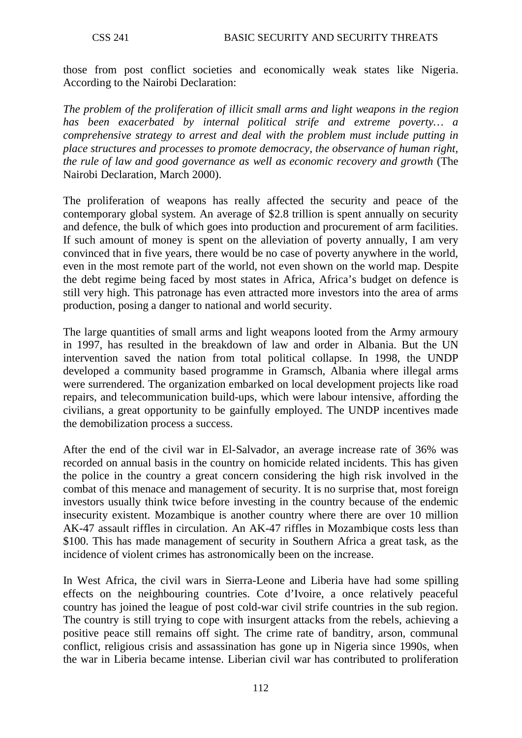those from post conflict societies and economically weak states like Nigeria. According to the Nairobi Declaration:

*The problem of the proliferation of illicit small arms and light weapons in the region has been exacerbated by internal political strife and extreme poverty… a comprehensive strategy to arrest and deal with the problem must include putting in place structures and processes to promote democracy, the observance of human right, the rule of law and good governance as well as economic recovery and growth* (The Nairobi Declaration, March 2000).

The proliferation of weapons has really affected the security and peace of the contemporary global system. An average of \$2.8 trillion is spent annually on security and defence, the bulk of which goes into production and procurement of arm facilities. If such amount of money is spent on the alleviation of poverty annually, I am very convinced that in five years, there would be no case of poverty anywhere in the world, even in the most remote part of the world, not even shown on the world map. Despite the debt regime being faced by most states in Africa, Africa's budget on defence is still very high. This patronage has even attracted more investors into the area of arms production, posing a danger to national and world security.

The large quantities of small arms and light weapons looted from the Army armoury in 1997, has resulted in the breakdown of law and order in Albania. But the UN intervention saved the nation from total political collapse. In 1998, the UNDP developed a community based programme in Gramsch, Albania where illegal arms were surrendered. The organization embarked on local development projects like road repairs, and telecommunication build-ups, which were labour intensive, affording the civilians, a great opportunity to be gainfully employed. The UNDP incentives made the demobilization process a success.

After the end of the civil war in El-Salvador, an average increase rate of 36% was recorded on annual basis in the country on homicide related incidents. This has given the police in the country a great concern considering the high risk involved in the combat of this menace and management of security. It is no surprise that, most foreign investors usually think twice before investing in the country because of the endemic insecurity existent. Mozambique is another country where there are over 10 million AK-47 assault riffles in circulation. An AK-47 riffles in Mozambique costs less than \$100. This has made management of security in Southern Africa a great task, as the incidence of violent crimes has astronomically been on the increase.

In West Africa, the civil wars in Sierra-Leone and Liberia have had some spilling effects on the neighbouring countries. Cote d'Ivoire, a once relatively peaceful country has joined the league of post cold-war civil strife countries in the sub region. The country is still trying to cope with insurgent attacks from the rebels, achieving a positive peace still remains off sight. The crime rate of banditry, arson, communal conflict, religious crisis and assassination has gone up in Nigeria since 1990s, when the war in Liberia became intense. Liberian civil war has contributed to proliferation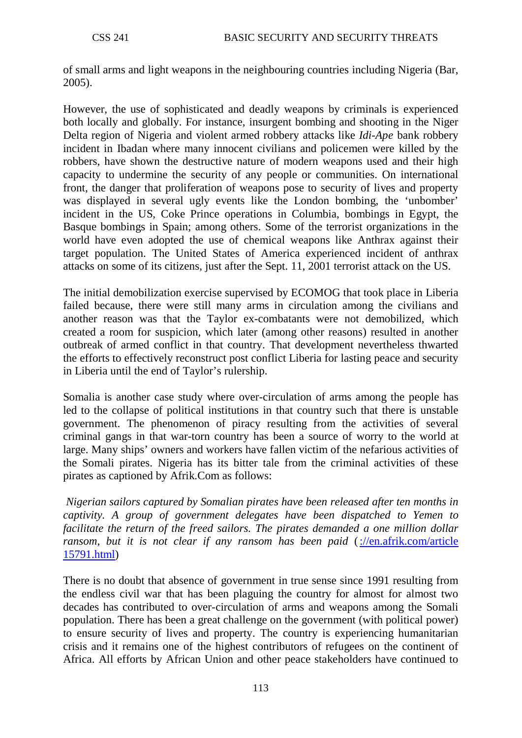of small arms and light weapons in the neighbouring countries including Nigeria (Bar, 2005).

However, the use of sophisticated and deadly weapons by criminals is experienced both locally and globally. For instance, insurgent bombing and shooting in the Niger Delta region of Nigeria and violent armed robbery attacks like *Idi-Ape* bank robbery incident in Ibadan where many innocent civilians and policemen were killed by the robbers, have shown the destructive nature of modern weapons used and their high capacity to undermine the security of any people or communities. On international front, the danger that proliferation of weapons pose to security of lives and property was displayed in several ugly events like the London bombing, the 'unbomber' incident in the US, Coke Prince operations in Columbia, bombings in Egypt, the Basque bombings in Spain; among others. Some of the terrorist organizations in the world have even adopted the use of chemical weapons like Anthrax against their target population. The United States of America experienced incident of anthrax attacks on some of its citizens, just after the Sept. 11, 2001 terrorist attack on the US.

The initial demobilization exercise supervised by ECOMOG that took place in Liberia failed because, there were still many arms in circulation among the civilians and another reason was that the Taylor ex-combatants were not demobilized, which created a room for suspicion, which later (among other reasons) resulted in another outbreak of armed conflict in that country. That development nevertheless thwarted the efforts to effectively reconstruct post conflict Liberia for lasting peace and security in Liberia until the end of Taylor's rulership.

Somalia is another case study where over-circulation of arms among the people has led to the collapse of political institutions in that country such that there is unstable government. The phenomenon of piracy resulting from the activities of several criminal gangs in that war-torn country has been a source of worry to the world at large. Many ships' owners and workers have fallen victim of the nefarious activities of the Somali pirates. Nigeria has its bitter tale from the criminal activities of these pirates as captioned by Afrik.Com as follows:

*Nigerian sailors captured by Somalian pirates have been released after ten months in captivity. A group of government delegates have been dispatched to Yemen to facilitate the return of the freed sailors. The pirates demanded a one million dollar ransom, but it is not clear if any ransom has been paid* (://en.afrik.com/article [15791.html\)](http://en.afrik.com/article%2015791.html)

There is no doubt that absence of government in true sense since 1991 resulting from the endless civil war that has been plaguing the country for almost for almost two decades has contributed to over-circulation of arms and weapons among the Somali population. There has been a great challenge on the government (with political power) to ensure security of lives and property. The country is experiencing humanitarian crisis and it remains one of the highest contributors of refugees on the continent of Africa. All efforts by African Union and other peace stakeholders have continued to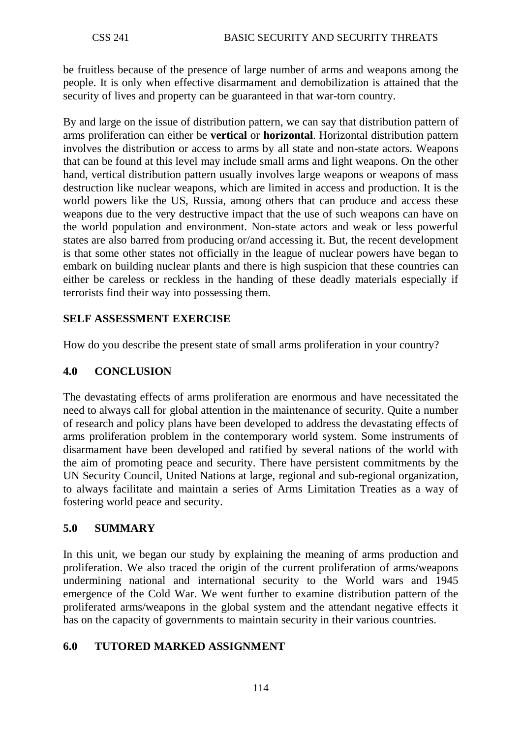be fruitless because of the presence of large number of arms and weapons among the people. It is only when effective disarmament and demobilization is attained that the security of lives and property can be guaranteed in that war-torn country.

By and large on the issue of distribution pattern, we can say that distribution pattern of arms proliferation can either be **vertical** or **horizontal**. Horizontal distribution pattern involves the distribution or access to arms by all state and non-state actors. Weapons that can be found at this level may include small arms and light weapons. On the other hand, vertical distribution pattern usually involves large weapons or weapons of mass destruction like nuclear weapons, which are limited in access and production. It is the world powers like the US, Russia, among others that can produce and access these weapons due to the very destructive impact that the use of such weapons can have on the world population and environment. Non-state actors and weak or less powerful states are also barred from producing or/and accessing it. But, the recent development is that some other states not officially in the league of nuclear powers have began to embark on building nuclear plants and there is high suspicion that these countries can either be careless or reckless in the handing of these deadly materials especially if terrorists find their way into possessing them.

## **SELF ASSESSMENT EXERCISE**

How do you describe the present state of small arms proliferation in your country?

### **4.0 CONCLUSION**

The devastating effects of arms proliferation are enormous and have necessitated the need to always call for global attention in the maintenance of security. Quite a number of research and policy plans have been developed to address the devastating effects of arms proliferation problem in the contemporary world system. Some instruments of disarmament have been developed and ratified by several nations of the world with the aim of promoting peace and security. There have persistent commitments by the UN Security Council, United Nations at large, regional and sub-regional organization, to always facilitate and maintain a series of Arms Limitation Treaties as a way of fostering world peace and security.

### **5.0 SUMMARY**

In this unit, we began our study by explaining the meaning of arms production and proliferation. We also traced the origin of the current proliferation of arms/weapons undermining national and international security to the World wars and 1945 emergence of the Cold War. We went further to examine distribution pattern of the proliferated arms/weapons in the global system and the attendant negative effects it has on the capacity of governments to maintain security in their various countries.

### **6.0 TUTORED MARKED ASSIGNMENT**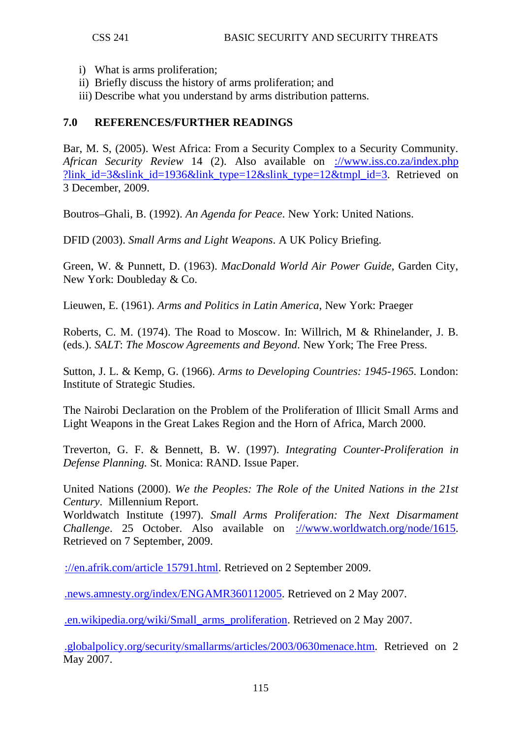- i) What is arms proliferation;
- ii) Briefly discuss the history of arms proliferation; and
- iii) Describe what you understand by arms distribution patterns.

### **7.0 REFERENCES/FURTHER READINGS**

Bar, M. S, (2005). West Africa: From a Security Complex to a Security Community. *African Security Review* 14 (2). Also available on [://www.iss.co.za/index.php](http://www.iss.co.za/index.php%20?link_id=3&slink_id=1936&link_type=12&slink_type=12&tmpl_id=3)  ?link id=3&slink id=1936&link type=12&slink type=12&tmpl id=3. Retrieved on 3 December, 2009.

Boutros–Ghali, B. (1992). *An Agenda for Peace*. New York: United Nations.

DFID (2003). *Small Arms and Light Weapons*. A UK Policy Briefing.

Green, W. & Punnett, D. (1963). *MacDonald World Air Power Guide*, Garden City, New York: Doubleday & Co.

Lieuwen, E. (1961). *Arms and Politics in Latin America*, New York: Praeger

Roberts, C. M. (1974). The Road to Moscow. In: Willrich, M & Rhinelander, J. B. (eds.). *SALT*: *The Moscow Agreements and Beyond*. New York; The Free Press.

Sutton, J. L. & Kemp, G. (1966). *Arms to Developing Countries: 1945-1965.* London: Institute of Strategic Studies.

The Nairobi Declaration on the Problem of the Proliferation of Illicit Small Arms and Light Weapons in the Great Lakes Region and the Horn of Africa, March 2000.

Treverton, G. F. & Bennett, B. W. (1997). *Integrating Counter-Proliferation in Defense Planning.* St. Monica: RAND. Issue Paper.

United Nations (2000). *We the Peoples: The Role of the United Nations in the 21st Century*. Millennium Report.

Worldwatch Institute (1997). *Small Arms Proliferation: The Next Disarmament Challenge*. 25 October. Also available on [://www.worldwatch.org/node/1615.](http://www.worldwatch.org/node/1615) Retrieved on 7 September, 2009.

[://en.afrik.com/article 15791.html.](http://en.afrik.com/article%2015791.html) Retrieved on 2 September 2009.

[.news.amnesty.org/index/ENGAMR360112005.](http://www.news.amnesty.org/index/ENGAMR360112005) Retrieved on 2 May 2007.

[.en.wikipedia.org/wiki/Small\\_arms\\_proliferation.](http://www.en.wikipedia.org/wiki/Small_arms_proliferation) Retrieved on 2 May 2007.

[.globalpolicy.org/security/smallarms/articles/2003/0630menace.htm.](http://www.globalpolicy.org/security/smallarms/articles/2003/0630menace.htm) Retrieved on 2 May 2007.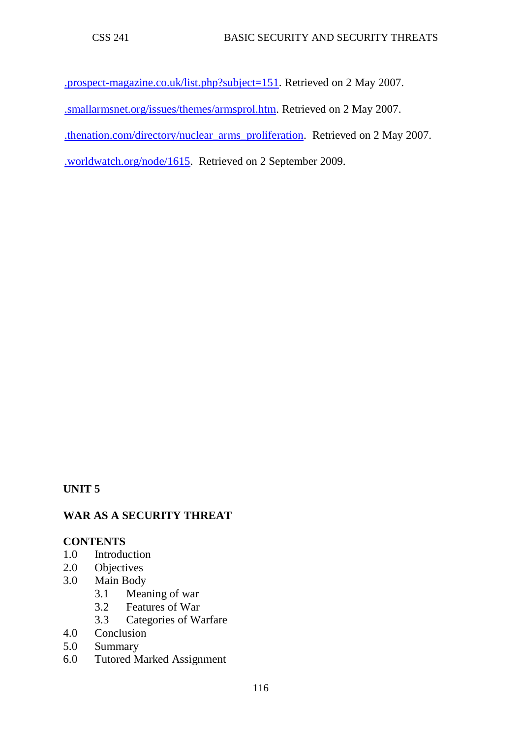[.prospect-magazine.co.uk/list.php?subject=151.](http://www.prospect-magazine.co.uk/list.php?subject=151) Retrieved on 2 May 2007. [.smallarmsnet.org/issues/themes/armsprol.htm.](http://www.smallarmsnet.org/issues/themes/armsprol.htm) Retrieved on 2 May 2007. [.thenation.com/directory/nuclear\\_arms\\_proliferation.](http://www.thenation.com/directory/nuclear_arms_proliferation) Retrieved on 2 May 2007.

[.worldwatch.org/node/1615.](http://www.worldwatch.org/node/1615) Retrieved on 2 September 2009.

**UNIT 5**

# **WAR AS A SECURITY THREAT**

### **CONTENTS**

- 1.0 Introduction
- 2.0 Objectives
- 3.0 Main Body
	- 3.1 Meaning of war
	- 3.2 Features of War<br>3.3 Categories of W.
	- Categories of Warfare
- 4.0 Conclusion
- 5.0 Summary
- 6.0 Tutored Marked Assignment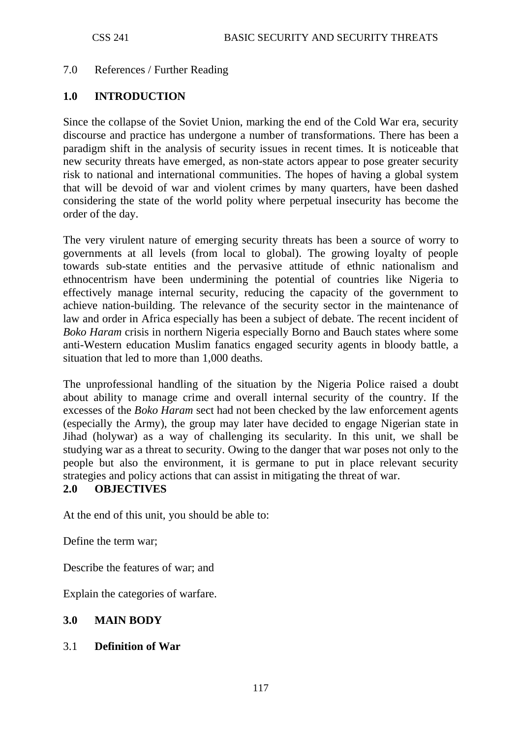#### 7.0 References / Further Reading

#### **1.0 INTRODUCTION**

Since the collapse of the Soviet Union, marking the end of the Cold War era, security discourse and practice has undergone a number of transformations. There has been a paradigm shift in the analysis of security issues in recent times. It is noticeable that new security threats have emerged, as non-state actors appear to pose greater security risk to national and international communities. The hopes of having a global system that will be devoid of war and violent crimes by many quarters, have been dashed considering the state of the world polity where perpetual insecurity has become the order of the day.

The very virulent nature of emerging security threats has been a source of worry to governments at all levels (from local to global). The growing loyalty of people towards sub-state entities and the pervasive attitude of ethnic nationalism and ethnocentrism have been undermining the potential of countries like Nigeria to effectively manage internal security, reducing the capacity of the government to achieve nation-building. The relevance of the security sector in the maintenance of law and order in Africa especially has been a subject of debate. The recent incident of *Boko Haram* crisis in northern Nigeria especially Borno and Bauch states where some anti-Western education Muslim fanatics engaged security agents in bloody battle, a situation that led to more than 1,000 deaths.

The unprofessional handling of the situation by the Nigeria Police raised a doubt about ability to manage crime and overall internal security of the country. If the excesses of the *Boko Haram* sect had not been checked by the law enforcement agents (especially the Army), the group may later have decided to engage Nigerian state in Jihad (holywar) as a way of challenging its secularity. In this unit, we shall be studying war as a threat to security. Owing to the danger that war poses not only to the people but also the environment, it is germane to put in place relevant security strategies and policy actions that can assist in mitigating the threat of war.

#### **2.0 OBJECTIVES**

At the end of this unit, you should be able to:

Define the term war;

Describe the features of war; and

Explain the categories of warfare.

### **3.0 MAIN BODY**

#### 3.1 **Definition of War**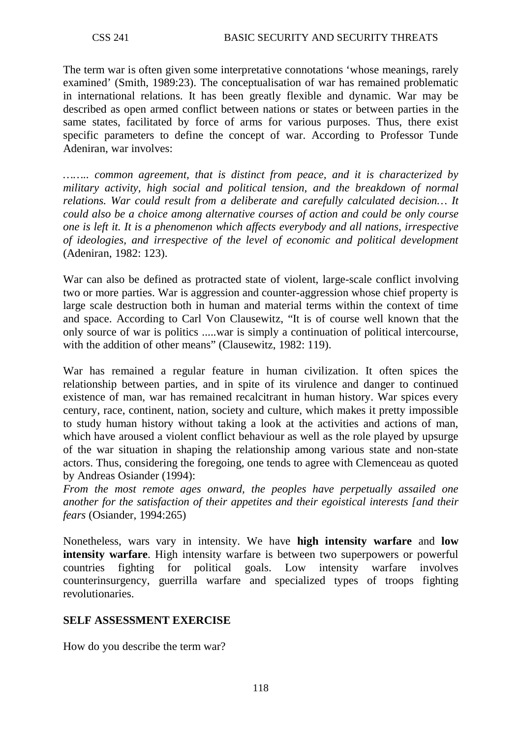The term war is often given some interpretative connotations 'whose meanings, rarely examined' (Smith, 1989:23). The conceptualisation of war has remained problematic in international relations. It has been greatly flexible and dynamic. War may be described as open armed conflict between nations or states or between parties in the same states, facilitated by force of arms for various purposes. Thus, there exist specific parameters to define the concept of war. According to Professor Tunde Adeniran, war involves:

*…….. common agreement, that is distinct from peace, and it is characterized by military activity, high social and political tension, and the breakdown of normal relations. War could result from a deliberate and carefully calculated decision… It could also be a choice among alternative courses of action and could be only course one is left it. It is a phenomenon which affects everybody and all nations, irrespective of ideologies, and irrespective of the level of economic and political development*  (Adeniran, 1982: 123).

War can also be defined as protracted state of violent, large-scale conflict involving two or more parties. War is aggression and counter-aggression whose chief property is large scale destruction both in human and material terms within the context of time and space. According to Carl Von Clausewitz, "It is of course well known that the only source of war is politics .....war is simply a continuation of political intercourse, with the addition of other means" (Clausewitz, 1982: 119).

War has remained a regular feature in human civilization. It often spices the relationship between parties, and in spite of its virulence and danger to continued existence of man, war has remained recalcitrant in human history. War spices every century, race, continent, nation, society and culture, which makes it pretty impossible to study human history without taking a look at the activities and actions of man, which have aroused a violent conflict behaviour as well as the role played by upsurge of the war situation in shaping the relationship among various state and non-state actors. Thus, considering the foregoing, one tends to agree with Clemenceau as quoted by Andreas Osiander (1994):

*From the most remote ages onward, the peoples have perpetually assailed one another for the satisfaction of their appetites and their egoistical interests [and their fears* (Osiander, 1994:265)

Nonetheless, wars vary in intensity. We have **high intensity warfare** and **low intensity warfare**. High intensity warfare is between two superpowers or powerful countries fighting for political goals. Low intensity warfare involves counterinsurgency, guerrilla warfare and specialized types of troops fighting revolutionaries.

### **SELF ASSESSMENT EXERCISE**

How do you describe the term war?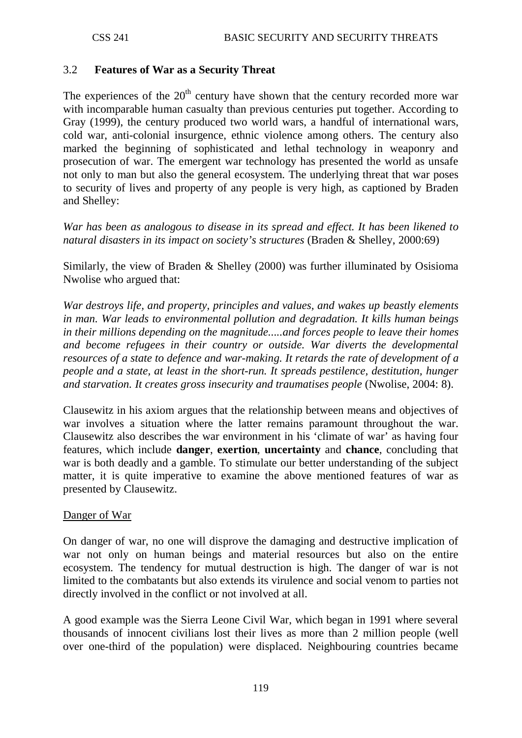### 3.2 **Features of War as a Security Threat**

The experiences of the  $20<sup>th</sup>$  century have shown that the century recorded more war with incomparable human casualty than previous centuries put together. According to Gray (1999), the century produced two world wars, a handful of international wars, cold war, anti-colonial insurgence, ethnic violence among others. The century also marked the beginning of sophisticated and lethal technology in weaponry and prosecution of war. The emergent war technology has presented the world as unsafe not only to man but also the general ecosystem. The underlying threat that war poses to security of lives and property of any people is very high, as captioned by Braden and Shelley:

*War has been as analogous to disease in its spread and effect. It has been likened to natural disasters in its impact on society's structures* (Braden & Shelley, 2000:69)

Similarly, the view of Braden & Shelley (2000) was further illuminated by Osisioma Nwolise who argued that:

*War destroys life, and property, principles and values, and wakes up beastly elements in man. War leads to environmental pollution and degradation. It kills human beings in their millions depending on the magnitude.....and forces people to leave their homes and become refugees in their country or outside. War diverts the developmental resources of a state to defence and war-making. It retards the rate of development of a people and a state, at least in the short-run. It spreads pestilence, destitution, hunger and starvation. It creates gross insecurity and traumatises people* (Nwolise, 2004: 8).

Clausewitz in his axiom argues that the relationship between means and objectives of war involves a situation where the latter remains paramount throughout the war. Clausewitz also describes the war environment in his 'climate of war' as having four features, which include **danger**, **exertion**, **uncertainty** and **chance**, concluding that war is both deadly and a gamble. To stimulate our better understanding of the subject matter, it is quite imperative to examine the above mentioned features of war as presented by Clausewitz.

#### Danger of War

On danger of war, no one will disprove the damaging and destructive implication of war not only on human beings and material resources but also on the entire ecosystem. The tendency for mutual destruction is high. The danger of war is not limited to the combatants but also extends its virulence and social venom to parties not directly involved in the conflict or not involved at all.

A good example was the Sierra Leone Civil War, which began in 1991 where several thousands of innocent civilians lost their lives as more than 2 million people (well over one-third of the population) were displaced. Neighbouring countries became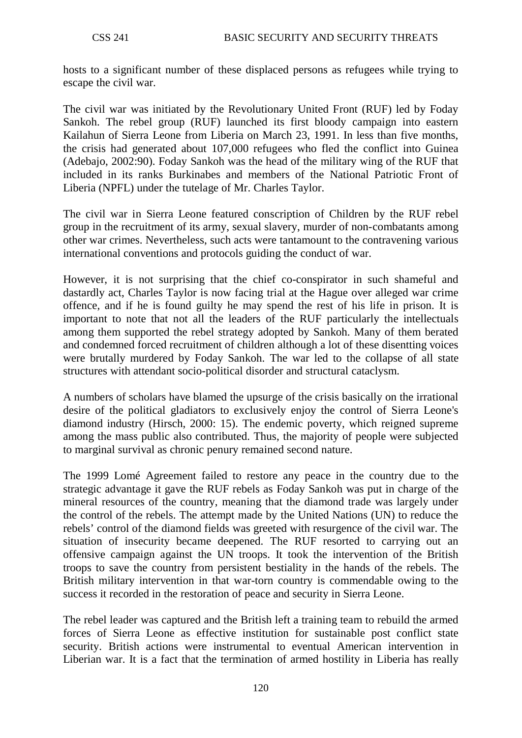hosts to a significant number of these displaced persons as refugees while trying to escape the civil war.

The civil war was initiated by the Revolutionary United Front (RUF) led by Foday Sankoh. The rebel group (RUF) launched its first bloody campaign into eastern Kailahun of Sierra Leone from Liberia on March 23, 1991. In less than five months, the crisis had generated about 107,000 refugees who fled the conflict into Guinea (Adebajo, 2002:90). Foday Sankoh was the head of the military wing of the RUF that included in its ranks Burkinabes and members of the National Patriotic Front of Liberia (NPFL) under the tutelage of Mr. Charles Taylor.

The civil war in Sierra Leone featured conscription of Children by the RUF rebel group in the recruitment of its army, sexual slavery, murder of non-combatants among other war crimes. Nevertheless, such acts were tantamount to the contravening various international conventions and protocols guiding the conduct of war.

However, it is not surprising that the chief co-conspirator in such shameful and dastardly act, Charles Taylor is now facing trial at the Hague over alleged war crime offence, and if he is found guilty he may spend the rest of his life in prison. It is important to note that not all the leaders of the RUF particularly the intellectuals among them supported the rebel strategy adopted by Sankoh. Many of them berated and condemned forced recruitment of children although a lot of these disentting voices were brutally murdered by Foday Sankoh. The war led to the collapse of all state structures with attendant socio-political disorder and structural cataclysm.

A numbers of scholars have blamed the upsurge of the crisis basically on the irrational desire of the political gladiators to exclusively enjoy the control of Sierra Leone's diamond industry (Hirsch, 2000: 15). The endemic poverty, which reigned supreme among the mass public also contributed. Thus, the majority of people were subjected to marginal survival as chronic penury remained second nature.

The 1999 Lomé Agreement failed to restore any peace in the country due to the strategic advantage it gave the RUF rebels as Foday Sankoh was put in charge of the mineral resources of the country, meaning that the diamond trade was largely under the control of the rebels. The attempt made by the United Nations (UN) to reduce the rebels' control of the diamond fields was greeted with resurgence of the civil war. The situation of insecurity became deepened. The RUF resorted to carrying out an offensive campaign against the UN troops. It took the intervention of the British troops to save the country from persistent bestiality in the hands of the rebels. The British military intervention in that war-torn country is commendable owing to the success it recorded in the restoration of peace and security in Sierra Leone.

The rebel leader was captured and the British left a training team to rebuild the armed forces of Sierra Leone as effective institution for sustainable post conflict state security. British actions were instrumental to eventual American intervention in Liberian war. It is a fact that the termination of armed hostility in Liberia has really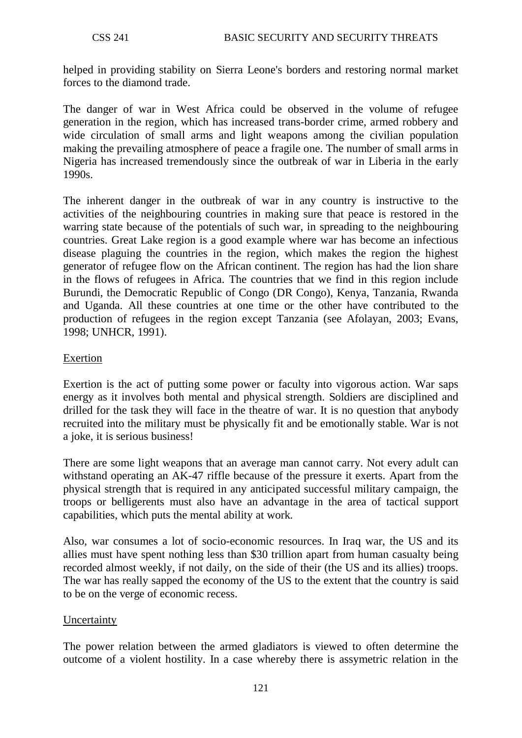helped in providing stability on Sierra Leone's borders and restoring normal market forces to the diamond trade.

The danger of war in West Africa could be observed in the volume of refugee generation in the region, which has increased trans-border crime, armed robbery and wide circulation of small arms and light weapons among the civilian population making the prevailing atmosphere of peace a fragile one. The number of small arms in Nigeria has increased tremendously since the outbreak of war in Liberia in the early 1990s.

The inherent danger in the outbreak of war in any country is instructive to the activities of the neighbouring countries in making sure that peace is restored in the warring state because of the potentials of such war, in spreading to the neighbouring countries. Great Lake region is a good example where war has become an infectious disease plaguing the countries in the region, which makes the region the highest generator of refugee flow on the African continent. The region has had the lion share in the flows of refugees in Africa. The countries that we find in this region include Burundi, the Democratic Republic of Congo (DR Congo), Kenya, Tanzania, Rwanda and Uganda. All these countries at one time or the other have contributed to the production of refugees in the region except Tanzania (see Afolayan, 2003; Evans, 1998; UNHCR, 1991).

#### Exertion

Exertion is the act of putting some power or faculty into vigorous action. War saps energy as it involves both mental and physical strength. Soldiers are disciplined and drilled for the task they will face in the theatre of war. It is no question that anybody recruited into the military must be physically fit and be emotionally stable. War is not a joke, it is serious business!

There are some light weapons that an average man cannot carry. Not every adult can withstand operating an AK-47 riffle because of the pressure it exerts. Apart from the physical strength that is required in any anticipated successful military campaign, the troops or belligerents must also have an advantage in the area of tactical support capabilities, which puts the mental ability at work.

Also, war consumes a lot of socio-economic resources. In Iraq war, the US and its allies must have spent nothing less than \$30 trillion apart from human casualty being recorded almost weekly, if not daily, on the side of their (the US and its allies) troops. The war has really sapped the economy of the US to the extent that the country is said to be on the verge of economic recess.

### Uncertainty

The power relation between the armed gladiators is viewed to often determine the outcome of a violent hostility. In a case whereby there is assymetric relation in the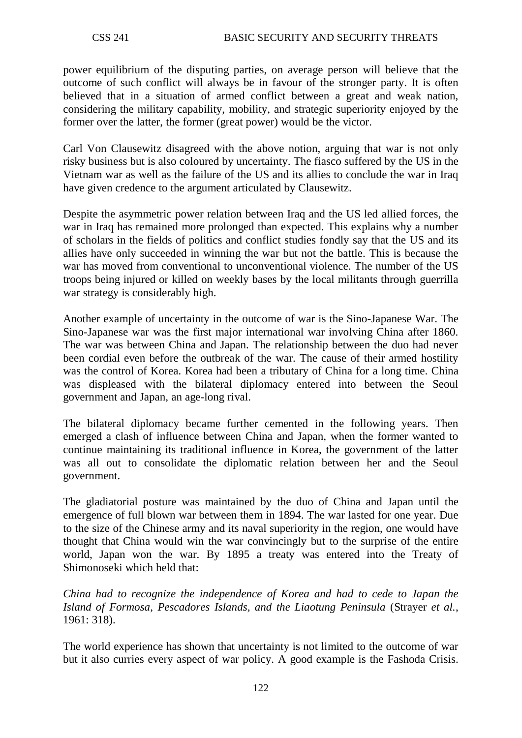power equilibrium of the disputing parties, on average person will believe that the outcome of such conflict will always be in favour of the stronger party. It is often believed that in a situation of armed conflict between a great and weak nation, considering the military capability, mobility, and strategic superiority enjoyed by the former over the latter, the former (great power) would be the victor.

Carl Von Clausewitz disagreed with the above notion, arguing that war is not only risky business but is also coloured by uncertainty. The fiasco suffered by the US in the Vietnam war as well as the failure of the US and its allies to conclude the war in Iraq have given credence to the argument articulated by Clausewitz.

Despite the asymmetric power relation between Iraq and the US led allied forces, the war in Iraq has remained more prolonged than expected. This explains why a number of scholars in the fields of politics and conflict studies fondly say that the US and its allies have only succeeded in winning the war but not the battle. This is because the war has moved from conventional to unconventional violence. The number of the US troops being injured or killed on weekly bases by the local militants through guerrilla war strategy is considerably high.

Another example of uncertainty in the outcome of war is the Sino-Japanese War. The Sino-Japanese war was the first major international war involving China after 1860. The war was between China and Japan. The relationship between the duo had never been cordial even before the outbreak of the war. The cause of their armed hostility was the control of Korea. Korea had been a tributary of China for a long time. China was displeased with the bilateral diplomacy entered into between the Seoul government and Japan, an age-long rival.

The bilateral diplomacy became further cemented in the following years. Then emerged a clash of influence between China and Japan, when the former wanted to continue maintaining its traditional influence in Korea, the government of the latter was all out to consolidate the diplomatic relation between her and the Seoul government.

The gladiatorial posture was maintained by the duo of China and Japan until the emergence of full blown war between them in 1894. The war lasted for one year. Due to the size of the Chinese army and its naval superiority in the region, one would have thought that China would win the war convincingly but to the surprise of the entire world, Japan won the war. By 1895 a treaty was entered into the Treaty of Shimonoseki which held that:

*China had to recognize the independence of Korea and had to cede to Japan the Island of Formosa, Pescadores Islands, and the Liaotung Peninsula* (Strayer *et al.*, 1961: 318).

The world experience has shown that uncertainty is not limited to the outcome of war but it also curries every aspect of war policy. A good example is the Fashoda Crisis.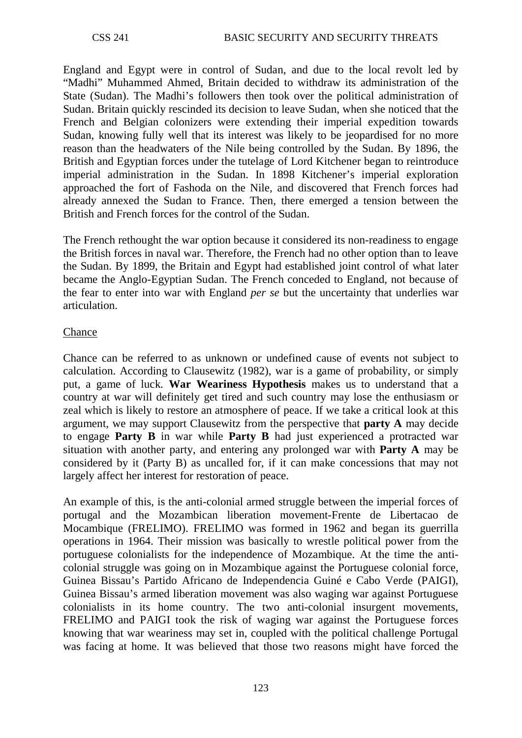England and Egypt were in control of Sudan, and due to the local revolt led by "Madhi" Muhammed Ahmed, Britain decided to withdraw its administration of the State (Sudan). The Madhi's followers then took over the political administration of Sudan. Britain quickly rescinded its decision to leave Sudan, when she noticed that the French and Belgian colonizers were extending their imperial expedition towards Sudan, knowing fully well that its interest was likely to be jeopardised for no more reason than the headwaters of the Nile being controlled by the Sudan. By 1896, the British and Egyptian forces under the tutelage of Lord Kitchener began to reintroduce imperial administration in the Sudan. In 1898 Kitchener's imperial exploration approached the fort of Fashoda on the Nile, and discovered that French forces had already annexed the Sudan to France. Then, there emerged a tension between the British and French forces for the control of the Sudan.

The French rethought the war option because it considered its non-readiness to engage the British forces in naval war. Therefore, the French had no other option than to leave the Sudan. By 1899, the Britain and Egypt had established joint control of what later became the Anglo-Egyptian Sudan. The French conceded to England, not because of the fear to enter into war with England *per se* but the uncertainty that underlies war articulation.

### Chance

Chance can be referred to as unknown or undefined cause of events not subject to calculation. According to Clausewitz (1982), war is a game of probability, or simply put, a game of luck. **War Weariness Hypothesis** makes us to understand that a country at war will definitely get tired and such country may lose the enthusiasm or zeal which is likely to restore an atmosphere of peace. If we take a critical look at this argument, we may support Clausewitz from the perspective that **party A** may decide to engage **Party B** in war while **Party B** had just experienced a protracted war situation with another party, and entering any prolonged war with **Party A** may be considered by it (Party B) as uncalled for, if it can make concessions that may not largely affect her interest for restoration of peace.

An example of this, is the anti-colonial armed struggle between the imperial forces of portugal and the Mozambican liberation movement-Frente de Libertacao de Mocambique (FRELIMO). FRELIMO was formed in 1962 and began its guerrilla operations in 1964. Their mission was basically to wrestle political power from the portuguese colonialists for the independence of Mozambique. At the time the anticolonial struggle was going on in Mozambique against the Portuguese colonial force, Guinea Bissau's Partido Africano de Independencia Guiné e Cabo Verde (PAIGI), Guinea Bissau's armed liberation movement was also waging war against Portuguese colonialists in its home country. The two anti-colonial insurgent movements, FRELIMO and PAIGI took the risk of waging war against the Portuguese forces knowing that war weariness may set in, coupled with the political challenge Portugal was facing at home. It was believed that those two reasons might have forced the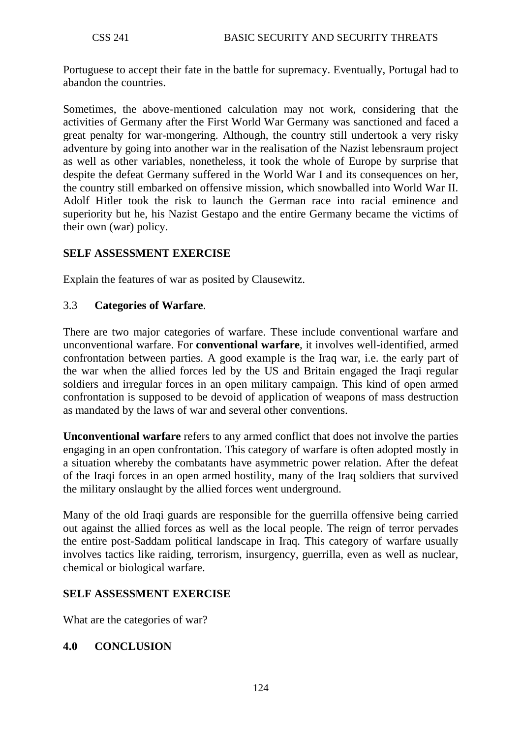Portuguese to accept their fate in the battle for supremacy. Eventually, Portugal had to abandon the countries.

Sometimes, the above-mentioned calculation may not work, considering that the activities of Germany after the First World War Germany was sanctioned and faced a great penalty for war-mongering. Although, the country still undertook a very risky adventure by going into another war in the realisation of the Nazist lebensraum project as well as other variables, nonetheless, it took the whole of Europe by surprise that despite the defeat Germany suffered in the World War I and its consequences on her, the country still embarked on offensive mission, which snowballed into World War II. Adolf Hitler took the risk to launch the German race into racial eminence and superiority but he, his Nazist Gestapo and the entire Germany became the victims of their own (war) policy.

### **SELF ASSESSMENT EXERCISE**

Explain the features of war as posited by Clausewitz.

#### 3.3 **Categories of Warfare**.

There are two major categories of warfare. These include conventional warfare and unconventional warfare. For **conventional warfare**, it involves well-identified, armed confrontation between parties. A good example is the Iraq war, i.e. the early part of the war when the allied forces led by the US and Britain engaged the Iraqi regular soldiers and irregular forces in an open military campaign. This kind of open armed confrontation is supposed to be devoid of application of weapons of mass destruction as mandated by the laws of war and several other conventions.

**Unconventional warfare** refers to any armed conflict that does not involve the parties engaging in an open confrontation. This category of warfare is often adopted mostly in a situation whereby the combatants have asymmetric power relation. After the defeat of the Iraqi forces in an open armed hostility, many of the Iraq soldiers that survived the military onslaught by the allied forces went underground.

Many of the old Iraqi guards are responsible for the guerrilla offensive being carried out against the allied forces as well as the local people. The reign of terror pervades the entire post-Saddam political landscape in Iraq. This category of warfare usually involves tactics like raiding, terrorism, insurgency, guerrilla, even as well as nuclear, chemical or biological warfare.

### **SELF ASSESSMENT EXERCISE**

What are the categories of war?

### **4.0 CONCLUSION**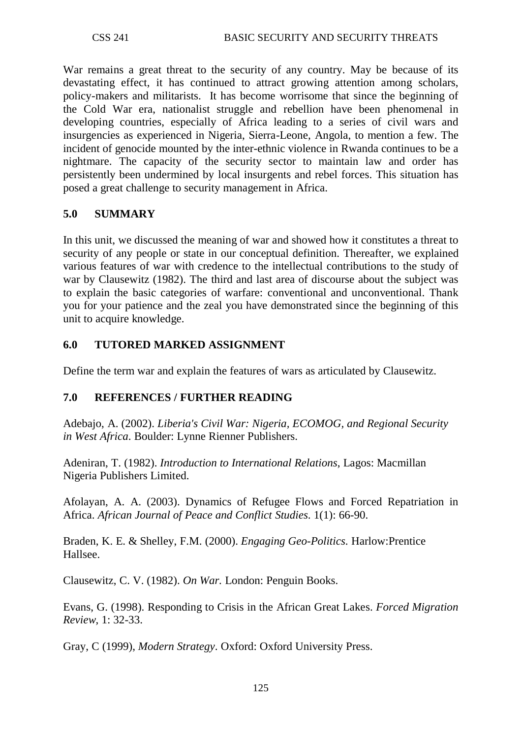War remains a great threat to the security of any country. May be because of its devastating effect, it has continued to attract growing attention among scholars, policy-makers and militarists. It has become worrisome that since the beginning of the Cold War era, nationalist struggle and rebellion have been phenomenal in developing countries, especially of Africa leading to a series of civil wars and insurgencies as experienced in Nigeria, Sierra-Leone, Angola, to mention a few. The incident of genocide mounted by the inter-ethnic violence in Rwanda continues to be a nightmare. The capacity of the security sector to maintain law and order has persistently been undermined by local insurgents and rebel forces. This situation has posed a great challenge to security management in Africa.

## **5.0 SUMMARY**

In this unit, we discussed the meaning of war and showed how it constitutes a threat to security of any people or state in our conceptual definition. Thereafter, we explained various features of war with credence to the intellectual contributions to the study of war by Clausewitz (1982). The third and last area of discourse about the subject was to explain the basic categories of warfare: conventional and unconventional. Thank you for your patience and the zeal you have demonstrated since the beginning of this unit to acquire knowledge.

### **6.0 TUTORED MARKED ASSIGNMENT**

Define the term war and explain the features of wars as articulated by Clausewitz.

### **7.0 REFERENCES / FURTHER READING**

Adebajo, A. (2002). *Liberia's Civil War: Nigeria, ECOMOG, and Regional Security in West Africa*. Boulder: Lynne Rienner Publishers.

Adeniran, T. (1982). *Introduction to International Relations*, Lagos: Macmillan Nigeria Publishers Limited.

Afolayan, A. A. (2003). Dynamics of Refugee Flows and Forced Repatriation in Africa. *African Journal of Peace and Conflict Studies*. 1(1): 66-90.

Braden, K. E. & Shelley, F.M. (2000). *Engaging Geo-Politics*. Harlow:Prentice Hallsee.

Clausewitz, C. V. (1982). *On War.* London: Penguin Books.

Evans, G. (1998). Responding to Crisis in the African Great Lakes. *Forced Migration Review*, 1: 32-33.

Gray, C (1999), *Modern Strategy*. Oxford: Oxford University Press.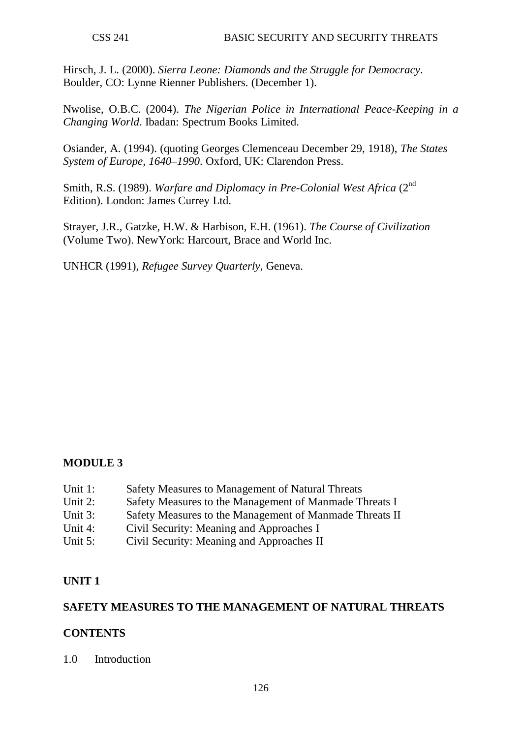Hirsch, J. L. (2000). *Sierra Leone: Diamonds and the Struggle for Democracy*. Boulder, CO: Lynne Rienner Publishers. (December 1).

Nwolise, O.B.C. (2004). *The Nigerian Police in International Peace-Keeping in a Changing World*. Ibadan: Spectrum Books Limited.

Osiander, A. (1994). (quoting Georges Clemenceau December 29, 1918), *The States System of Europe, 1640–1990*. Oxford, UK: Clarendon Press.

Smith, R.S. (1989). *Warfare and Diplomacy in Pre-Colonial West Africa* (2nd Edition). London: James Currey Ltd.

Strayer, J.R., Gatzke, H.W. & Harbison, E.H. (1961). *The Course of Civilization*  (Volume Two). NewYork: Harcourt, Brace and World Inc.

UNHCR (1991), *Refugee Survey Quarterly*, Geneva.

### **MODULE 3**

- Unit 1: Safety Measures to Management of Natural Threats
- Unit 2: Safety Measures to the Management of Manmade Threats I
- Unit 3: Safety Measures to the Management of Manmade Threats II
- Unit 4: Civil Security: Meaning and Approaches I
- Unit 5: Civil Security: Meaning and Approaches II

### **UNIT 1**

#### **SAFETY MEASURES TO THE MANAGEMENT OF NATURAL THREATS**

#### **CONTENTS**

1.0 Introduction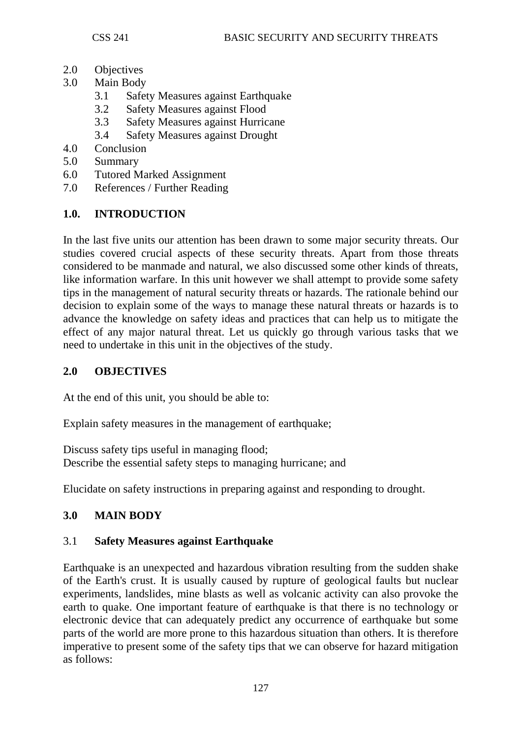- 2.0 Objectives
- 3.0 Main Body
	- 3.1 Safety Measures against Earthquake
	- 3.2 Safety Measures against Flood
	- 3.3 Safety Measures against Hurricane
	- 3.4 Safety Measures against Drought
- 4.0 Conclusion
- 5.0 Summary
- 6.0 Tutored Marked Assignment
- 7.0 References / Further Reading

# **1.0. INTRODUCTION**

In the last five units our attention has been drawn to some major security threats. Our studies covered crucial aspects of these security threats. Apart from those threats considered to be manmade and natural, we also discussed some other kinds of threats, like information warfare. In this unit however we shall attempt to provide some safety tips in the management of natural security threats or hazards. The rationale behind our decision to explain some of the ways to manage these natural threats or hazards is to advance the knowledge on safety ideas and practices that can help us to mitigate the effect of any major natural threat. Let us quickly go through various tasks that we need to undertake in this unit in the objectives of the study.

# **2.0 OBJECTIVES**

At the end of this unit, you should be able to:

Explain safety measures in the management of earthquake;

Discuss safety tips useful in managing flood; Describe the essential safety steps to managing hurricane; and

Elucidate on safety instructions in preparing against and responding to drought.

# **3.0 MAIN BODY**

# 3.1 **Safety Measures against Earthquake**

Earthquake is an unexpected and hazardous vibration resulting from the sudden shake of the Earth's crust. It is usually caused by rupture of geological faults but nuclear experiments, landslides, mine blasts as well as volcanic activity can also provoke the earth to quake. One important feature of earthquake is that there is no technology or electronic device that can adequately predict any occurrence of earthquake but some parts of the world are more prone to this hazardous situation than others. It is therefore imperative to present some of the safety tips that we can observe for hazard mitigation as follows: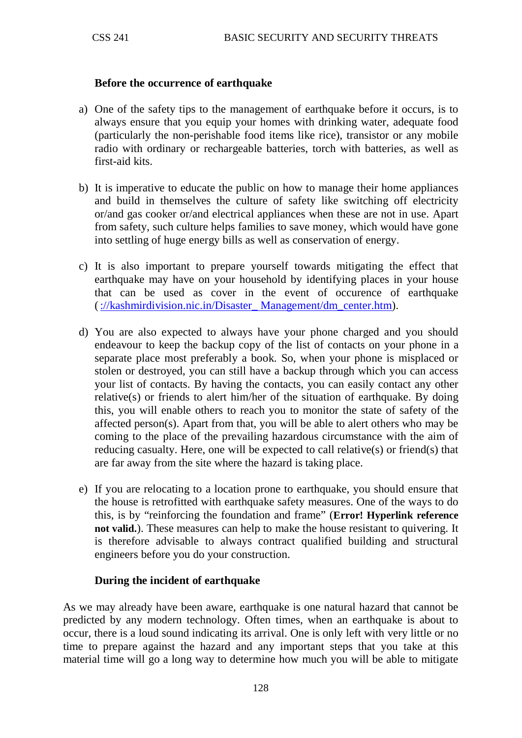#### **Before the occurrence of earthquake**

- a) One of the safety tips to the management of earthquake before it occurs, is to always ensure that you equip your homes with drinking water, adequate food (particularly the non-perishable food items like rice), transistor or any mobile radio with ordinary or rechargeable batteries, torch with batteries, as well as first-aid kits.
- b) It is imperative to educate the public on how to manage their home appliances and build in themselves the culture of safety like switching off electricity or/and gas cooker or/and electrical appliances when these are not in use. Apart from safety, such culture helps families to save money, which would have gone into settling of huge energy bills as well as conservation of energy.
- c) It is also important to prepare yourself towards mitigating the effect that earthquake may have on your household by identifying places in your house that can be used as cover in the event of occurence of earthquake [\(://kashmirdivision.nic.in/Disaster\\_ Management/dm\\_center.htm\)](http://kashmirdivision.nic.in/Disaster_%20Management/dm_center.htm).
- d) You are also expected to always have your phone charged and you should endeavour to keep the backup copy of the list of contacts on your phone in a separate place most preferably a book. So, when your phone is misplaced or stolen or destroyed, you can still have a backup through which you can access your list of contacts. By having the contacts, you can easily contact any other relative(s) or friends to alert him/her of the situation of earthquake. By doing this, you will enable others to reach you to monitor the state of safety of the affected person(s). Apart from that, you will be able to alert others who may be coming to the place of the prevailing hazardous circumstance with the aim of reducing casualty. Here, one will be expected to call relative(s) or friend(s) that are far away from the site where the hazard is taking place.
- e) If you are relocating to a location prone to earthquake, you should ensure that the house is retrofitted with earthquake safety measures. One of the ways to do this, is by "reinforcing the foundation and frame" (**Error! Hyperlink reference not valid.**). These measures can help to make the house resistant to quivering. It is therefore advisable to always contract qualified building and structural engineers before you do your construction.

### **During the incident of earthquake**

As we may already have been aware, earthquake is one natural hazard that cannot be predicted by any modern technology. Often times, when an earthquake is about to occur, there is a loud sound indicating its arrival. One is only left with very little or no time to prepare against the hazard and any important steps that you take at this material time will go a long way to determine how much you will be able to mitigate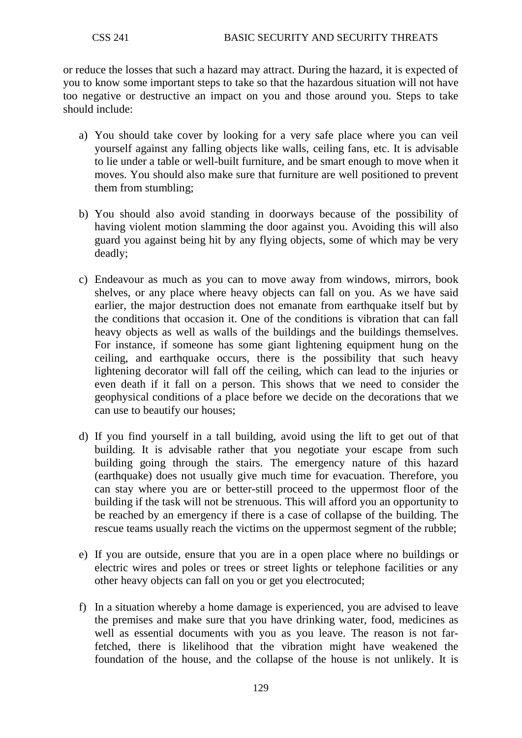or reduce the losses that such a hazard may attract. During the hazard, it is expected of you to know some important steps to take so that the hazardous situation will not have too negative or destructive an impact on you and those around you. Steps to take should include:

- a) You should take cover by looking for a very safe place where you can veil yourself against any falling objects like walls, ceiling fans, etc. It is advisable to lie under a table or well-built furniture, and be smart enough to move when it moves. You should also make sure that furniture are well positioned to prevent them from stumbling;
- b) You should also avoid standing in doorways because of the possibility of having violent motion slamming the door against you. Avoiding this will also guard you against being hit by any flying objects, some of which may be very deadly;
- c) Endeavour as much as you can to move away from windows, mirrors, book shelves, or any place where heavy objects can fall on you. As we have said earlier, the major destruction does not emanate from earthquake itself but by the conditions that occasion it. One of the conditions is vibration that can fall heavy objects as well as walls of the buildings and the buildings themselves. For instance, if someone has some giant lightening equipment hung on the ceiling, and earthquake occurs, there is the possibility that such heavy lightening decorator will fall off the ceiling, which can lead to the injuries or even death if it fall on a person. This shows that we need to consider the geophysical conditions of a place before we decide on the decorations that we can use to beautify our houses;
- d) If you find yourself in a tall building, avoid using the lift to get out of that building. It is advisable rather that you negotiate your escape from such building going through the stairs. The emergency nature of this hazard (earthquake) does not usually give much time for evacuation. Therefore, you can stay where you are or better-still proceed to the uppermost floor of the building if the task will not be strenuous. This will afford you an opportunity to be reached by an emergency if there is a case of collapse of the building. The rescue teams usually reach the victims on the uppermost segment of the rubble;
- e) If you are outside, ensure that you are in a open place where no buildings or electric wires and poles or trees or street lights or telephone facilities or any other heavy objects can fall on you or get you electrocuted;
- f) In a situation whereby a home damage is experienced, you are advised to leave the premises and make sure that you have drinking water, food, medicines as well as essential documents with you as you leave. The reason is not farfetched, there is likelihood that the vibration might have weakened the foundation of the house, and the collapse of the house is not unlikely. It is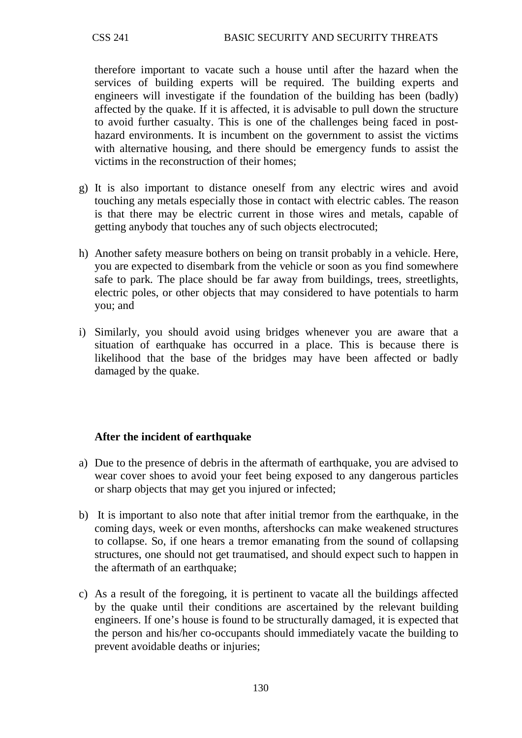therefore important to vacate such a house until after the hazard when the services of building experts will be required. The building experts and engineers will investigate if the foundation of the building has been (badly) affected by the quake. If it is affected, it is advisable to pull down the structure to avoid further casualty. This is one of the challenges being faced in posthazard environments. It is incumbent on the government to assist the victims with alternative housing, and there should be emergency funds to assist the victims in the reconstruction of their homes;

- g) It is also important to distance oneself from any electric wires and avoid touching any metals especially those in contact with electric cables. The reason is that there may be electric current in those wires and metals, capable of getting anybody that touches any of such objects electrocuted;
- h) Another safety measure bothers on being on transit probably in a vehicle. Here, you are expected to disembark from the vehicle or soon as you find somewhere safe to park. The place should be far away from buildings, trees, streetlights, electric poles, or other objects that may considered to have potentials to harm you; and
- i) Similarly, you should avoid using bridges whenever you are aware that a situation of earthquake has occurred in a place. This is because there is likelihood that the base of the bridges may have been affected or badly damaged by the quake.

### **After the incident of earthquake**

- a) Due to the presence of debris in the aftermath of earthquake, you are advised to wear cover shoes to avoid your feet being exposed to any dangerous particles or sharp objects that may get you injured or infected;
- b) It is important to also note that after initial tremor from the earthquake, in the coming days, week or even months, aftershocks can make weakened structures to collapse. So, if one hears a tremor emanating from the sound of collapsing structures, one should not get traumatised, and should expect such to happen in the aftermath of an earthquake;
- c) As a result of the foregoing, it is pertinent to vacate all the buildings affected by the quake until their conditions are ascertained by the relevant building engineers. If one's house is found to be structurally damaged, it is expected that the person and his/her co-occupants should immediately vacate the building to prevent avoidable deaths or injuries;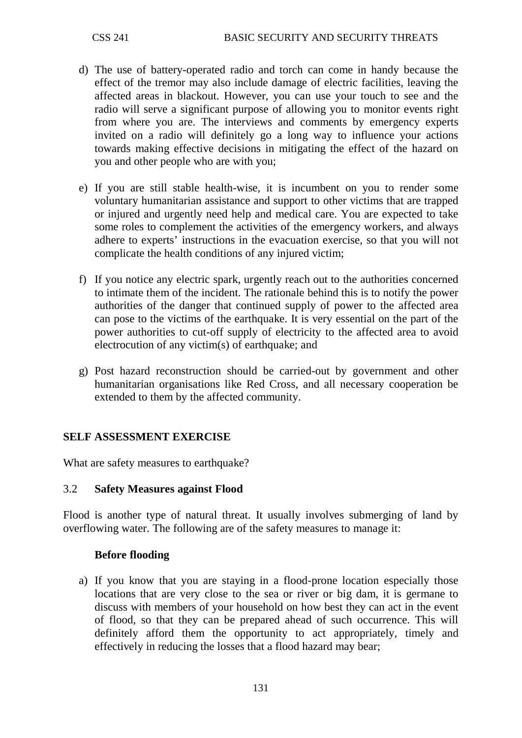- d) The use of battery-operated radio and torch can come in handy because the effect of the tremor may also include damage of electric facilities, leaving the affected areas in blackout. However, you can use your touch to see and the radio will serve a significant purpose of allowing you to monitor events right from where you are. The interviews and comments by emergency experts invited on a radio will definitely go a long way to influence your actions towards making effective decisions in mitigating the effect of the hazard on you and other people who are with you;
- e) If you are still stable health-wise, it is incumbent on you to render some voluntary humanitarian assistance and support to other victims that are trapped or injured and urgently need help and medical care. You are expected to take some roles to complement the activities of the emergency workers, and always adhere to experts' instructions in the evacuation exercise, so that you will not complicate the health conditions of any injured victim;
- f) If you notice any electric spark, urgently reach out to the authorities concerned to intimate them of the incident. The rationale behind this is to notify the power authorities of the danger that continued supply of power to the affected area can pose to the victims of the earthquake. It is very essential on the part of the power authorities to cut-off supply of electricity to the affected area to avoid electrocution of any victim(s) of earthquake; and
- g) Post hazard reconstruction should be carried-out by government and other humanitarian organisations like Red Cross, and all necessary cooperation be extended to them by the affected community.

### **SELF ASSESSMENT EXERCISE**

What are safety measures to earthquake?

#### 3.2 **Safety Measures against Flood**

Flood is another type of natural threat. It usually involves submerging of land by overflowing water. The following are of the safety measures to manage it:

#### **Before flooding**

a) If you know that you are staying in a flood-prone location especially those locations that are very close to the sea or river or big dam, it is germane to discuss with members of your household on how best they can act in the event of flood, so that they can be prepared ahead of such occurrence. This will definitely afford them the opportunity to act appropriately, timely and effectively in reducing the losses that a flood hazard may bear;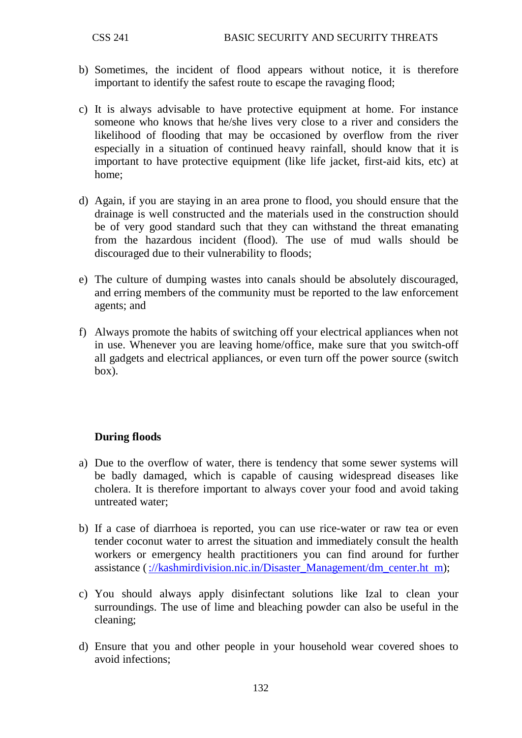- b) Sometimes, the incident of flood appears without notice, it is therefore important to identify the safest route to escape the ravaging flood;
- c) It is always advisable to have protective equipment at home. For instance someone who knows that he/she lives very close to a river and considers the likelihood of flooding that may be occasioned by overflow from the river especially in a situation of continued heavy rainfall, should know that it is important to have protective equipment (like life jacket, first-aid kits, etc) at home;
- d) Again, if you are staying in an area prone to flood, you should ensure that the drainage is well constructed and the materials used in the construction should be of very good standard such that they can withstand the threat emanating from the hazardous incident (flood). The use of mud walls should be discouraged due to their vulnerability to floods;
- e) The culture of dumping wastes into canals should be absolutely discouraged, and erring members of the community must be reported to the law enforcement agents; and
- f) Always promote the habits of switching off your electrical appliances when not in use. Whenever you are leaving home/office, make sure that you switch-off all gadgets and electrical appliances, or even turn off the power source (switch box).

### **During floods**

- a) Due to the overflow of water, there is tendency that some sewer systems will be badly damaged, which is capable of causing widespread diseases like cholera. It is therefore important to always cover your food and avoid taking untreated water;
- b) If a case of diarrhoea is reported, you can use rice-water or raw tea or even tender coconut water to arrest the situation and immediately consult the health workers or emergency health practitioners you can find around for further assistance [\(://kashmirdivision.nic.in/Disaster\\_Management/dm\\_center.ht m\)](http://kashmirdivision.nic.in/Disaster_Management/dm_center.ht%20%20m);
- c) You should always apply disinfectant solutions like Izal to clean your surroundings. The use of lime and bleaching powder can also be useful in the cleaning;
- d) Ensure that you and other people in your household wear covered shoes to avoid infections;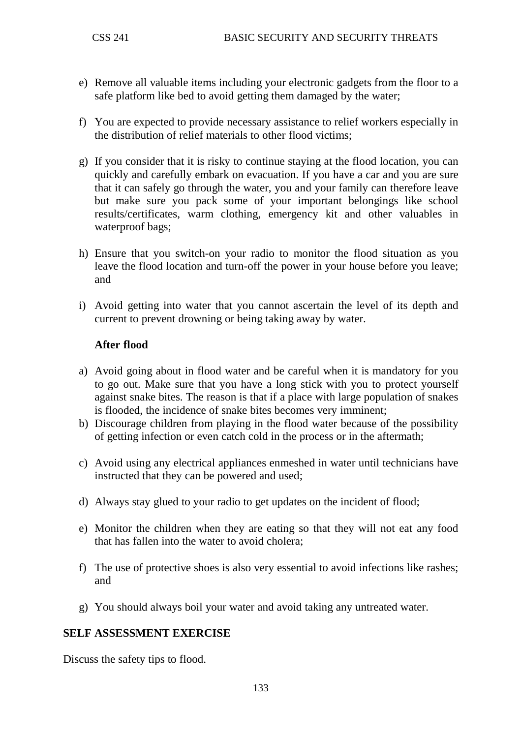- e) Remove all valuable items including your electronic gadgets from the floor to a safe platform like bed to avoid getting them damaged by the water;
- f) You are expected to provide necessary assistance to relief workers especially in the distribution of relief materials to other flood victims;
- g) If you consider that it is risky to continue staying at the flood location, you can quickly and carefully embark on evacuation. If you have a car and you are sure that it can safely go through the water, you and your family can therefore leave but make sure you pack some of your important belongings like school results/certificates, warm clothing, emergency kit and other valuables in waterproof bags;
- h) Ensure that you switch-on your radio to monitor the flood situation as you leave the flood location and turn-off the power in your house before you leave; and
- i) Avoid getting into water that you cannot ascertain the level of its depth and current to prevent drowning or being taking away by water.

### **After flood**

- a) Avoid going about in flood water and be careful when it is mandatory for you to go out. Make sure that you have a long stick with you to protect yourself against snake bites. The reason is that if a place with large population of snakes is flooded, the incidence of snake bites becomes very imminent;
- b) Discourage children from playing in the flood water because of the possibility of getting infection or even catch cold in the process or in the aftermath;
- c) Avoid using any electrical appliances enmeshed in water until technicians have instructed that they can be powered and used;
- d) Always stay glued to your radio to get updates on the incident of flood;
- e) Monitor the children when they are eating so that they will not eat any food that has fallen into the water to avoid cholera;
- f) The use of protective shoes is also very essential to avoid infections like rashes; and
- g) You should always boil your water and avoid taking any untreated water.

### **SELF ASSESSMENT EXERCISE**

Discuss the safety tips to flood.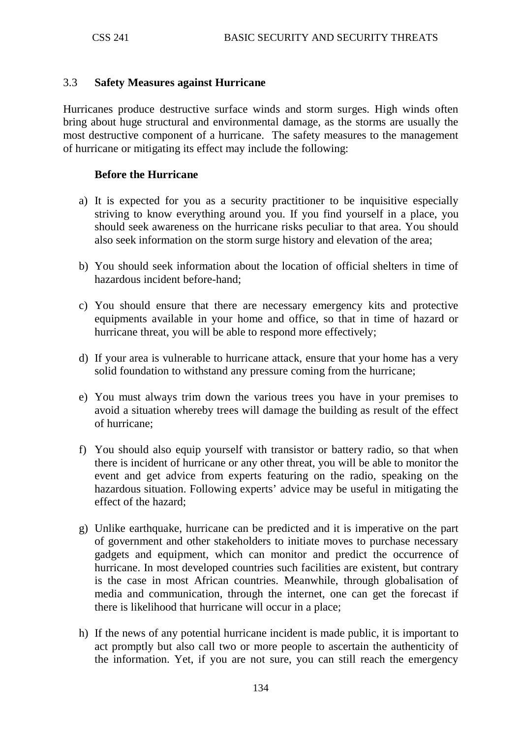#### 3.3 **Safety Measures against Hurricane**

Hurricanes produce destructive surface winds and storm surges. High winds often bring about huge structural and environmental damage, as the storms are usually the most destructive component of a hurricane. The safety measures to the management of hurricane or mitigating its effect may include the following:

#### **Before the Hurricane**

- a) It is expected for you as a security practitioner to be inquisitive especially striving to know everything around you. If you find yourself in a place, you should seek awareness on the hurricane risks peculiar to that area. You should also seek information on the storm surge history and elevation of the area;
- b) You should seek information about the location of official shelters in time of hazardous incident before-hand;
- c) You should ensure that there are necessary emergency kits and protective equipments available in your home and office, so that in time of hazard or hurricane threat, you will be able to respond more effectively;
- d) If your area is vulnerable to hurricane attack, ensure that your home has a very solid foundation to withstand any pressure coming from the hurricane;
- e) You must always trim down the various trees you have in your premises to avoid a situation whereby trees will damage the building as result of the effect of hurricane;
- f) You should also equip yourself with transistor or battery radio, so that when there is incident of hurricane or any other threat, you will be able to monitor the event and get advice from experts featuring on the radio, speaking on the hazardous situation. Following experts' advice may be useful in mitigating the effect of the hazard;
- g) Unlike earthquake, hurricane can be predicted and it is imperative on the part of government and other stakeholders to initiate moves to purchase necessary gadgets and equipment, which can monitor and predict the occurrence of hurricane. In most developed countries such facilities are existent, but contrary is the case in most African countries. Meanwhile, through globalisation of media and communication, through the internet, one can get the forecast if there is likelihood that hurricane will occur in a place;
- h) If the news of any potential hurricane incident is made public, it is important to act promptly but also call two or more people to ascertain the authenticity of the information. Yet, if you are not sure, you can still reach the emergency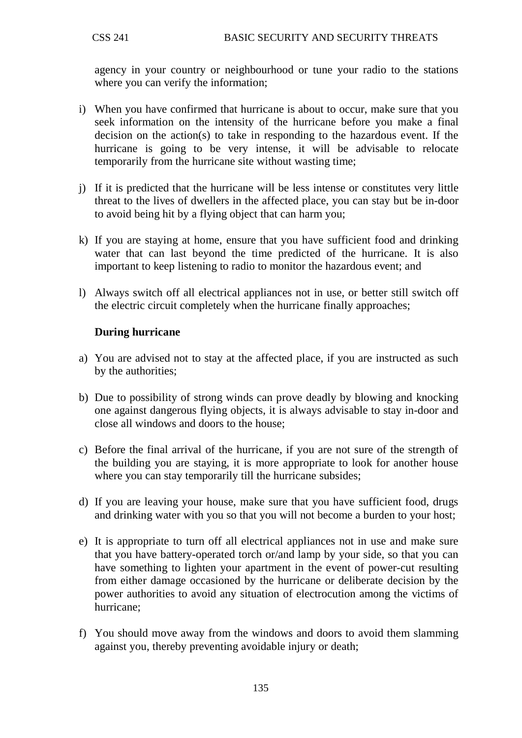agency in your country or neighbourhood or tune your radio to the stations where you can verify the information;

- i) When you have confirmed that hurricane is about to occur, make sure that you seek information on the intensity of the hurricane before you make a final decision on the action(s) to take in responding to the hazardous event. If the hurricane is going to be very intense, it will be advisable to relocate temporarily from the hurricane site without wasting time;
- j) If it is predicted that the hurricane will be less intense or constitutes very little threat to the lives of dwellers in the affected place, you can stay but be in-door to avoid being hit by a flying object that can harm you;
- k) If you are staying at home, ensure that you have sufficient food and drinking water that can last beyond the time predicted of the hurricane. It is also important to keep listening to radio to monitor the hazardous event; and
- l) Always switch off all electrical appliances not in use, or better still switch off the electric circuit completely when the hurricane finally approaches;

### **During hurricane**

- a) You are advised not to stay at the affected place, if you are instructed as such by the authorities;
- b) Due to possibility of strong winds can prove deadly by blowing and knocking one against dangerous flying objects, it is always advisable to stay in-door and close all windows and doors to the house;
- c) Before the final arrival of the hurricane, if you are not sure of the strength of the building you are staying, it is more appropriate to look for another house where you can stay temporarily till the hurricane subsides;
- d) If you are leaving your house, make sure that you have sufficient food, drugs and drinking water with you so that you will not become a burden to your host;
- e) It is appropriate to turn off all electrical appliances not in use and make sure that you have battery-operated torch or/and lamp by your side, so that you can have something to lighten your apartment in the event of power-cut resulting from either damage occasioned by the hurricane or deliberate decision by the power authorities to avoid any situation of electrocution among the victims of hurricane;
- f) You should move away from the windows and doors to avoid them slamming against you, thereby preventing avoidable injury or death;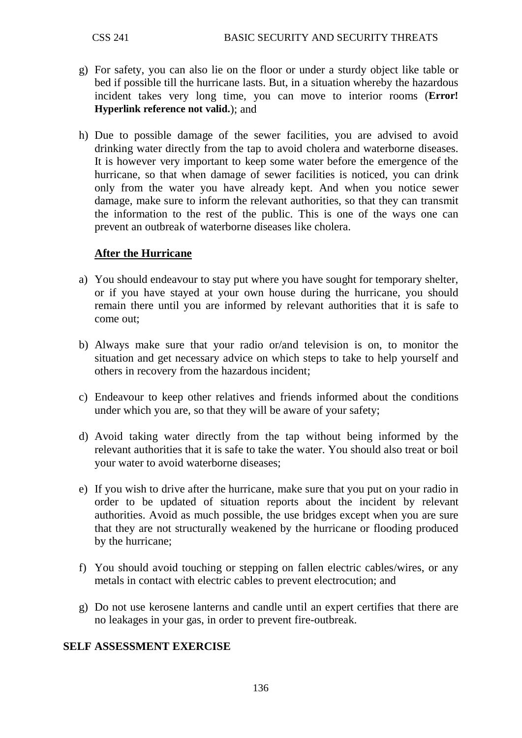- g) For safety, you can also lie on the floor or under a sturdy object like table or bed if possible till the hurricane lasts. But, in a situation whereby the hazardous incident takes very long time, you can move to interior rooms (**Error! Hyperlink reference not valid.**); and
- h) Due to possible damage of the sewer facilities, you are advised to avoid drinking water directly from the tap to avoid cholera and waterborne diseases. It is however very important to keep some water before the emergence of the hurricane, so that when damage of sewer facilities is noticed, you can drink only from the water you have already kept. And when you notice sewer damage, make sure to inform the relevant authorities, so that they can transmit the information to the rest of the public. This is one of the ways one can prevent an outbreak of waterborne diseases like cholera.

### **After the Hurricane**

- a) You should endeavour to stay put where you have sought for temporary shelter, or if you have stayed at your own house during the hurricane, you should remain there until you are informed by relevant authorities that it is safe to come out;
- b) Always make sure that your radio or/and television is on, to monitor the situation and get necessary advice on which steps to take to help yourself and others in recovery from the hazardous incident;
- c) Endeavour to keep other relatives and friends informed about the conditions under which you are, so that they will be aware of your safety;
- d) Avoid taking water directly from the tap without being informed by the relevant authorities that it is safe to take the water. You should also treat or boil your water to avoid waterborne diseases;
- e) If you wish to drive after the hurricane, make sure that you put on your radio in order to be updated of situation reports about the incident by relevant authorities. Avoid as much possible, the use bridges except when you are sure that they are not structurally weakened by the hurricane or flooding produced by the hurricane;
- f) You should avoid touching or stepping on fallen electric cables/wires, or any metals in contact with electric cables to prevent electrocution; and
- g) Do not use kerosene lanterns and candle until an expert certifies that there are no leakages in your gas, in order to prevent fire-outbreak.

#### **SELF ASSESSMENT EXERCISE**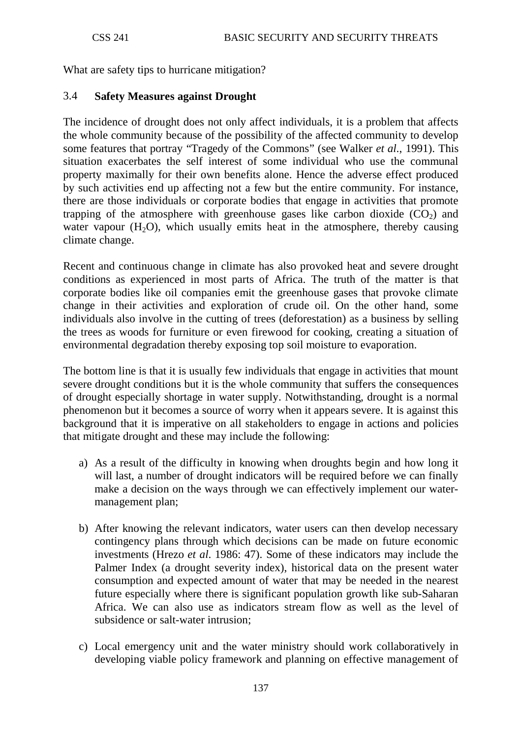What are safety tips to hurricane mitigation?

## 3.4 **Safety Measures against Drought**

The incidence of drought does not only affect individuals, it is a problem that affects the whole community because of the possibility of the affected community to develop some features that portray "Tragedy of the Commons" (see Walker *et al*., 1991). This situation exacerbates the self interest of some individual who use the communal property maximally for their own benefits alone. Hence the adverse effect produced by such activities end up affecting not a few but the entire community. For instance, there are those individuals or corporate bodies that engage in activities that promote trapping of the atmosphere with greenhouse gases like carbon dioxide  $(CO<sub>2</sub>)$  and water vapour  $(H<sub>2</sub>O)$ , which usually emits heat in the atmosphere, thereby causing climate change.

Recent and continuous change in climate has also provoked heat and severe drought conditions as experienced in most parts of Africa. The truth of the matter is that corporate bodies like oil companies emit the greenhouse gases that provoke climate change in their activities and exploration of crude oil. On the other hand, some individuals also involve in the cutting of trees (deforestation) as a business by selling the trees as woods for furniture or even firewood for cooking, creating a situation of environmental degradation thereby exposing top soil moisture to evaporation.

The bottom line is that it is usually few individuals that engage in activities that mount severe drought conditions but it is the whole community that suffers the consequences of drought especially shortage in water supply. Notwithstanding, drought is a normal phenomenon but it becomes a source of worry when it appears severe. It is against this background that it is imperative on all stakeholders to engage in actions and policies that mitigate drought and these may include the following:

- a) As a result of the difficulty in knowing when droughts begin and how long it will last, a number of drought indicators will be required before we can finally make a decision on the ways through we can effectively implement our watermanagement plan;
- b) After knowing the relevant indicators, water users can then develop necessary contingency plans through which decisions can be made on future economic investments (Hrezo *et al*. 1986: 47). Some of these indicators may include the Palmer Index (a drought severity index), historical data on the present water consumption and expected amount of water that may be needed in the nearest future especially where there is significant population growth like sub-Saharan Africa. We can also use as indicators stream flow as well as the level of subsidence or salt-water intrusion;
- c) Local emergency unit and the water ministry should work collaboratively in developing viable policy framework and planning on effective management of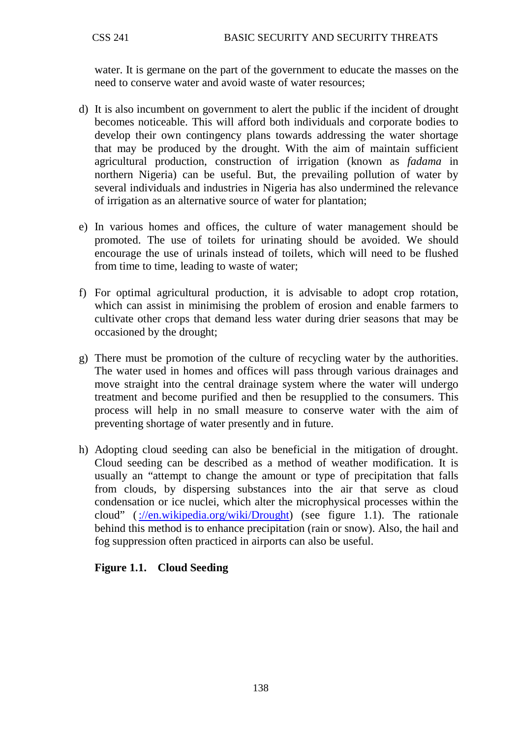water. It is germane on the part of the government to educate the masses on the need to conserve water and avoid waste of water resources;

- d) It is also incumbent on government to alert the public if the incident of drought becomes noticeable. This will afford both individuals and corporate bodies to develop their own contingency plans towards addressing the water shortage that may be produced by the drought. With the aim of maintain sufficient agricultural production, construction of irrigation (known as *fadama* in northern Nigeria) can be useful. But, the prevailing pollution of water by several individuals and industries in Nigeria has also undermined the relevance of irrigation as an alternative source of water for plantation;
- e) In various homes and offices, the culture of water management should be promoted. The use of toilets for urinating should be avoided. We should encourage the use of urinals instead of toilets, which will need to be flushed from time to time, leading to waste of water;
- f) For optimal agricultural production, it is advisable to adopt crop rotation, which can assist in minimising the problem of erosion and enable farmers to cultivate other crops that demand less water during drier seasons that may be occasioned by the drought;
- g) There must be promotion of the culture of recycling water by the authorities. The water used in homes and offices will pass through various drainages and move straight into the central drainage system where the water will undergo treatment and become purified and then be resupplied to the consumers. This process will help in no small measure to conserve water with the aim of preventing shortage of water presently and in future.
- h) Adopting cloud seeding can also be beneficial in the mitigation of drought. Cloud seeding can be described as a method of [weather modification.](http://en.wikipedia.org/wiki/Weather_control) It is usually an "attempt to change the amount or type of [precipitation](http://en.wikipedia.org/wiki/Precipitation_%28meteorology%29) that falls from [clouds,](http://en.wikipedia.org/wiki/Cloud) by dispersing substances into the [air](http://en.wikipedia.org/wiki/Air) that serve as [cloud](http://en.wikipedia.org/wiki/Cloud_condensation_nuclei)  [condensation](http://en.wikipedia.org/wiki/Cloud_condensation_nuclei) or [ice nuclei,](http://en.wikipedia.org/wiki/Ice_nucleus) which alter the microphysical processes within the cloud" [\(://en.wikipedia.org/wiki/Drought\)](http://en.wikipedia.org/wiki/Drought) (see figure 1.1). The rationale behind this method is to enhance precipitation (rain or snow). Also, the hail and fog suppression often practiced in airports can also be useful.

### **Figure 1.1. Cloud Seeding**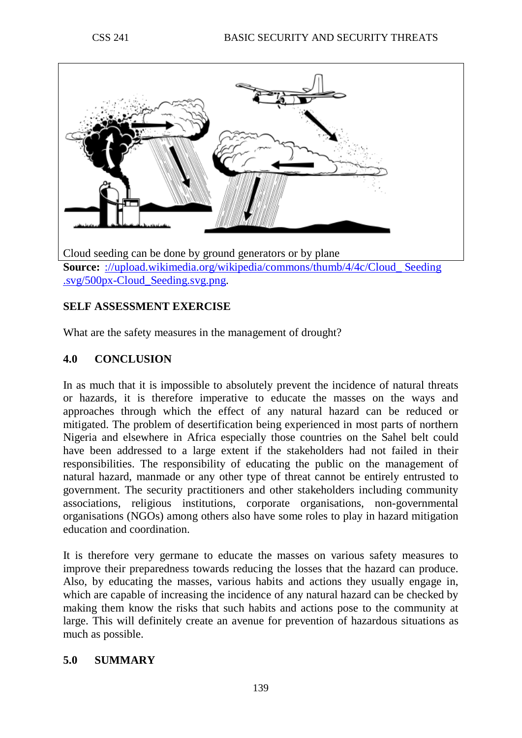

[.svg/500px-Cloud\\_Seeding.svg.png.](http://upload.wikimedia.org/wikipedia/commons/thumb/4/4c/Cloud_%20Seeding%20.svg/500px-Cloud_Seeding.svg.png)

# **SELF ASSESSMENT EXERCISE**

What are the safety measures in the management of drought?

# **4.0 CONCLUSION**

In as much that it is impossible to absolutely prevent the incidence of natural threats or hazards, it is therefore imperative to educate the masses on the ways and approaches through which the effect of any natural hazard can be reduced or mitigated. The problem of desertification being experienced in most parts of northern Nigeria and elsewhere in Africa especially those countries on the Sahel belt could have been addressed to a large extent if the stakeholders had not failed in their responsibilities. The responsibility of educating the public on the management of natural hazard, manmade or any other type of threat cannot be entirely entrusted to government. The security practitioners and other stakeholders including community associations, religious institutions, corporate organisations, non-governmental organisations (NGOs) among others also have some roles to play in hazard mitigation education and coordination.

It is therefore very germane to educate the masses on various safety measures to improve their preparedness towards reducing the losses that the hazard can produce. Also, by educating the masses, various habits and actions they usually engage in, which are capable of increasing the incidence of any natural hazard can be checked by making them know the risks that such habits and actions pose to the community at large. This will definitely create an avenue for prevention of hazardous situations as much as possible.

### **5.0 SUMMARY**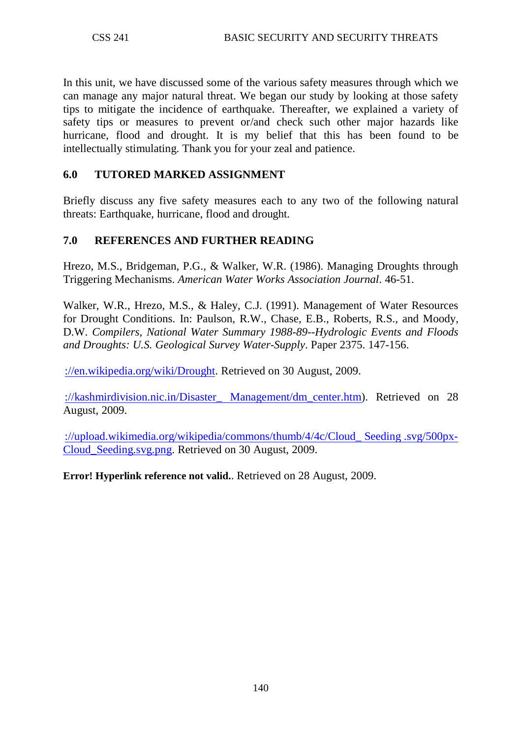In this unit, we have discussed some of the various safety measures through which we can manage any major natural threat. We began our study by looking at those safety tips to mitigate the incidence of earthquake. Thereafter, we explained a variety of safety tips or measures to prevent or/and check such other major hazards like hurricane, flood and drought. It is my belief that this has been found to be intellectually stimulating. Thank you for your zeal and patience.

## **6.0 TUTORED MARKED ASSIGNMENT**

Briefly discuss any five safety measures each to any two of the following natural threats: Earthquake, hurricane, flood and drought.

## **7.0 REFERENCES AND FURTHER READING**

Hrezo, M.S., Bridgeman, P.G., & Walker, W.R. (1986). Managing Droughts through Triggering Mechanisms. *American Water Works Association Journal*. 46-51.

Walker, W.R., Hrezo, M.S., & Haley, C.J. (1991). Management of Water Resources for Drought Conditions. In: Paulson, R.W., Chase, E.B., Roberts, R.S., and Moody, D.W. *Compilers, National Water Summary 1988-89--Hydrologic Events and Floods and Droughts: U.S. Geological Survey Water-Supply*. Paper 2375. 147-156.

[://en.wikipedia.org/wiki/Drought.](http://en.wikipedia.org/wiki/Drought) Retrieved on 30 August, 2009.

[://kashmirdivision.nic.in/Disaster\\_ Management/dm\\_center.htm\)](http://kashmirdivision.nic.in/Disaster_%20Management/dm_center.htm). Retrieved on 28 August, 2009.

://upload.wikimedia.org/wikipedia/commons/thumb/4/4c/Cloud Seeding .svg/500px-[Cloud\\_Seeding.svg.png.](http://upload.wikimedia.org/wikipedia/commons/thumb/4/4c/Cloud_%20Seeding%20.svg/500px-Cloud_Seeding.svg.png) Retrieved on 30 August, 2009.

**Error! Hyperlink reference not valid.**. Retrieved on 28 August, 2009.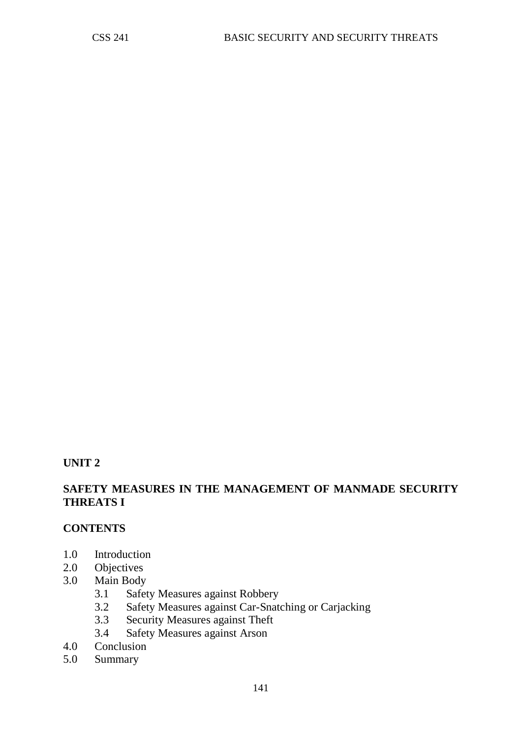#### **UNIT 2**

### **SAFETY MEASURES IN THE MANAGEMENT OF MANMADE SECURITY THREATS I**

### **CONTENTS**

- 1.0 Introduction
- 2.0 Objectives
- 3.0 Main Body
	- 3.1 Safety Measures against Robbery
	- 3.2 Safety Measures against Car-Snatching or Carjacking<br>3.3 Security Measures against Theft
	- Security Measures against Theft
	- 3.4 Safety Measures against Arson
- 4.0 Conclusion<br>5.0 Summary
- Summary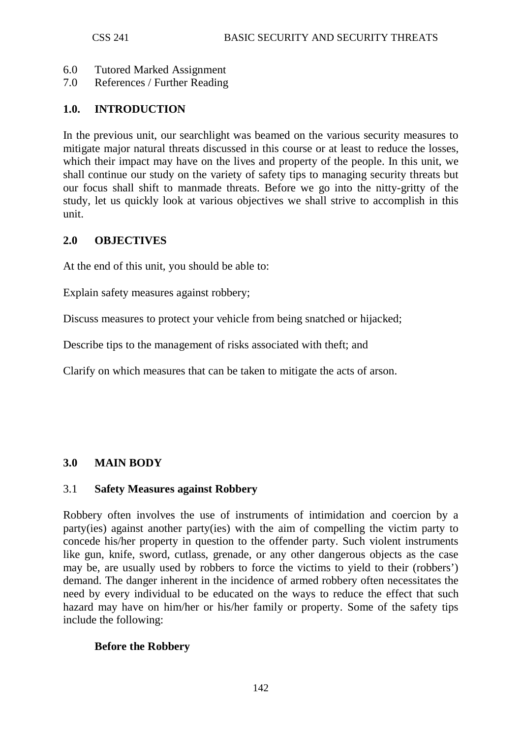- 6.0 Tutored Marked Assignment
- 7.0 References / Further Reading

## **1.0. INTRODUCTION**

In the previous unit, our searchlight was beamed on the various security measures to mitigate major natural threats discussed in this course or at least to reduce the losses, which their impact may have on the lives and property of the people. In this unit, we shall continue our study on the variety of safety tips to managing security threats but our focus shall shift to manmade threats. Before we go into the nitty-gritty of the study, let us quickly look at various objectives we shall strive to accomplish in this unit.

### **2.0 OBJECTIVES**

At the end of this unit, you should be able to:

Explain safety measures against robbery;

Discuss measures to protect your vehicle from being snatched or hijacked;

Describe tips to the management of risks associated with theft; and

Clarify on which measures that can be taken to mitigate the acts of arson.

### **3.0 MAIN BODY**

#### 3.1 **Safety Measures against Robbery**

Robbery often involves the use of instruments of intimidation and coercion by a party(ies) against another party(ies) with the aim of compelling the victim party to concede his/her property in question to the offender party. Such violent instruments like gun, knife, sword, cutlass, grenade, or any other dangerous objects as the case may be, are usually used by robbers to force the victims to yield to their (robbers') demand. The danger inherent in the incidence of armed robbery often necessitates the need by every individual to be educated on the ways to reduce the effect that such hazard may have on him/her or his/her family or property. Some of the safety tips include the following:

### **Before the Robbery**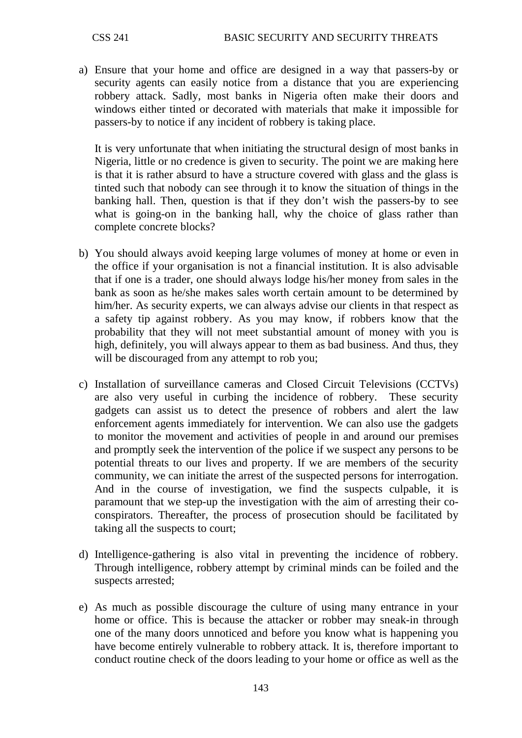a) Ensure that your home and office are designed in a way that passers-by or security agents can easily notice from a distance that you are experiencing robbery attack. Sadly, most banks in Nigeria often make their doors and windows either tinted or decorated with materials that make it impossible for passers-by to notice if any incident of robbery is taking place.

It is very unfortunate that when initiating the structural design of most banks in Nigeria, little or no credence is given to security. The point we are making here is that it is rather absurd to have a structure covered with glass and the glass is tinted such that nobody can see through it to know the situation of things in the banking hall. Then, question is that if they don't wish the passers-by to see what is going-on in the banking hall, why the choice of glass rather than complete concrete blocks?

- b) You should always avoid keeping large volumes of money at home or even in the office if your organisation is not a financial institution. It is also advisable that if one is a trader, one should always lodge his/her money from sales in the bank as soon as he/she makes sales worth certain amount to be determined by him/her. As security experts, we can always advise our clients in that respect as a safety tip against robbery. As you may know, if robbers know that the probability that they will not meet substantial amount of money with you is high, definitely, you will always appear to them as bad business. And thus, they will be discouraged from any attempt to rob you;
- c) Installation of surveillance cameras and Closed Circuit Televisions (CCTVs) are also very useful in curbing the incidence of robbery. These security gadgets can assist us to detect the presence of robbers and alert the law enforcement agents immediately for intervention. We can also use the gadgets to monitor the movement and activities of people in and around our premises and promptly seek the intervention of the police if we suspect any persons to be potential threats to our lives and property. If we are members of the security community, we can initiate the arrest of the suspected persons for interrogation. And in the course of investigation, we find the suspects culpable, it is paramount that we step-up the investigation with the aim of arresting their coconspirators. Thereafter, the process of prosecution should be facilitated by taking all the suspects to court;
- d) Intelligence-gathering is also vital in preventing the incidence of robbery. Through intelligence, robbery attempt by criminal minds can be foiled and the suspects arrested;
- e) As much as possible discourage the culture of using many entrance in your home or office. This is because the attacker or robber may sneak-in through one of the many doors unnoticed and before you know what is happening you have become entirely vulnerable to robbery attack. It is, therefore important to conduct routine check of the doors leading to your home or office as well as the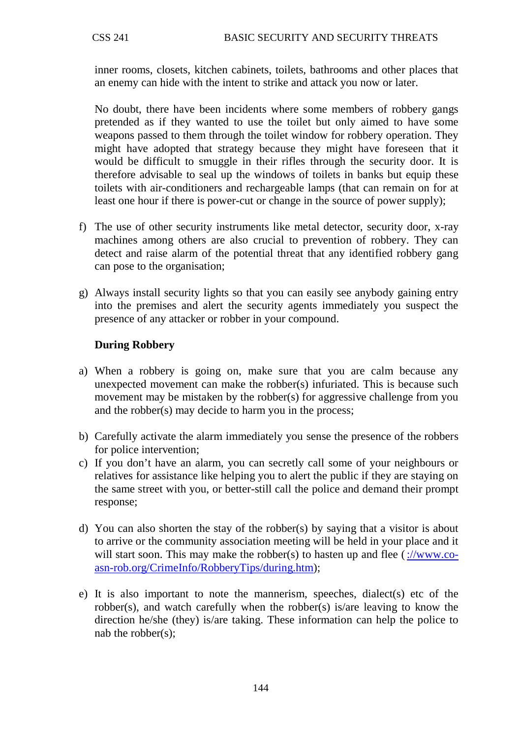inner rooms, closets, kitchen cabinets, toilets, bathrooms and other places that an enemy can hide with the intent to strike and attack you now or later.

No doubt, there have been incidents where some members of robbery gangs pretended as if they wanted to use the toilet but only aimed to have some weapons passed to them through the toilet window for robbery operation. They might have adopted that strategy because they might have foreseen that it would be difficult to smuggle in their rifles through the security door. It is therefore advisable to seal up the windows of toilets in banks but equip these toilets with air-conditioners and rechargeable lamps (that can remain on for at least one hour if there is power-cut or change in the source of power supply);

- f) The use of other security instruments like metal detector, security door, x-ray machines among others are also crucial to prevention of robbery. They can detect and raise alarm of the potential threat that any identified robbery gang can pose to the organisation;
- g) Always install security lights so that you can easily see anybody gaining entry into the premises and alert the security agents immediately you suspect the presence of any attacker or robber in your compound.

### **During Robbery**

- a) When a robbery is going on, make sure that you are calm because any unexpected movement can make the robber(s) infuriated. This is because such movement may be mistaken by the robber(s) for aggressive challenge from you and the robber(s) may decide to harm you in the process;
- b) Carefully activate the alarm immediately you sense the presence of the robbers for police intervention;
- c) If you don't have an alarm, you can secretly call some of your neighbours or relatives for assistance like helping you to alert the public if they are staying on the same street with you, or better-still call the police and demand their prompt response;
- d) You can also shorten the stay of the robber(s) by saying that a visitor is about to arrive or the community association meeting will be held in your place and it will start soon. This may make the robber(s) to hasten up and flee  $\frac{\div}{\text{www.co}}$ [asn-rob.org/CrimeInfo/RobberyTips/during.htm\)](http://www.co-asn-rob.org/CrimeInfo/RobberyTips/during.htm);
- e) It is also important to note the mannerism, speeches, dialect(s) etc of the robber(s), and watch carefully when the robber(s) is/are leaving to know the direction he/she (they) is/are taking. These information can help the police to nab the robber(s);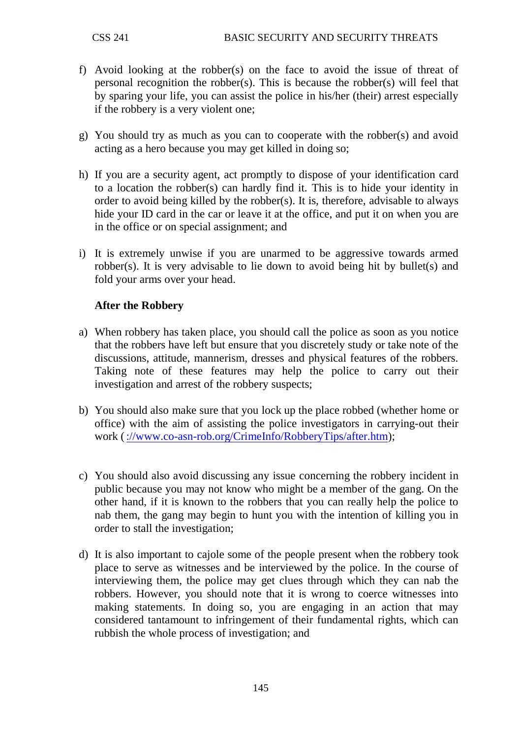- f) Avoid looking at the robber(s) on the face to avoid the issue of threat of personal recognition the robber(s). This is because the robber(s) will feel that by sparing your life, you can assist the police in his/her (their) arrest especially if the robbery is a very violent one;
- g) You should try as much as you can to cooperate with the robber(s) and avoid acting as a hero because you may get killed in doing so;
- h) If you are a security agent, act promptly to dispose of your identification card to a location the robber(s) can hardly find it. This is to hide your identity in order to avoid being killed by the robber(s). It is, therefore, advisable to always hide your ID card in the car or leave it at the office, and put it on when you are in the office or on special assignment; and
- i) It is extremely unwise if you are unarmed to be aggressive towards armed robber(s). It is very advisable to lie down to avoid being hit by bullet(s) and fold your arms over your head.

## **After the Robbery**

- a) When robbery has taken place, you should call the police as soon as you notice that the robbers have left but ensure that you discretely study or take note of the discussions, attitude, mannerism, dresses and physical features of the robbers. Taking note of these features may help the police to carry out their investigation and arrest of the robbery suspects;
- b) You should also make sure that you lock up the place robbed (whether home or office) with the aim of assisting the police investigators in carrying-out their work [\(://www.co-asn-rob.org/CrimeInfo/RobberyTips/after.htm\)](http://www.co-asn-rob.org/CrimeInfo/RobberyTips/after.htm);
- c) You should also avoid discussing any issue concerning the robbery incident in public because you may not know who might be a member of the gang. On the other hand, if it is known to the robbers that you can really help the police to nab them, the gang may begin to hunt you with the intention of killing you in order to stall the investigation;
- d) It is also important to cajole some of the people present when the robbery took place to serve as witnesses and be interviewed by the police. In the course of interviewing them, the police may get clues through which they can nab the robbers. However, you should note that it is wrong to coerce witnesses into making statements. In doing so, you are engaging in an action that may considered tantamount to infringement of their fundamental rights, which can rubbish the whole process of investigation; and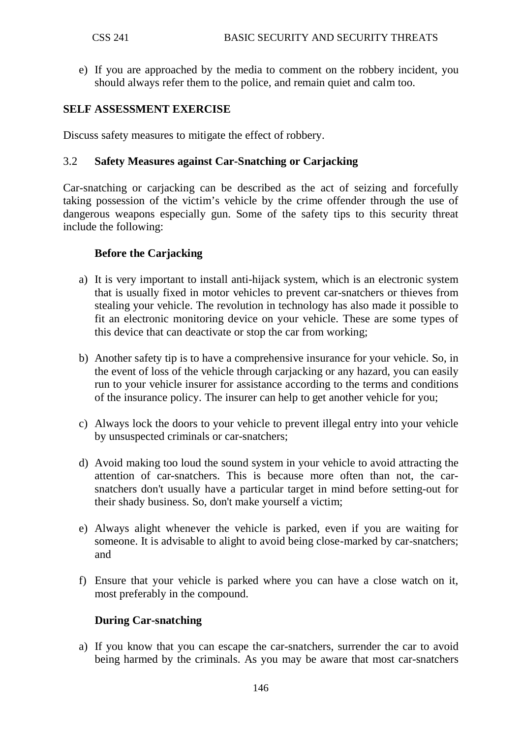e) If you are approached by the media to comment on the robbery incident, you should always refer them to the police, and remain quiet and calm too.

## **SELF ASSESSMENT EXERCISE**

Discuss safety measures to mitigate the effect of robbery.

## 3.2 **Safety Measures against Car-Snatching or Carjacking**

Car-snatching or carjacking can be described as the act of seizing and forcefully taking possession of the victim's vehicle by the crime offender through the use of dangerous weapons especially gun. Some of the safety tips to this security threat include the following:

## **Before the Carjacking**

- a) It is very important to install anti-hijack system, which is an electronic system that is usually fixed in motor vehicles to prevent car-snatchers or thieves from stealing your vehicle. The revolution in technology has also made it possible to fit an electronic monitoring device on your vehicle. These are some types of this device that can deactivate or stop the car from working;
- b) Another safety tip is to have a comprehensive insurance for your vehicle. So, in the event of loss of the vehicle through carjacking or any hazard, you can easily run to your vehicle insurer for assistance according to the terms and conditions of the insurance policy. The insurer can help to get another vehicle for you;
- c) Always lock the doors to your vehicle to prevent illegal entry into your vehicle by unsuspected criminals or car-snatchers;
- d) Avoid making too loud the sound system in your vehicle to avoid attracting the attention of car-snatchers. This is because more often than not, the carsnatchers don't usually have a particular target in mind before setting-out for their shady business. So, don't make yourself a victim;
- e) Always alight whenever the vehicle is parked, even if you are waiting for someone. It is advisable to alight to avoid being close-marked by car-snatchers; and
- f) Ensure that your vehicle is parked where you can have a close watch on it, most preferably in the compound.

## **During Car-snatching**

a) If you know that you can escape the car-snatchers, surrender the car to avoid being harmed by the criminals. As you may be aware that most car-snatchers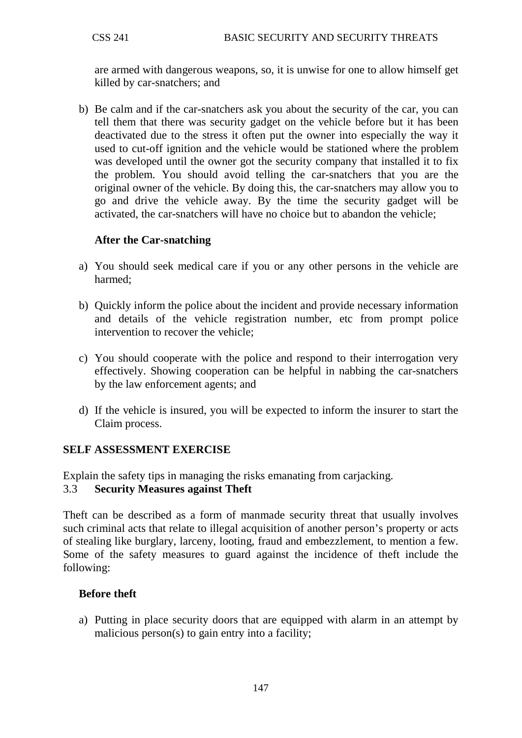are armed with dangerous weapons, so, it is unwise for one to allow himself get killed by car-snatchers; and

b) Be calm and if the car-snatchers ask you about the security of the car, you can tell them that there was security gadget on the vehicle before but it has been deactivated due to the stress it often put the owner into especially the way it used to cut-off ignition and the vehicle would be stationed where the problem was developed until the owner got the security company that installed it to fix the problem. You should avoid telling the car-snatchers that you are the original owner of the vehicle. By doing this, the car-snatchers may allow you to go and drive the vehicle away. By the time the security gadget will be activated, the car-snatchers will have no choice but to abandon the vehicle;

## **After the Car-snatching**

- a) You should seek medical care if you or any other persons in the vehicle are harmed;
- b) Quickly inform the police about the incident and provide necessary information and details of the vehicle registration number, etc from prompt police intervention to recover the vehicle;
- c) You should cooperate with the police and respond to their interrogation very effectively. Showing cooperation can be helpful in nabbing the car-snatchers by the law enforcement agents; and
- d) If the vehicle is insured, you will be expected to inform the insurer to start the Claim process.

## **SELF ASSESSMENT EXERCISE**

Explain the safety tips in managing the risks emanating from carjacking.

## 3.3 **Security Measures against Theft**

Theft can be described as a form of manmade security threat that usually involves such criminal acts that relate to illegal acquisition of another person's property or acts of stealing like burglary, larceny, looting, fraud and embezzlement, to mention a few. Some of the safety measures to guard against the incidence of theft include the following:

## **Before theft**

a) Putting in place security doors that are equipped with alarm in an attempt by malicious person(s) to gain entry into a facility;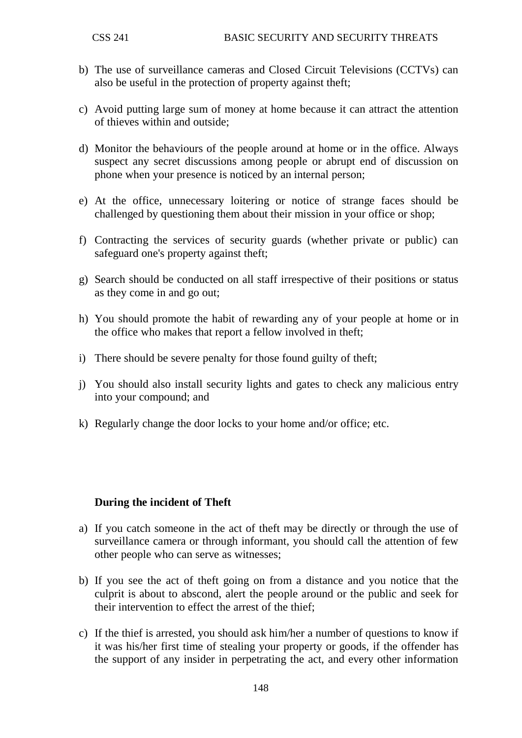- b) The use of surveillance cameras and Closed Circuit Televisions (CCTVs) can also be useful in the protection of property against theft;
- c) Avoid putting large sum of money at home because it can attract the attention of thieves within and outside;
- d) Monitor the behaviours of the people around at home or in the office. Always suspect any secret discussions among people or abrupt end of discussion on phone when your presence is noticed by an internal person;
- e) At the office, unnecessary loitering or notice of strange faces should be challenged by questioning them about their mission in your office or shop;
- f) Contracting the services of security guards (whether private or public) can safeguard one's property against theft;
- g) Search should be conducted on all staff irrespective of their positions or status as they come in and go out;
- h) You should promote the habit of rewarding any of your people at home or in the office who makes that report a fellow involved in theft;
- i) There should be severe penalty for those found guilty of theft;
- j) You should also install security lights and gates to check any malicious entry into your compound; and
- k) Regularly change the door locks to your home and/or office; etc.

#### **During the incident of Theft**

- a) If you catch someone in the act of theft may be directly or through the use of surveillance camera or through informant, you should call the attention of few other people who can serve as witnesses;
- b) If you see the act of theft going on from a distance and you notice that the culprit is about to abscond, alert the people around or the public and seek for their intervention to effect the arrest of the thief;
- c) If the thief is arrested, you should ask him/her a number of questions to know if it was his/her first time of stealing your property or goods, if the offender has the support of any insider in perpetrating the act, and every other information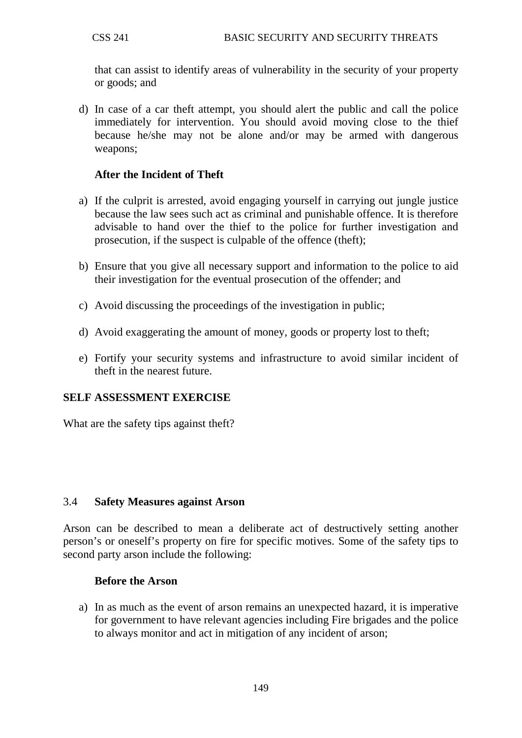that can assist to identify areas of vulnerability in the security of your property or goods; and

d) In case of a car theft attempt, you should alert the public and call the police immediately for intervention. You should avoid moving close to the thief because he/she may not be alone and/or may be armed with dangerous weapons;

## **After the Incident of Theft**

- a) If the culprit is arrested, avoid engaging yourself in carrying out jungle justice because the law sees such act as criminal and punishable offence. It is therefore advisable to hand over the thief to the police for further investigation and prosecution, if the suspect is culpable of the offence (theft);
- b) Ensure that you give all necessary support and information to the police to aid their investigation for the eventual prosecution of the offender; and
- c) Avoid discussing the proceedings of the investigation in public;
- d) Avoid exaggerating the amount of money, goods or property lost to theft;
- e) Fortify your security systems and infrastructure to avoid similar incident of theft in the nearest future.

# **SELF ASSESSMENT EXERCISE**

What are the safety tips against theft?

## 3.4 **Safety Measures against Arson**

Arson can be described to mean a deliberate act of destructively setting another person's or oneself's property on fire for specific motives. Some of the safety tips to second party arson include the following:

## **Before the Arson**

a) In as much as the event of arson remains an unexpected hazard, it is imperative for government to have relevant agencies including Fire brigades and the police to always monitor and act in mitigation of any incident of arson;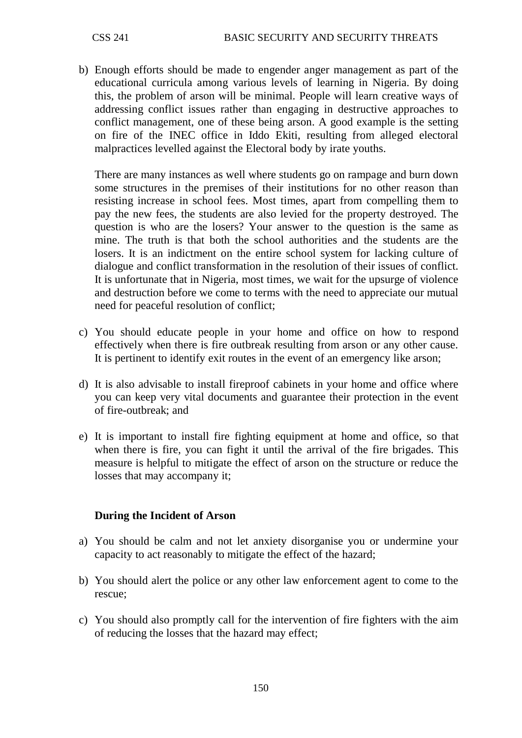b) Enough efforts should be made to engender anger management as part of the educational curricula among various levels of learning in Nigeria. By doing this, the problem of arson will be minimal. People will learn creative ways of addressing conflict issues rather than engaging in destructive approaches to conflict management, one of these being arson. A good example is the setting on fire of the INEC office in Iddo Ekiti, resulting from alleged electoral malpractices levelled against the Electoral body by irate youths.

There are many instances as well where students go on rampage and burn down some structures in the premises of their institutions for no other reason than resisting increase in school fees. Most times, apart from compelling them to pay the new fees, the students are also levied for the property destroyed. The question is who are the losers? Your answer to the question is the same as mine. The truth is that both the school authorities and the students are the losers. It is an indictment on the entire school system for lacking culture of dialogue and conflict transformation in the resolution of their issues of conflict. It is unfortunate that in Nigeria, most times, we wait for the upsurge of violence and destruction before we come to terms with the need to appreciate our mutual need for peaceful resolution of conflict;

- c) You should educate people in your home and office on how to respond effectively when there is fire outbreak resulting from arson or any other cause. It is pertinent to identify exit routes in the event of an emergency like arson;
- d) It is also advisable to install fireproof cabinets in your home and office where you can keep very vital documents and guarantee their protection in the event of fire-outbreak; and
- e) It is important to install fire fighting equipment at home and office, so that when there is fire, you can fight it until the arrival of the fire brigades. This measure is helpful to mitigate the effect of arson on the structure or reduce the losses that may accompany it;

## **During the Incident of Arson**

- a) You should be calm and not let anxiety disorganise you or undermine your capacity to act reasonably to mitigate the effect of the hazard;
- b) You should alert the police or any other law enforcement agent to come to the rescue;
- c) You should also promptly call for the intervention of fire fighters with the aim of reducing the losses that the hazard may effect;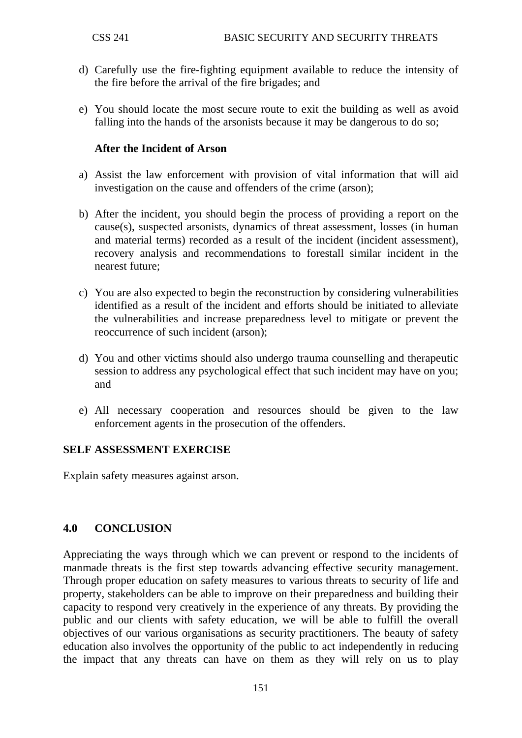- d) Carefully use the fire-fighting equipment available to reduce the intensity of the fire before the arrival of the fire brigades; and
- e) You should locate the most secure route to exit the building as well as avoid falling into the hands of the arsonists because it may be dangerous to do so;

## **After the Incident of Arson**

- a) Assist the law enforcement with provision of vital information that will aid investigation on the cause and offenders of the crime (arson);
- b) After the incident, you should begin the process of providing a report on the cause(s), suspected arsonists, dynamics of threat assessment, losses (in human and material terms) recorded as a result of the incident (incident assessment), recovery analysis and recommendations to forestall similar incident in the nearest future;
- c) You are also expected to begin the reconstruction by considering vulnerabilities identified as a result of the incident and efforts should be initiated to alleviate the vulnerabilities and increase preparedness level to mitigate or prevent the reoccurrence of such incident (arson);
- d) You and other victims should also undergo trauma counselling and therapeutic session to address any psychological effect that such incident may have on you; and
- e) All necessary cooperation and resources should be given to the law enforcement agents in the prosecution of the offenders.

## **SELF ASSESSMENT EXERCISE**

Explain safety measures against arson.

## **4.0 CONCLUSION**

Appreciating the ways through which we can prevent or respond to the incidents of manmade threats is the first step towards advancing effective security management. Through proper education on safety measures to various threats to security of life and property, stakeholders can be able to improve on their preparedness and building their capacity to respond very creatively in the experience of any threats. By providing the public and our clients with safety education, we will be able to fulfill the overall objectives of our various organisations as security practitioners. The beauty of safety education also involves the opportunity of the public to act independently in reducing the impact that any threats can have on them as they will rely on us to play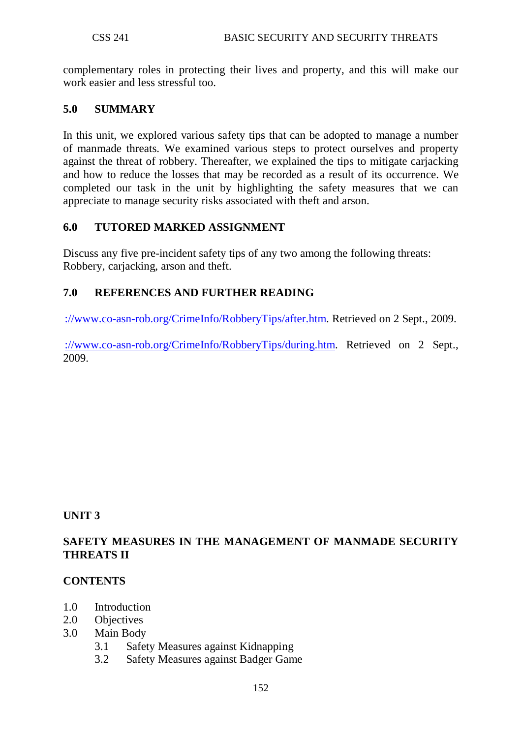complementary roles in protecting their lives and property, and this will make our work easier and less stressful too.

## **5.0 SUMMARY**

In this unit, we explored various safety tips that can be adopted to manage a number of manmade threats. We examined various steps to protect ourselves and property against the threat of robbery. Thereafter, we explained the tips to mitigate carjacking and how to reduce the losses that may be recorded as a result of its occurrence. We completed our task in the unit by highlighting the safety measures that we can appreciate to manage security risks associated with theft and arson.

## **6.0 TUTORED MARKED ASSIGNMENT**

Discuss any five pre-incident safety tips of any two among the following threats: Robbery, carjacking, arson and theft.

# **7.0 REFERENCES AND FURTHER READING**

[://www.co-asn-rob.org/CrimeInfo/RobberyTips/after.htm.](http://www.co-asn-rob.org/CrimeInfo/RobberyTips/after.htm) Retrieved on 2 Sept., 2009.

[://www.co-asn-rob.org/CrimeInfo/RobberyTips/during.htm.](http://www.co-asn-rob.org/CrimeInfo/RobberyTips/during.htm) Retrieved on 2 Sept., 2009.

# **UNIT 3**

# **SAFETY MEASURES IN THE MANAGEMENT OF MANMADE SECURITY THREATS II**

# **CONTENTS**

- 1.0 Introduction
- 2.0 Objectives
- 3.0 Main Body
	- 3.1 Safety Measures against Kidnapping
	- 3.2 Safety Measures against Badger Game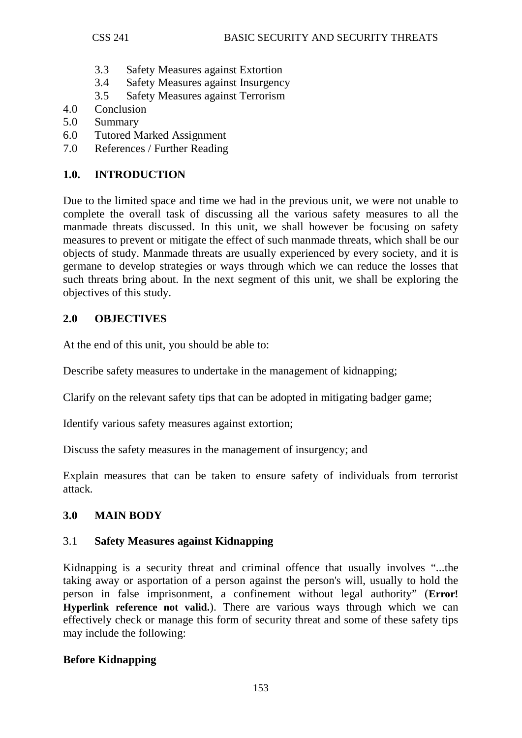- 3.3 Safety Measures against Extortion
- 3.4 Safety Measures against Insurgency
- 3.5 Safety Measures against Terrorism
- 4.0 Conclusion
- 5.0 Summary
- 6.0 Tutored Marked Assignment
- 7.0 References / Further Reading

# **1.0. INTRODUCTION**

Due to the limited space and time we had in the previous unit, we were not unable to complete the overall task of discussing all the various safety measures to all the manmade threats discussed. In this unit, we shall however be focusing on safety measures to prevent or mitigate the effect of such manmade threats, which shall be our objects of study. Manmade threats are usually experienced by every society, and it is germane to develop strategies or ways through which we can reduce the losses that such threats bring about. In the next segment of this unit, we shall be exploring the objectives of this study.

## **2.0 OBJECTIVES**

At the end of this unit, you should be able to:

Describe safety measures to undertake in the management of kidnapping:

Clarify on the relevant safety tips that can be adopted in mitigating badger game;

Identify various safety measures against extortion;

Discuss the safety measures in the management of insurgency; and

Explain measures that can be taken to ensure safety of individuals from terrorist attack.

# **3.0 MAIN BODY**

## 3.1 **Safety Measures against Kidnapping**

Kidnapping is a security threat and criminal offence that usually involves "...the taking away or asportation of a person against the person's will, usually to hold the person in false imprisonment, a confinement without legal authority" (**Error! Hyperlink reference not valid.**). There are various ways through which we can effectively check or manage this form of security threat and some of these safety tips may include the following:

# **Before Kidnapping**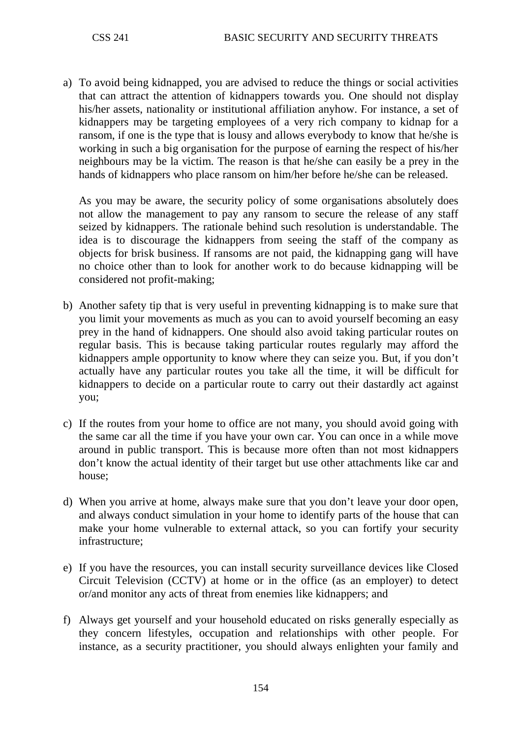a) To avoid being kidnapped, you are advised to reduce the things or social activities that can attract the attention of kidnappers towards you. One should not display his/her assets, nationality or institutional affiliation anyhow. For instance, a set of kidnappers may be targeting employees of a very rich company to kidnap for a ransom, if one is the type that is lousy and allows everybody to know that he/she is working in such a big organisation for the purpose of earning the respect of his/her neighbours may be la victim. The reason is that he/she can easily be a prey in the hands of kidnappers who place ransom on him/her before he/she can be released.

As you may be aware, the security policy of some organisations absolutely does not allow the management to pay any ransom to secure the release of any staff seized by kidnappers. The rationale behind such resolution is understandable. The idea is to discourage the kidnappers from seeing the staff of the company as objects for brisk business. If ransoms are not paid, the kidnapping gang will have no choice other than to look for another work to do because kidnapping will be considered not profit-making;

- b) Another safety tip that is very useful in preventing kidnapping is to make sure that you limit your movements as much as you can to avoid yourself becoming an easy prey in the hand of kidnappers. One should also avoid taking particular routes on regular basis. This is because taking particular routes regularly may afford the kidnappers ample opportunity to know where they can seize you. But, if you don't actually have any particular routes you take all the time, it will be difficult for kidnappers to decide on a particular route to carry out their dastardly act against you;
- c) If the routes from your home to office are not many, you should avoid going with the same car all the time if you have your own car. You can once in a while move around in public transport. This is because more often than not most kidnappers don't know the actual identity of their target but use other attachments like car and house;
- d) When you arrive at home, always make sure that you don't leave your door open, and always conduct simulation in your home to identify parts of the house that can make your home vulnerable to external attack, so you can fortify your security infrastructure;
- e) If you have the resources, you can install security surveillance devices like Closed Circuit Television (CCTV) at home or in the office (as an employer) to detect or/and monitor any acts of threat from enemies like kidnappers; and
- f) Always get yourself and your household educated on risks generally especially as they concern lifestyles, occupation and relationships with other people. For instance, as a security practitioner, you should always enlighten your family and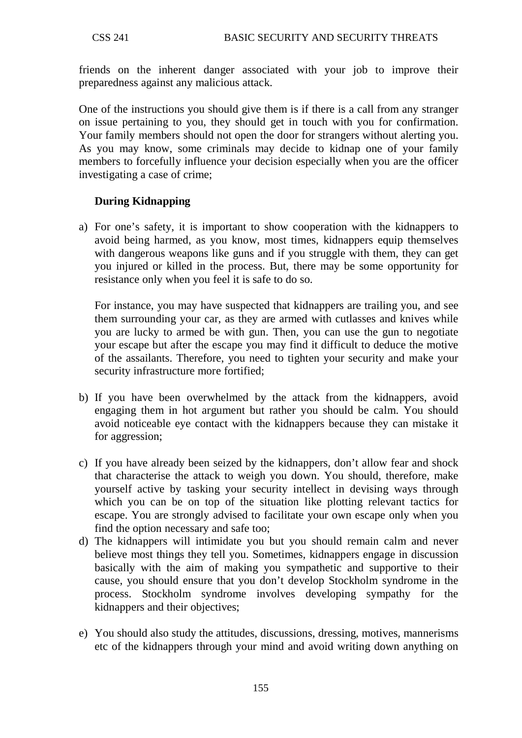friends on the inherent danger associated with your job to improve their preparedness against any malicious attack.

One of the instructions you should give them is if there is a call from any stranger on issue pertaining to you, they should get in touch with you for confirmation. Your family members should not open the door for strangers without alerting you. As you may know, some criminals may decide to kidnap one of your family members to forcefully influence your decision especially when you are the officer investigating a case of crime;

# **During Kidnapping**

a) For one's safety, it is important to show cooperation with the kidnappers to avoid being harmed, as you know, most times, kidnappers equip themselves with dangerous weapons like guns and if you struggle with them, they can get you injured or killed in the process. But, there may be some opportunity for resistance only when you feel it is safe to do so.

For instance, you may have suspected that kidnappers are trailing you, and see them surrounding your car, as they are armed with cutlasses and knives while you are lucky to armed be with gun. Then, you can use the gun to negotiate your escape but after the escape you may find it difficult to deduce the motive of the assailants. Therefore, you need to tighten your security and make your security infrastructure more fortified;

- b) If you have been overwhelmed by the attack from the kidnappers, avoid engaging them in hot argument but rather you should be calm. You should avoid noticeable eye contact with the kidnappers because they can mistake it for aggression;
- c) If you have already been seized by the kidnappers, don't allow fear and shock that characterise the attack to weigh you down. You should, therefore, make yourself active by tasking your security intellect in devising ways through which you can be on top of the situation like plotting relevant tactics for escape. You are strongly advised to facilitate your own escape only when you find the option necessary and safe too;
- d) The kidnappers will intimidate you but you should remain calm and never believe most things they tell you. Sometimes, kidnappers engage in discussion basically with the aim of making you sympathetic and supportive to their cause, you should ensure that you don't develop Stockholm syndrome in the process. Stockholm syndrome involves developing sympathy for the kidnappers and their objectives;
- e) You should also study the attitudes, discussions, dressing, motives, mannerisms etc of the kidnappers through your mind and avoid writing down anything on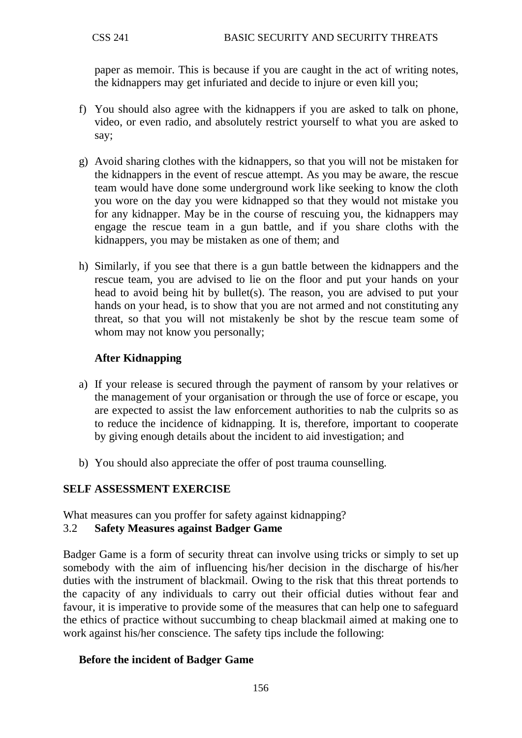paper as memoir. This is because if you are caught in the act of writing notes, the kidnappers may get infuriated and decide to injure or even kill you;

- f) You should also agree with the kidnappers if you are asked to talk on phone, video, or even radio, and absolutely restrict yourself to what you are asked to say;
- g) Avoid sharing clothes with the kidnappers, so that you will not be mistaken for the kidnappers in the event of rescue attempt. As you may be aware, the rescue team would have done some underground work like seeking to know the cloth you wore on the day you were kidnapped so that they would not mistake you for any kidnapper. May be in the course of rescuing you, the kidnappers may engage the rescue team in a gun battle, and if you share cloths with the kidnappers, you may be mistaken as one of them; and
- h) Similarly, if you see that there is a gun battle between the kidnappers and the rescue team, you are advised to lie on the floor and put your hands on your head to avoid being hit by bullet(s). The reason, you are advised to put your hands on your head, is to show that you are not armed and not constituting any threat, so that you will not mistakenly be shot by the rescue team some of whom may not know you personally;

# **After Kidnapping**

- a) If your release is secured through the payment of ransom by your relatives or the management of your organisation or through the use of force or escape, you are expected to assist the law enforcement authorities to nab the culprits so as to reduce the incidence of kidnapping. It is, therefore, important to cooperate by giving enough details about the incident to aid investigation; and
- b) You should also appreciate the offer of post trauma counselling.

## **SELF ASSESSMENT EXERCISE**

What measures can you proffer for safety against kidnapping?

## 3.2 **Safety Measures against Badger Game**

Badger Game is a form of security threat can involve using tricks or simply to set up somebody with the aim of influencing his/her decision in the discharge of his/her duties with the instrument of blackmail. Owing to the risk that this threat portends to the capacity of any individuals to carry out their official duties without fear and favour, it is imperative to provide some of the measures that can help one to safeguard the ethics of practice without succumbing to cheap blackmail aimed at making one to work against his/her conscience. The safety tips include the following:

## **Before the incident of Badger Game**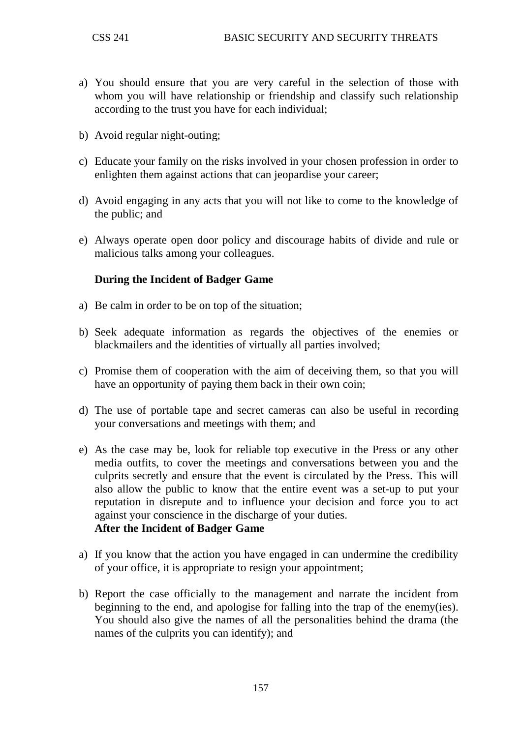- a) You should ensure that you are very careful in the selection of those with whom you will have relationship or friendship and classify such relationship according to the trust you have for each individual;
- b) Avoid regular night-outing;
- c) Educate your family on the risks involved in your chosen profession in order to enlighten them against actions that can jeopardise your career;
- d) Avoid engaging in any acts that you will not like to come to the knowledge of the public; and
- e) Always operate open door policy and discourage habits of divide and rule or malicious talks among your colleagues.

#### **During the Incident of Badger Game**

- a) Be calm in order to be on top of the situation;
- b) Seek adequate information as regards the objectives of the enemies or blackmailers and the identities of virtually all parties involved;
- c) Promise them of cooperation with the aim of deceiving them, so that you will have an opportunity of paying them back in their own coin;
- d) The use of portable tape and secret cameras can also be useful in recording your conversations and meetings with them; and
- e) As the case may be, look for reliable top executive in the Press or any other media outfits, to cover the meetings and conversations between you and the culprits secretly and ensure that the event is circulated by the Press. This will also allow the public to know that the entire event was a set-up to put your reputation in disrepute and to influence your decision and force you to act against your conscience in the discharge of your duties. **After the Incident of Badger Game**
- a) If you know that the action you have engaged in can undermine the credibility of your office, it is appropriate to resign your appointment;
- b) Report the case officially to the management and narrate the incident from beginning to the end, and apologise for falling into the trap of the enemy(ies). You should also give the names of all the personalities behind the drama (the names of the culprits you can identify); and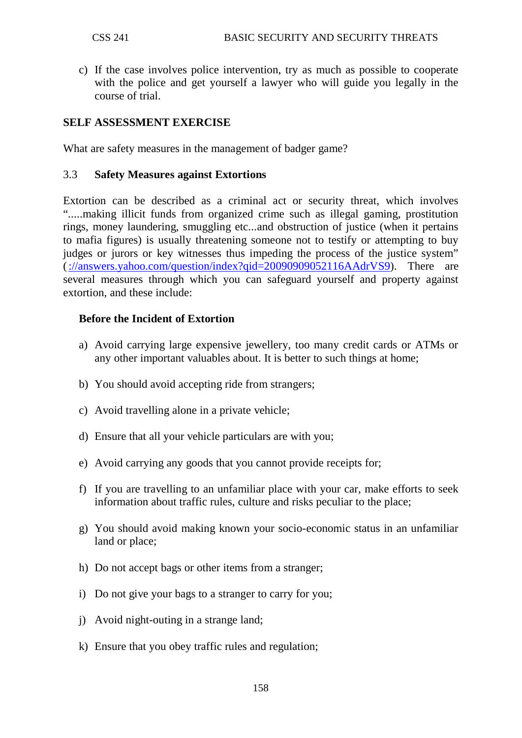c) If the case involves police intervention, try as much as possible to cooperate with the police and get yourself a lawyer who will guide you legally in the course of trial.

## **SELF ASSESSMENT EXERCISE**

What are safety measures in the management of badger game?

#### 3.3 **Safety Measures against Extortions**

Extortion can be described as a criminal act or security threat, which involves ".....making illicit funds from organized crime such as illegal gaming, prostitution rings, money laundering, smuggling etc...and obstruction of justice (when it pertains to mafia figures) is usually threatening someone not to testify or attempting to buy judges or jurors or key witnesses thus impeding the process of the justice system" [\(://answers.yahoo.com/question/index?qid=20090909052116AAdrVS9\)](http://answers.yahoo.com/question/index?qid=20090909052116AAdrVS9). There are several measures through which you can safeguard yourself and property against extortion, and these include:

## **Before the Incident of Extortion**

- a) Avoid carrying large expensive jewellery, too many credit cards or ATMs or any other important valuables about. It is better to such things at home;
- b) You should avoid accepting ride from strangers;
- c) Avoid travelling alone in a private vehicle;
- d) Ensure that all your vehicle particulars are with you;
- e) Avoid carrying any goods that you cannot provide receipts for;
- f) If you are travelling to an unfamiliar place with your car, make efforts to seek information about traffic rules, culture and risks peculiar to the place;
- g) You should avoid making known your socio-economic status in an unfamiliar land or place;
- h) Do not accept bags or other items from a stranger;
- i) Do not give your bags to a stranger to carry for you;
- j) Avoid night-outing in a strange land;
- k) Ensure that you obey traffic rules and regulation;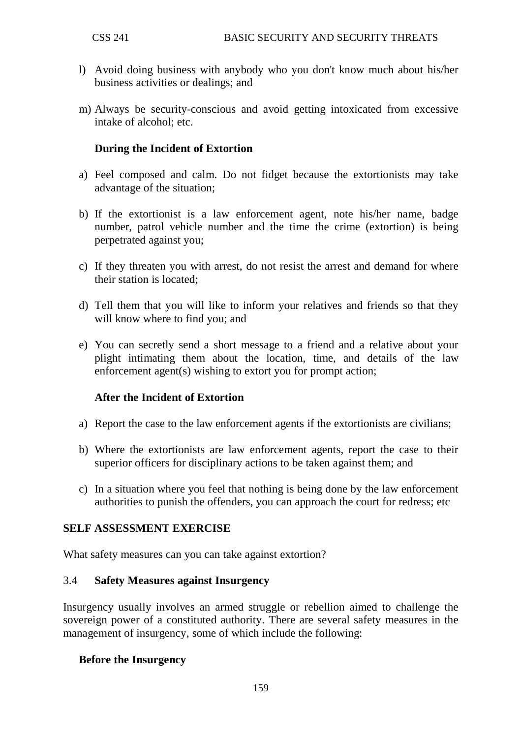- l) Avoid doing business with anybody who you don't know much about his/her business activities or dealings; and
- m) Always be security-conscious and avoid getting intoxicated from excessive intake of alcohol; etc.

# **During the Incident of Extortion**

- a) Feel composed and calm. Do not fidget because the extortionists may take advantage of the situation;
- b) If the extortionist is a law enforcement agent, note his/her name, badge number, patrol vehicle number and the time the crime (extortion) is being perpetrated against you;
- c) If they threaten you with arrest, do not resist the arrest and demand for where their station is located;
- d) Tell them that you will like to inform your relatives and friends so that they will know where to find you; and
- e) You can secretly send a short message to a friend and a relative about your plight intimating them about the location, time, and details of the law enforcement agent(s) wishing to extort you for prompt action;

## **After the Incident of Extortion**

- a) Report the case to the law enforcement agents if the extortionists are civilians;
- b) Where the extortionists are law enforcement agents, report the case to their superior officers for disciplinary actions to be taken against them; and
- c) In a situation where you feel that nothing is being done by the law enforcement authorities to punish the offenders, you can approach the court for redress; etc

## **SELF ASSESSMENT EXERCISE**

What safety measures can you can take against extortion?

#### 3.4 **Safety Measures against Insurgency**

Insurgency usually involves an armed struggle or rebellion aimed to challenge the sovereign power of a constituted authority. There are several safety measures in the management of insurgency, some of which include the following:

## **Before the Insurgency**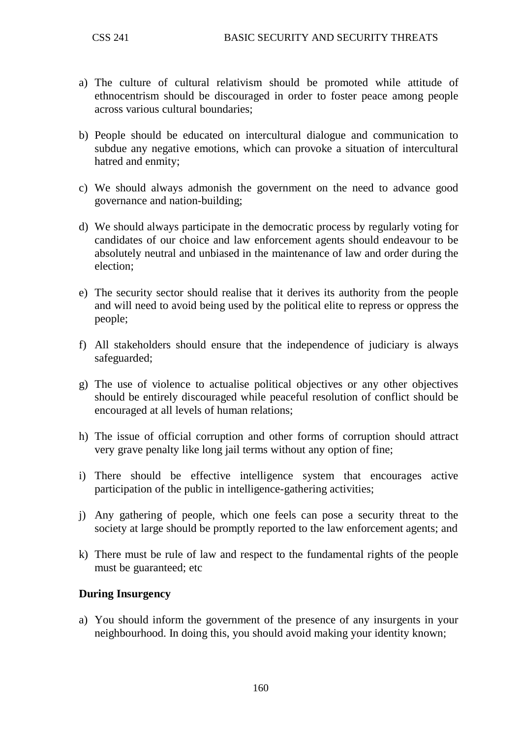- a) The culture of cultural relativism should be promoted while attitude of ethnocentrism should be discouraged in order to foster peace among people across various cultural boundaries;
- b) People should be educated on intercultural dialogue and communication to subdue any negative emotions, which can provoke a situation of intercultural hatred and enmity;
- c) We should always admonish the government on the need to advance good governance and nation-building;
- d) We should always participate in the democratic process by regularly voting for candidates of our choice and law enforcement agents should endeavour to be absolutely neutral and unbiased in the maintenance of law and order during the election;
- e) The security sector should realise that it derives its authority from the people and will need to avoid being used by the political elite to repress or oppress the people;
- f) All stakeholders should ensure that the independence of judiciary is always safeguarded;
- g) The use of violence to actualise political objectives or any other objectives should be entirely discouraged while peaceful resolution of conflict should be encouraged at all levels of human relations;
- h) The issue of official corruption and other forms of corruption should attract very grave penalty like long jail terms without any option of fine;
- i) There should be effective intelligence system that encourages active participation of the public in intelligence-gathering activities;
- j) Any gathering of people, which one feels can pose a security threat to the society at large should be promptly reported to the law enforcement agents; and
- k) There must be rule of law and respect to the fundamental rights of the people must be guaranteed; etc

## **During Insurgency**

a) You should inform the government of the presence of any insurgents in your neighbourhood. In doing this, you should avoid making your identity known;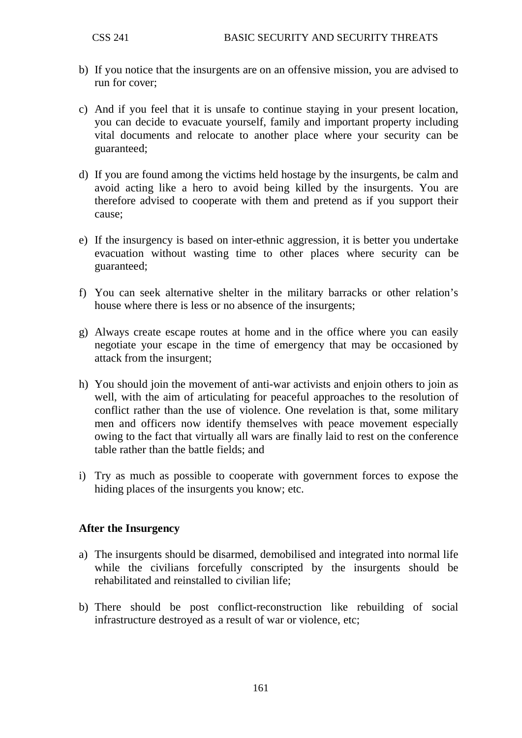- b) If you notice that the insurgents are on an offensive mission, you are advised to run for cover;
- c) And if you feel that it is unsafe to continue staying in your present location, you can decide to evacuate yourself, family and important property including vital documents and relocate to another place where your security can be guaranteed;
- d) If you are found among the victims held hostage by the insurgents, be calm and avoid acting like a hero to avoid being killed by the insurgents. You are therefore advised to cooperate with them and pretend as if you support their cause;
- e) If the insurgency is based on inter-ethnic aggression, it is better you undertake evacuation without wasting time to other places where security can be guaranteed;
- f) You can seek alternative shelter in the military barracks or other relation's house where there is less or no absence of the insurgents;
- g) Always create escape routes at home and in the office where you can easily negotiate your escape in the time of emergency that may be occasioned by attack from the insurgent;
- h) You should join the movement of anti-war activists and enjoin others to join as well, with the aim of articulating for peaceful approaches to the resolution of conflict rather than the use of violence. One revelation is that, some military men and officers now identify themselves with peace movement especially owing to the fact that virtually all wars are finally laid to rest on the conference table rather than the battle fields; and
- i) Try as much as possible to cooperate with government forces to expose the hiding places of the insurgents you know; etc.

## **After the Insurgency**

- a) The insurgents should be disarmed, demobilised and integrated into normal life while the civilians forcefully conscripted by the insurgents should be rehabilitated and reinstalled to civilian life;
- b) There should be post conflict-reconstruction like rebuilding of social infrastructure destroyed as a result of war or violence, etc;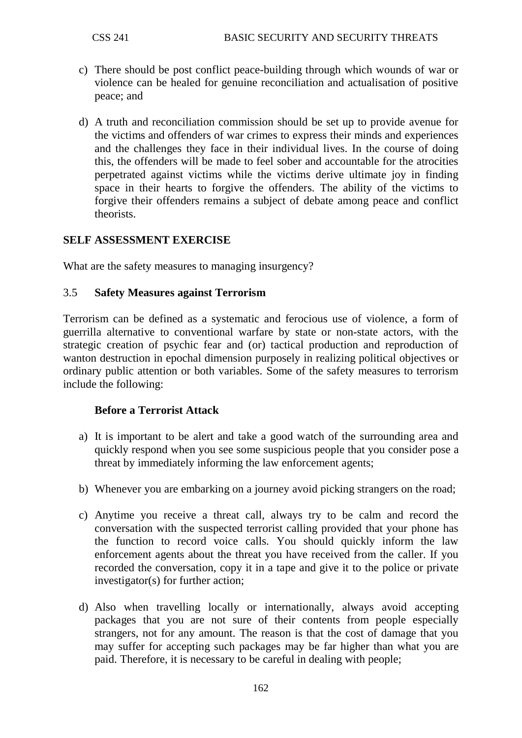- c) There should be post conflict peace-building through which wounds of war or violence can be healed for genuine reconciliation and actualisation of positive peace; and
- d) A truth and reconciliation commission should be set up to provide avenue for the victims and offenders of war crimes to express their minds and experiences and the challenges they face in their individual lives. In the course of doing this, the offenders will be made to feel sober and accountable for the atrocities perpetrated against victims while the victims derive ultimate joy in finding space in their hearts to forgive the offenders. The ability of the victims to forgive their offenders remains a subject of debate among peace and conflict theorists.

## **SELF ASSESSMENT EXERCISE**

What are the safety measures to managing insurgency?

#### 3.5 **Safety Measures against Terrorism**

Terrorism can be defined as a systematic and ferocious use of violence, a form of guerrilla alternative to conventional warfare by state or non-state actors, with the strategic creation of psychic fear and (or) tactical production and reproduction of wanton destruction in epochal dimension purposely in realizing political objectives or ordinary public attention or both variables. Some of the safety measures to terrorism include the following:

## **Before a Terrorist Attack**

- a) It is important to be alert and take a good watch of the surrounding area and quickly respond when you see some suspicious people that you consider pose a threat by immediately informing the law enforcement agents;
- b) Whenever you are embarking on a journey avoid picking strangers on the road;
- c) Anytime you receive a threat call, always try to be calm and record the conversation with the suspected terrorist calling provided that your phone has the function to record voice calls. You should quickly inform the law enforcement agents about the threat you have received from the caller. If you recorded the conversation, copy it in a tape and give it to the police or private investigator(s) for further action;
- d) Also when travelling locally or internationally, always avoid accepting packages that you are not sure of their contents from people especially strangers, not for any amount. The reason is that the cost of damage that you may suffer for accepting such packages may be far higher than what you are paid. Therefore, it is necessary to be careful in dealing with people;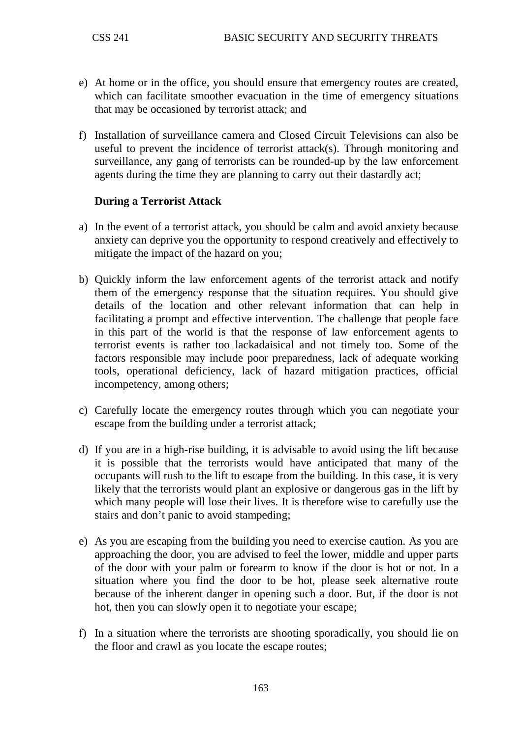- e) At home or in the office, you should ensure that emergency routes are created, which can facilitate smoother evacuation in the time of emergency situations that may be occasioned by terrorist attack; and
- f) Installation of surveillance camera and Closed Circuit Televisions can also be useful to prevent the incidence of terrorist attack(s). Through monitoring and surveillance, any gang of terrorists can be rounded-up by the law enforcement agents during the time they are planning to carry out their dastardly act;

## **During a Terrorist Attack**

- a) In the event of a terrorist attack, you should be calm and avoid anxiety because anxiety can deprive you the opportunity to respond creatively and effectively to mitigate the impact of the hazard on you;
- b) Quickly inform the law enforcement agents of the terrorist attack and notify them of the emergency response that the situation requires. You should give details of the location and other relevant information that can help in facilitating a prompt and effective intervention. The challenge that people face in this part of the world is that the response of law enforcement agents to terrorist events is rather too lackadaisical and not timely too. Some of the factors responsible may include poor preparedness, lack of adequate working tools, operational deficiency, lack of hazard mitigation practices, official incompetency, among others;
- c) Carefully locate the emergency routes through which you can negotiate your escape from the building under a terrorist attack;
- d) If you are in a high-rise building, it is advisable to avoid using the lift because it is possible that the terrorists would have anticipated that many of the occupants will rush to the lift to escape from the building. In this case, it is very likely that the terrorists would plant an explosive or dangerous gas in the lift by which many people will lose their lives. It is therefore wise to carefully use the stairs and don't panic to avoid stampeding;
- e) As you are escaping from the building you need to exercise caution. As you are approaching the door, you are advised to feel the lower, middle and upper parts of the door with your palm or forearm to know if the door is hot or not. In a situation where you find the door to be hot, please seek alternative route because of the inherent danger in opening such a door. But, if the door is not hot, then you can slowly open it to negotiate your escape;
- f) In a situation where the terrorists are shooting sporadically, you should lie on the floor and crawl as you locate the escape routes;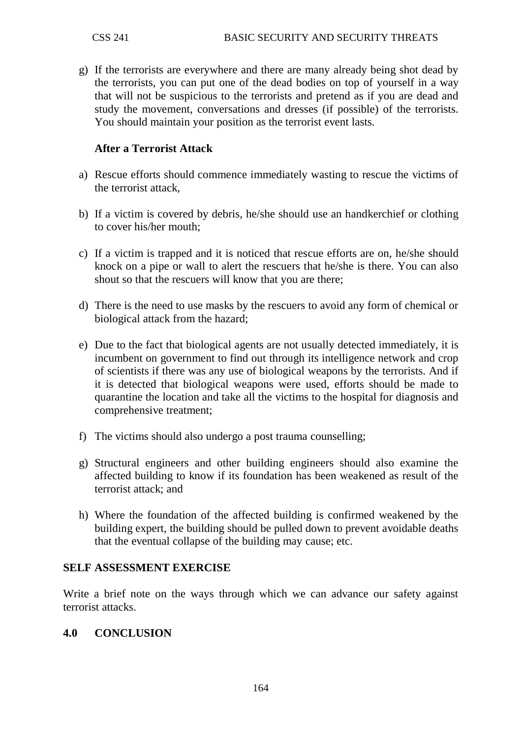g) If the terrorists are everywhere and there are many already being shot dead by the terrorists, you can put one of the dead bodies on top of yourself in a way that will not be suspicious to the terrorists and pretend as if you are dead and study the movement, conversations and dresses (if possible) of the terrorists. You should maintain your position as the terrorist event lasts.

# **After a Terrorist Attack**

- a) Rescue efforts should commence immediately wasting to rescue the victims of the terrorist attack,
- b) If a victim is covered by debris, he/she should use an handkerchief or clothing to cover his/her mouth;
- c) If a victim is trapped and it is noticed that rescue efforts are on, he/she should knock on a pipe or wall to alert the rescuers that he/she is there. You can also shout so that the rescuers will know that you are there;
- d) There is the need to use masks by the rescuers to avoid any form of chemical or biological attack from the hazard;
- e) Due to the fact that biological agents are not usually detected immediately, it is incumbent on government to find out through its intelligence network and crop of scientists if there was any use of biological weapons by the terrorists. And if it is detected that biological weapons were used, efforts should be made to quarantine the location and take all the victims to the hospital for diagnosis and comprehensive treatment;
- f) The victims should also undergo a post trauma counselling;
- g) Structural engineers and other building engineers should also examine the affected building to know if its foundation has been weakened as result of the terrorist attack; and
- h) Where the foundation of the affected building is confirmed weakened by the building expert, the building should be pulled down to prevent avoidable deaths that the eventual collapse of the building may cause; etc.

## **SELF ASSESSMENT EXERCISE**

Write a brief note on the ways through which we can advance our safety against terrorist attacks.

#### **4.0 CONCLUSION**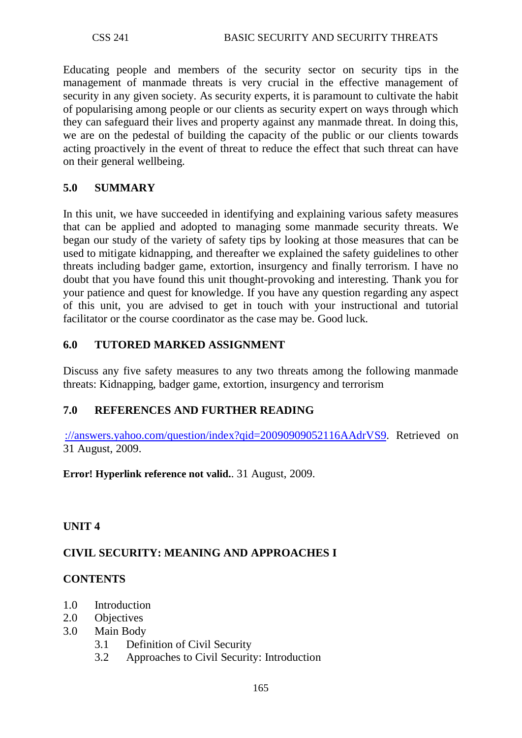Educating people and members of the security sector on security tips in the management of manmade threats is very crucial in the effective management of security in any given society. As security experts, it is paramount to cultivate the habit of popularising among people or our clients as security expert on ways through which they can safeguard their lives and property against any manmade threat. In doing this, we are on the pedestal of building the capacity of the public or our clients towards acting proactively in the event of threat to reduce the effect that such threat can have on their general wellbeing.

## **5.0 SUMMARY**

In this unit, we have succeeded in identifying and explaining various safety measures that can be applied and adopted to managing some manmade security threats. We began our study of the variety of safety tips by looking at those measures that can be used to mitigate kidnapping, and thereafter we explained the safety guidelines to other threats including badger game, extortion, insurgency and finally terrorism. I have no doubt that you have found this unit thought-provoking and interesting. Thank you for your patience and quest for knowledge. If you have any question regarding any aspect of this unit, you are advised to get in touch with your instructional and tutorial facilitator or the course coordinator as the case may be. Good luck.

## **6.0 TUTORED MARKED ASSIGNMENT**

Discuss any five safety measures to any two threats among the following manmade threats: Kidnapping, badger game, extortion, insurgency and terrorism

# **7.0 REFERENCES AND FURTHER READING**

[://answers.yahoo.com/question/index?qid=20090909052116AAdrVS9.](http://answers.yahoo.com/question/index?qid=20090909052116AAdrVS9) Retrieved on 31 August, 2009.

**Error! Hyperlink reference not valid.**. 31 August, 2009.

## **UNIT 4**

## **CIVIL SECURITY: MEANING AND APPROACHES I**

## **CONTENTS**

- 1.0 Introduction
- 2.0 Objectives
- 3.0 Main Body
	- 3.1 Definition of Civil Security
	- 3.2 Approaches to Civil Security: Introduction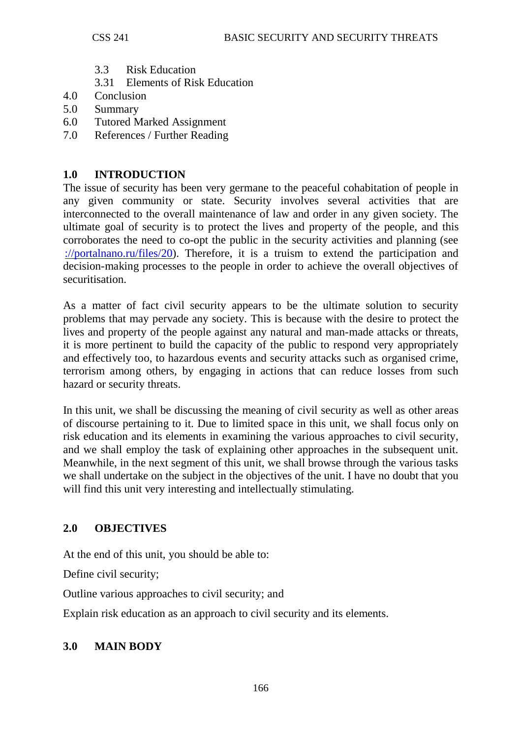- 3.3 Risk Education
- 3.31 Elements of Risk Education
- 4.0 Conclusion
- 5.0 Summary
- 6.0 Tutored Marked Assignment
- 7.0 References / Further Reading

## **1.0 INTRODUCTION**

The issue of security has been very germane to the peaceful cohabitation of people in any given community or state. Security involves several activities that are interconnected to the overall maintenance of law and order in any given society. The ultimate goal of security is to protect the lives and property of the people, and this corroborates the need to co-opt the public in the security activities and planning (see [://portalnano.ru/files/20\)](http://portalnano.ru/files/20). Therefore, it is a truism to extend the participation and decision-making processes to the people in order to achieve the overall objectives of securitisation.

As a matter of fact civil security appears to be the ultimate solution to security problems that may pervade any society. This is because with the desire to protect the lives and property of the people against any natural and man-made attacks or threats, it is more pertinent to build the capacity of the public to respond very appropriately and effectively too, to hazardous events and security attacks such as organised crime, terrorism among others, by engaging in actions that can reduce losses from such hazard or security threats.

In this unit, we shall be discussing the meaning of civil security as well as other areas of discourse pertaining to it. Due to limited space in this unit, we shall focus only on risk education and its elements in examining the various approaches to civil security, and we shall employ the task of explaining other approaches in the subsequent unit. Meanwhile, in the next segment of this unit, we shall browse through the various tasks we shall undertake on the subject in the objectives of the unit. I have no doubt that you will find this unit very interesting and intellectually stimulating.

# **2.0 OBJECTIVES**

At the end of this unit, you should be able to:

Define civil security;

Outline various approaches to civil security; and

Explain risk education as an approach to civil security and its elements.

## **3.0 MAIN BODY**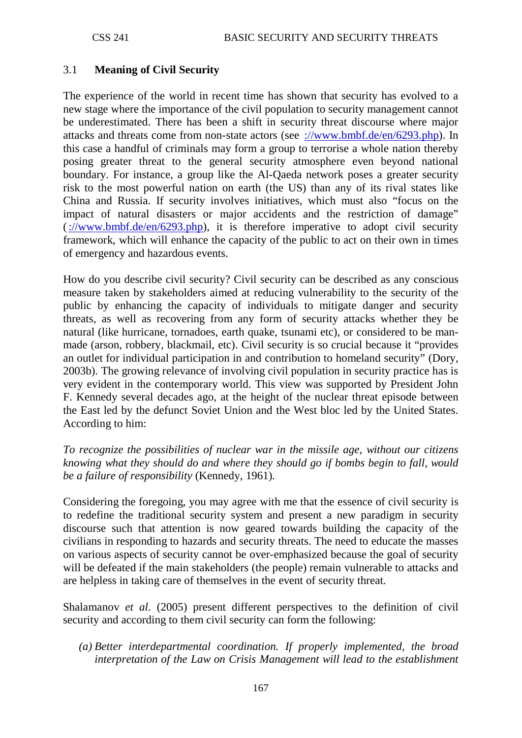## 3.1 **Meaning of Civil Security**

The experience of the world in recent time has shown that security has evolved to a new stage where the importance of the civil population to security management cannot be underestimated. There has been a shift in security threat discourse where major attacks and threats come from non-state actors (see [://www.bmbf.de/en/6293.php\)](http://www.bmbf.de/en/6293.php). In this case a handful of criminals may form a group to terrorise a whole nation thereby posing greater threat to the general security atmosphere even beyond national boundary. For instance, a group like the Al-Qaeda network poses a greater security risk to the most powerful nation on earth (the US) than any of its rival states like China and Russia. If security involves initiatives, which must also "focus on the impact of natural disasters or major accidents and the restriction of damage" [\(://www.bmbf.de/en/6293.php\)](http://www.bmbf.de/en/6293.php), it is therefore imperative to adopt civil security framework, which will enhance the capacity of the public to act on their own in times of emergency and hazardous events.

How do you describe civil security? Civil security can be described as any conscious measure taken by stakeholders aimed at reducing vulnerability to the security of the public by enhancing the capacity of individuals to mitigate danger and security threats, as well as recovering from any form of security attacks whether they be natural (like hurricane, tornadoes, earth quake, tsunami etc), or considered to be manmade (arson, robbery, blackmail, etc). Civil security is so crucial because it "provides an outlet for individual participation in and contribution to homeland security" (Dory, 2003b). The growing relevance of involving civil population in security practice has is very evident in the contemporary world. This view was supported by President John F. Kennedy several decades ago, at the height of the nuclear threat episode between the East led by the defunct Soviet Union and the West bloc led by the United States. According to him:

*To recognize the possibilities of nuclear war in the missile age, without our citizens knowing what they should do and where they should go if bombs begin to fall, would be a failure of responsibility* (Kennedy, 1961)*.*

Considering the foregoing, you may agree with me that the essence of civil security is to redefine the traditional security system and present a new paradigm in security discourse such that attention is now geared towards building the capacity of the civilians in responding to hazards and security threats. The need to educate the masses on various aspects of security cannot be over-emphasized because the goal of security will be defeated if the main stakeholders (the people) remain vulnerable to attacks and are helpless in taking care of themselves in the event of security threat.

Shalamanov *et al*. (2005) present different perspectives to the definition of civil security and according to them civil security can form the following:

*(a) Better interdepartmental coordination. If properly implemented, the broad interpretation of the Law on Crisis Management will lead to the establishment*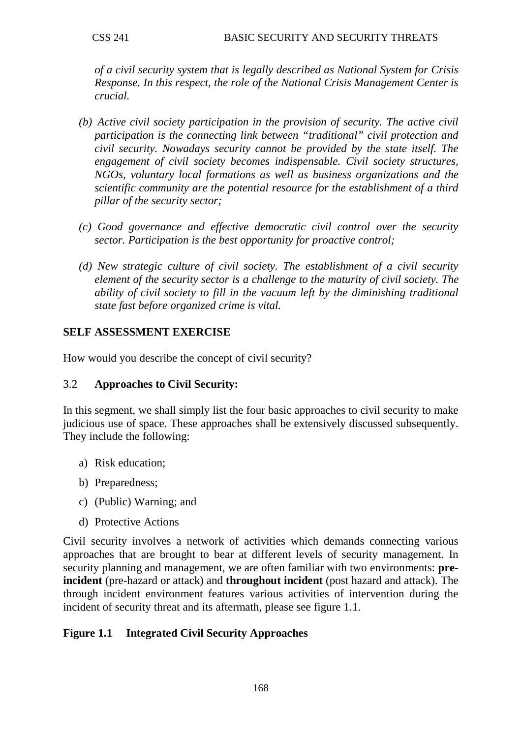*of a civil security system that is legally described as National System for Crisis Response. In this respect, the role of the National Crisis Management Center is crucial.*

- *(b) Active civil society participation in the provision of security. The active civil participation is the connecting link between "traditional" civil protection and civil security. Nowadays security cannot be provided by the state itself. The engagement of civil society becomes indispensable. Civil society structures, NGOs, voluntary local formations as well as business organizations and the scientific community are the potential resource for the establishment of a third pillar of the security sector;*
- *(c) Good governance and effective democratic civil control over the security sector. Participation is the best opportunity for proactive control;*
- *(d) New strategic culture of civil society. The establishment of a civil security element of the security sector is a challenge to the maturity of civil society. The ability of civil society to fill in the vacuum left by the diminishing traditional state fast before organized crime is vital.*

## **SELF ASSESSMENT EXERCISE**

How would you describe the concept of civil security?

## 3.2 **Approaches to Civil Security:**

In this segment, we shall simply list the four basic approaches to civil security to make judicious use of space. These approaches shall be extensively discussed subsequently. They include the following:

- a) Risk education;
- b) Preparedness;
- c) (Public) Warning; and
- d) Protective Actions

Civil security involves a network of activities which demands connecting various approaches that are brought to bear at different levels of security management. In security planning and management, we are often familiar with two environments: **preincident** (pre-hazard or attack) and **throughout incident** (post hazard and attack). The through incident environment features various activities of intervention during the incident of security threat and its aftermath, please see figure 1.1.

# **Figure 1.1 Integrated Civil Security Approaches**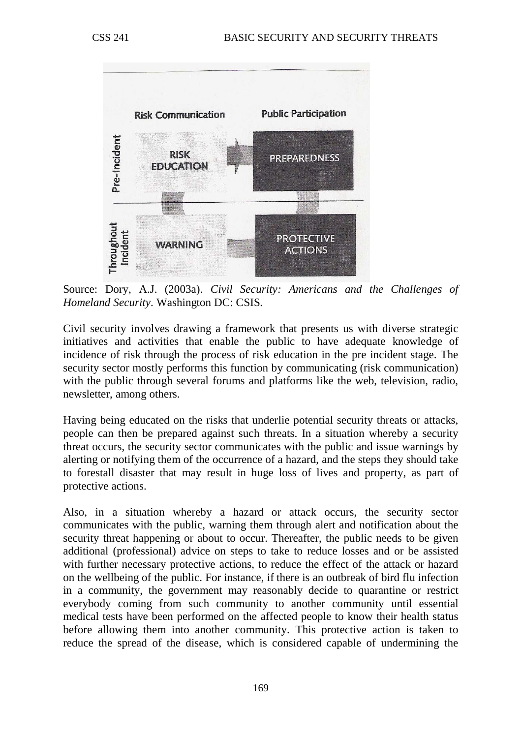

Source: Dory, A.J. (2003a). *Civil Security: Americans and the Challenges of Homeland Security*. Washington DC: CSIS.

Civil security involves drawing a framework that presents us with diverse strategic initiatives and activities that enable the public to have adequate knowledge of incidence of risk through the process of risk education in the pre incident stage. The security sector mostly performs this function by communicating (risk communication) with the public through several forums and platforms like the web, television, radio, newsletter, among others.

Having being educated on the risks that underlie potential security threats or attacks, people can then be prepared against such threats. In a situation whereby a security threat occurs, the security sector communicates with the public and issue warnings by alerting or notifying them of the occurrence of a hazard, and the steps they should take to forestall disaster that may result in huge loss of lives and property, as part of protective actions.

Also, in a situation whereby a hazard or attack occurs, the security sector communicates with the public, warning them through alert and notification about the security threat happening or about to occur. Thereafter, the public needs to be given additional (professional) advice on steps to take to reduce losses and or be assisted with further necessary protective actions, to reduce the effect of the attack or hazard on the wellbeing of the public. For instance, if there is an outbreak of bird flu infection in a community, the government may reasonably decide to quarantine or restrict everybody coming from such community to another community until essential medical tests have been performed on the affected people to know their health status before allowing them into another community. This protective action is taken to reduce the spread of the disease, which is considered capable of undermining the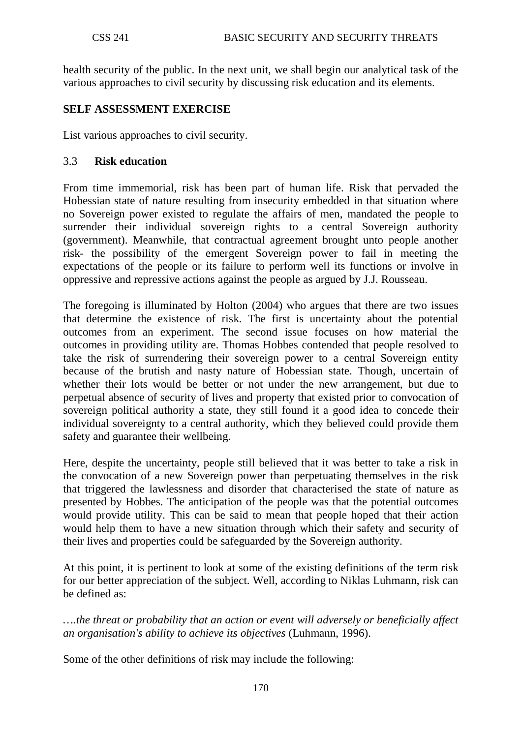health security of the public. In the next unit, we shall begin our analytical task of the various approaches to civil security by discussing risk education and its elements.

## **SELF ASSESSMENT EXERCISE**

List various approaches to civil security.

### 3.3 **Risk education**

From time immemorial, risk has been part of human life. Risk that pervaded the Hobessian state of nature resulting from insecurity embedded in that situation where no Sovereign power existed to regulate the affairs of men, mandated the people to surrender their individual sovereign rights to a central Sovereign authority (government). Meanwhile, that contractual agreement brought unto people another risk- the possibility of the emergent Sovereign power to fail in meeting the expectations of the people or its failure to perform well its functions or involve in oppressive and repressive actions against the people as argued by J.J. Rousseau.

The foregoing is illuminated by Holton (2004) who argues that there are two issues that determine the existence of risk. The first is uncertainty about the potential outcomes from an experiment. The second issue focuses on how material the outcomes in providing utility are. Thomas Hobbes contended that people resolved to take the risk of surrendering their sovereign power to a central Sovereign entity because of the brutish and nasty nature of Hobessian state. Though, uncertain of whether their lots would be better or not under the new arrangement, but due to perpetual absence of security of lives and property that existed prior to convocation of sovereign political authority a state, they still found it a good idea to concede their individual sovereignty to a central authority, which they believed could provide them safety and guarantee their wellbeing.

Here, despite the uncertainty, people still believed that it was better to take a risk in the convocation of a new Sovereign power than perpetuating themselves in the risk that triggered the lawlessness and disorder that characterised the state of nature as presented by Hobbes. The anticipation of the people was that the potential outcomes would provide utility. This can be said to mean that people hoped that their action would help them to have a new situation through which their safety and security of their lives and properties could be safeguarded by the Sovereign authority.

At this point, it is pertinent to look at some of the existing definitions of the term risk for our better appreciation of the subject. Well, according to Niklas Luhmann, risk can be defined as:

*….the threat or probability that an action or event will adversely or beneficially affect an organisation's ability to achieve its objectives* (Luhmann, 1996).

Some of the other definitions of risk may include the following: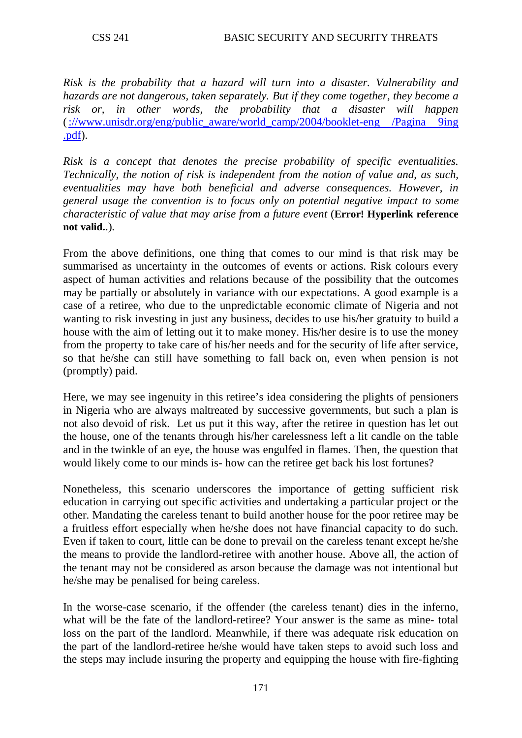*Risk is the probability that a hazard will turn into a disaster. Vulnerability and hazards are not dangerous, taken separately. But if they come together, they become a risk or, in other words, the probability that a disaster will happen* [\(://www.unisdr.org/eng/public\\_aware/world\\_camp/2004/booklet-eng /Pagina 9ing](http://www.unisdr.org/eng/public_aware/world_camp/2004/booklet-eng%20/Pagina%209ing%20.pdf)  [.pdf\)](http://www.unisdr.org/eng/public_aware/world_camp/2004/booklet-eng%20/Pagina%209ing%20.pdf).

*Risk is a concept that denotes the precise probability of specific eventualities. Technically, the notion of risk is independent from the notion of value and, as such, eventualities may have both beneficial and adverse consequences. However, in general usage the convention is to focus only on potential negative impact to some characteristic of value that may arise from a future event* (**Error! Hyperlink reference not valid.**.).

From the above definitions, one thing that comes to our mind is that risk may be summarised as uncertainty in the outcomes of events or actions. Risk colours every aspect of human activities and relations because of the possibility that the outcomes may be partially or absolutely in variance with our expectations. A good example is a case of a retiree, who due to the unpredictable economic climate of Nigeria and not wanting to risk investing in just any business, decides to use his/her gratuity to build a house with the aim of letting out it to make money. His/her desire is to use the money from the property to take care of his/her needs and for the security of life after service, so that he/she can still have something to fall back on, even when pension is not (promptly) paid.

Here, we may see ingenuity in this retiree's idea considering the plights of pensioners in Nigeria who are always maltreated by successive governments, but such a plan is not also devoid of risk. Let us put it this way, after the retiree in question has let out the house, one of the tenants through his/her carelessness left a lit candle on the table and in the twinkle of an eye, the house was engulfed in flames. Then, the question that would likely come to our minds is- how can the retiree get back his lost fortunes?

Nonetheless, this scenario underscores the importance of getting sufficient risk education in carrying out specific activities and undertaking a particular project or the other. Mandating the careless tenant to build another house for the poor retiree may be a fruitless effort especially when he/she does not have financial capacity to do such. Even if taken to court, little can be done to prevail on the careless tenant except he/she the means to provide the landlord-retiree with another house. Above all, the action of the tenant may not be considered as arson because the damage was not intentional but he/she may be penalised for being careless.

In the worse-case scenario, if the offender (the careless tenant) dies in the inferno, what will be the fate of the landlord-retiree? Your answer is the same as mine- total loss on the part of the landlord. Meanwhile, if there was adequate risk education on the part of the landlord-retiree he/she would have taken steps to avoid such loss and the steps may include insuring the property and equipping the house with fire-fighting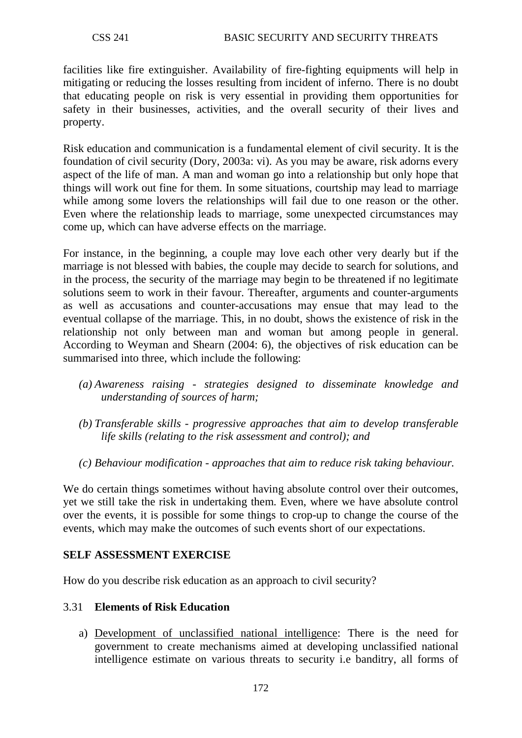facilities like fire extinguisher. Availability of fire-fighting equipments will help in mitigating or reducing the losses resulting from incident of inferno. There is no doubt that educating people on risk is very essential in providing them opportunities for safety in their businesses, activities, and the overall security of their lives and property.

Risk education and communication is a fundamental element of civil security. It is the foundation of civil security (Dory, 2003a: vi). As you may be aware, risk adorns every aspect of the life of man. A man and woman go into a relationship but only hope that things will work out fine for them. In some situations, courtship may lead to marriage while among some lovers the relationships will fail due to one reason or the other. Even where the relationship leads to marriage, some unexpected circumstances may come up, which can have adverse effects on the marriage.

For instance, in the beginning, a couple may love each other very dearly but if the marriage is not blessed with babies, the couple may decide to search for solutions, and in the process, the security of the marriage may begin to be threatened if no legitimate solutions seem to work in their favour. Thereafter, arguments and counter-arguments as well as accusations and counter-accusations may ensue that may lead to the eventual collapse of the marriage. This, in no doubt, shows the existence of risk in the relationship not only between man and woman but among people in general. According to Weyman and Shearn (2004: 6), the objectives of risk education can be summarised into three, which include the following:

- *(a) Awareness raising - strategies designed to disseminate knowledge and understanding of sources of harm;*
- *(b) Transferable skills - progressive approaches that aim to develop transferable life skills (relating to the risk assessment and control); and*
- *(c) Behaviour modification - approaches that aim to reduce risk taking behaviour.*

We do certain things sometimes without having absolute control over their outcomes, yet we still take the risk in undertaking them. Even, where we have absolute control over the events, it is possible for some things to crop-up to change the course of the events, which may make the outcomes of such events short of our expectations.

## **SELF ASSESSMENT EXERCISE**

How do you describe risk education as an approach to civil security?

## 3.31 **Elements of Risk Education**

a) Development of unclassified national intelligence: There is the need for government to create mechanisms aimed at developing unclassified national intelligence estimate on various threats to security i.e banditry, all forms of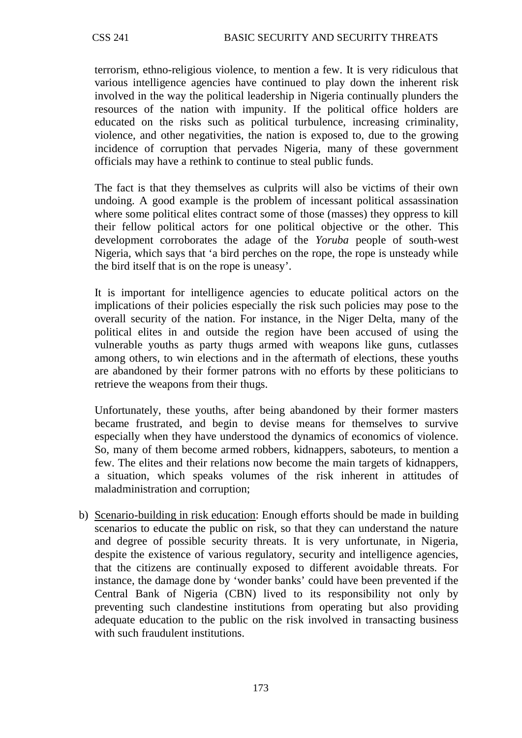terrorism, ethno-religious violence, to mention a few. It is very ridiculous that various intelligence agencies have continued to play down the inherent risk involved in the way the political leadership in Nigeria continually plunders the resources of the nation with impunity. If the political office holders are educated on the risks such as political turbulence, increasing criminality, violence, and other negativities, the nation is exposed to, due to the growing incidence of corruption that pervades Nigeria, many of these government officials may have a rethink to continue to steal public funds.

The fact is that they themselves as culprits will also be victims of their own undoing. A good example is the problem of incessant political assassination where some political elites contract some of those (masses) they oppress to kill their fellow political actors for one political objective or the other. This development corroborates the adage of the *Yoruba* people of south-west Nigeria, which says that 'a bird perches on the rope, the rope is unsteady while the bird itself that is on the rope is uneasy'.

It is important for intelligence agencies to educate political actors on the implications of their policies especially the risk such policies may pose to the overall security of the nation. For instance, in the Niger Delta, many of the political elites in and outside the region have been accused of using the vulnerable youths as party thugs armed with weapons like guns, cutlasses among others, to win elections and in the aftermath of elections, these youths are abandoned by their former patrons with no efforts by these politicians to retrieve the weapons from their thugs.

Unfortunately, these youths, after being abandoned by their former masters became frustrated, and begin to devise means for themselves to survive especially when they have understood the dynamics of economics of violence. So, many of them become armed robbers, kidnappers, saboteurs, to mention a few. The elites and their relations now become the main targets of kidnappers, a situation, which speaks volumes of the risk inherent in attitudes of maladministration and corruption;

b) Scenario-building in risk education: Enough efforts should be made in building scenarios to educate the public on risk, so that they can understand the nature and degree of possible security threats. It is very unfortunate, in Nigeria, despite the existence of various regulatory, security and intelligence agencies, that the citizens are continually exposed to different avoidable threats. For instance, the damage done by 'wonder banks' could have been prevented if the Central Bank of Nigeria (CBN) lived to its responsibility not only by preventing such clandestine institutions from operating but also providing adequate education to the public on the risk involved in transacting business with such fraudulent institutions.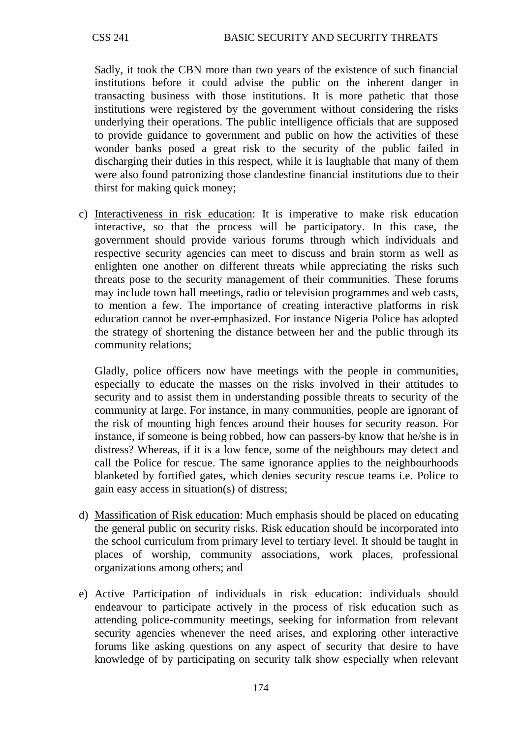Sadly, it took the CBN more than two years of the existence of such financial institutions before it could advise the public on the inherent danger in transacting business with those institutions. It is more pathetic that those institutions were registered by the government without considering the risks underlying their operations. The public intelligence officials that are supposed to provide guidance to government and public on how the activities of these wonder banks posed a great risk to the security of the public failed in discharging their duties in this respect, while it is laughable that many of them were also found patronizing those clandestine financial institutions due to their thirst for making quick money;

c) Interactiveness in risk education: It is imperative to make risk education interactive, so that the process will be participatory. In this case, the government should provide various forums through which individuals and respective security agencies can meet to discuss and brain storm as well as enlighten one another on different threats while appreciating the risks such threats pose to the security management of their communities. These forums may include town hall meetings, radio or television programmes and web casts, to mention a few. The importance of creating interactive platforms in risk education cannot be over-emphasized. For instance Nigeria Police has adopted the strategy of shortening the distance between her and the public through its community relations;

Gladly, police officers now have meetings with the people in communities, especially to educate the masses on the risks involved in their attitudes to security and to assist them in understanding possible threats to security of the community at large. For instance, in many communities, people are ignorant of the risk of mounting high fences around their houses for security reason. For instance, if someone is being robbed, how can passers-by know that he/she is in distress? Whereas, if it is a low fence, some of the neighbours may detect and call the Police for rescue. The same ignorance applies to the neighbourhoods blanketed by fortified gates, which denies security rescue teams i.e. Police to gain easy access in situation(s) of distress;

- d) Massification of Risk education: Much emphasis should be placed on educating the general public on security risks. Risk education should be incorporated into the school curriculum from primary level to tertiary level. It should be taught in places of worship, community associations, work places, professional organizations among others; and
- e) Active Participation of individuals in risk education: individuals should endeavour to participate actively in the process of risk education such as attending police-community meetings, seeking for information from relevant security agencies whenever the need arises, and exploring other interactive forums like asking questions on any aspect of security that desire to have knowledge of by participating on security talk show especially when relevant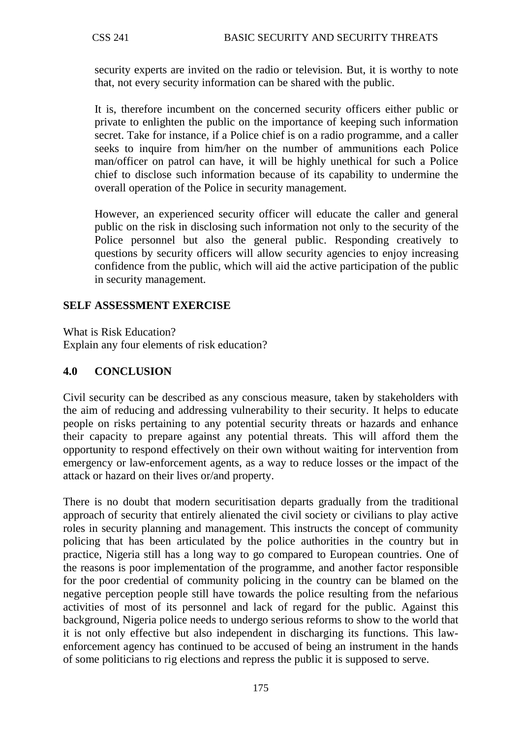security experts are invited on the radio or television. But, it is worthy to note that, not every security information can be shared with the public.

It is, therefore incumbent on the concerned security officers either public or private to enlighten the public on the importance of keeping such information secret. Take for instance, if a Police chief is on a radio programme, and a caller seeks to inquire from him/her on the number of ammunitions each Police man/officer on patrol can have, it will be highly unethical for such a Police chief to disclose such information because of its capability to undermine the overall operation of the Police in security management.

However, an experienced security officer will educate the caller and general public on the risk in disclosing such information not only to the security of the Police personnel but also the general public. Responding creatively to questions by security officers will allow security agencies to enjoy increasing confidence from the public, which will aid the active participation of the public in security management.

## **SELF ASSESSMENT EXERCISE**

What is Risk Education?

Explain any four elements of risk education?

## **4.0 CONCLUSION**

Civil security can be described as any conscious measure, taken by stakeholders with the aim of reducing and addressing vulnerability to their security. It helps to educate people on risks pertaining to any potential security threats or hazards and enhance their capacity to prepare against any potential threats. This will afford them the opportunity to respond effectively on their own without waiting for intervention from emergency or law-enforcement agents, as a way to reduce losses or the impact of the attack or hazard on their lives or/and property.

There is no doubt that modern securitisation departs gradually from the traditional approach of security that entirely alienated the civil society or civilians to play active roles in security planning and management. This instructs the concept of community policing that has been articulated by the police authorities in the country but in practice, Nigeria still has a long way to go compared to European countries. One of the reasons is poor implementation of the programme, and another factor responsible for the poor credential of community policing in the country can be blamed on the negative perception people still have towards the police resulting from the nefarious activities of most of its personnel and lack of regard for the public. Against this background, Nigeria police needs to undergo serious reforms to show to the world that it is not only effective but also independent in discharging its functions. This lawenforcement agency has continued to be accused of being an instrument in the hands of some politicians to rig elections and repress the public it is supposed to serve.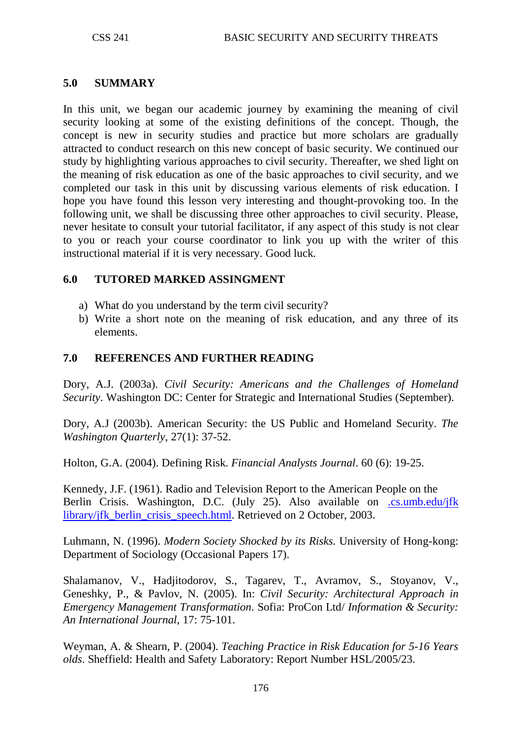## **5.0 SUMMARY**

In this unit, we began our academic journey by examining the meaning of civil security looking at some of the existing definitions of the concept. Though, the concept is new in security studies and practice but more scholars are gradually attracted to conduct research on this new concept of basic security. We continued our study by highlighting various approaches to civil security. Thereafter, we shed light on the meaning of risk education as one of the basic approaches to civil security, and we completed our task in this unit by discussing various elements of risk education. I hope you have found this lesson very interesting and thought-provoking too. In the following unit, we shall be discussing three other approaches to civil security. Please, never hesitate to consult your tutorial facilitator, if any aspect of this study is not clear to you or reach your course coordinator to link you up with the writer of this instructional material if it is very necessary. Good luck.

## **6.0 TUTORED MARKED ASSINGMENT**

- a) What do you understand by the term civil security?
- b) Write a short note on the meaning of risk education, and any three of its elements.

## **7.0 REFERENCES AND FURTHER READING**

Dory, A.J. (2003a). *Civil Security: Americans and the Challenges of Homeland Security*. Washington DC: Center for Strategic and International Studies (September).

Dory, A.J (2003b). American Security: the US Public and Homeland Security. *The Washington Quarterly*, 27(1): 37-52.

Holton, G.A. (2004). Defining Risk. *Financial Analysts Journal*. 60 (6): 19-25.

Kennedy, J.F. (1961). Radio and Television Report to the American People on the Berlin Crisis. Washington, D.C. (July 25). Also available on .cs.umb.edu/jfk [library/jfk\\_berlin\\_crisis\\_speech.html.](http://www.cs.umb.edu/jfk%20library/jfk_berlin_crisis_speech.html) Retrieved on 2 October, 2003.

Luhmann, N. (1996). *Modern Society Shocked by its Risks*. University of Hong-kong: Department of Sociology (Occasional Papers 17).

Shalamanov, V., Hadjitodorov, S., Tagarev, T., Avramov, S., Stoyanov, V., Geneshky, P., & Pavlov, N. (2005). In: *Civil Security: Architectural Approach in Emergency Management Transformation*. Sofia: ProCon Ltd/ *Information & Security: An International Journal*, 17: 75-101.

Weyman, A. & Shearn, P. (2004). *Teaching Practice in Risk Education for 5-16 Years olds*. Sheffield: Health and Safety Laboratory: Report Number HSL/2005/23.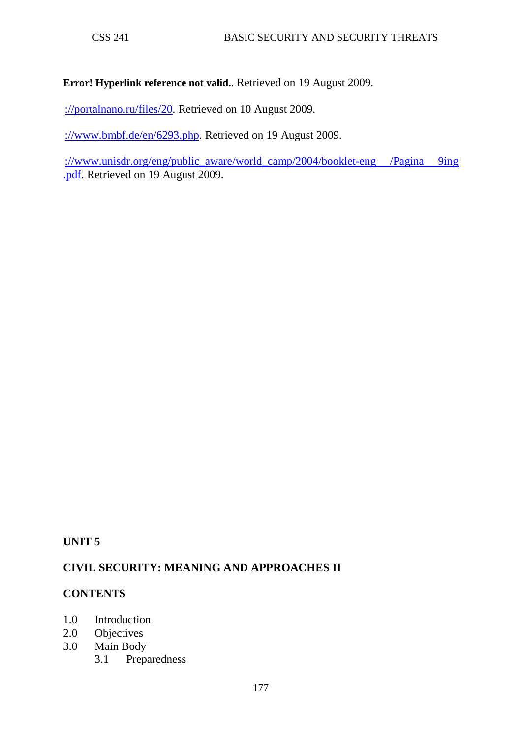#### **Error! Hyperlink reference not valid.**. Retrieved on 19 August 2009.

[://portalnano.ru/files/20.](http://portalnano.ru/files/20) Retrieved on 10 August 2009.

[://www.bmbf.de/en/6293.php.](http://www.bmbf.de/en/6293.php) Retrieved on 19 August 2009.

://www.unisdr.org/eng/public\_aware/world\_camp/2004/booklet-eng /Pagina 9ing [.pdf.](http://www.unisdr.org/eng/public_aware/world_camp/2004/booklet-eng%20/Pagina%209ing%20.pdf) Retrieved on 19 August 2009.

## **UNIT 5**

## **CIVIL SECURITY: MEANING AND APPROACHES II**

#### **CONTENTS**

- 1.0 Introduction
- 2.0 Objectives
- 3.0 Main Body
	- 3.1 Preparedness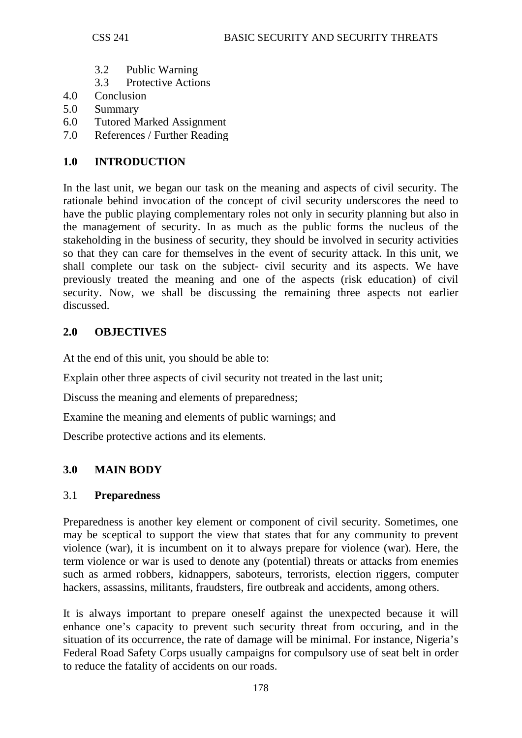- 3.2 Public Warning
- 3.3 Protective Actions
- 4.0 Conclusion
- 5.0 Summary
- 6.0 Tutored Marked Assignment
- 7.0 References / Further Reading

# **1.0 INTRODUCTION**

In the last unit, we began our task on the meaning and aspects of civil security. The rationale behind invocation of the concept of civil security underscores the need to have the public playing complementary roles not only in security planning but also in the management of security. In as much as the public forms the nucleus of the stakeholding in the business of security, they should be involved in security activities so that they can care for themselves in the event of security attack. In this unit, we shall complete our task on the subject- civil security and its aspects. We have previously treated the meaning and one of the aspects (risk education) of civil security. Now, we shall be discussing the remaining three aspects not earlier discussed.

# **2.0 OBJECTIVES**

At the end of this unit, you should be able to:

Explain other three aspects of civil security not treated in the last unit;

Discuss the meaning and elements of preparedness;

Examine the meaning and elements of public warnings; and

Describe protective actions and its elements.

# **3.0 MAIN BODY**

# 3.1 **Preparedness**

Preparedness is another key element or component of civil security. Sometimes, one may be sceptical to support the view that states that for any community to prevent violence (war), it is incumbent on it to always prepare for violence (war). Here, the term violence or war is used to denote any (potential) threats or attacks from enemies such as armed robbers, kidnappers, saboteurs, terrorists, election riggers, computer hackers, assassins, militants, fraudsters, fire outbreak and accidents, among others.

It is always important to prepare oneself against the unexpected because it will enhance one's capacity to prevent such security threat from occuring, and in the situation of its occurrence, the rate of damage will be minimal. For instance, Nigeria's Federal Road Safety Corps usually campaigns for compulsory use of seat belt in order to reduce the fatality of accidents on our roads.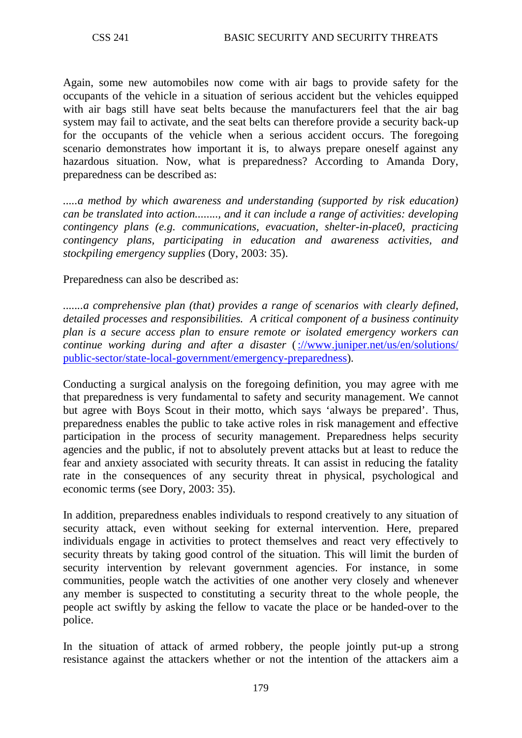Again, some new automobiles now come with air bags to provide safety for the occupants of the vehicle in a situation of serious accident but the vehicles equipped with air bags still have seat belts because the manufacturers feel that the air bag system may fail to activate, and the seat belts can therefore provide a security back-up for the occupants of the vehicle when a serious accident occurs. The foregoing scenario demonstrates how important it is, to always prepare oneself against any hazardous situation. Now, what is preparedness? According to Amanda Dory, preparedness can be described as:

....*a method by which awareness and understanding (supported by risk education) can be translated into action........, and it can include a range of activities: developing contingency plans (e.g. communications, evacuation, shelter-in-place0, practicing contingency plans, participating in education and awareness activities, and stockpiling emergency supplies* (Dory, 2003: 35).

## Preparedness can also be described as:

*.......a comprehensive plan (that) provides a range of scenarios with clearly defined, detailed processes and responsibilities. A critical component of a business continuity plan is a secure access plan to ensure remote or isolated emergency workers can continue working during and after a disaster* [\(://www.juniper.net/us/en/solutions/](http://www.juniper.net/us/en/solutions/%20public-sector/state-local-government/emergency-preparedness)  [public-sector/state-local-government/emergency-preparedness\)](http://www.juniper.net/us/en/solutions/%20public-sector/state-local-government/emergency-preparedness).

Conducting a surgical analysis on the foregoing definition, you may agree with me that preparedness is very fundamental to safety and security management. We cannot but agree with Boys Scout in their motto, which says 'always be prepared'. Thus, preparedness enables the public to take active roles in risk management and effective participation in the process of security management. Preparedness helps security agencies and the public, if not to absolutely prevent attacks but at least to reduce the fear and anxiety associated with security threats. It can assist in reducing the fatality rate in the consequences of any security threat in physical, psychological and economic terms (see Dory, 2003: 35).

In addition, preparedness enables individuals to respond creatively to any situation of security attack, even without seeking for external intervention. Here, prepared individuals engage in activities to protect themselves and react very effectively to security threats by taking good control of the situation. This will limit the burden of security intervention by relevant government agencies. For instance, in some communities, people watch the activities of one another very closely and whenever any member is suspected to constituting a security threat to the whole people, the people act swiftly by asking the fellow to vacate the place or be handed-over to the police.

In the situation of attack of armed robbery, the people jointly put-up a strong resistance against the attackers whether or not the intention of the attackers aim a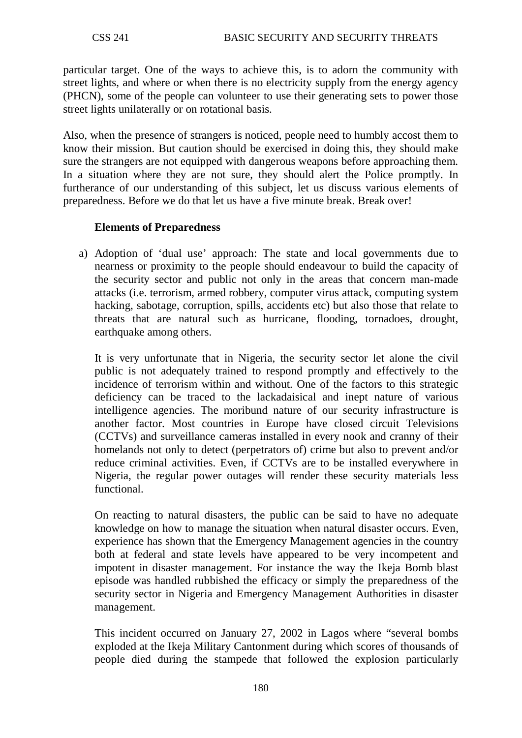particular target. One of the ways to achieve this, is to adorn the community with street lights, and where or when there is no electricity supply from the energy agency (PHCN), some of the people can volunteer to use their generating sets to power those street lights unilaterally or on rotational basis.

Also, when the presence of strangers is noticed, people need to humbly accost them to know their mission. But caution should be exercised in doing this, they should make sure the strangers are not equipped with dangerous weapons before approaching them. In a situation where they are not sure, they should alert the Police promptly. In furtherance of our understanding of this subject, let us discuss various elements of preparedness. Before we do that let us have a five minute break. Break over!

## **Elements of Preparedness**

a) Adoption of 'dual use' approach: The state and local governments due to nearness or proximity to the people should endeavour to build the capacity of the security sector and public not only in the areas that concern man-made attacks (i.e. terrorism, armed robbery, computer virus attack, computing system hacking, sabotage, corruption, spills, accidents etc) but also those that relate to threats that are natural such as hurricane, flooding, tornadoes, drought, earthquake among others.

It is very unfortunate that in Nigeria, the security sector let alone the civil public is not adequately trained to respond promptly and effectively to the incidence of terrorism within and without. One of the factors to this strategic deficiency can be traced to the lackadaisical and inept nature of various intelligence agencies. The moribund nature of our security infrastructure is another factor. Most countries in Europe have closed circuit Televisions (CCTVs) and surveillance cameras installed in every nook and cranny of their homelands not only to detect (perpetrators of) crime but also to prevent and/or reduce criminal activities. Even, if CCTVs are to be installed everywhere in Nigeria, the regular power outages will render these security materials less functional.

On reacting to natural disasters, the public can be said to have no adequate knowledge on how to manage the situation when natural disaster occurs. Even, experience has shown that the Emergency Management agencies in the country both at federal and state levels have appeared to be very incompetent and impotent in disaster management. For instance the way the Ikeja Bomb blast episode was handled rubbished the efficacy or simply the preparedness of the security sector in Nigeria and Emergency Management Authorities in disaster management.

This incident occurred on January 27, 2002 in Lagos where "several bombs exploded at the Ikeja Military Cantonment during which scores of thousands of people died during the stampede that followed the explosion particularly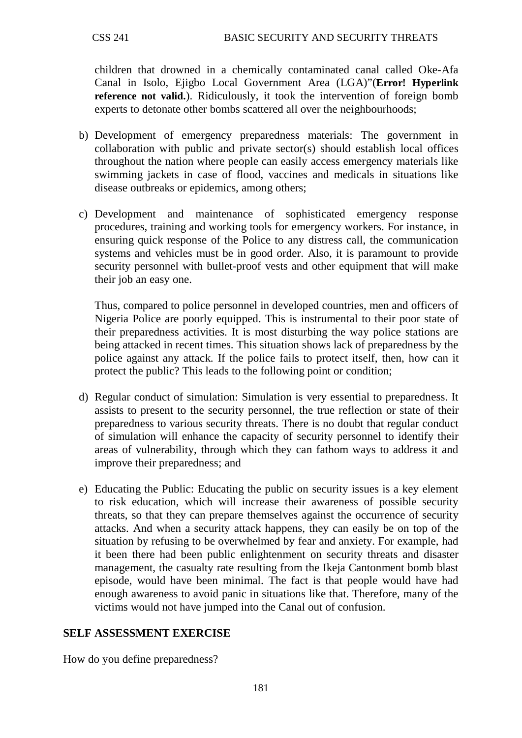children that drowned in a chemically contaminated canal called Oke-Afa Canal in Isolo, Ejigbo Local Government Area (LGA)"(**Error! Hyperlink reference not valid.**). Ridiculously, it took the intervention of foreign bomb experts to detonate other bombs scattered all over the neighbourhoods;

- b) Development of emergency preparedness materials: The government in collaboration with public and private sector(s) should establish local offices throughout the nation where people can easily access emergency materials like swimming jackets in case of flood, vaccines and medicals in situations like disease outbreaks or epidemics, among others;
- c) Development and maintenance of sophisticated emergency response procedures, training and working tools for emergency workers. For instance, in ensuring quick response of the Police to any distress call, the communication systems and vehicles must be in good order. Also, it is paramount to provide security personnel with bullet-proof vests and other equipment that will make their job an easy one.

Thus, compared to police personnel in developed countries, men and officers of Nigeria Police are poorly equipped. This is instrumental to their poor state of their preparedness activities. It is most disturbing the way police stations are being attacked in recent times. This situation shows lack of preparedness by the police against any attack. If the police fails to protect itself, then, how can it protect the public? This leads to the following point or condition;

- d) Regular conduct of simulation: Simulation is very essential to preparedness. It assists to present to the security personnel, the true reflection or state of their preparedness to various security threats. There is no doubt that regular conduct of simulation will enhance the capacity of security personnel to identify their areas of vulnerability, through which they can fathom ways to address it and improve their preparedness; and
- e) Educating the Public: Educating the public on security issues is a key element to risk education, which will increase their awareness of possible security threats, so that they can prepare themselves against the occurrence of security attacks. And when a security attack happens, they can easily be on top of the situation by refusing to be overwhelmed by fear and anxiety. For example, had it been there had been public enlightenment on security threats and disaster management, the casualty rate resulting from the Ikeja Cantonment bomb blast episode, would have been minimal. The fact is that people would have had enough awareness to avoid panic in situations like that. Therefore, many of the victims would not have jumped into the Canal out of confusion.

# **SELF ASSESSMENT EXERCISE**

How do you define preparedness?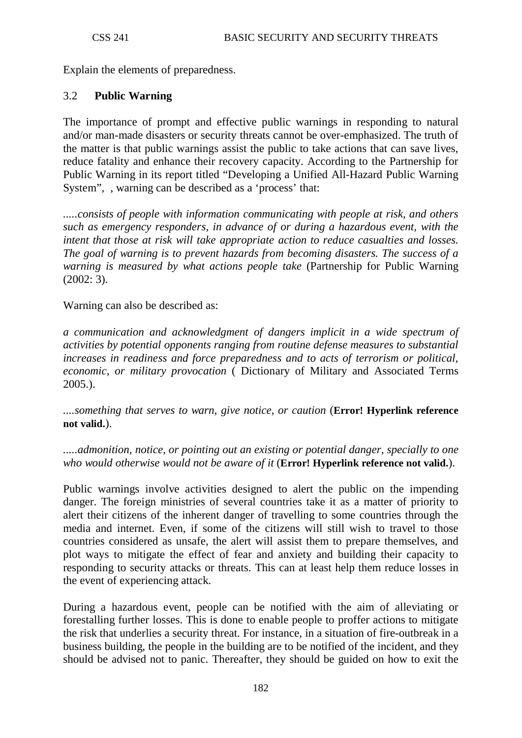Explain the elements of preparedness.

#### 3.2 **Public Warning**

The importance of prompt and effective public warnings in responding to natural and/or man-made disasters or security threats cannot be over-emphasized. The truth of the matter is that public warnings assist the public to take actions that can save lives, reduce fatality and enhance their recovery capacity. According to the Partnership for Public Warning in its report titled "Developing a Unified All-Hazard Public Warning System", , warning can be described as a 'process' that:

*.....consists of people with information communicating with people at risk, and others such as emergency responders, in advance of or during a hazardous event, with the intent that those at risk will take appropriate action to reduce casualties and losses. The goal of warning is to prevent hazards from becoming disasters. The success of a warning is measured by what actions people take* (Partnership for Public Warning (2002: 3).

Warning can also be described as:

*a communication and acknowledgment of dangers implicit in a wide spectrum of activities by potential opponents ranging from routine defense measures to substantial increases in readiness and force preparedness and to acts of terrorism or political, economic, or military provocation* ( Dictionary of Military and Associated Terms 2005.).

*....something that serves to warn, give notice, or caution* (**Error! Hyperlink reference not valid.**).

*.....admonition, notice, or pointing out an existing or potential danger, specially to one who would otherwise would not be aware of it* (**Error! Hyperlink reference not valid.**).

Public warnings involve activities designed to alert the public on the impending danger. The foreign ministries of several countries take it as a matter of priority to alert their citizens of the inherent danger of travelling to some countries through the media and internet. Even, if some of the citizens will still wish to travel to those countries considered as unsafe, the alert will assist them to prepare themselves, and plot ways to mitigate the effect of fear and anxiety and building their capacity to responding to security attacks or threats. This can at least help them reduce losses in the event of experiencing attack.

During a hazardous event, people can be notified with the aim of alleviating or forestalling further losses. This is done to enable people to proffer actions to mitigate the risk that underlies a security threat. For instance, in a situation of fire-outbreak in a business building, the people in the building are to be notified of the incident, and they should be advised not to panic. Thereafter, they should be guided on how to exit the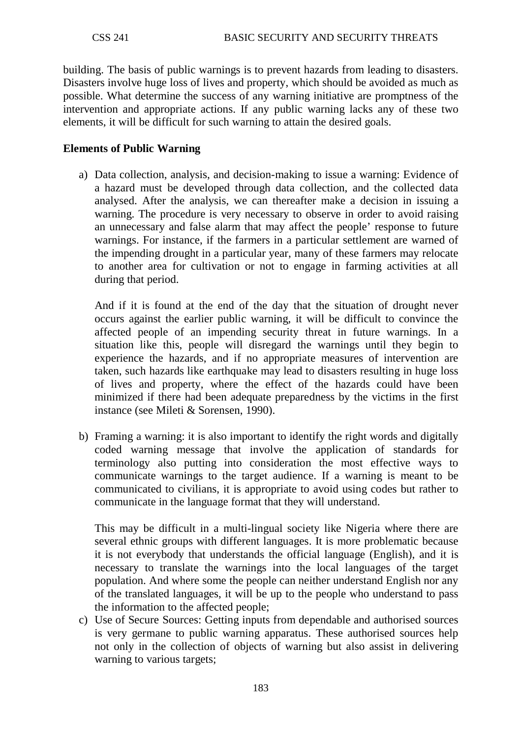building. The basis of public warnings is to prevent hazards from leading to disasters. Disasters involve huge loss of lives and property, which should be avoided as much as possible. What determine the success of any warning initiative are promptness of the intervention and appropriate actions. If any public warning lacks any of these two elements, it will be difficult for such warning to attain the desired goals.

## **Elements of Public Warning**

a) Data collection, analysis, and decision-making to issue a warning: Evidence of a hazard must be developed through data collection, and the collected data analysed. After the analysis, we can thereafter make a decision in issuing a warning. The procedure is very necessary to observe in order to avoid raising an unnecessary and false alarm that may affect the people' response to future warnings. For instance, if the farmers in a particular settlement are warned of the impending drought in a particular year, many of these farmers may relocate to another area for cultivation or not to engage in farming activities at all during that period.

And if it is found at the end of the day that the situation of drought never occurs against the earlier public warning, it will be difficult to convince the affected people of an impending security threat in future warnings. In a situation like this, people will disregard the warnings until they begin to experience the hazards, and if no appropriate measures of intervention are taken, such hazards like earthquake may lead to disasters resulting in huge loss of lives and property, where the effect of the hazards could have been minimized if there had been adequate preparedness by the victims in the first instance (see Mileti & Sorensen, 1990).

b) Framing a warning: it is also important to identify the right words and digitally coded warning message that involve the application of standards for terminology also putting into consideration the most effective ways to communicate warnings to the target audience. If a warning is meant to be communicated to civilians, it is appropriate to avoid using codes but rather to communicate in the language format that they will understand.

This may be difficult in a multi-lingual society like Nigeria where there are several ethnic groups with different languages. It is more problematic because it is not everybody that understands the official language (English), and it is necessary to translate the warnings into the local languages of the target population. And where some the people can neither understand English nor any of the translated languages, it will be up to the people who understand to pass the information to the affected people;

c) Use of Secure Sources: Getting inputs from dependable and authorised sources is very germane to public warning apparatus. These authorised sources help not only in the collection of objects of warning but also assist in delivering warning to various targets;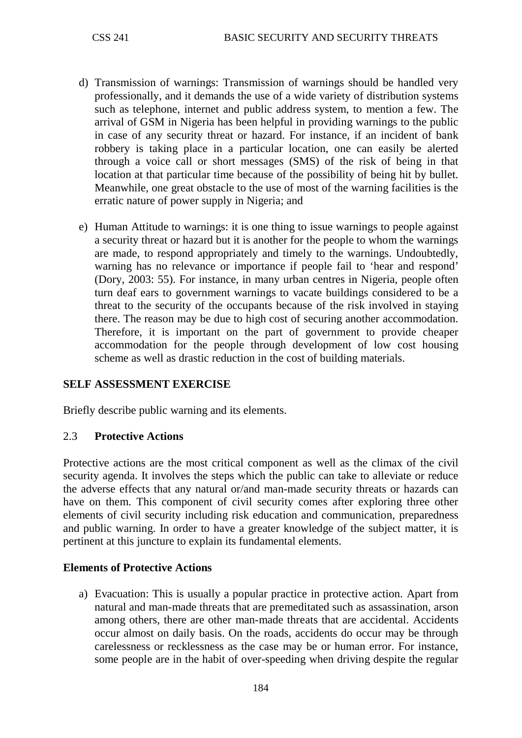- d) Transmission of warnings: Transmission of warnings should be handled very professionally, and it demands the use of a wide variety of distribution systems such as telephone, internet and public address system, to mention a few. The arrival of GSM in Nigeria has been helpful in providing warnings to the public in case of any security threat or hazard. For instance, if an incident of bank robbery is taking place in a particular location, one can easily be alerted through a voice call or short messages (SMS) of the risk of being in that location at that particular time because of the possibility of being hit by bullet. Meanwhile, one great obstacle to the use of most of the warning facilities is the erratic nature of power supply in Nigeria; and
- e) Human Attitude to warnings: it is one thing to issue warnings to people against a security threat or hazard but it is another for the people to whom the warnings are made, to respond appropriately and timely to the warnings. Undoubtedly, warning has no relevance or importance if people fail to 'hear and respond' (Dory, 2003: 55). For instance, in many urban centres in Nigeria, people often turn deaf ears to government warnings to vacate buildings considered to be a threat to the security of the occupants because of the risk involved in staying there. The reason may be due to high cost of securing another accommodation. Therefore, it is important on the part of government to provide cheaper accommodation for the people through development of low cost housing scheme as well as drastic reduction in the cost of building materials.

### **SELF ASSESSMENT EXERCISE**

Briefly describe public warning and its elements.

#### 2.3 **Protective Actions**

Protective actions are the most critical component as well as the climax of the civil security agenda. It involves the steps which the public can take to alleviate or reduce the adverse effects that any natural or/and man-made security threats or hazards can have on them. This component of civil security comes after exploring three other elements of civil security including risk education and communication, preparedness and public warning. In order to have a greater knowledge of the subject matter, it is pertinent at this juncture to explain its fundamental elements.

#### **Elements of Protective Actions**

a) Evacuation: This is usually a popular practice in protective action. Apart from natural and man-made threats that are premeditated such as assassination, arson among others, there are other man-made threats that are accidental. Accidents occur almost on daily basis. On the roads, accidents do occur may be through carelessness or recklessness as the case may be or human error. For instance, some people are in the habit of over-speeding when driving despite the regular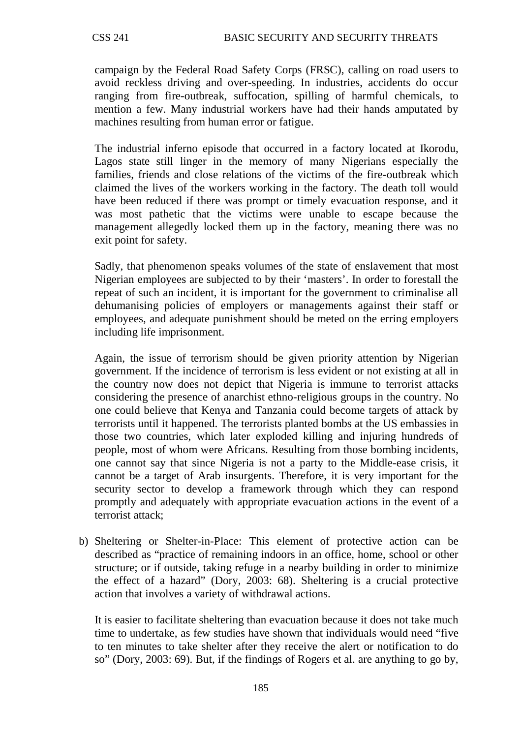campaign by the Federal Road Safety Corps (FRSC), calling on road users to avoid reckless driving and over-speeding. In industries, accidents do occur ranging from fire-outbreak, suffocation, spilling of harmful chemicals, to mention a few. Many industrial workers have had their hands amputated by machines resulting from human error or fatigue.

The industrial inferno episode that occurred in a factory located at Ikorodu, Lagos state still linger in the memory of many Nigerians especially the families, friends and close relations of the victims of the fire-outbreak which claimed the lives of the workers working in the factory. The death toll would have been reduced if there was prompt or timely evacuation response, and it was most pathetic that the victims were unable to escape because the management allegedly locked them up in the factory, meaning there was no exit point for safety.

Sadly, that phenomenon speaks volumes of the state of enslavement that most Nigerian employees are subjected to by their 'masters'. In order to forestall the repeat of such an incident, it is important for the government to criminalise all dehumanising policies of employers or managements against their staff or employees, and adequate punishment should be meted on the erring employers including life imprisonment.

Again, the issue of terrorism should be given priority attention by Nigerian government. If the incidence of terrorism is less evident or not existing at all in the country now does not depict that Nigeria is immune to terrorist attacks considering the presence of anarchist ethno-religious groups in the country. No one could believe that Kenya and Tanzania could become targets of attack by terrorists until it happened. The terrorists planted bombs at the US embassies in those two countries, which later exploded killing and injuring hundreds of people, most of whom were Africans. Resulting from those bombing incidents, one cannot say that since Nigeria is not a party to the Middle-ease crisis, it cannot be a target of Arab insurgents. Therefore, it is very important for the security sector to develop a framework through which they can respond promptly and adequately with appropriate evacuation actions in the event of a terrorist attack;

b) Sheltering or Shelter-in-Place: This element of protective action can be described as "practice of remaining indoors in an office, home, school or other structure; or if outside, taking refuge in a nearby building in order to minimize the effect of a hazard" (Dory, 2003: 68). Sheltering is a crucial protective action that involves a variety of withdrawal actions.

It is easier to facilitate sheltering than evacuation because it does not take much time to undertake, as few studies have shown that individuals would need "five to ten minutes to take shelter after they receive the alert or notification to do so" (Dory, 2003: 69). But, if the findings of Rogers et al. are anything to go by,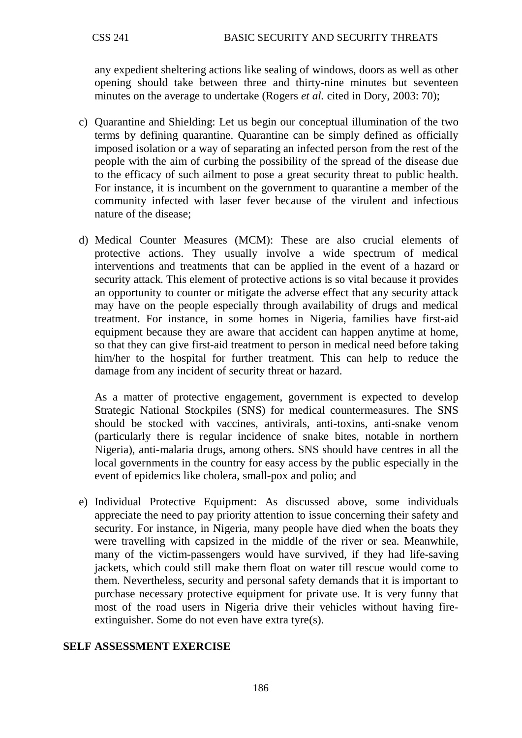any expedient sheltering actions like sealing of windows, doors as well as other opening should take between three and thirty-nine minutes but seventeen minutes on the average to undertake (Rogers *et al.* cited in Dory, 2003: 70);

- c) Quarantine and Shielding: Let us begin our conceptual illumination of the two terms by defining quarantine. Quarantine can be simply defined as officially imposed isolation or a way of separating an infected person from the rest of the people with the aim of curbing the possibility of the spread of the disease due to the efficacy of such ailment to pose a great security threat to public health. For instance, it is incumbent on the government to quarantine a member of the community infected with laser fever because of the virulent and infectious nature of the disease;
- d) Medical Counter Measures (MCM): These are also crucial elements of protective actions. They usually involve a wide spectrum of medical interventions and treatments that can be applied in the event of a hazard or security attack. This element of protective actions is so vital because it provides an opportunity to counter or mitigate the adverse effect that any security attack may have on the people especially through availability of drugs and medical treatment. For instance, in some homes in Nigeria, families have first-aid equipment because they are aware that accident can happen anytime at home, so that they can give first-aid treatment to person in medical need before taking him/her to the hospital for further treatment. This can help to reduce the damage from any incident of security threat or hazard.

As a matter of protective engagement, government is expected to develop Strategic National Stockpiles (SNS) for medical countermeasures. The SNS should be stocked with vaccines, antivirals, anti-toxins, anti-snake venom (particularly there is regular incidence of snake bites, notable in northern Nigeria), anti-malaria drugs, among others. SNS should have centres in all the local governments in the country for easy access by the public especially in the event of epidemics like cholera, small-pox and polio; and

e) Individual Protective Equipment: As discussed above, some individuals appreciate the need to pay priority attention to issue concerning their safety and security. For instance, in Nigeria, many people have died when the boats they were travelling with capsized in the middle of the river or sea. Meanwhile, many of the victim-passengers would have survived, if they had life-saving jackets, which could still make them float on water till rescue would come to them. Nevertheless, security and personal safety demands that it is important to purchase necessary protective equipment for private use. It is very funny that most of the road users in Nigeria drive their vehicles without having fireextinguisher. Some do not even have extra tyre(s).

### **SELF ASSESSMENT EXERCISE**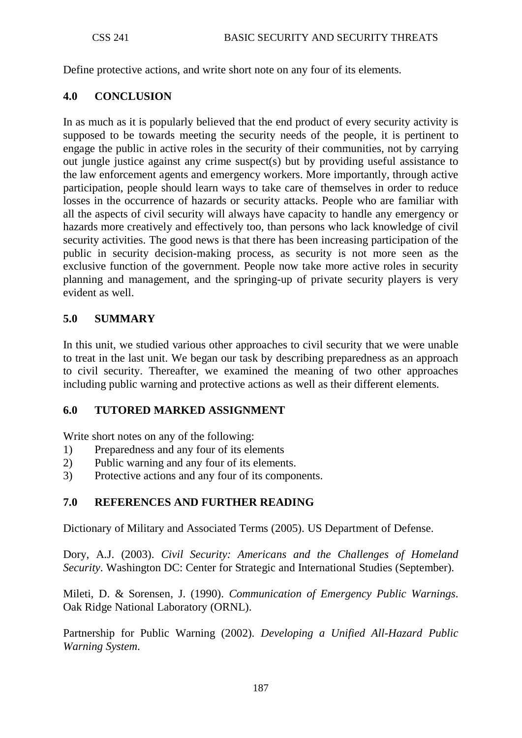Define protective actions, and write short note on any four of its elements.

## **4.0 CONCLUSION**

In as much as it is popularly believed that the end product of every security activity is supposed to be towards meeting the security needs of the people, it is pertinent to engage the public in active roles in the security of their communities, not by carrying out jungle justice against any crime suspect(s) but by providing useful assistance to the law enforcement agents and emergency workers. More importantly, through active participation, people should learn ways to take care of themselves in order to reduce losses in the occurrence of hazards or security attacks. People who are familiar with all the aspects of civil security will always have capacity to handle any emergency or hazards more creatively and effectively too, than persons who lack knowledge of civil security activities. The good news is that there has been increasing participation of the public in security decision-making process, as security is not more seen as the exclusive function of the government. People now take more active roles in security planning and management, and the springing-up of private security players is very evident as well.

## **5.0 SUMMARY**

In this unit, we studied various other approaches to civil security that we were unable to treat in the last unit. We began our task by describing preparedness as an approach to civil security. Thereafter, we examined the meaning of two other approaches including public warning and protective actions as well as their different elements.

### **6.0 TUTORED MARKED ASSIGNMENT**

Write short notes on any of the following:

- 1) Preparedness and any four of its elements
- 2) Public warning and any four of its elements.
- 3) Protective actions and any four of its components.

### **7.0 REFERENCES AND FURTHER READING**

Dictionary of Military and Associated Terms (2005). US Department of Defense.

Dory, A.J. (2003). *Civil Security: Americans and the Challenges of Homeland Security*. Washington DC: Center for Strategic and International Studies (September).

Mileti, D. & Sorensen, J. (1990). *Communication of Emergency Public Warnings*. Oak Ridge National Laboratory (ORNL).

Partnership for Public Warning (2002). *Developing a Unified All-Hazard Public Warning System*.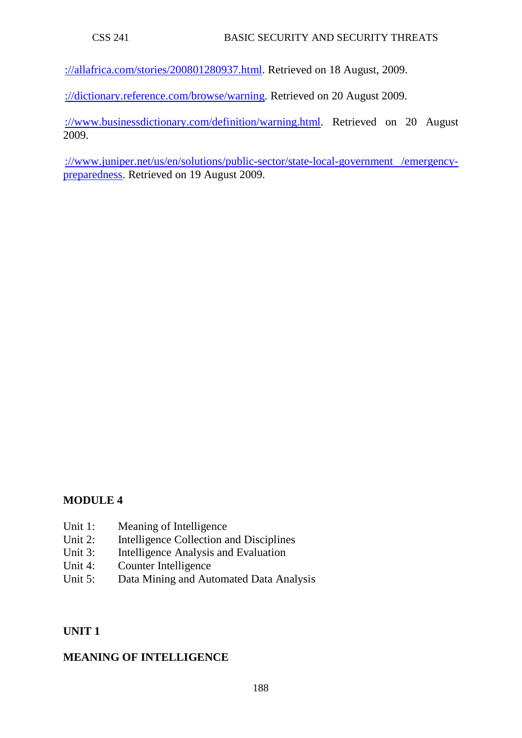[://allafrica.com/stories/200801280937.html.](http://allafrica.com/stories/200801280937.html) Retrieved on 18 August, 2009.

[://dictionary.reference.com/browse/warning.](http://dictionary.reference.com/browse/warning) Retrieved on 20 August 2009.

[://www.businessdictionary.com/definition/warning.html.](http://www.businessdictionary.com/definition/warning.html) Retrieved on 20 August 2009.

[://www.juniper.net/us/en/solutions/public-sector/state-local-government /emergency](http://www.juniper.net/us/en/solutions/public-sector/state-local-government%20/emergency-preparedness)[preparedness.](http://www.juniper.net/us/en/solutions/public-sector/state-local-government%20/emergency-preparedness) Retrieved on 19 August 2009.

# **MODULE 4**

- Unit 1: Meaning of Intelligence
- Unit 2: Intelligence Collection and Disciplines
- Unit 3: Intelligence Analysis and Evaluation
- Unit 4: Counter Intelligence
- Unit 5: Data Mining and Automated Data Analysis

### **UNIT 1**

## **MEANING OF INTELLIGENCE**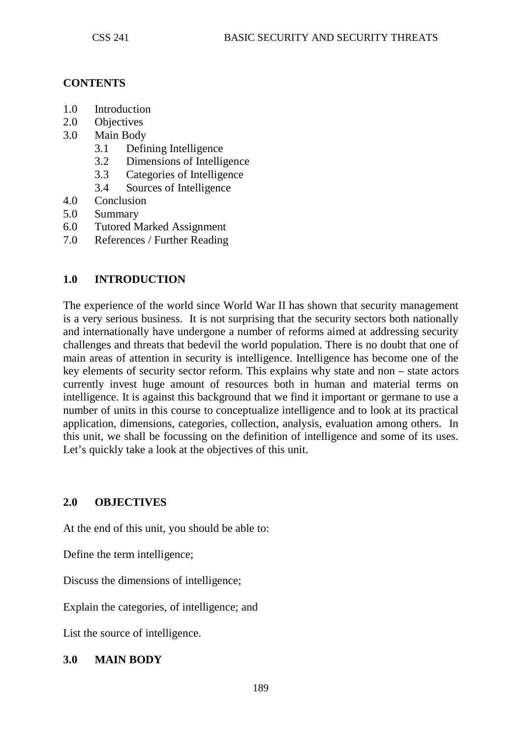### **CONTENTS**

- 1.0 Introduction
- 2.0 Objectives
- 3.0 Main Body
	- 3.1 Defining Intelligence
	- 3.2 Dimensions of Intelligence
	- 3.3 Categories of Intelligence
	- 3.4 Sources of Intelligence
- 4.0 Conclusion
- 5.0 Summary
- 6.0 Tutored Marked Assignment
- 7.0 References / Further Reading

## **1.0 INTRODUCTION**

The experience of the world since World War II has shown that security management is a very serious business. It is not surprising that the security sectors both nationally and internationally have undergone a number of reforms aimed at addressing security challenges and threats that bedevil the world population. There is no doubt that one of main areas of attention in security is intelligence. Intelligence has become one of the key elements of security sector reform. This explains why state and non – state actors currently invest huge amount of resources both in human and material terms on intelligence. It is against this background that we find it important or germane to use a number of units in this course to conceptualize intelligence and to look at its practical application, dimensions, categories, collection, analysis, evaluation among others. In this unit, we shall be focussing on the definition of intelligence and some of its uses. Let's quickly take a look at the objectives of this unit.

### **2.0 OBJECTIVES**

At the end of this unit, you should be able to:

Define the term intelligence;

Discuss the dimensions of intelligence;

Explain the categories, of intelligence; and

List the source of intelligence.

### **3.0 MAIN BODY**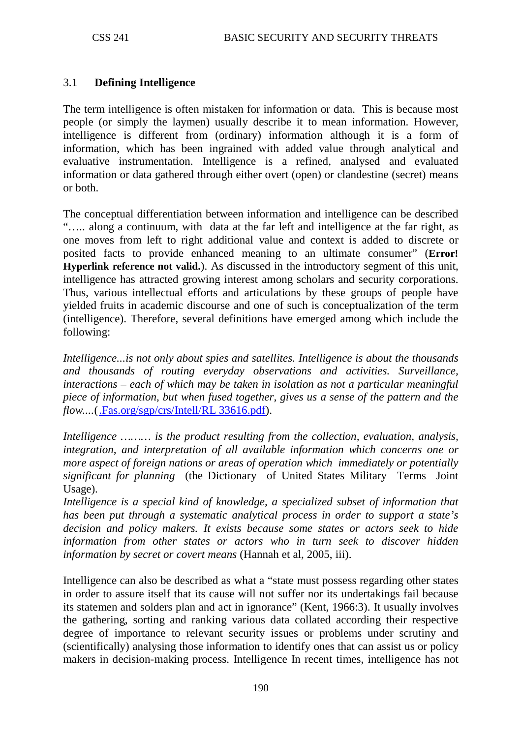## 3.1 **Defining Intelligence**

The term intelligence is often mistaken for information or data. This is because most people (or simply the laymen) usually describe it to mean information. However, intelligence is different from (ordinary) information although it is a form of information, which has been ingrained with added value through analytical and evaluative instrumentation. Intelligence is a refined, analysed and evaluated information or data gathered through either overt (open) or clandestine (secret) means or both.

The conceptual differentiation between information and intelligence can be described "….. along a continuum, with data at the far left and intelligence at the far right, as one moves from left to right additional value and context is added to discrete or posited facts to provide enhanced meaning to an ultimate consumer" (**Error! Hyperlink reference not valid.**). As discussed in the introductory segment of this unit, intelligence has attracted growing interest among scholars and security corporations. Thus, various intellectual efforts and articulations by these groups of people have yielded fruits in academic discourse and one of such is conceptualization of the term (intelligence). Therefore, several definitions have emerged among which include the following:

*Intelligence...is not only about spies and satellites. Intelligence is about the thousands and thousands of routing everyday observations and activities. Surveillance, interactions – each of which may be taken in isolation as not a particular meaningful piece of information, but when fused together, gives us a sense of the pattern and the flow....*[\(.Fas.org/sgp/crs/Intell/RL 33616.pdf\)](http://www.fas.org/sgp/crs/Intell/RL%2033616.pdf).

*Intelligence ……… is the product resulting from the collection, evaluation, analysis, integration, and interpretation of all available information which concerns one or more aspect of foreign nations or areas of operation which immediately or potentially significant for planning* (the Dictionary of United States Military Terms Joint Usage).

*Intelligence is a special kind of knowledge, a specialized subset of information that has been put through a systematic analytical process in order to support a state's decision and policy makers. It exists because some states or actors seek to hide information from other states or actors who in turn seek to discover hidden information by secret or covert means* (Hannah et al, 2005, iii).

Intelligence can also be described as what a "state must possess regarding other states in order to assure itself that its cause will not suffer nor its undertakings fail because its statemen and solders plan and act in ignorance" (Kent, 1966:3). It usually involves the gathering, sorting and ranking various data collated according their respective degree of importance to relevant security issues or problems under scrutiny and (scientifically) analysing those information to identify ones that can assist us or policy makers in decision-making process. Intelligence In recent times, intelligence has not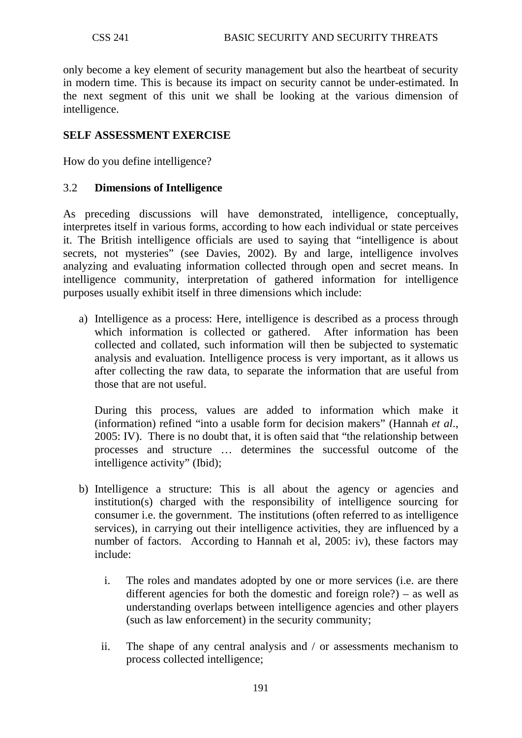only become a key element of security management but also the heartbeat of security in modern time. This is because its impact on security cannot be under-estimated. In the next segment of this unit we shall be looking at the various dimension of intelligence.

## **SELF ASSESSMENT EXERCISE**

How do you define intelligence?

### 3.2 **Dimensions of Intelligence**

As preceding discussions will have demonstrated, intelligence, conceptually, interpretes itself in various forms, according to how each individual or state perceives it. The British intelligence officials are used to saying that "intelligence is about secrets, not mysteries" (see Davies, 2002). By and large, intelligence involves analyzing and evaluating information collected through open and secret means. In intelligence community, interpretation of gathered information for intelligence purposes usually exhibit itself in three dimensions which include:

a) Intelligence as a process: Here, intelligence is described as a process through which information is collected or gathered. After information has been collected and collated, such information will then be subjected to systematic analysis and evaluation. Intelligence process is very important, as it allows us after collecting the raw data, to separate the information that are useful from those that are not useful.

During this process, values are added to information which make it (information) refined "into a usable form for decision makers" (Hannah *et al*., 2005: IV). There is no doubt that, it is often said that "the relationship between processes and structure … determines the successful outcome of the intelligence activity" (Ibid);

- b) Intelligence a structure: This is all about the agency or agencies and institution(s) charged with the responsibility of intelligence sourcing for consumer i.e. the government. The institutions (often referred to as intelligence services), in carrying out their intelligence activities, they are influenced by a number of factors. According to Hannah et al, 2005: iv), these factors may include:
	- i. The roles and mandates adopted by one or more services (i.e. are there different agencies for both the domestic and foreign role?) – as well as understanding overlaps between intelligence agencies and other players (such as law enforcement) in the security community;
	- ii. The shape of any central analysis and / or assessments mechanism to process collected intelligence;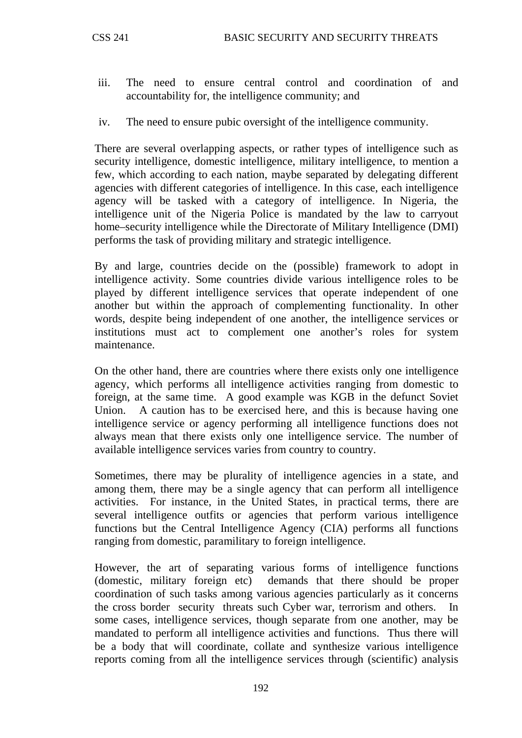- iii. The need to ensure central control and coordination of and accountability for, the intelligence community; and
- iv. The need to ensure pubic oversight of the intelligence community.

There are several overlapping aspects, or rather types of intelligence such as security intelligence, domestic intelligence, military intelligence, to mention a few, which according to each nation, maybe separated by delegating different agencies with different categories of intelligence. In this case, each intelligence agency will be tasked with a category of intelligence. In Nigeria, the intelligence unit of the Nigeria Police is mandated by the law to carryout home–security intelligence while the Directorate of Military Intelligence (DMI) performs the task of providing military and strategic intelligence.

By and large, countries decide on the (possible) framework to adopt in intelligence activity. Some countries divide various intelligence roles to be played by different intelligence services that operate independent of one another but within the approach of complementing functionality. In other words, despite being independent of one another, the intelligence services or institutions must act to complement one another's roles for system maintenance.

On the other hand, there are countries where there exists only one intelligence agency, which performs all intelligence activities ranging from domestic to foreign, at the same time. A good example was KGB in the defunct Soviet Union. A caution has to be exercised here, and this is because having one intelligence service or agency performing all intelligence functions does not always mean that there exists only one intelligence service. The number of available intelligence services varies from country to country.

Sometimes, there may be plurality of intelligence agencies in a state, and among them, there may be a single agency that can perform all intelligence activities. For instance, in the United States, in practical terms, there are several intelligence outfits or agencies that perform various intelligence functions but the Central Intelligence Agency (CIA) performs all functions ranging from domestic, paramilitary to foreign intelligence.

However, the art of separating various forms of intelligence functions (domestic, military foreign etc) demands that there should be proper coordination of such tasks among various agencies particularly as it concerns the cross border security threats such Cyber war, terrorism and others. In some cases, intelligence services, though separate from one another, may be mandated to perform all intelligence activities and functions. Thus there will be a body that will coordinate, collate and synthesize various intelligence reports coming from all the intelligence services through (scientific) analysis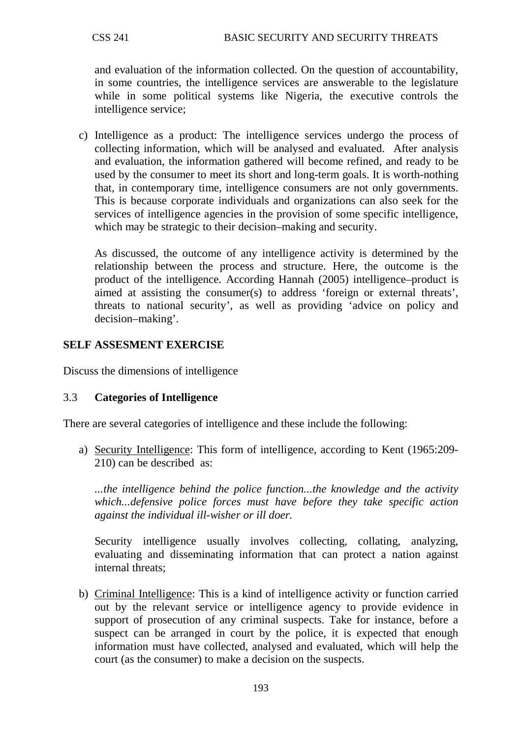and evaluation of the information collected. On the question of accountability, in some countries, the intelligence services are answerable to the legislature while in some political systems like Nigeria, the executive controls the intelligence service;

c) Intelligence as a product: The intelligence services undergo the process of collecting information, which will be analysed and evaluated. After analysis and evaluation, the information gathered will become refined, and ready to be used by the consumer to meet its short and long-term goals. It is worth-nothing that, in contemporary time, intelligence consumers are not only governments. This is because corporate individuals and organizations can also seek for the services of intelligence agencies in the provision of some specific intelligence, which may be strategic to their decision–making and security.

As discussed, the outcome of any intelligence activity is determined by the relationship between the process and structure. Here, the outcome is the product of the intelligence. According Hannah (2005) intelligence–product is aimed at assisting the consumer(s) to address 'foreign or external threats', threats to national security', as well as providing 'advice on policy and decision–making'.

### **SELF ASSESMENT EXERCISE**

Discuss the dimensions of intelligence

### 3.3 **Categories of Intelligence**

There are several categories of intelligence and these include the following:

a) Security Intelligence: This form of intelligence, according to Kent (1965:209-210) can be described as:

*...the intelligence behind the police function...the knowledge and the activity which...defensive police forces must have before they take specific action against the individual ill-wisher or ill doer.* 

Security intelligence usually involves collecting, collating, analyzing, evaluating and disseminating information that can protect a nation against internal threats;

b) Criminal Intelligence: This is a kind of intelligence activity or function carried out by the relevant service or intelligence agency to provide evidence in support of prosecution of any criminal suspects. Take for instance, before a suspect can be arranged in court by the police, it is expected that enough information must have collected, analysed and evaluated, which will help the court (as the consumer) to make a decision on the suspects.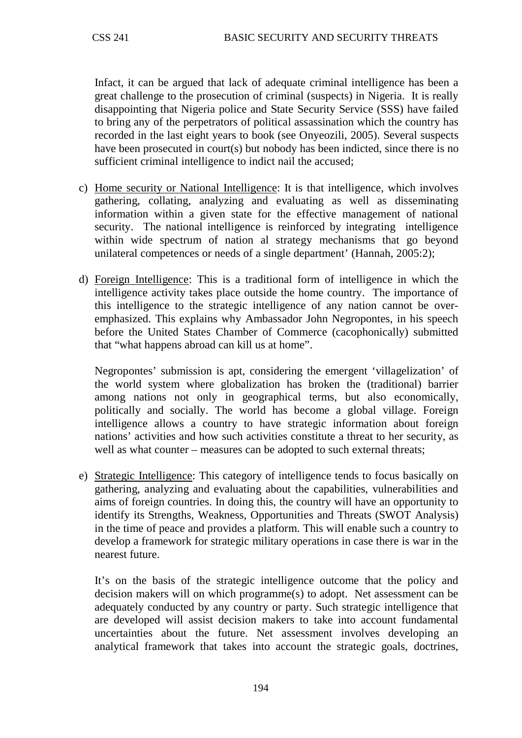Infact, it can be argued that lack of adequate criminal intelligence has been a great challenge to the prosecution of criminal (suspects) in Nigeria. It is really disappointing that Nigeria police and State Security Service (SSS) have failed to bring any of the perpetrators of political assassination which the country has recorded in the last eight years to book (see Onyeozili, 2005). Several suspects have been prosecuted in court(s) but nobody has been indicted, since there is no sufficient criminal intelligence to indict nail the accused;

- c) Home security or National Intelligence: It is that intelligence, which involves gathering, collating, analyzing and evaluating as well as disseminating information within a given state for the effective management of national security. The national intelligence is reinforced by integrating intelligence within wide spectrum of nation al strategy mechanisms that go beyond unilateral competences or needs of a single department' (Hannah, 2005:2);
- d) Foreign Intelligence : This is a traditional form of intelligence in which the intelligence activity takes place outside the home country. The importance of this intelligence to the strategic intelligence of any nation cannot be overemphasized. This explains why Ambassador John Negropontes, in his speech before the United States Chamber of Commerce (cacophonically) submitted that "what happens abroad can kill us at home".

Negropontes' submission is apt, considering the emergent 'villagelization' of the world system where globalization has broken the (traditional) barrier among nations not only in geographical terms, but also economically, politically and socially. The world has become a global village. Foreign intelligence allows a country to have strategic information about foreign nations' activities and how such activities constitute a threat to her security, as well as what counter – measures can be adopted to such external threats;

e) Strategic Intelligence: This category of intelligence tends to focus basically on gathering, analyzing and evaluating about the capabilities, vulnerabilities and aims of foreign countries. In doing this, the country will have an opportunity to identify its Strengths, Weakness, Opportunities and Threats (SWOT Analysis) in the time of peace and provides a platform. This will enable such a country to develop a framework for strategic military operations in case there is war in the nearest future.

It's on the basis of the strategic intelligence outcome that the policy and decision makers will on which programme(s) to adopt. Net assessment can be adequately conducted by any country or party. Such strategic intelligence that are developed will assist decision makers to take into account fundamental uncertainties about the future. Net assessment involves developing an analytical framework that takes into account the strategic goals, doctrines,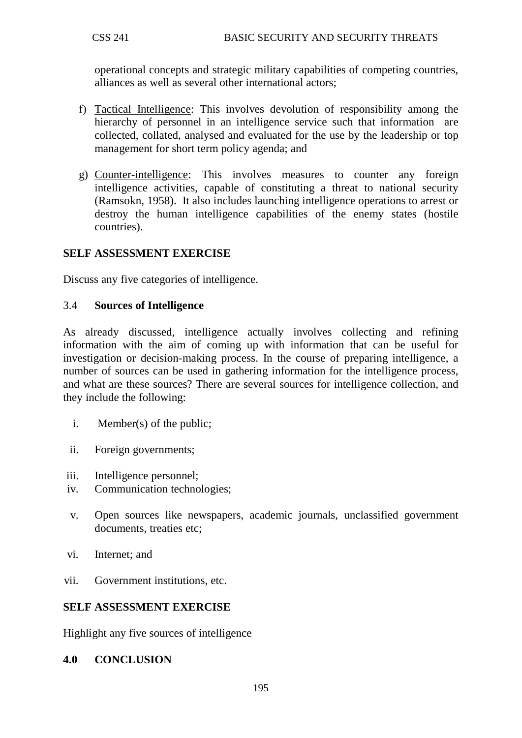operational concepts and strategic military capabilities of competing countries, alliances as well as several other international actors;

- f) Tactical Intelligence: This involves devolution of responsibility among the hierarchy of personnel in an intelligence service such that information are collected, collated, analysed and evaluated for the use by the leadership or top management for short term policy agenda; and
- g) Counter-intelligence : This involves measures to counter any foreign intelligence activities, capable of constituting a threat to national security (Ramsokn, 1958). It also includes launching intelligence operations to arrest or destroy the human intelligence capabilities of the enemy states (hostile countries).

### **SELF ASSESSMENT EXERCISE**

Discuss any five categories of intelligence.

#### 3.4 **Sources of Intelligence**

As already discussed, intelligence actually involves collecting and refining information with the aim of coming up with information that can be useful for investigation or decision-making process. In the course of preparing intelligence, a number of sources can be used in gathering information for the intelligence process, and what are these sources? There are several sources for intelligence collection, and they include the following:

- i. Member(s) of the public;
- ii. Foreign governments;
- iii. Intelligence personnel;
- iv. Communication technologies;
- v. Open sources like newspapers, academic journals, unclassified government documents, treaties etc;
- vi. Internet; and
- vii. Government institutions, etc.

### **SELF ASSESSMENT EXERCISE**

Highlight any five sources of intelligence

#### **4.0 CONCLUSION**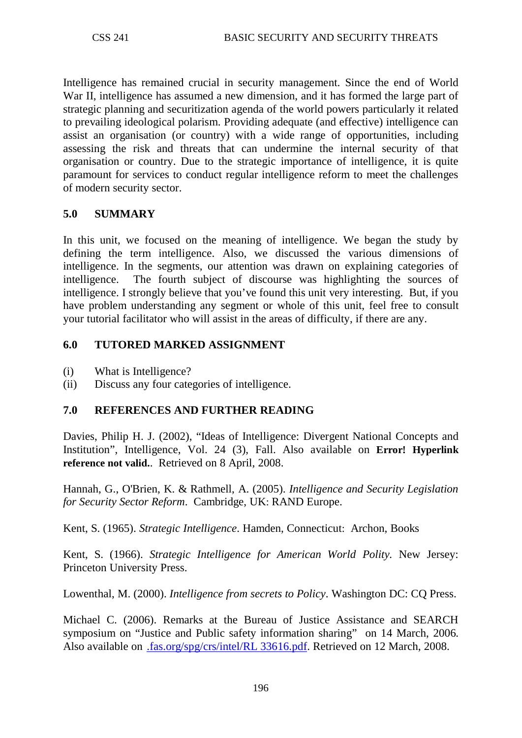Intelligence has remained crucial in security management. Since the end of World War II, intelligence has assumed a new dimension, and it has formed the large part of strategic planning and securitization agenda of the world powers particularly it related to prevailing ideological polarism. Providing adequate (and effective) intelligence can assist an organisation (or country) with a wide range of opportunities, including assessing the risk and threats that can undermine the internal security of that organisation or country. Due to the strategic importance of intelligence, it is quite paramount for services to conduct regular intelligence reform to meet the challenges of modern security sector.

## **5.0 SUMMARY**

In this unit, we focused on the meaning of intelligence. We began the study by defining the term intelligence. Also, we discussed the various dimensions of intelligence. In the segments, our attention was drawn on explaining categories of intelligence. The fourth subject of discourse was highlighting the sources of intelligence. I strongly believe that you've found this unit very interesting. But, if you have problem understanding any segment or whole of this unit, feel free to consult your tutorial facilitator who will assist in the areas of difficulty, if there are any.

### **6.0 TUTORED MARKED ASSIGNMENT**

- (i) What is Intelligence?
- (ii) Discuss any four categories of intelligence.

# **7.0 REFERENCES AND FURTHER READING**

Davies, Philip H. J. (2002), "Ideas of Intelligence: Divergent National Concepts and Institution", Intelligence, Vol. 24 (3), Fall. Also available on **Error! Hyperlink reference not valid.**. Retrieved on 8 April, 2008.

Hannah, G., O'Brien, K. & Rathmell, A. (2005). *Intelligence and Security Legislation for Security Sector Reform*. Cambridge, UK: RAND Europe.

Kent, S. (1965). *Strategic Intelligence*. Hamden, Connecticut: Archon, Books

Kent, S. (1966). *Strategic Intelligence for American World Polity.* New Jersey: Princeton University Press.

Lowenthal, M. (2000). *Intelligence from secrets to Policy*. Washington DC: CQ Press.

Michael C. (2006). Remarks at the Bureau of Justice Assistance and SEARCH symposium on "Justice and Public safety information sharing" on 14 March, 2006. Also available on [.fas.org/spg/crs/intel/RL 33616.pdf.](http://www.fas.org/spg/crs/intel/RL%2033616.pdf) Retrieved on 12 March, 2008.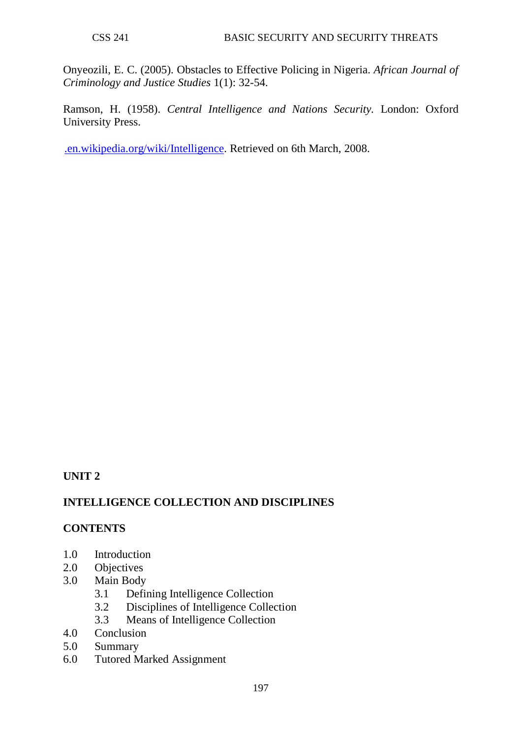Onyeozili, E. C. (2005). Obstacles to Effective Policing in Nigeria. *African Journal of Criminology and Justice Studies* 1(1): 32-54.

Ramson, H. (1958). *Central Intelligence and Nations Security.* London: Oxford University Press.

[.en.wikipedia.org/wiki/Intelligence.](http://www.en.wikipedia.org/wiki/Intelligence) Retrieved on 6th March, 2008.

### **UNIT 2**

### **INTELLIGENCE COLLECTION AND DISCIPLINES**

### **CONTENTS**

- 1.0 Introduction
- 2.0 Objectives
- 3.0 Main Body
	- 3.1 Defining Intelligence Collection
	- 3.2 Disciplines of Intelligence Collection<br>3.3 Means of Intelligence Collection
	- Means of Intelligence Collection
- 4.0 Conclusion
- 5.0 Summary
- 6.0 Tutored Marked Assignment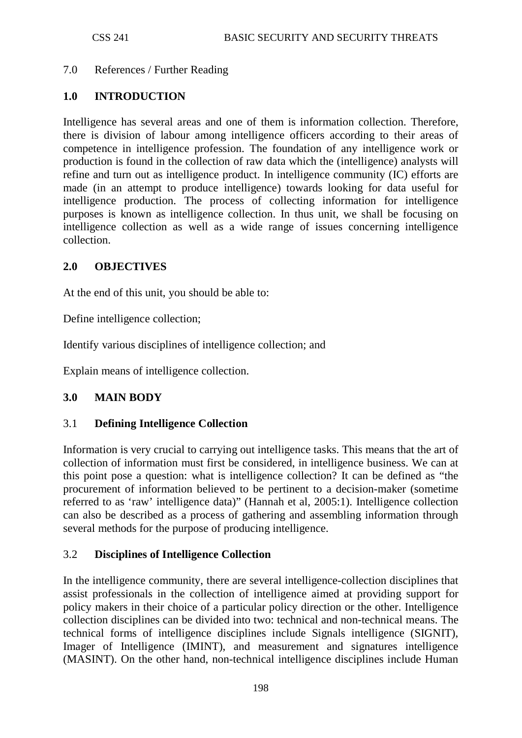### 7.0 References / Further Reading

#### **1.0 INTRODUCTION**

Intelligence has several areas and one of them is information collection. Therefore, there is division of labour among intelligence officers according to their areas of competence in intelligence profession. The foundation of any intelligence work or production is found in the collection of raw data which the (intelligence) analysts will refine and turn out as intelligence product. In intelligence community (IC) efforts are made (in an attempt to produce intelligence) towards looking for data useful for intelligence production. The process of collecting information for intelligence purposes is known as intelligence collection. In thus unit, we shall be focusing on intelligence collection as well as a wide range of issues concerning intelligence collection.

#### **2.0 OBJECTIVES**

At the end of this unit, you should be able to:

Define intelligence collection;

Identify various disciplines of intelligence collection; and

Explain means of intelligence collection.

### **3.0 MAIN BODY**

### 3.1 **Defining Intelligence Collection**

Information is very crucial to carrying out intelligence tasks. This means that the art of collection of information must first be considered, in intelligence business. We can at this point pose a question: what is intelligence collection? It can be defined as "the procurement of information believed to be pertinent to a decision-maker (sometime referred to as 'raw' intelligence data)" (Hannah et al, 2005:1). Intelligence collection can also be described as a process of gathering and assembling information through several methods for the purpose of producing intelligence.

#### 3.2 **Disciplines of Intelligence Collection**

In the intelligence community, there are several intelligence-collection disciplines that assist professionals in the collection of intelligence aimed at providing support for policy makers in their choice of a particular policy direction or the other. Intelligence collection disciplines can be divided into two: technical and non-technical means. The technical forms of intelligence disciplines include Signals intelligence (SIGNIT), Imager of Intelligence (IMINT), and measurement and signatures intelligence (MASINT). On the other hand, non-technical intelligence disciplines include Human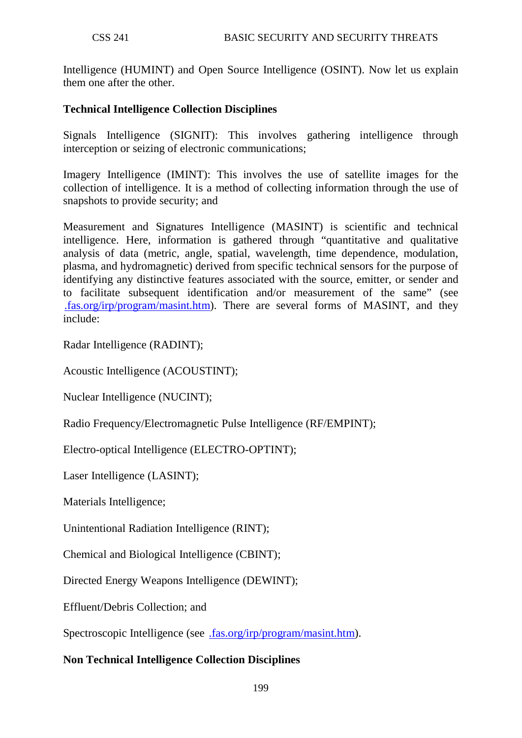Intelligence (HUMINT) and Open Source Intelligence (OSINT). Now let us explain them one after the other.

## **Technical Intelligence Collection Disciplines**

Signals Intelligence (SIGNIT): This involves gathering intelligence through interception or seizing of electronic communications;

Imagery Intelligence (IMINT): This involves the use of satellite images for the collection of intelligence. It is a method of collecting information through the use of snapshots to provide security; and

Measurement and Signatures Intelligence (MASINT) is scientific and technical intelligence. Here, information is gathered through "quantitative and qualitative analysis of data (metric, angle, spatial, wavelength, time dependence, modulation, plasma, and hydromagnetic) derived from specific technical sensors for the purpose of identifying any distinctive features associated with the source, emitter, or sender and to facilitate subsequent identification and/or measurement of the same" (see [.fas.org/irp/program/masint.htm\)](http://www.fas.org/irp/program/masint.htm). There are several forms of MASINT, and they include:

Radar Intelligence (RADINT);

Acoustic Intelligence (ACOUSTINT);

Nuclear Intelligence (NUCINT);

Radio Frequency/Electromagnetic Pulse Intelligence (RF/EMPINT);

Electro-optical Intelligence (ELECTRO-OPTINT);

Laser Intelligence (LASINT);

Materials Intelligence;

Unintentional Radiation Intelligence (RINT);

Chemical and Biological Intelligence (CBINT);

Directed Energy Weapons Intelligence (DEWINT);

Effluent/Debris Collection; and

Spectroscopic Intelligence (see [.fas.org/irp/program/masint.htm\)](http://www.fas.org/irp/program/masint.htm).

### **Non Technical Intelligence Collection Disciplines**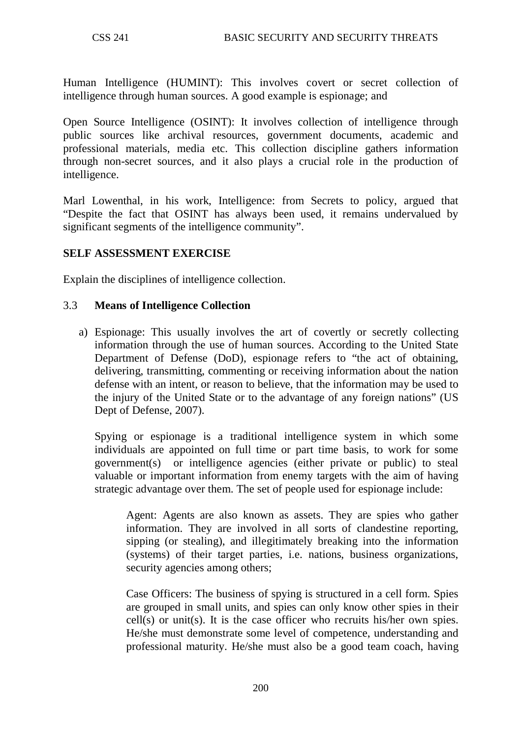Human Intelligence (HUMINT): This involves covert or secret collection of intelligence through human sources. A good example is espionage; and

Open Source Intelligence (OSINT): It involves collection of intelligence through public sources like archival resources, government documents, academic and professional materials, media etc. This collection discipline gathers information through non-secret sources, and it also plays a crucial role in the production of intelligence.

Marl Lowenthal, in his work, Intelligence: from Secrets to policy, argued that "Despite the fact that OSINT has always been used, it remains undervalued by significant segments of the intelligence community".

### **SELF ASSESSMENT EXERCISE**

Explain the disciplines of intelligence collection.

#### 3.3 **Means of Intelligence Collection**

a) Espionage: This usually involves the art of covertly or secretly collecting information through the use of human sources. According to the United State Department of Defense (DoD), espionage refers to "the act of obtaining, delivering, transmitting, commenting or receiving information about the nation defense with an intent, or reason to believe, that the information may be used to the injury of the United State or to the advantage of any foreign nations" (US Dept of Defense, 2007).

Spying or espionage is a traditional intelligence system in which some individuals are appointed on full time or part time basis, to work for some government(s) or intelligence agencies (either private or public) to steal valuable or important information from enemy targets with the aim of having strategic advantage over them. The set of people used for espionage include:

Agent: Agents are also known as assets. They are spies who gather information. They are involved in all sorts of clandestine reporting, sipping (or stealing), and illegitimately breaking into the information (systems) of their target parties, i.e. nations, business organizations, security agencies among others;

Case Officers: The business of spying is structured in a cell form. Spies are grouped in small units, and spies can only know other spies in their cell(s) or unit(s). It is the case officer who recruits his/her own spies. He/she must demonstrate some level of competence, understanding and professional maturity. He/she must also be a good team coach, having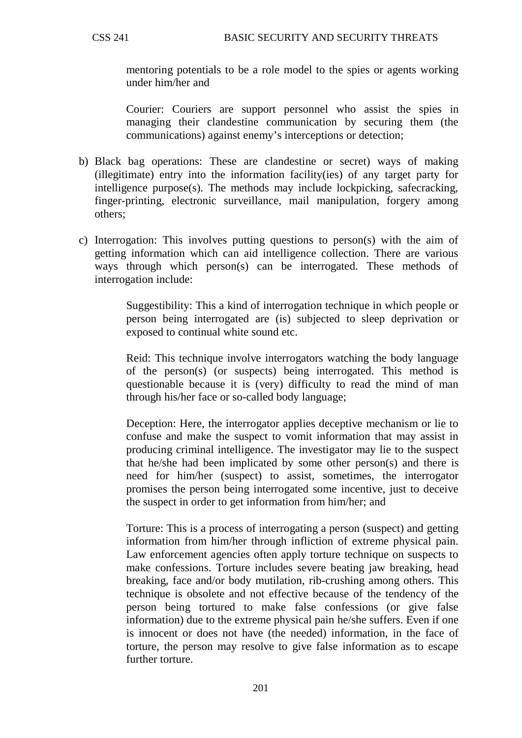mentoring potentials to be a role model to the spies or agents working under him/her and

Courier: Couriers are support personnel who assist the spies in managing their clandestine communication by securing them (the communications) against enemy's interceptions or detection;

- b) Black bag operations: These are clandestine or secret) ways of making (illegitimate) entry into the information facility(ies) of any target party for intelligence purpose(s). The methods may include lockpicking, safecracking, finger-printing, electronic surveillance, mail manipulation, forgery among others;
- c) Interrogation: This involves putting questions to person(s) with the aim of getting information which can aid intelligence collection. There are various ways through which person(s) can be interrogated. These methods of interrogation include:

Suggestibility: This a kind of interrogation technique in which people or person being interrogated are (is) subjected to sleep deprivation or exposed to continual white sound etc.

Reid: This technique involve interrogators watching the body language of the person(s) (or suspects) being interrogated. This method is questionable because it is (very) difficulty to read the mind of man through his/her face or so-called body language;

Deception: Here, the interrogator applies deceptive mechanism or lie to confuse and make the suspect to vomit information that may assist in producing criminal intelligence. The investigator may lie to the suspect that he/she had been implicated by some other person(s) and there is need for him/her (suspect) to assist, sometimes, the interrogator promises the person being interrogated some incentive, just to deceive the suspect in order to get information from him/her; and

Torture: This is a process of interrogating a person (suspect) and getting information from him/her through infliction of extreme physical pain. Law enforcement agencies often apply torture technique on suspects to make confessions. Torture includes severe beating jaw breaking, head breaking, face and/or body mutilation, rib-crushing among others. This technique is obsolete and not effective because of the tendency of the person being tortured to make false confessions (or give false information) due to the extreme physical pain he/she suffers. Even if one is innocent or does not have (the needed) information, in the face of torture, the person may resolve to give false information as to escape further torture.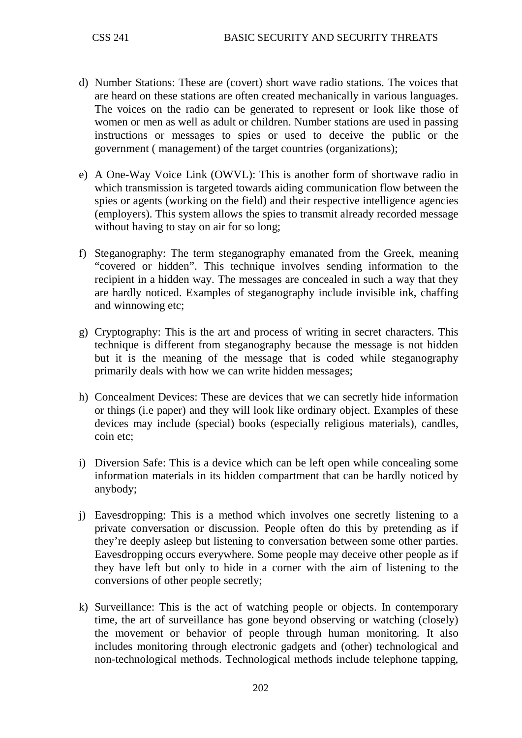- d) Number Stations: These are (covert) short wave radio stations. The voices that are heard on these stations are often created mechanically in various languages. The voices on the radio can be generated to represent or look like those of women or men as well as adult or children. Number stations are used in passing instructions or messages to spies or used to deceive the public or the government ( management) of the target countries (organizations);
- e) A One-Way Voice Link (OWVL): This is another form of shortwave radio in which transmission is targeted towards aiding communication flow between the spies or agents (working on the field) and their respective intelligence agencies (employers). This system allows the spies to transmit already recorded message without having to stay on air for so long;
- f) Steganography: The term steganography emanated from the Greek, meaning "covered or hidden". This technique involves sending information to the recipient in a hidden way. The messages are concealed in such a way that they are hardly noticed. Examples of steganography include invisible ink, chaffing and winnowing etc;
- g) Cryptography: This is the art and process of writing in secret characters. This technique is different from steganography because the message is not hidden but it is the meaning of the message that is coded while steganography primarily deals with how we can write hidden messages;
- h) Concealment Devices: These are devices that we can secretly hide information or things (i.e paper) and they will look like ordinary object. Examples of these devices may include (special) books (especially religious materials), candles, coin etc;
- i) Diversion Safe: This is a device which can be left open while concealing some information materials in its hidden compartment that can be hardly noticed by anybody;
- j) Eavesdropping: This is a method which involves one secretly listening to a private conversation or discussion. People often do this by pretending as if they're deeply asleep but listening to conversation between some other parties. Eavesdropping occurs everywhere. Some people may deceive other people as if they have left but only to hide in a corner with the aim of listening to the conversions of other people secretly;
- k) Surveillance: This is the act of watching people or objects. In contemporary time, the art of surveillance has gone beyond observing or watching (closely) the movement or behavior of people through human monitoring. It also includes monitoring through electronic gadgets and (other) technological and non-technological methods. Technological methods include telephone tapping,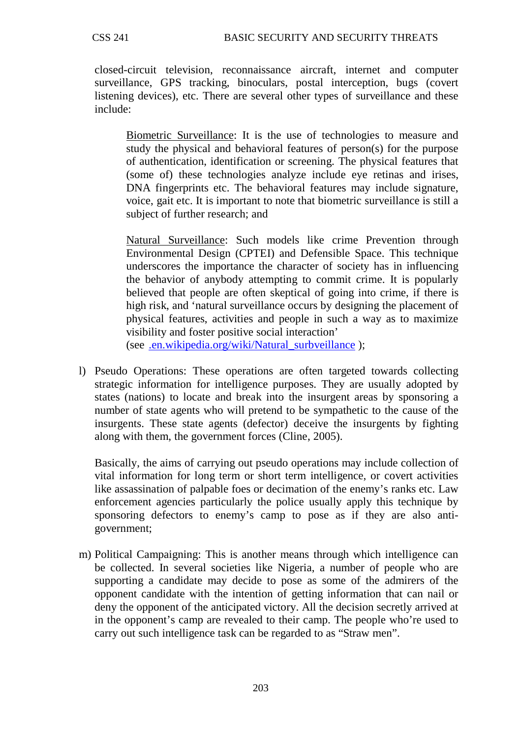closed-circuit television, reconnaissance aircraft, internet and computer surveillance, GPS tracking, binoculars, postal interception, bugs (covert listening devices), etc. There are several other types of surveillance and these include:

Biometric Surveillance: It is the use of technologies to measure and study the physical and behavioral features of person(s) for the purpose of authentication, identification or screening. The physical features that (some of) these technologies analyze include eye retinas and irises, DNA fingerprints etc. The behavioral features may include signature, voice, gait etc. It is important to note that biometric surveillance is still a subject of further research; and

Natural Surveillance: Such models like crime Prevention through (see [.en.wikipedia.org/wiki/Natural\\_surbveillance](http://www.en.wikipedia.org/wiki/Natural_surbveillance)); Environmental Design (CPTEI) and Defensible Space. This technique underscores the importance the character of society has in influencing the behavior of anybody attempting to commit crime. It is popularly believed that people are often skeptical of going into crime, if there is high risk, and 'natural surveillance occurs by designing the placement of physical features, activities and people in such a way as to maximize visibility and foster positive social interaction'

l) Pseudo Operations: These operations are often targeted towards collecting strategic information for intelligence purposes. They are usually adopted by states (nations) to locate and break into the insurgent areas by sponsoring a number of state agents who will pretend to be sympathetic to the cause of the insurgents. These state agents (defector) deceive the insurgents by fighting along with them, the government forces (Cline, 2005).

Basically, the aims of carrying out pseudo operations may include collection of vital information for long term or short term intelligence, or covert activities like assassination of palpable foes or decimation of the enemy's ranks etc. Law enforcement agencies particularly the police usually apply this technique by sponsoring defectors to enemy's camp to pose as if they are also antigovernment;

m) Political Campaigning: This is another means through which intelligence can be collected. In several societies like Nigeria, a number of people who are supporting a candidate may decide to pose as some of the admirers of the opponent candidate with the intention of getting information that can nail or deny the opponent of the anticipated victory. All the decision secretly arrived at in the opponent's camp are revealed to their camp. The people who're used to carry out such intelligence task can be regarded to as "Straw men".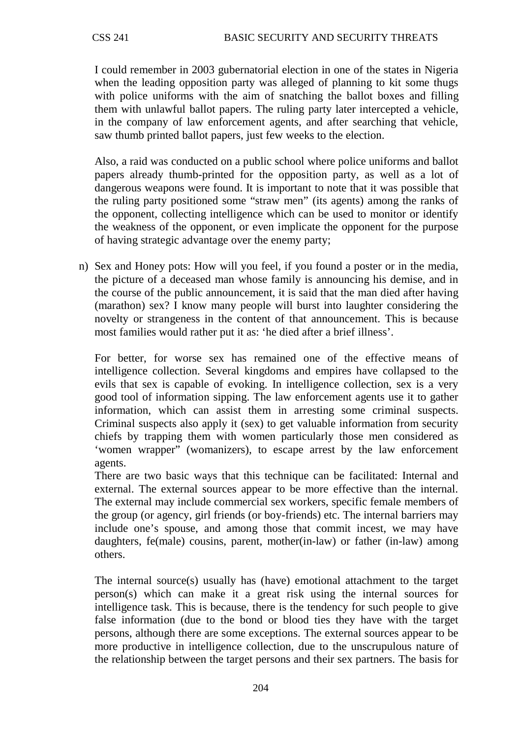I could remember in 2003 gubernatorial election in one of the states in Nigeria when the leading opposition party was alleged of planning to kit some thugs with police uniforms with the aim of snatching the ballot boxes and filling them with unlawful ballot papers. The ruling party later intercepted a vehicle, in the company of law enforcement agents, and after searching that vehicle, saw thumb printed ballot papers, just few weeks to the election.

Also, a raid was conducted on a public school where police uniforms and ballot papers already thumb-printed for the opposition party, as well as a lot of dangerous weapons were found. It is important to note that it was possible that the ruling party positioned some "straw men" (its agents) among the ranks of the opponent, collecting intelligence which can be used to monitor or identify the weakness of the opponent, or even implicate the opponent for the purpose of having strategic advantage over the enemy party;

n) Sex and Honey pots: How will you feel, if you found a poster or in the media, the picture of a deceased man whose family is announcing his demise, and in the course of the public announcement, it is said that the man died after having (marathon) sex? I know many people will burst into laughter considering the novelty or strangeness in the content of that announcement. This is because most families would rather put it as: 'he died after a brief illness'.

For better, for worse sex has remained one of the effective means of intelligence collection. Several kingdoms and empires have collapsed to the evils that sex is capable of evoking. In intelligence collection, sex is a very good tool of information sipping. The law enforcement agents use it to gather information, which can assist them in arresting some criminal suspects. Criminal suspects also apply it (sex) to get valuable information from security chiefs by trapping them with women particularly those men considered as 'women wrapper" (womanizers), to escape arrest by the law enforcement agents.

There are two basic ways that this technique can be facilitated: Internal and external. The external sources appear to be more effective than the internal. The external may include commercial sex workers, specific female members of the group (or agency, girl friends (or boy-friends) etc. The internal barriers may include one's spouse, and among those that commit incest, we may have daughters, fe(male) cousins, parent, mother(in-law) or father (in-law) among others.

The internal source(s) usually has (have) emotional attachment to the target person(s) which can make it a great risk using the internal sources for intelligence task. This is because, there is the tendency for such people to give false information (due to the bond or blood ties they have with the target persons, although there are some exceptions. The external sources appear to be more productive in intelligence collection, due to the unscrupulous nature of the relationship between the target persons and their sex partners. The basis for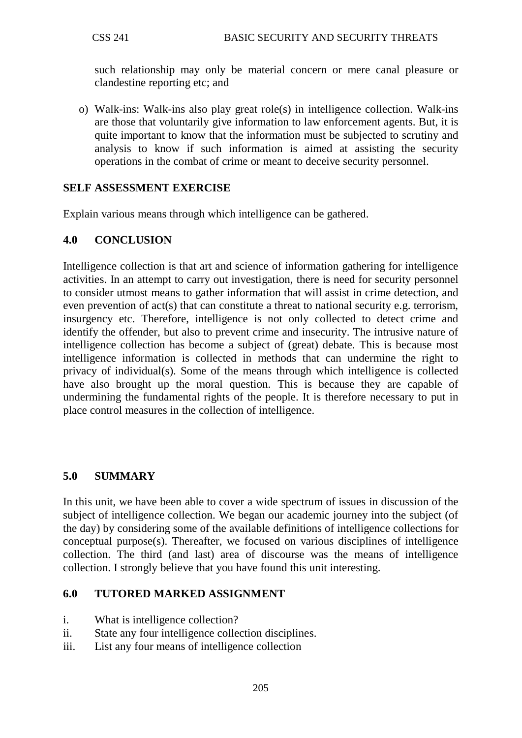such relationship may only be material concern or mere canal pleasure or clandestine reporting etc; and

o) Walk-ins: Walk-ins also play great role(s) in intelligence collection. Walk-ins are those that voluntarily give information to law enforcement agents. But, it is quite important to know that the information must be subjected to scrutiny and analysis to know if such information is aimed at assisting the security operations in the combat of crime or meant to deceive security personnel.

## **SELF ASSESSMENT EXERCISE**

Explain various means through which intelligence can be gathered.

## **4.0 CONCLUSION**

Intelligence collection is that art and science of information gathering for intelligence activities. In an attempt to carry out investigation, there is need for security personnel to consider utmost means to gather information that will assist in crime detection, and even prevention of act(s) that can constitute a threat to national security e.g. terrorism, insurgency etc. Therefore, intelligence is not only collected to detect crime and identify the offender, but also to prevent crime and insecurity. The intrusive nature of intelligence collection has become a subject of (great) debate. This is because most intelligence information is collected in methods that can undermine the right to privacy of individual(s). Some of the means through which intelligence is collected have also brought up the moral question. This is because they are capable of undermining the fundamental rights of the people. It is therefore necessary to put in place control measures in the collection of intelligence.

### **5.0 SUMMARY**

In this unit, we have been able to cover a wide spectrum of issues in discussion of the subject of intelligence collection. We began our academic journey into the subject (of the day) by considering some of the available definitions of intelligence collections for conceptual purpose(s). Thereafter, we focused on various disciplines of intelligence collection. The third (and last) area of discourse was the means of intelligence collection. I strongly believe that you have found this unit interesting.

### **6.0 TUTORED MARKED ASSIGNMENT**

- i. What is intelligence collection?
- ii. State any four intelligence collection disciplines.
- iii. List any four means of intelligence collection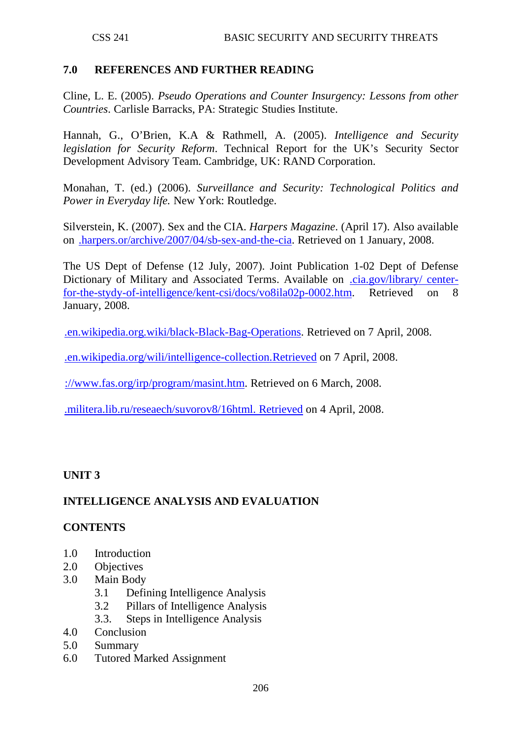## **7.0 REFERENCES AND FURTHER READING**

Cline, L. E. (2005). *Pseudo Operations and Counter Insurgency: Lessons from other Countries*. Carlisle Barracks, PA: Strategic Studies Institute.

Hannah, G., O'Brien, K.A & Rathmell, A. (2005). *Intelligence and Security legislation for Security Reform*. Technical Report for the UK's Security Sector Development Advisory Team. Cambridge, UK: RAND Corporation.

Monahan, T. (ed.) (2006). *Surveillance and Security: Technological Politics and Power in Everyday life.* New York: Routledge.

Silverstein, K. (2007). Sex and the CIA. *Harpers Magazine*. (April 17). Also available on [.harpers.or/archive/2007/04/sb-sex-and-the-cia.](http://www.harpers.or/archive/2007/04/sb-sex-and-the-cia) Retrieved on 1 January, 2008.

The US Dept of Defense (12 July, 2007). Joint Publication 1-02 Dept of Defense Dictionary of Military and Associated Terms. Available on [.cia.gov/library/ center](http://www.cia.gov/library/%20center-for-the-stydy-of-intelligence/kent-csi/docs/vo8ila02p-0002.htm)[for-the-stydy-of-intelligence/kent-csi/docs/vo8ila02p-0002.htm.](http://www.cia.gov/library/%20center-for-the-stydy-of-intelligence/kent-csi/docs/vo8ila02p-0002.htm) Retrieved on 8 January, 2008.

[.en.wikipedia.org.wiki/black-Black-Bag-Operations.](http://www.en.wikipedia.org.wiki/black-Black-Bag-Operations) Retrieved on 7 April, 2008.

[.en.wikipedia.org/wili/intelligence-collection.Retrieved](http://www.en.wikipedia.org/wili/intelligence-collection.Retrieved) on 7 April, 2008.

[://www.fas.org/irp/program/masint.htm.](http://www.fas.org/irp/program/masint.htm) Retrieved on 6 March, 2008.

[.militera.lib.ru/reseaech/suvorov8/16html. Retrieved](http://www.militera.lib.ru/reseaech/suvorov8/16html.%20Retrieved) on 4 April, 2008.

# **UNIT 3**

# **INTELLIGENCE ANALYSIS AND EVALUATION**

### **CONTENTS**

- 1.0 Introduction
- 2.0 Objectives
- 3.0 Main Body
	- 3.1 Defining Intelligence Analysis
	- 3.2 Pillars of Intelligence Analysis
	- 3.3. Steps in Intelligence Analysis
- 4.0 Conclusion
- 5.0 Summary
- 6.0 Tutored Marked Assignment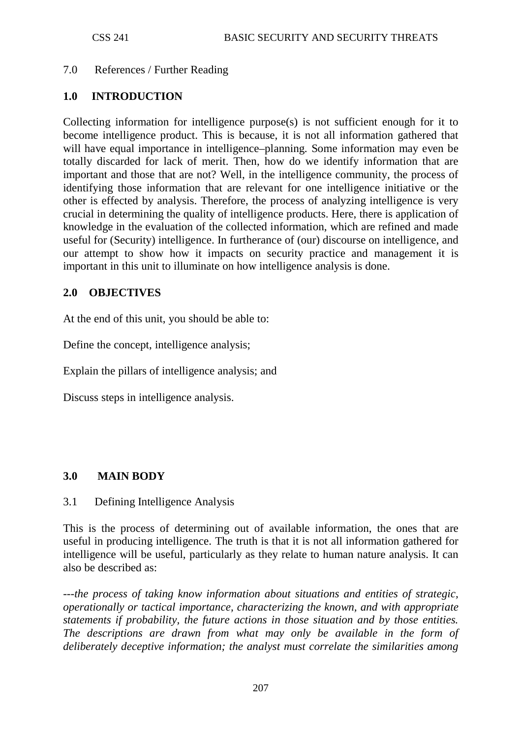### 7.0 References / Further Reading

#### **1.0 INTRODUCTION**

Collecting information for intelligence purpose(s) is not sufficient enough for it to become intelligence product. This is because, it is not all information gathered that will have equal importance in intelligence–planning. Some information may even be totally discarded for lack of merit. Then, how do we identify information that are important and those that are not? Well, in the intelligence community, the process of identifying those information that are relevant for one intelligence initiative or the other is effected by analysis. Therefore, the process of analyzing intelligence is very crucial in determining the quality of intelligence products. Here, there is application of knowledge in the evaluation of the collected information, which are refined and made useful for (Security) intelligence. In furtherance of (our) discourse on intelligence, and our attempt to show how it impacts on security practice and management it is important in this unit to illuminate on how intelligence analysis is done.

### **2.0 OBJECTIVES**

At the end of this unit, you should be able to:

Define the concept, intelligence analysis;

Explain the pillars of intelligence analysis; and

Discuss steps in intelligence analysis.

### **3.0 MAIN BODY**

#### 3.1 Defining Intelligence Analysis

This is the process of determining out of available information, the ones that are useful in producing intelligence. The truth is that it is not all information gathered for intelligence will be useful, particularly as they relate to human nature analysis. It can also be described as:

*---the process of taking know information about situations and entities of strategic, operationally or tactical importance, characterizing the known, and with appropriate statements if probability, the future actions in those situation and by those entities. The descriptions are drawn from what may only be available in the form of deliberately deceptive information; the analyst must correlate the similarities among*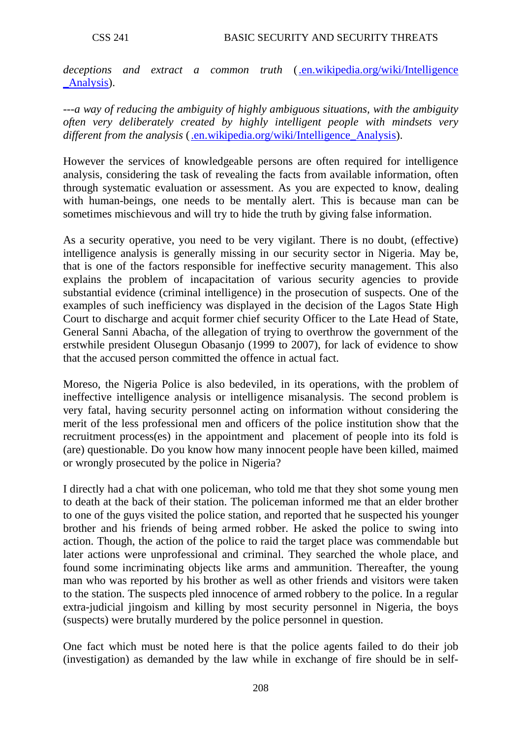*deceptions and extract a common truth* [\(.en.wikipedia.org/wiki/Intelligence](http://www.en.wikipedia.org/wiki/Intelligence%20_Analysis)  [\\_Analysis\)](http://www.en.wikipedia.org/wiki/Intelligence%20_Analysis).

*---a way of reducing the ambiguity of highly ambiguous situations, with the ambiguity often very deliberately created by highly intelligent people with mindsets very different from the analysis* (.en.wikipedia.org/wiki/Intelligence Analysis).

However the services of knowledgeable persons are often required for intelligence analysis, considering the task of revealing the facts from available information, often through systematic evaluation or assessment. As you are expected to know, dealing with human-beings, one needs to be mentally alert. This is because man can be sometimes mischievous and will try to hide the truth by giving false information.

As a security operative, you need to be very vigilant. There is no doubt, (effective) intelligence analysis is generally missing in our security sector in Nigeria. May be, that is one of the factors responsible for ineffective security management. This also explains the problem of incapacitation of various security agencies to provide substantial evidence (criminal intelligence) in the prosecution of suspects. One of the examples of such inefficiency was displayed in the decision of the Lagos State High Court to discharge and acquit former chief security Officer to the Late Head of State, General Sanni Abacha, of the allegation of trying to overthrow the government of the erstwhile president Olusegun Obasanjo (1999 to 2007), for lack of evidence to show that the accused person committed the offence in actual fact.

Moreso, the Nigeria Police is also bedeviled, in its operations, with the problem of ineffective intelligence analysis or intelligence misanalysis. The second problem is very fatal, having security personnel acting on information without considering the merit of the less professional men and officers of the police institution show that the recruitment process(es) in the appointment and placement of people into its fold is (are) questionable. Do you know how many innocent people have been killed, maimed or wrongly prosecuted by the police in Nigeria?

I directly had a chat with one policeman, who told me that they shot some young men to death at the back of their station. The policeman informed me that an elder brother to one of the guys visited the police station, and reported that he suspected his younger brother and his friends of being armed robber. He asked the police to swing into action. Though, the action of the police to raid the target place was commendable but later actions were unprofessional and criminal. They searched the whole place, and found some incriminating objects like arms and ammunition. Thereafter, the young man who was reported by his brother as well as other friends and visitors were taken to the station. The suspects pled innocence of armed robbery to the police. In a regular extra-judicial jingoism and killing by most security personnel in Nigeria, the boys (suspects) were brutally murdered by the police personnel in question.

One fact which must be noted here is that the police agents failed to do their job (investigation) as demanded by the law while in exchange of fire should be in self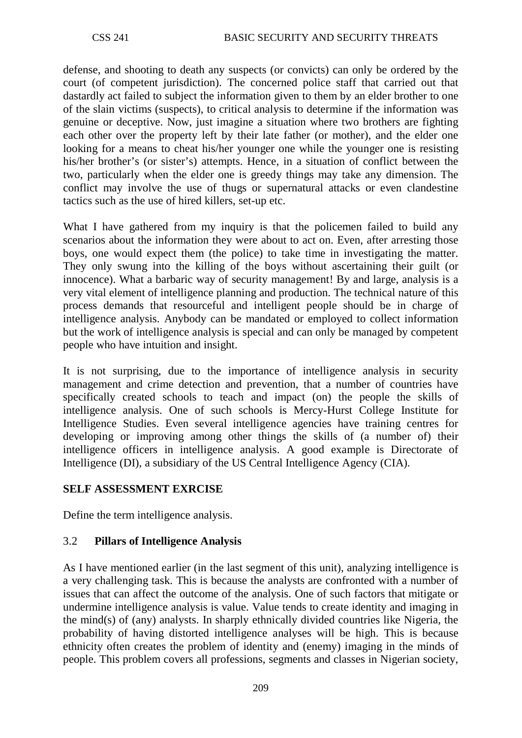defense, and shooting to death any suspects (or convicts) can only be ordered by the court (of competent jurisdiction). The concerned police staff that carried out that dastardly act failed to subject the information given to them by an elder brother to one of the slain victims (suspects), to critical analysis to determine if the information was genuine or deceptive. Now, just imagine a situation where two brothers are fighting each other over the property left by their late father (or mother), and the elder one looking for a means to cheat his/her younger one while the younger one is resisting his/her brother's (or sister's) attempts. Hence, in a situation of conflict between the two, particularly when the elder one is greedy things may take any dimension. The conflict may involve the use of thugs or supernatural attacks or even clandestine tactics such as the use of hired killers, set-up etc.

What I have gathered from my inquiry is that the policemen failed to build any scenarios about the information they were about to act on. Even, after arresting those boys, one would expect them (the police) to take time in investigating the matter. They only swung into the killing of the boys without ascertaining their guilt (or innocence). What a barbaric way of security management! By and large, analysis is a very vital element of intelligence planning and production. The technical nature of this process demands that resourceful and intelligent people should be in charge of intelligence analysis. Anybody can be mandated or employed to collect information but the work of intelligence analysis is special and can only be managed by competent people who have intuition and insight.

It is not surprising, due to the importance of intelligence analysis in security management and crime detection and prevention, that a number of countries have specifically created schools to teach and impact (on) the people the skills of intelligence analysis. One of such schools is Mercy-Hurst College Institute for Intelligence Studies. Even several intelligence agencies have training centres for developing or improving among other things the skills of (a number of) their intelligence officers in intelligence analysis. A good example is Directorate of Intelligence (DI), a subsidiary of the US Central Intelligence Agency (CIA).

# **SELF ASSESSMENT EXRCISE**

Define the term intelligence analysis.

# 3.2 **Pillars of Intelligence Analysis**

As I have mentioned earlier (in the last segment of this unit), analyzing intelligence is a very challenging task. This is because the analysts are confronted with a number of issues that can affect the outcome of the analysis. One of such factors that mitigate or undermine intelligence analysis is value. Value tends to create identity and imaging in the mind(s) of (any) analysts. In sharply ethnically divided countries like Nigeria, the probability of having distorted intelligence analyses will be high. This is because ethnicity often creates the problem of identity and (enemy) imaging in the minds of people. This problem covers all professions, segments and classes in Nigerian society,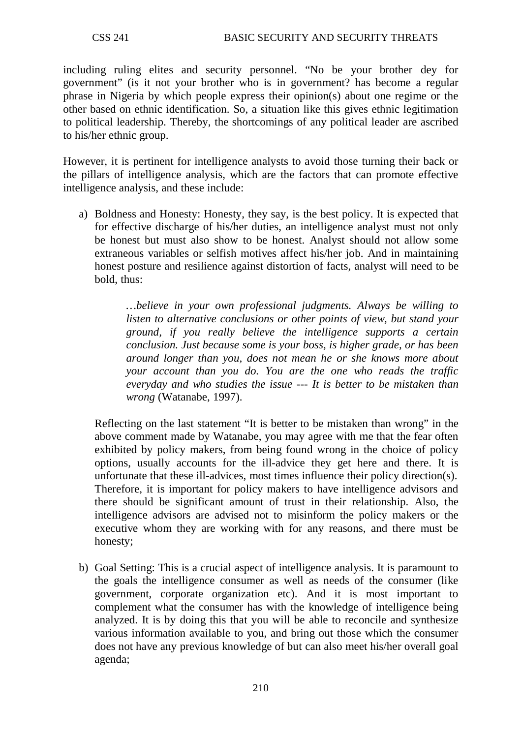including ruling elites and security personnel. "No be your brother dey for government" (is it not your brother who is in government? has become a regular phrase in Nigeria by which people express their opinion(s) about one regime or the other based on ethnic identification. So, a situation like this gives ethnic legitimation to political leadership. Thereby, the shortcomings of any political leader are ascribed to his/her ethnic group.

However, it is pertinent for intelligence analysts to avoid those turning their back or the pillars of intelligence analysis, which are the factors that can promote effective intelligence analysis, and these include:

a) Boldness and Honesty: Honesty, they say, is the best policy. It is expected that for effective discharge of his/her duties, an intelligence analyst must not only be honest but must also show to be honest. Analyst should not allow some extraneous variables or selfish motives affect his/her job. And in maintaining honest posture and resilience against distortion of facts, analyst will need to be bold, thus:

> *…believe in your own professional judgments. Always be willing to listen to alternative conclusions or other points of view, but stand your ground, if you really believe the intelligence supports a certain conclusion. Just because some is your boss, is higher grade, or has been around longer than you, does not mean he or she knows more about your account than you do. You are the one who reads the traffic everyday and who studies the issue --- It is better to be mistaken than wrong* (Watanabe, 1997).

Reflecting on the last statement "It is better to be mistaken than wrong" in the above comment made by Watanabe, you may agree with me that the fear often exhibited by policy makers, from being found wrong in the choice of policy options, usually accounts for the ill-advice they get here and there. It is unfortunate that these ill-advices, most times influence their policy direction(s). Therefore, it is important for policy makers to have intelligence advisors and there should be significant amount of trust in their relationship. Also, the intelligence advisors are advised not to misinform the policy makers or the executive whom they are working with for any reasons, and there must be honesty;

b) Goal Setting: This is a crucial aspect of intelligence analysis. It is paramount to the goals the intelligence consumer as well as needs of the consumer (like government, corporate organization etc). And it is most important to complement what the consumer has with the knowledge of intelligence being analyzed. It is by doing this that you will be able to reconcile and synthesize various information available to you, and bring out those which the consumer does not have any previous knowledge of but can also meet his/her overall goal agenda;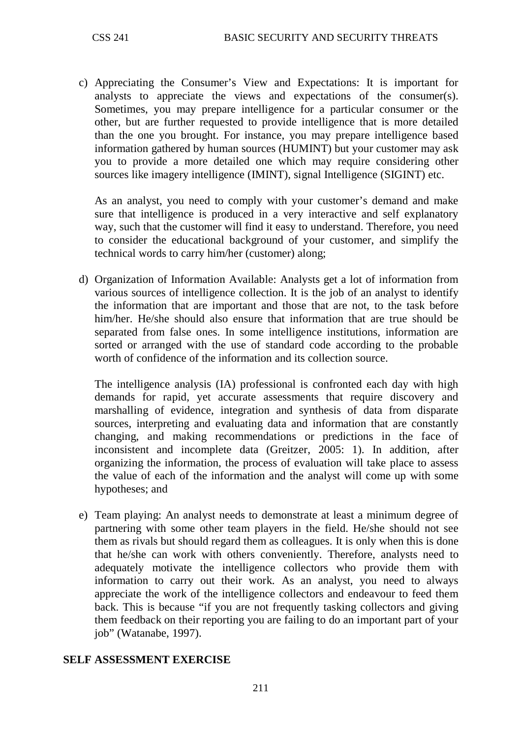c) Appreciating the Consumer's View and Expectations: It is important for analysts to appreciate the views and expectations of the consumer(s). Sometimes, you may prepare intelligence for a particular consumer or the other, but are further requested to provide intelligence that is more detailed than the one you brought. For instance, you may prepare intelligence based information gathered by human sources (HUMINT) but your customer may ask you to provide a more detailed one which may require considering other sources like imagery intelligence (IMINT), signal Intelligence (SIGINT) etc.

As an analyst, you need to comply with your customer's demand and make sure that intelligence is produced in a very interactive and self explanatory way, such that the customer will find it easy to understand. Therefore, you need to consider the educational background of your customer, and simplify the technical words to carry him/her (customer) along;

d) Organization of Information Available: Analysts get a lot of information from various sources of intelligence collection. It is the job of an analyst to identify the information that are important and those that are not, to the task before him/her. He/she should also ensure that information that are true should be separated from false ones. In some intelligence institutions, information are sorted or arranged with the use of standard code according to the probable worth of confidence of the information and its collection source.

The intelligence analysis (IA) professional is confronted each day with high demands for rapid, yet accurate assessments that require discovery and marshalling of evidence, integration and synthesis of data from disparate sources, interpreting and evaluating data and information that are constantly changing, and making recommendations or predictions in the face of inconsistent and incomplete data (Greitzer, 2005: 1). In addition, after organizing the information, the process of evaluation will take place to assess the value of each of the information and the analyst will come up with some hypotheses; and

e) Team playing: An analyst needs to demonstrate at least a minimum degree of partnering with some other team players in the field. He/she should not see them as rivals but should regard them as colleagues. It is only when this is done that he/she can work with others conveniently. Therefore, analysts need to adequately motivate the intelligence collectors who provide them with information to carry out their work. As an analyst, you need to always appreciate the work of the intelligence collectors and endeavour to feed them back. This is because "if you are not frequently tasking collectors and giving them feedback on their reporting you are failing to do an important part of your job" (Watanabe, 1997).

### **SELF ASSESSMENT EXERCISE**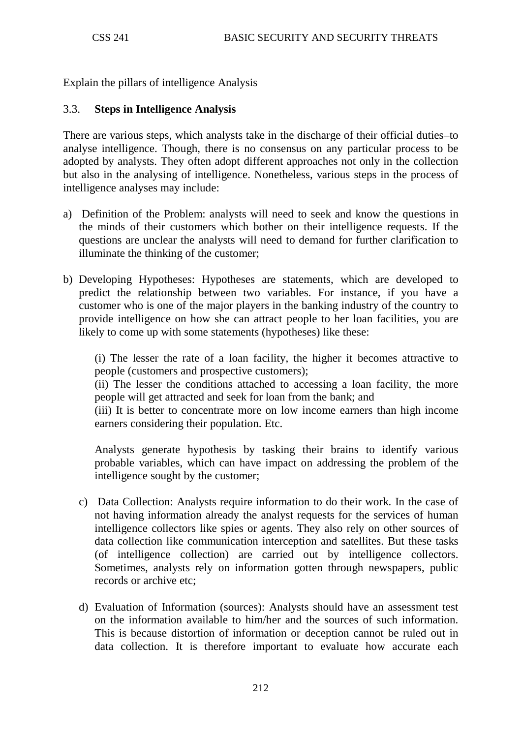Explain the pillars of intelligence Analysis

### 3.3. **Steps in Intelligence Analysis**

There are various steps, which analysts take in the discharge of their official duties–to analyse intelligence. Though, there is no consensus on any particular process to be adopted by analysts. They often adopt different approaches not only in the collection but also in the analysing of intelligence. Nonetheless, various steps in the process of intelligence analyses may include:

- a) Definition of the Problem: analysts will need to seek and know the questions in the minds of their customers which bother on their intelligence requests. If the questions are unclear the analysts will need to demand for further clarification to illuminate the thinking of the customer;
- b) Developing Hypotheses: Hypotheses are statements, which are developed to predict the relationship between two variables. For instance, if you have a customer who is one of the major players in the banking industry of the country to provide intelligence on how she can attract people to her loan facilities, you are likely to come up with some statements (hypotheses) like these:

(i) The lesser the rate of a loan facility, the higher it becomes attractive to people (customers and prospective customers);

(ii) The lesser the conditions attached to accessing a loan facility, the more people will get attracted and seek for loan from the bank; and

(iii) It is better to concentrate more on low income earners than high income earners considering their population. Etc.

Analysts generate hypothesis by tasking their brains to identify various probable variables, which can have impact on addressing the problem of the intelligence sought by the customer;

- c) Data Collection: Analysts require information to do their work. In the case of not having information already the analyst requests for the services of human intelligence collectors like spies or agents. They also rely on other sources of data collection like communication interception and satellites. But these tasks (of intelligence collection) are carried out by intelligence collectors. Sometimes, analysts rely on information gotten through newspapers, public records or archive etc;
- d) Evaluation of Information (sources): Analysts should have an assessment test on the information available to him/her and the sources of such information. This is because distortion of information or deception cannot be ruled out in data collection. It is therefore important to evaluate how accurate each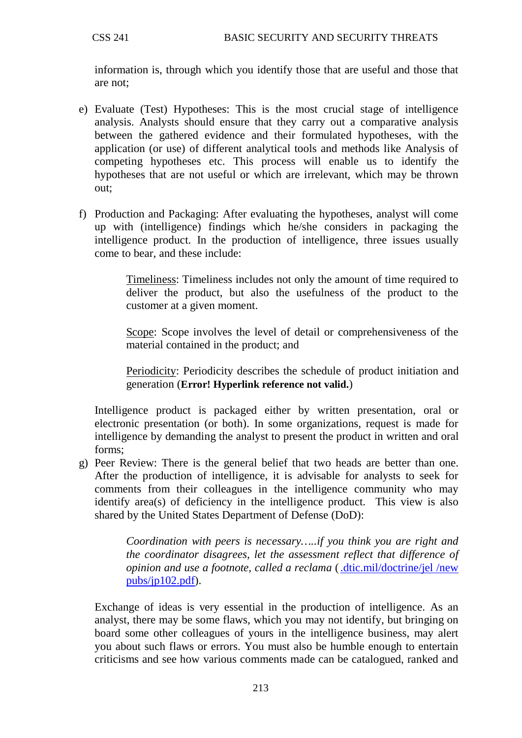information is, through which you identify those that are useful and those that are not;

- e) Evaluate (Test) Hypotheses: This is the most crucial stage of intelligence analysis. Analysts should ensure that they carry out a comparative analysis between the gathered evidence and their formulated hypotheses, with the application (or use) of different analytical tools and methods like Analysis of competing hypotheses etc. This process will enable us to identify the hypotheses that are not useful or which are irrelevant, which may be thrown out;
- f) Production and Packaging: After evaluating the hypotheses, analyst will come up with (intelligence) findings which he/she considers in packaging the intelligence product. In the production of intelligence, three issues usually come to bear, and these include:

Timeliness: Timeliness includes not only the amount of time required to deliver the product, but also the usefulness of the product to the customer at a given moment.

Scope: Scope involves the level of detail or comprehensiveness of the material contained in the product; and

Periodicity: Periodicity describes the schedule of product initiation and generation (**Error! Hyperlink reference not valid.**)

Intelligence product is packaged either by written presentation, oral or electronic presentation (or both). In some organizations, request is made for intelligence by demanding the analyst to present the product in written and oral forms;

g) Peer Review: There is the general belief that two heads are better than one. After the production of intelligence, it is advisable for analysts to seek for comments from their colleagues in the intelligence community who may identify area(s) of deficiency in the intelligence product. This view is also shared by the United States Department of Defense (DoD):

> *Coordination with peers is necessary…..if you think you are right and the coordinator disagrees, let the assessment reflect that difference of opinion and use a footnote, called a reclama* [\(.dtic.mil/doctrine/jel /new](http://www.dtic.mil/doctrine/jel%20/new%20pubs/jp102.pdf)  [pubs/jp102.pdf\)](http://www.dtic.mil/doctrine/jel%20/new%20pubs/jp102.pdf).

Exchange of ideas is very essential in the production of intelligence. As an analyst, there may be some flaws, which you may not identify, but bringing on board some other colleagues of yours in the intelligence business, may alert you about such flaws or errors. You must also be humble enough to entertain criticisms and see how various comments made can be catalogued, ranked and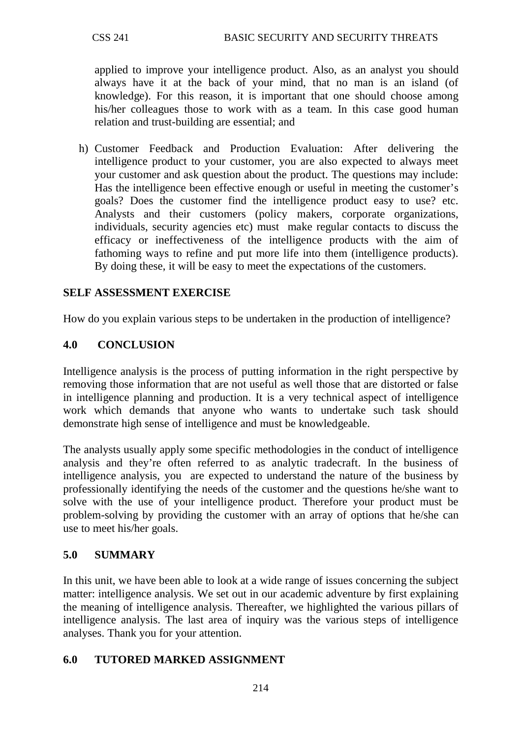applied to improve your intelligence product. Also, as an analyst you should always have it at the back of your mind, that no man is an island (of knowledge). For this reason, it is important that one should choose among his/her colleagues those to work with as a team. In this case good human relation and trust-building are essential; and

h) Customer Feedback and Production Evaluation: After delivering the intelligence product to your customer, you are also expected to always meet your customer and ask question about the product. The questions may include: Has the intelligence been effective enough or useful in meeting the customer's goals? Does the customer find the intelligence product easy to use? etc. Analysts and their customers (policy makers, corporate organizations, individuals, security agencies etc) must make regular contacts to discuss the efficacy or ineffectiveness of the intelligence products with the aim of fathoming ways to refine and put more life into them (intelligence products). By doing these, it will be easy to meet the expectations of the customers.

# **SELF ASSESSMENT EXERCISE**

How do you explain various steps to be undertaken in the production of intelligence?

### **4.0 CONCLUSION**

Intelligence analysis is the process of putting information in the right perspective by removing those information that are not useful as well those that are distorted or false in intelligence planning and production. It is a very technical aspect of intelligence work which demands that anyone who wants to undertake such task should demonstrate high sense of intelligence and must be knowledgeable.

The analysts usually apply some specific methodologies in the conduct of intelligence analysis and they're often referred to as analytic tradecraft. In the business of intelligence analysis, you are expected to understand the nature of the business by professionally identifying the needs of the customer and the questions he/she want to solve with the use of your intelligence product. Therefore your product must be problem-solving by providing the customer with an array of options that he/she can use to meet his/her goals.

#### **5.0 SUMMARY**

In this unit, we have been able to look at a wide range of issues concerning the subject matter: intelligence analysis. We set out in our academic adventure by first explaining the meaning of intelligence analysis. Thereafter, we highlighted the various pillars of intelligence analysis. The last area of inquiry was the various steps of intelligence analyses. Thank you for your attention.

### **6.0 TUTORED MARKED ASSIGNMENT**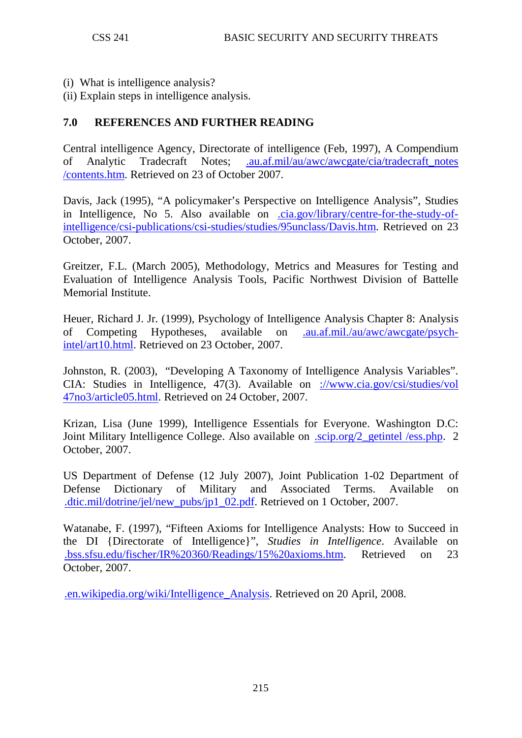- (i) What is intelligence analysis?
- (ii) Explain steps in intelligence analysis.

# **7.0 REFERENCES AND FURTHER READING**

Central intelligence Agency, Directorate of intelligence (Feb, 1997), A Compendium of Analytic Tradecraft Notes; [.au.af.mil/au/awc/awcgate/cia/tradecraft\\_notes](http://www.au.af.mil/au/awc/awcgate/cia/tradecraft_notes%20/contents.htm)  [/contents.htm.](http://www.au.af.mil/au/awc/awcgate/cia/tradecraft_notes%20/contents.htm) Retrieved on 23 of October 2007.

Davis, Jack (1995), "A policymaker's Perspective on Intelligence Analysis", Studies in Intelligence, No 5. Also available on [.cia.gov/library/centre-for-the-study-of](http://www.cia.gov/library/centre-for-the-study-of-intelligence/csi-publications/csi-studies/studies/95unclass/Davis.htm)[intelligence/csi-publications/csi-studies/studies/95unclass/Davis.htm.](http://www.cia.gov/library/centre-for-the-study-of-intelligence/csi-publications/csi-studies/studies/95unclass/Davis.htm) Retrieved on 23 October, 2007.

Greitzer, F.L. (March 2005), Methodology, Metrics and Measures for Testing and Evaluation of Intelligence Analysis Tools, Pacific Northwest Division of Battelle Memorial Institute.

Heuer, Richard J. Jr. (1999), Psychology of Intelligence Analysis Chapter 8: Analysis of Competing Hypotheses, available on [.au.af.mil./au/awc/awcgate/psych](http://www.au.af.mil./au/awc/awcgate/psych-intel/art10.html)[intel/art10.html.](http://www.au.af.mil./au/awc/awcgate/psych-intel/art10.html) Retrieved on 23 October, 2007.

Johnston, R. (2003), "Developing A Taxonomy of Intelligence Analysis Variables". CIA: Studies in Intelligence, 47(3). Available on [://www.cia.gov/csi/studies/vol](http://www.cia.gov/csi/studies/vol%2047no3/article05.html)  [47no3/article05.html.](http://www.cia.gov/csi/studies/vol%2047no3/article05.html) Retrieved on 24 October, 2007.

Krizan, Lisa (June 1999), Intelligence Essentials for Everyone. Washington D.C: Joint Military Intelligence College. Also available on .scip.org/2 getintel /ess.php. 2 October, 2007.

US Department of Defense (12 July 2007), Joint Publication 1-02 Department of Defense Dictionary of Military and Associated Terms. Available on [.dtic.mil/dotrine/jel/new\\_pubs/jp1\\_02.pdf.](http://www.dtic.mil/dotrine/jel/new_pubs/jp1_02.pdf) Retrieved on 1 October, 2007.

Watanabe, F. (1997), "Fifteen Axioms for Intelligence Analysts: How to Succeed in the DI {Directorate of Intelligence}", *Studies in Intelligence*. Available on [.bss.sfsu.edu/fischer/IR%20360/Readings/15%20axioms.htm.](http://www.bss.sfsu.edu/fischer/IR%20360/Readings/15%20axioms.htm) Retrieved on 23 October, 2007.

[.en.wikipedia.org/wiki/Intelligence\\_Analysis.](http://www.en.wikipedia.org/wiki/Intelligence_Analysis) Retrieved on 20 April, 2008.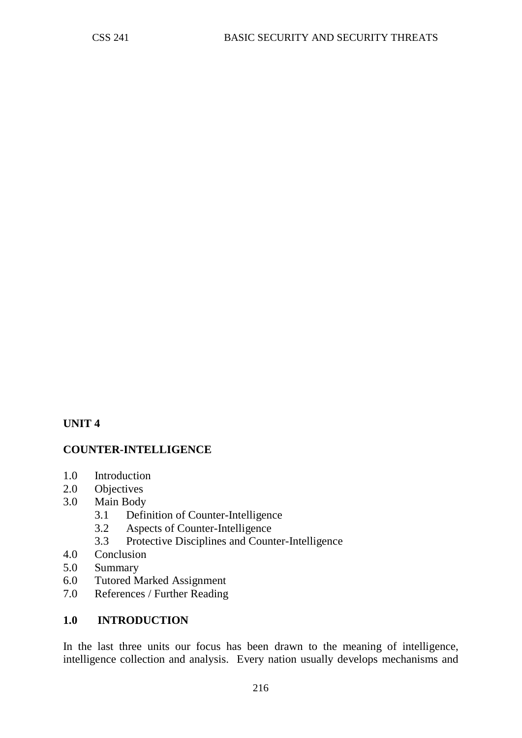# **UNIT 4**

### **COUNTER-INTELLIGENCE**

- 1.0 Introduction
- 2.0 Objectives
- 3.0 Main Body
	- 3.1 Definition of Counter-Intelligence
	- 3.2 Aspects of Counter-Intelligence
	- 3.3 Protective Disciplines and Counter-Intelligence
- 4.0 Conclusion
- 5.0 Summary
- 6.0 Tutored Marked Assignment
- 7.0 References / Further Reading

## **1.0 INTRODUCTION**

In the last three units our focus has been drawn to the meaning of intelligence, intelligence collection and analysis. Every nation usually develops mechanisms and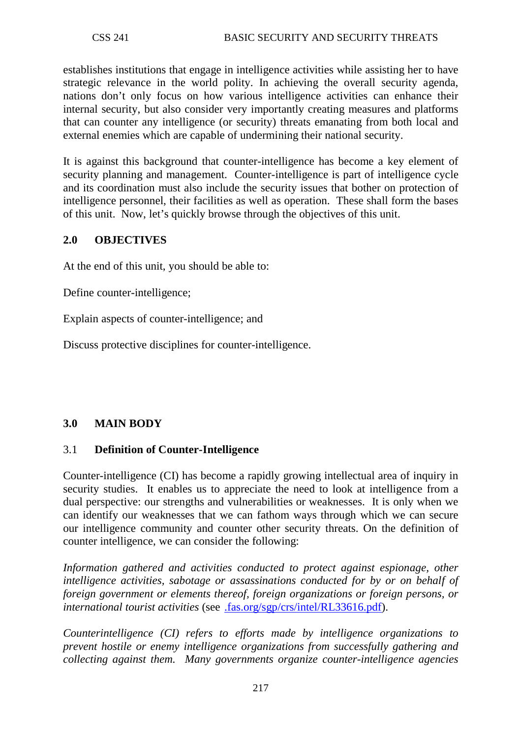establishes institutions that engage in intelligence activities while assisting her to have strategic relevance in the world polity. In achieving the overall security agenda, nations don't only focus on how various intelligence activities can enhance their internal security, but also consider very importantly creating measures and platforms that can counter any intelligence (or security) threats emanating from both local and external enemies which are capable of undermining their national security.

It is against this background that counter-intelligence has become a key element of security planning and management. Counter-intelligence is part of intelligence cycle and its coordination must also include the security issues that bother on protection of intelligence personnel, their facilities as well as operation. These shall form the bases of this unit. Now, let's quickly browse through the objectives of this unit.

## **2.0 OBJECTIVES**

At the end of this unit, you should be able to:

Define counter-intelligence;

Explain aspects of counter-intelligence; and

Discuss protective disciplines for counter-intelligence.

### **3.0 MAIN BODY**

### 3.1 **Definition of Counter-Intelligence**

Counter-intelligence (CI) has become a rapidly growing intellectual area of inquiry in security studies. It enables us to appreciate the need to look at intelligence from a dual perspective: our strengths and vulnerabilities or weaknesses. It is only when we can identify our weaknesses that we can fathom ways through which we can secure our intelligence community and counter other security threats. On the definition of counter intelligence, we can consider the following:

*Information gathered and activities conducted to protect against espionage, other intelligence activities, sabotage or assassinations conducted for by or on behalf of foreign government or elements thereof, foreign organizations or foreign persons, or international tourist activities* (see [.fas.org/sgp/crs/intel/RL33616.pdf\)](http://www.fas.org/sgp/crs/intel/RL33616.pdf).

*Counterintelligence (CI) refers to efforts made by intelligence organizations to prevent hostile or enemy intelligence organizations from successfully gathering and collecting against them. Many governments organize counter-intelligence agencies*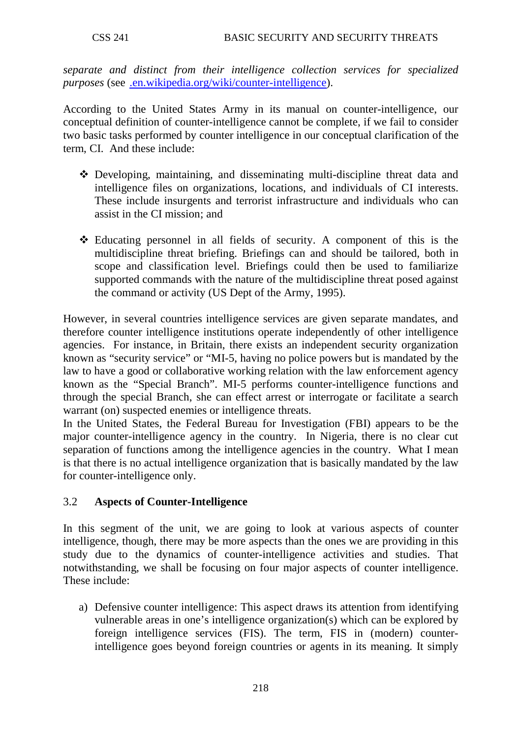*separate and distinct from their intelligence collection services for specialized purposes* (see [.en.wikipedia.org/wiki/counter-intelligence\)](http://www.en.wikipedia.org/wiki/counter-intelligence).

According to the United States Army in its manual on counter-intelligence, our conceptual definition of counter-intelligence cannot be complete, if we fail to consider two basic tasks performed by counter intelligence in our conceptual clarification of the term, CI. And these include:

- Developing, maintaining, and disseminating multi-discipline threat data and intelligence files on organizations, locations, and individuals of CI interests. These include insurgents and terrorist infrastructure and individuals who can assist in the CI mission; and
- Educating personnel in all fields of security. A component of this is the multidiscipline threat briefing. Briefings can and should be tailored, both in scope and classification level. Briefings could then be used to familiarize supported commands with the nature of the multidiscipline threat posed against the command or activity (US Dept of the Army, 1995).

However, in several countries intelligence services are given separate mandates, and therefore counter intelligence institutions operate independently of other intelligence agencies. For instance, in Britain, there exists an independent security organization known as "security service" or "MI-5, having no police powers but is mandated by the law to have a good or collaborative working relation with the law enforcement agency known as the "Special Branch". MI-5 performs counter-intelligence functions and through the special Branch, she can effect arrest or interrogate or facilitate a search warrant (on) suspected enemies or intelligence threats.

In the United States, the Federal Bureau for Investigation (FBI) appears to be the major counter-intelligence agency in the country. In Nigeria, there is no clear cut separation of functions among the intelligence agencies in the country. What I mean is that there is no actual intelligence organization that is basically mandated by the law for counter-intelligence only.

# 3.2 **Aspects of Counter-Intelligence**

In this segment of the unit, we are going to look at various aspects of counter intelligence, though, there may be more aspects than the ones we are providing in this study due to the dynamics of counter-intelligence activities and studies. That notwithstanding, we shall be focusing on four major aspects of counter intelligence. These include:

a) Defensive counter intelligence: This aspect draws its attention from identifying vulnerable areas in one's intelligence organization(s) which can be explored by foreign intelligence services (FIS). The term, FIS in (modern) counterintelligence goes beyond foreign countries or agents in its meaning. It simply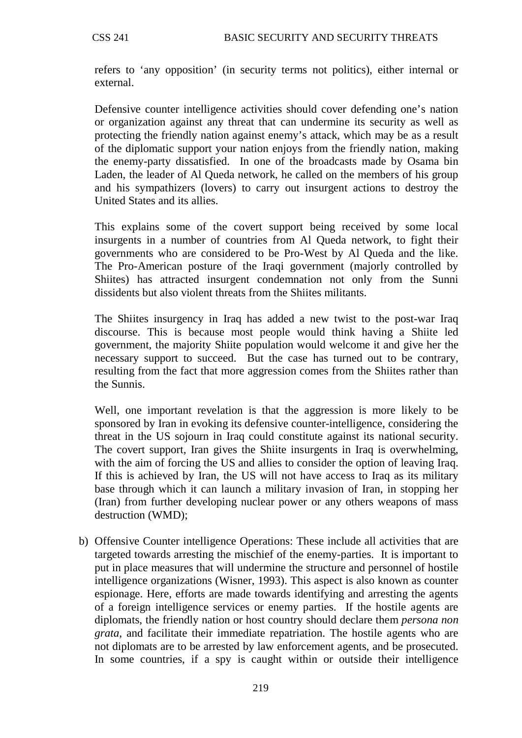refers to 'any opposition' (in security terms not politics), either internal or external.

Defensive counter intelligence activities should cover defending one's nation or organization against any threat that can undermine its security as well as protecting the friendly nation against enemy's attack, which may be as a result of the diplomatic support your nation enjoys from the friendly nation, making the enemy-party dissatisfied. In one of the broadcasts made by Osama bin Laden, the leader of Al Queda network, he called on the members of his group and his sympathizers (lovers) to carry out insurgent actions to destroy the United States and its allies.

This explains some of the covert support being received by some local insurgents in a number of countries from Al Queda network, to fight their governments who are considered to be Pro-West by Al Queda and the like. The Pro-American posture of the Iraqi government (majorly controlled by Shiites) has attracted insurgent condemnation not only from the Sunni dissidents but also violent threats from the Shiites militants.

The Shiites insurgency in Iraq has added a new twist to the post-war Iraq discourse. This is because most people would think having a Shiite led government, the majority Shiite population would welcome it and give her the necessary support to succeed. But the case has turned out to be contrary, resulting from the fact that more aggression comes from the Shiites rather than the Sunnis.

Well, one important revelation is that the aggression is more likely to be sponsored by Iran in evoking its defensive counter-intelligence, considering the threat in the US sojourn in Iraq could constitute against its national security. The covert support, Iran gives the Shiite insurgents in Iraq is overwhelming, with the aim of forcing the US and allies to consider the option of leaving Iraq. If this is achieved by Iran, the US will not have access to Iraq as its military base through which it can launch a military invasion of Iran, in stopping her (Iran) from further developing nuclear power or any others weapons of mass destruction (WMD);

b) Offensive Counter intelligence Operations: These include all activities that are targeted towards arresting the mischief of the enemy-parties. It is important to put in place measures that will undermine the structure and personnel of hostile intelligence organizations (Wisner, 1993). This aspect is also known as counter espionage. Here, efforts are made towards identifying and arresting the agents of a foreign intelligence services or enemy parties. If the hostile agents are diplomats, the friendly nation or host country should declare them *persona non grata*, and facilitate their immediate repatriation. The hostile agents who are not diplomats are to be arrested by law enforcement agents, and be prosecuted. In some countries, if a spy is caught within or outside their intelligence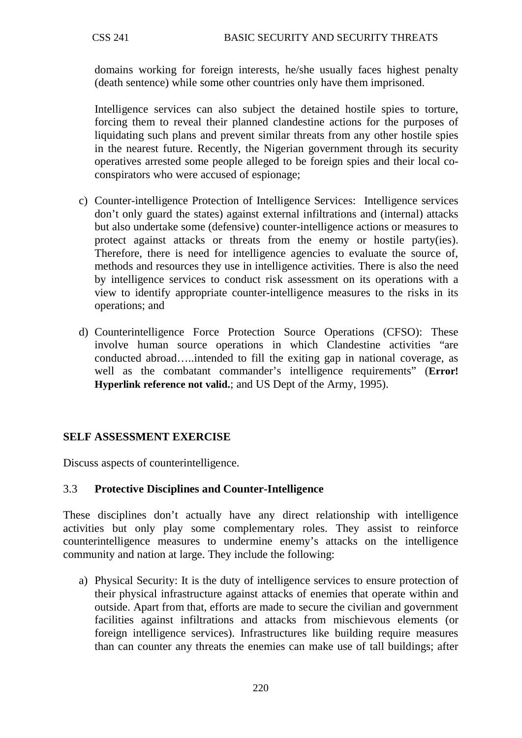domains working for foreign interests, he/she usually faces highest penalty (death sentence) while some other countries only have them imprisoned.

Intelligence services can also subject the detained hostile spies to torture, forcing them to reveal their planned clandestine actions for the purposes of liquidating such plans and prevent similar threats from any other hostile spies in the nearest future. Recently, the Nigerian government through its security operatives arrested some people alleged to be foreign spies and their local coconspirators who were accused of espionage;

- c) Counter-intelligence Protection of Intelligence Services: Intelligence services don't only guard the states) against external infiltrations and (internal) attacks but also undertake some (defensive) counter-intelligence actions or measures to protect against attacks or threats from the enemy or hostile party(ies). Therefore, there is need for intelligence agencies to evaluate the source of, methods and resources they use in intelligence activities. There is also the need by intelligence services to conduct risk assessment on its operations with a view to identify appropriate counter-intelligence measures to the risks in its operations; and
- d) Counterintelligence Force Protection Source Operations (CFSO): These involve human source operations in which Clandestine activities "are conducted abroad…..intended to fill the exiting gap in national coverage, as well as the combatant commander's intelligence requirements" (**Error! Hyperlink reference not valid.**; and US Dept of the Army, 1995).

# **SELF ASSESSMENT EXERCISE**

Discuss aspects of counterintelligence.

# 3.3 **Protective Disciplines and Counter-Intelligence**

These disciplines don't actually have any direct relationship with intelligence activities but only play some complementary roles. They assist to reinforce counterintelligence measures to undermine enemy's attacks on the intelligence community and nation at large. They include the following:

a) Physical Security: It is the duty of intelligence services to ensure protection of their physical infrastructure against attacks of enemies that operate within and outside. Apart from that, efforts are made to secure the civilian and government facilities against infiltrations and attacks from mischievous elements (or foreign intelligence services). Infrastructures like building require measures than can counter any threats the enemies can make use of tall buildings; after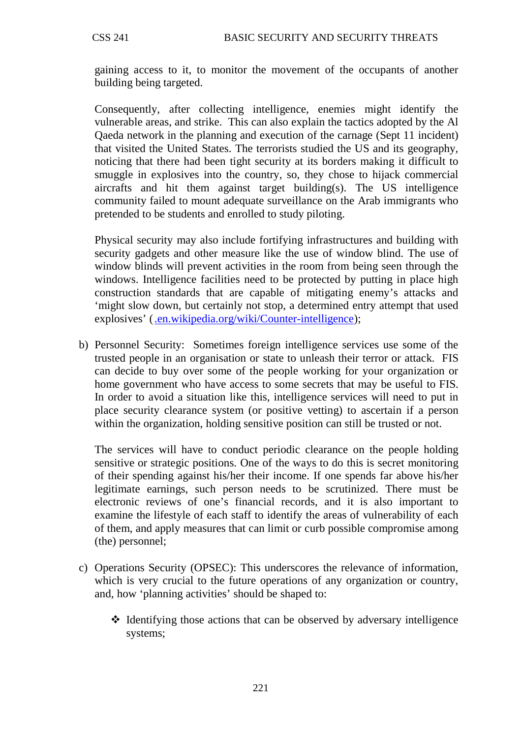gaining access to it, to monitor the movement of the occupants of another building being targeted.

Consequently, after collecting intelligence, enemies might identify the vulnerable areas, and strike. This can also explain the tactics adopted by the Al Qaeda network in the planning and execution of the carnage (Sept 11 incident) that visited the United States. The terrorists studied the US and its geography, noticing that there had been tight security at its borders making it difficult to smuggle in explosives into the country, so, they chose to hijack commercial aircrafts and hit them against target building(s). The US intelligence community failed to mount adequate surveillance on the Arab immigrants who pretended to be students and enrolled to study piloting.

Physical security may also include fortifying infrastructures and building with security gadgets and other measure like the use of window blind. The use of window blinds will prevent activities in the room from being seen through the windows. Intelligence facilities need to be protected by putting in place high construction standards that are capable of mitigating enemy's attacks and 'might slow down, but certainly not stop, a determined entry attempt that used explosives' [\(.en.wikipedia.org/wiki/Counter-intelligence\)](http://www.en.wikipedia.org/wiki/Counter-intelligence):

b) Personnel Security: Sometimes foreign intelligence services use some of the trusted people in an organisation or state to unleash their terror or attack. FIS can decide to buy over some of the people working for your organization or home government who have access to some secrets that may be useful to FIS. In order to avoid a situation like this, intelligence services will need to put in place security clearance system (or positive vetting) to ascertain if a person within the organization, holding sensitive position can still be trusted or not.

The services will have to conduct periodic clearance on the people holding sensitive or strategic positions. One of the ways to do this is secret monitoring of their spending against his/her their income. If one spends far above his/her legitimate earnings, such person needs to be scrutinized. There must be electronic reviews of one's financial records, and it is also important to examine the lifestyle of each staff to identify the areas of vulnerability of each of them, and apply measures that can limit or curb possible compromise among (the) personnel;

- c) Operations Security (OPSEC): This underscores the relevance of information, which is very crucial to the future operations of any organization or country, and, how 'planning activities' should be shaped to:
	- $\triangleleft$  Identifying those actions that can be observed by adversary intelligence systems;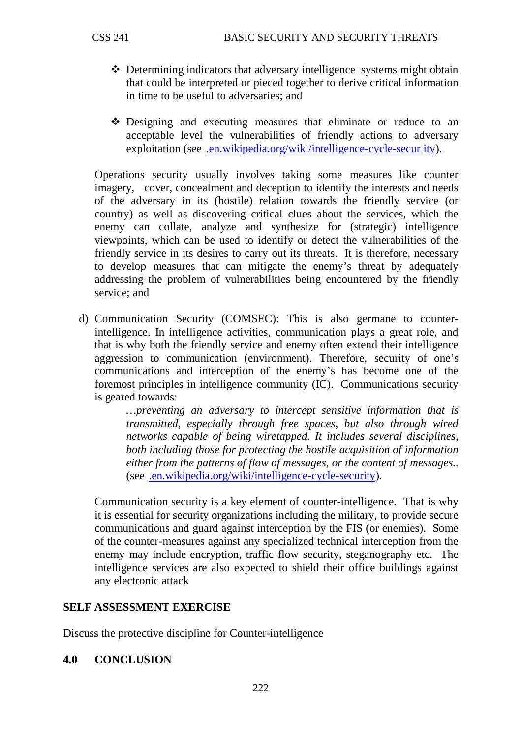- Determining indicators that adversary intelligence systems might obtain that could be interpreted or pieced together to derive critical information in time to be useful to adversaries; and
- Designing and executing measures that eliminate or reduce to an acceptable level the vulnerabilities of friendly actions to adversary exploitation (see [.en.wikipedia.org/wiki/intelligence-cycle-secur ity\)](http://www.en.wikipedia.org/wiki/intelligence-cycle-secur%20ity).

Operations security usually involves taking some measures like counter imagery, cover, concealment and deception to identify the interests and needs of the adversary in its (hostile) relation towards the friendly service (or country) as well as discovering critical clues about the services, which the enemy can collate, analyze and synthesize for (strategic) intelligence viewpoints, which can be used to identify or detect the vulnerabilities of the friendly service in its desires to carry out its threats. It is therefore, necessary to develop measures that can mitigate the enemy's threat by adequately addressing the problem of vulnerabilities being encountered by the friendly service; and

d) Communication Security (COMSEC): This is also germane to counterintelligence. In intelligence activities, communication plays a great role, and that is why both the friendly service and enemy often extend their intelligence aggression to communication (environment). Therefore, security of one's communications and interception of the enemy's has become one of the foremost principles in intelligence community (IC). Communications security is geared towards:

> *…preventing an adversary to intercept sensitive information that is transmitted, especially through free spaces, but also through wired networks capable of being wiretapped. It includes several disciplines, both including those for protecting the hostile acquisition of information either from the patterns of flow of messages, or the content of messages..*  (see [.en.wikipedia.org/wiki/intelligence-cycle-security\)](http://www.en.wikipedia.org/wiki/intelligence-cycle-security).

Communication security is a key element of counter-intelligence. That is why it is essential for security organizations including the military, to provide secure communications and guard against interception by the FIS (or enemies). Some of the counter-measures against any specialized technical interception from the enemy may include encryption, traffic flow security, steganography etc. The intelligence services are also expected to shield their office buildings against any electronic attack

# **SELF ASSESSMENT EXERCISE**

Discuss the protective discipline for Counter-intelligence

### **4.0 CONCLUSION**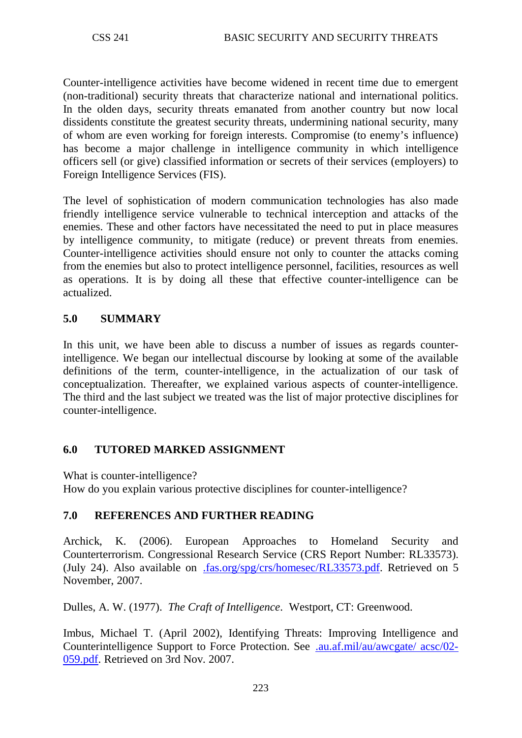Counter-intelligence activities have become widened in recent time due to emergent (non-traditional) security threats that characterize national and international politics. In the olden days, security threats emanated from another country but now local dissidents constitute the greatest security threats, undermining national security, many of whom are even working for foreign interests. Compromise (to enemy's influence) has become a major challenge in intelligence community in which intelligence officers sell (or give) classified information or secrets of their services (employers) to Foreign Intelligence Services (FIS).

The level of sophistication of modern communication technologies has also made friendly intelligence service vulnerable to technical interception and attacks of the enemies. These and other factors have necessitated the need to put in place measures by intelligence community, to mitigate (reduce) or prevent threats from enemies. Counter-intelligence activities should ensure not only to counter the attacks coming from the enemies but also to protect intelligence personnel, facilities, resources as well as operations. It is by doing all these that effective counter-intelligence can be actualized.

## **5.0 SUMMARY**

In this unit, we have been able to discuss a number of issues as regards counterintelligence. We began our intellectual discourse by looking at some of the available definitions of the term, counter-intelligence, in the actualization of our task of conceptualization. Thereafter, we explained various aspects of counter-intelligence. The third and the last subject we treated was the list of major protective disciplines for counter-intelligence.

### **6.0 TUTORED MARKED ASSIGNMENT**

What is counter-intelligence?

How do you explain various protective disciplines for counter-intelligence?

# **7.0 REFERENCES AND FURTHER READING**

Archick, K. (2006). European Approaches to Homeland Security and Counterterrorism. Congressional Research Service (CRS Report Number: RL33573). (July 24). Also available on [.fas.org/spg/crs/homesec/RL33573.pdf.](http://www.fas.org/spg/crs/homesec/RL33573.pdf) Retrieved on 5 November, 2007.

Dulles, A. W. (1977). *The Craft of Intelligence*. Westport, CT: Greenwood.

Imbus, Michael T. (April 2002), Identifying Threats: Improving Intelligence and Counterintelligence Support to Force Protection. See [.au.af.mil/au/awcgate/ acsc/02-](http://www.au.af.mil/au/awcgate/%20acsc/02-059.pdf) [059.pdf.](http://www.au.af.mil/au/awcgate/%20acsc/02-059.pdf) Retrieved on 3rd Nov. 2007.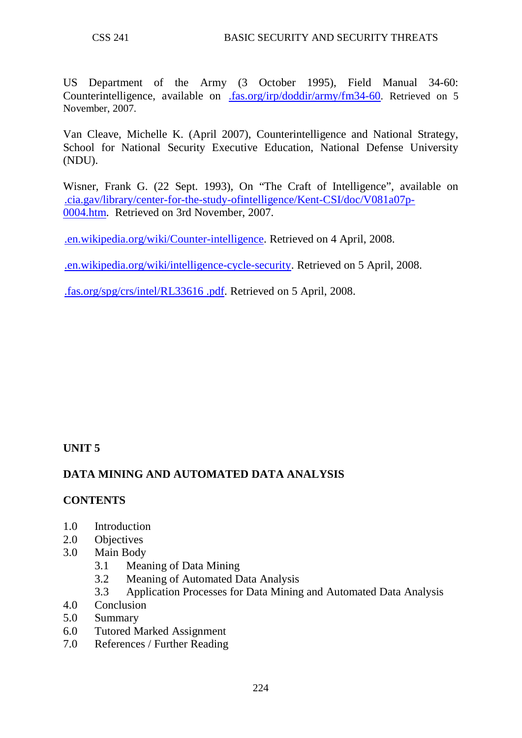US Department of the Army (3 October 1995), Field Manual 34-60: Counterintelligence, available on [.fas.org/irp/doddir/army/fm34-60.](http://www.fas.org/irp/doddir/army/fm34-60) Retrieved on 5 November, 2007.

Van Cleave, Michelle K. (April 2007), Counterintelligence and National Strategy, School for National Security Executive Education, National Defense University (NDU).

Wisner, Frank G. (22 Sept. 1993), On "The Craft of Intelligence", available on [.cia.gav/library/center-for-the-study-ofintelligence/Kent-CSI/doc/V081a07p-](http://www.cia.gav/library/center-for-the-study-ofintelligence/Kent-CSI/doc/V081a07p-0004.htm)[0004.htm.](http://www.cia.gav/library/center-for-the-study-ofintelligence/Kent-CSI/doc/V081a07p-0004.htm) Retrieved on 3rd November, 2007.

[.en.wikipedia.org/wiki/Counter-intelligence.](http://www.en.wikipedia.org/wiki/Counter-intelligence) Retrieved on 4 April, 2008.

[.en.wikipedia.org/wiki/intelligence-cycle-security.](http://www.en.wikipedia.org/wiki/intelligence-cycle-security) Retrieved on 5 April, 2008.

[.fas.org/spg/crs/intel/RL33616 .pdf.](http://www.fas.org/spg/crs/intel/RL33616%20.pdf) Retrieved on 5 April, 2008.

# **UNIT 5**

# **DATA MINING AND AUTOMATED DATA ANALYSIS**

# **CONTENTS**

- 1.0 Introduction
- 2.0 Objectives
- 3.0 Main Body
	- 3.1 Meaning of Data Mining
	- 3.2 Meaning of Automated Data Analysis
	- 3.3 Application Processes for Data Mining and Automated Data Analysis
- 4.0 Conclusion
- 5.0 Summary
- 6.0 Tutored Marked Assignment
- 7.0 References / Further Reading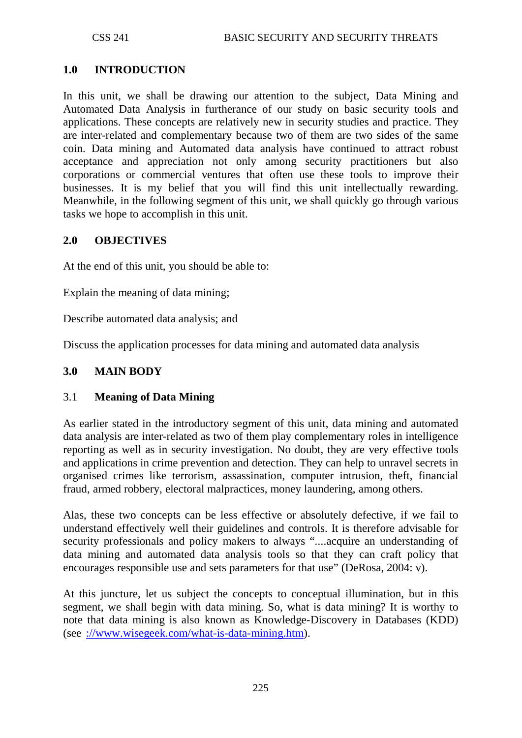## **1.0 INTRODUCTION**

In this unit, we shall be drawing our attention to the subject, Data Mining and Automated Data Analysis in furtherance of our study on basic security tools and applications. These concepts are relatively new in security studies and practice. They are inter-related and complementary because two of them are two sides of the same coin. Data mining and Automated data analysis have continued to attract robust acceptance and appreciation not only among security practitioners but also corporations or commercial ventures that often use these tools to improve their businesses. It is my belief that you will find this unit intellectually rewarding. Meanwhile, in the following segment of this unit, we shall quickly go through various tasks we hope to accomplish in this unit.

### **2.0 OBJECTIVES**

At the end of this unit, you should be able to:

Explain the meaning of data mining;

Describe automated data analysis; and

Discuss the application processes for data mining and automated data analysis

### **3.0 MAIN BODY**

### 3.1 **Meaning of Data Mining**

As earlier stated in the introductory segment of this unit, data mining and automated data analysis are inter-related as two of them play complementary roles in intelligence reporting as well as in security investigation. No doubt, they are very effective tools and applications in crime prevention and detection. They can help to unravel secrets in organised crimes like terrorism, assassination, computer intrusion, theft, financial fraud, armed robbery, electoral malpractices, money laundering, among others.

Alas, these two concepts can be less effective or absolutely defective, if we fail to understand effectively well their guidelines and controls. It is therefore advisable for security professionals and policy makers to always "....acquire an understanding of data mining and automated data analysis tools so that they can craft policy that encourages responsible use and sets parameters for that use" (DeRosa, 2004: v).

At this juncture, let us subject the concepts to conceptual illumination, but in this segment, we shall begin with data mining. So, what is data mining? It is worthy to note that data mining is also known as Knowledge-Discovery in Databases (KDD) (see [://www.wisegeek.com/what-is-data-mining.htm\)](http://www.wisegeek.com/what-is-data-mining.htm).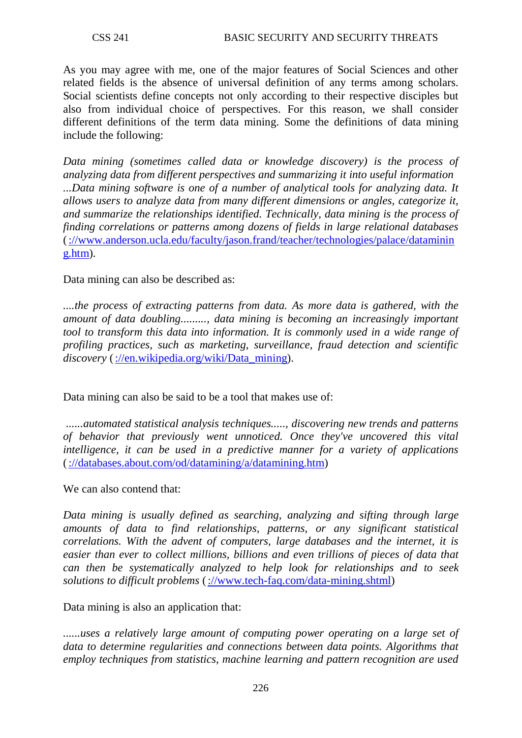As you may agree with me, one of the major features of Social Sciences and other related fields is the absence of universal definition of any terms among scholars. Social scientists define concepts not only according to their respective disciples but also from individual choice of perspectives. For this reason, we shall consider different definitions of the term data mining. Some the definitions of data mining include the following:

*Data mining (sometimes called data or knowledge discovery) is the process of analyzing data from different perspectives and summarizing it into useful information ...Data mining software is one of a number of analytical tools for analyzing data. It allows users to analyze data from many different dimensions or angles, categorize it, and summarize the relationships identified. Technically, data mining is the process of finding correlations or patterns among dozens of fields in large relational databases*  [\(://www.anderson.ucla.edu/faculty/jason.frand/teacher/technologies/palace/dataminin](http://www.anderson.ucla.edu/faculty/jason.frand/teacher/technologies/palace/datamining.htm) [g.htm\)](http://www.anderson.ucla.edu/faculty/jason.frand/teacher/technologies/palace/datamining.htm).

### Data mining can also be described as:

*....the process of extracting patterns from data. As more data is gathered, with the amount of data doubling........., data mining is becoming an increasingly important tool to transform this data into information. It is commonly used in a wide range of [profiling practices,](http://en.wikipedia.org/wiki/Profiling_practices) such as [marketing,](http://en.wikipedia.org/wiki/Marketing) [surveillance,](http://en.wikipedia.org/wiki/Surveillance) [fraud](http://en.wikipedia.org/wiki/Fraud) detection and scientific discovery* [\(://en.wikipedia.org/wiki/Data\\_mining\)](http://en.wikipedia.org/wiki/Data_mining).

Data mining can also be said to be a tool that makes use of:

*......automated statistical analysis techniques....., discovering new trends and patterns of behavior that previously went unnoticed. Once they've uncovered this vital intelligence, it can be used in a predictive manner for a variety of applications* [\(://databases.about.com/od/datamining/a/datamining.htm\)](http://databases.about.com/od/datamining/a/datamining.htm)

#### We can also contend that:

*Data mining is usually defined as searching, analyzing and sifting through large amounts of data to find relationships, patterns, or any significant statistical correlations. With the advent of computers, large databases and the internet, it is easier than ever to collect millions, billions and even trillions of pieces of data that can then be systematically analyzed to help look for relationships and to seek solutions to difficult problems* [\(://www.tech-faq.com/data-mining.shtml\)](http://www.tech-faq.com/data-mining.shtml)

Data mining is also an application that:

*......uses a relatively large amount of computing power operating on a large set of data to determine regularities and connections between data points. [Algorithms](http://www.wisegeek.com/what-is-an-algorithm.htm) that employ techniques from statistics, machine learning and pattern recognition are used*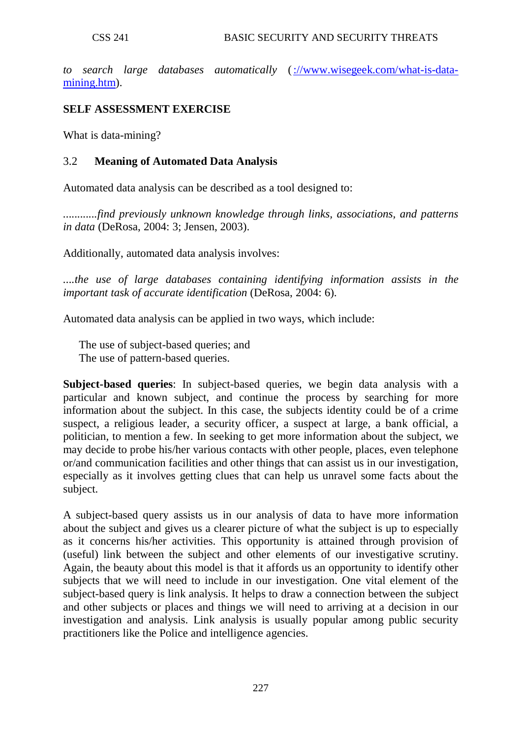*to search large databases automatically* [\(://www.wisegeek.com/what-is-data](http://www.wisegeek.com/what-is-data-mining.htm)[mining.htm\)](http://www.wisegeek.com/what-is-data-mining.htm).

### **SELF ASSESSMENT EXERCISE**

What is data-mining?

### 3.2 **Meaning of Automated Data Analysis**

Automated data analysis can be described as a tool designed to:

*............find previously unknown knowledge through links, associations, and patterns in data* (DeRosa, 2004: 3; Jensen, 2003).

Additionally, automated data analysis involves:

*....the use of large databases containing identifying information assists in the important task of accurate identification* (DeRosa, 2004: 6).

Automated data analysis can be applied in two ways, which include:

The use of subject-based queries; and The use of pattern-based queries.

**Subject-based queries**: In subject-based queries, we begin data analysis with a particular and known subject, and continue the process by searching for more information about the subject. In this case, the subjects identity could be of a crime suspect, a religious leader, a security officer, a suspect at large, a bank official, a politician, to mention a few. In seeking to get more information about the subject, we may decide to probe his/her various contacts with other people, places, even telephone or/and communication facilities and other things that can assist us in our investigation, especially as it involves getting clues that can help us unravel some facts about the subject.

A subject-based query assists us in our analysis of data to have more information about the subject and gives us a clearer picture of what the subject is up to especially as it concerns his/her activities. This opportunity is attained through provision of (useful) link between the subject and other elements of our investigative scrutiny. Again, the beauty about this model is that it affords us an opportunity to identify other subjects that we will need to include in our investigation. One vital element of the subject-based query is link analysis. It helps to draw a connection between the subject and other subjects or places and things we will need to arriving at a decision in our investigation and analysis. Link analysis is usually popular among public security practitioners like the Police and intelligence agencies.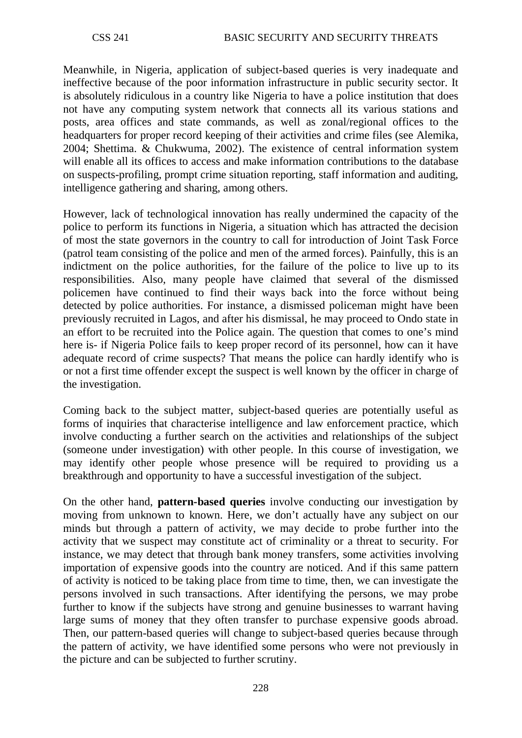Meanwhile, in Nigeria, application of subject-based queries is very inadequate and ineffective because of the poor information infrastructure in public security sector. It is absolutely ridiculous in a country like Nigeria to have a police institution that does not have any computing system network that connects all its various stations and posts, area offices and state commands, as well as zonal/regional offices to the headquarters for proper record keeping of their activities and crime files (see Alemika, 2004; Shettima. & Chukwuma, 2002). The existence of central information system will enable all its offices to access and make information contributions to the database on suspects-profiling, prompt crime situation reporting, staff information and auditing, intelligence gathering and sharing, among others.

However, lack of technological innovation has really undermined the capacity of the police to perform its functions in Nigeria, a situation which has attracted the decision of most the state governors in the country to call for introduction of Joint Task Force (patrol team consisting of the police and men of the armed forces). Painfully, this is an indictment on the police authorities, for the failure of the police to live up to its responsibilities. Also, many people have claimed that several of the dismissed policemen have continued to find their ways back into the force without being detected by police authorities. For instance, a dismissed policeman might have been previously recruited in Lagos, and after his dismissal, he may proceed to Ondo state in an effort to be recruited into the Police again. The question that comes to one's mind here is- if Nigeria Police fails to keep proper record of its personnel, how can it have adequate record of crime suspects? That means the police can hardly identify who is or not a first time offender except the suspect is well known by the officer in charge of the investigation.

Coming back to the subject matter, subject-based queries are potentially useful as forms of inquiries that characterise intelligence and law enforcement practice, which involve conducting a further search on the activities and relationships of the subject (someone under investigation) with other people. In this course of investigation, we may identify other people whose presence will be required to providing us a breakthrough and opportunity to have a successful investigation of the subject.

On the other hand, **pattern-based queries** involve conducting our investigation by moving from unknown to known. Here, we don't actually have any subject on our minds but through a pattern of activity, we may decide to probe further into the activity that we suspect may constitute act of criminality or a threat to security. For instance, we may detect that through bank money transfers, some activities involving importation of expensive goods into the country are noticed. And if this same pattern of activity is noticed to be taking place from time to time, then, we can investigate the persons involved in such transactions. After identifying the persons, we may probe further to know if the subjects have strong and genuine businesses to warrant having large sums of money that they often transfer to purchase expensive goods abroad. Then, our pattern-based queries will change to subject-based queries because through the pattern of activity, we have identified some persons who were not previously in the picture and can be subjected to further scrutiny.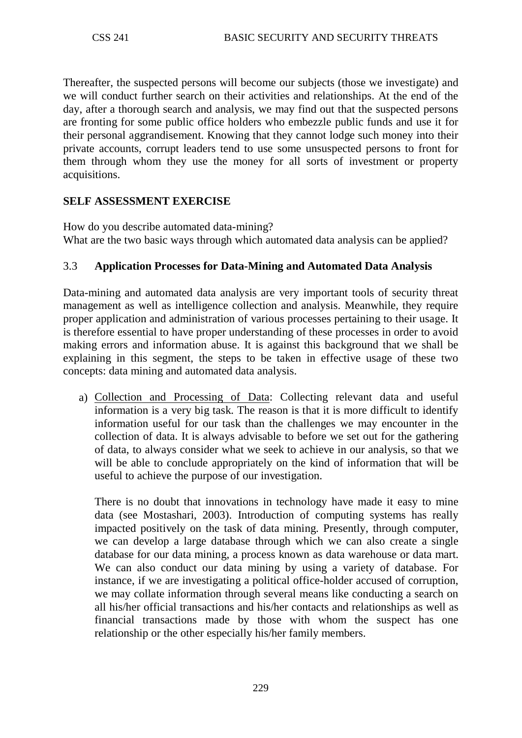Thereafter, the suspected persons will become our subjects (those we investigate) and we will conduct further search on their activities and relationships. At the end of the day, after a thorough search and analysis, we may find out that the suspected persons are fronting for some public office holders who embezzle public funds and use it for their personal aggrandisement. Knowing that they cannot lodge such money into their private accounts, corrupt leaders tend to use some unsuspected persons to front for them through whom they use the money for all sorts of investment or property acquisitions.

## **SELF ASSESSMENT EXERCISE**

How do you describe automated data-mining? What are the two basic ways through which automated data analysis can be applied?

## 3.3 **Application Processes for Data-Mining and Automated Data Analysis**

Data-mining and automated data analysis are very important tools of security threat management as well as intelligence collection and analysis. Meanwhile, they require proper application and administration of various processes pertaining to their usage. It is therefore essential to have proper understanding of these processes in order to avoid making errors and information abuse. It is against this background that we shall be explaining in this segment, the steps to be taken in effective usage of these two concepts: data mining and automated data analysis.

a) Collection and Processing of Data: Collecting relevant data and useful information is a very big task. The reason is that it is more difficult to identify information useful for our task than the challenges we may encounter in the collection of data. It is always advisable to before we set out for the gathering of data, to always consider what we seek to achieve in our analysis, so that we will be able to conclude appropriately on the kind of information that will be useful to achieve the purpose of our investigation.

There is no doubt that innovations in technology have made it easy to mine data (see Mostashari, 2003). Introduction of computing systems has really impacted positively on the task of data mining. Presently, through computer, we can develop a large database through which we can also create a single database for our data mining, a process known as data warehouse or data mart. We can also conduct our data mining by using a variety of database. For instance, if we are investigating a political office-holder accused of corruption, we may collate information through several means like conducting a search on all his/her official transactions and his/her contacts and relationships as well as financial transactions made by those with whom the suspect has one relationship or the other especially his/her family members.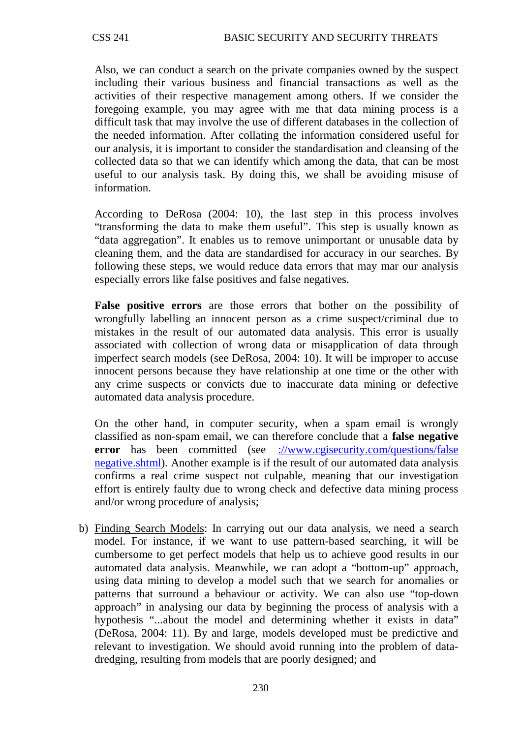Also, we can conduct a search on the private companies owned by the suspect including their various business and financial transactions as well as the activities of their respective management among others. If we consider the foregoing example, you may agree with me that data mining process is a difficult task that may involve the use of different databases in the collection of the needed information. After collating the information considered useful for our analysis, it is important to consider the standardisation and cleansing of the collected data so that we can identify which among the data, that can be most useful to our analysis task. By doing this, we shall be avoiding misuse of information.

According to DeRosa (2004: 10), the last step in this process involves "transforming the data to make them useful". This step is usually known as "data aggregation". It enables us to remove unimportant or unusable data by cleaning them, and the data are standardised for accuracy in our searches. By following these steps, we would reduce data errors that may mar our analysis especially errors like false positives and false negatives.

**False positive errors** are those errors that bother on the possibility of wrongfully labelling an innocent person as a crime suspect/criminal due to mistakes in the result of our automated data analysis. This error is usually associated with collection of wrong data or misapplication of data through imperfect search models (see DeRosa, 2004: 10). It will be improper to accuse innocent persons because they have relationship at one time or the other with any crime suspects or convicts due to inaccurate data mining or defective automated data analysis procedure.

On the other hand, in computer security, when a spam email is wrongly classified as non-spam email, we can therefore conclude that a **false negative error** has been committed (see ://www.cgisecurity.com/questions/false [negative.shtml\)](http://www.cgisecurity.com/questions/false%20negative.shtml). Another example is if the result of our automated data analysis confirms a real crime suspect not culpable, meaning that our investigation effort is entirely faulty due to wrong check and defective data mining process and/or wrong procedure of analysis;

b) Finding Search Models: In carrying out our data analysis, we need a search model. For instance, if we want to use pattern-based searching, it will be cumbersome to get perfect models that help us to achieve good results in our automated data analysis. Meanwhile, we can adopt a "bottom-up" approach, using data mining to develop a model such that we search for anomalies or patterns that surround a behaviour or activity. We can also use "top-down approach" in analysing our data by beginning the process of analysis with a hypothesis "...about the model and determining whether it exists in data" (DeRosa, 2004: 11). By and large, models developed must be predictive and relevant to investigation. We should avoid running into the problem of datadredging, resulting from models that are poorly designed; and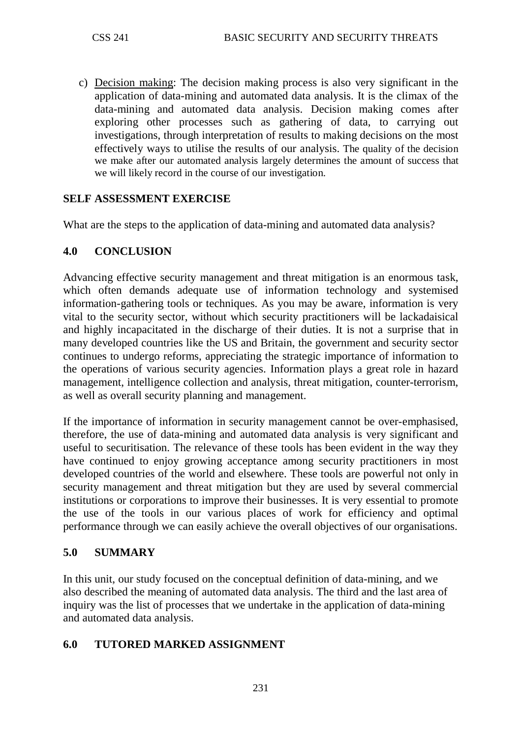c) Decision making : The decision making process is also very significant in the application of data-mining and automated data analysis. It is the climax of the data-mining and automated data analysis. Decision making comes after exploring other processes such as gathering of data, to carrying out investigations, through interpretation of results to making decisions on the most effectively ways to utilise the results of our analysis. The quality of the decision we make after our automated analysis largely determines the amount of success that we will likely record in the course of our investigation.

## **SELF ASSESSMENT EXERCISE**

What are the steps to the application of data-mining and automated data analysis?

### **4.0 CONCLUSION**

Advancing effective security management and threat mitigation is an enormous task, which often demands adequate use of information technology and systemised information-gathering tools or techniques. As you may be aware, information is very vital to the security sector, without which security practitioners will be lackadaisical and highly incapacitated in the discharge of their duties. It is not a surprise that in many developed countries like the US and Britain, the government and security sector continues to undergo reforms, appreciating the strategic importance of information to the operations of various security agencies. Information plays a great role in hazard management, intelligence collection and analysis, threat mitigation, counter-terrorism, as well as overall security planning and management.

If the importance of information in security management cannot be over-emphasised, therefore, the use of data-mining and automated data analysis is very significant and useful to securitisation. The relevance of these tools has been evident in the way they have continued to enjoy growing acceptance among security practitioners in most developed countries of the world and elsewhere. These tools are powerful not only in security management and threat mitigation but they are used by several commercial institutions or corporations to improve their businesses. It is very essential to promote the use of the tools in our various places of work for efficiency and optimal performance through we can easily achieve the overall objectives of our organisations.

### **5.0 SUMMARY**

In this unit, our study focused on the conceptual definition of data-mining, and we also described the meaning of automated data analysis. The third and the last area of inquiry was the list of processes that we undertake in the application of data-mining and automated data analysis.

## **6.0 TUTORED MARKED ASSIGNMENT**